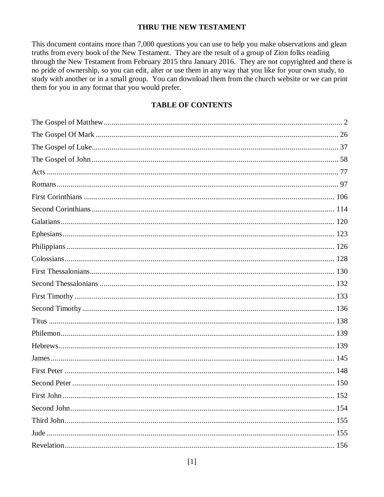### THRU THE NEW TESTAMENT

This document contains more than 7,000 questions you can use to help you make observations and glean truths from every book of the New Testament. They are the result of a group of Zion folks reading through the New Testament from February 2015 thru January 2016. They are not copyrighted and there is no pride of ownership, so you can edit, alter or use them in any way that you like for your own study, to study with another or in a small group. You can download them from the church website or we can print them for you in any format that you would prefer.

### **TABLE OF CONTENTS**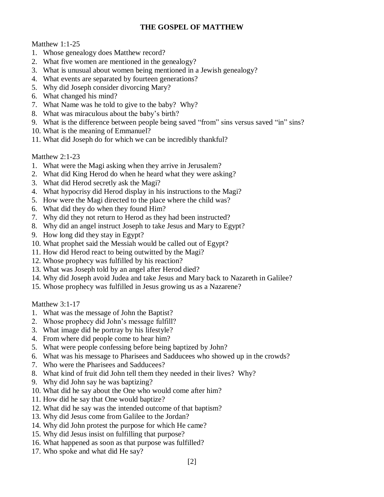## **THE GOSPEL OF MATTHEW**

Matthew 1:1-25

- 1. Whose genealogy does Matthew record?
- 2. What five women are mentioned in the genealogy?
- 3. What is unusual about women being mentioned in a Jewish genealogy?
- 4. What events are separated by fourteen generations?
- 5. Why did Joseph consider divorcing Mary?
- 6. What changed his mind?
- 7. What Name was he told to give to the baby? Why?
- 8. What was miraculous about the baby's birth?
- 9. What is the difference between people being saved "from" sins versus saved "in" sins?
- 10. What is the meaning of Emmanuel?
- 11. What did Joseph do for which we can be incredibly thankful?

Matthew 2:1-23

- 1. What were the Magi asking when they arrive in Jerusalem?
- 2. What did King Herod do when he heard what they were asking?
- 3. What did Herod secretly ask the Magi?
- 4. What hypocrisy did Herod display in his instructions to the Magi?
- 5. How were the Magi directed to the place where the child was?
- 6. What did they do when they found Him?
- 7. Why did they not return to Herod as they had been instructed?
- 8. Why did an angel instruct Joseph to take Jesus and Mary to Egypt?
- 9. How long did they stay in Egypt?
- 10. What prophet said the Messiah would be called out of Egypt?
- 11. How did Herod react to being outwitted by the Magi?
- 12. Whose prophecy was fulfilled by his reaction?
- 13. What was Joseph told by an angel after Herod died?
- 14. Why did Joseph avoid Judea and take Jesus and Mary back to Nazareth in Galilee?
- 15. Whose prophecy was fulfilled in Jesus growing us as a Nazarene?

Matthew 3:1-17

- 1. What was the message of John the Baptist?
- 2. Whose prophecy did John's message fulfill?
- 3. What image did he portray by his lifestyle?
- 4. From where did people come to hear him?
- 5. What were people confessing before being baptized by John?
- 6. What was his message to Pharisees and Sadducees who showed up in the crowds?
- 7. Who were the Pharisees and Sadducees?
- 8. What kind of fruit did John tell them they needed in their lives? Why?
- 9. Why did John say he was baptizing?
- 10. What did he say about the One who would come after him?
- 11. How did he say that One would baptize?
- 12. What did he say was the intended outcome of that baptism?
- 13. Why did Jesus come from Galilee to the Jordan?
- 14. Why did John protest the purpose for which He came?
- 15. Why did Jesus insist on fulfilling that purpose?
- 16. What happened as soon as that purpose was fulfilled?
- 17. Who spoke and what did He say?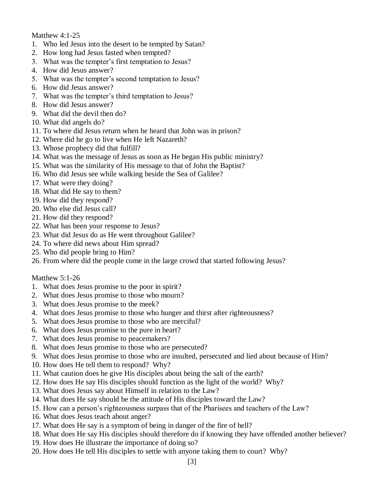Matthew 4:1-25

- 1. Who led Jesus into the desert to be tempted by Satan?
- 2. How long had Jesus fasted when tempted?
- 3. What was the tempter's first temptation to Jesus?
- 4. How did Jesus answer?
- 5. What was the tempter's second temptation to Jesus?
- 6. How did Jesus answer?
- 7. What was the tempter's third temptation to Jesus?
- 8. How did Jesus answer?
- 9. What did the devil then do?
- 10. What did angels do?
- 11. To where did Jesus return when he heard that John was in prison?
- 12. Where did he go to live when He left Nazareth?
- 13. Whose prophecy did that fulfill?
- 14. What was the message of Jesus as soon as He began His public ministry?
- 15. What was the similarity of His message to that of John the Baptist?
- 16. Who did Jesus see while walking beside the Sea of Galilee?
- 17. What were they doing?
- 18. What did He say to them?
- 19. How did they respond?
- 20. Who else did Jesus call?
- 21. How did they respond?
- 22. What has been your response to Jesus?
- 23. What did Jesus do as He went throughout Galilee?
- 24. To where did news about Him spread?
- 25. Who did people bring to Him?
- 26. From where did the people come in the large crowd that started following Jesus?

#### Matthew 5:1-26

- 1. What does Jesus promise to the poor in spirit?
- 2. What does Jesus promise to those who mourn?
- 3. What does Jesus promise to the meek?
- 4. What does Jesus promise to those who hunger and thirst after righteousness?
- 5. What does Jesus promise to those who are merciful?
- 6. What does Jesus promise to the pure in heart?
- 7. What does Jesus promise to peacemakers?
- 8. What does Jesus promise to those who are persecuted?
- 9. What does Jesus promise to those who are insulted, persecuted and lied about because of Him?
- 10. How does He tell them to respond? Why?
- 11. What caution does he give His disciples about being the salt of the earth?
- 12. How does He say His disciples should function as the light of the world? Why?
- 13. What does Jesus say about Himself in relation to the Law?
- 14. What does He say should be the attitude of His disciples toward the Law?
- 15. How can a person's righteousness surpass that of the Pharisees and teachers of the Law?
- 16. What does Jesus teach about anger?
- 17. What does He say is a symptom of being in danger of the fire of hell?
- 18. What does He say His disciples should therefore do if knowing they have offended another believer?
- 19. How does He illustrate the importance of doing so?
- 20. How does He tell His disciples to settle with anyone taking them to court? Why?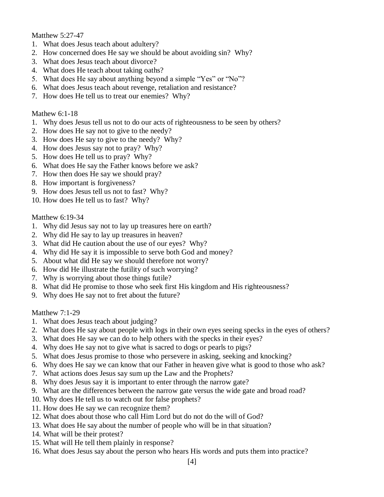Matthew 5:27-47

- 1. What does Jesus teach about adultery?
- 2. How concerned does He say we should be about avoiding sin? Why?
- 3. What does Jesus teach about divorce?
- 4. What does He teach about taking oaths?
- 5. What does He say about anything beyond a simple "Yes" or "No"?
- 6. What does Jesus teach about revenge, retaliation and resistance?
- 7. How does He tell us to treat our enemies? Why?

#### Mathew 6:1-18

- 1. Why does Jesus tell us not to do our acts of righteousness to be seen by others?
- 2. How does He say not to give to the needy?
- 3. How does He say to give to the needy? Why?
- 4. How does Jesus say not to pray? Why?
- 5. How does He tell us to pray? Why?
- 6. What does He say the Father knows before we ask?
- 7. How then does He say we should pray?
- 8. How important is forgiveness?
- 9. How does Jesus tell us not to fast? Why?
- 10. How does He tell us to fast? Why?

#### Matthew 6:19-34

- 1. Why did Jesus say not to lay up treasures here on earth?
- 2. Why did He say to lay up treasures in heaven?
- 3. What did He caution about the use of our eyes? Why?
- 4. Why did He say it is impossible to serve both God and money?
- 5. About what did He say we should therefore not worry?
- 6. How did He illustrate the futility of such worrying?
- 7. Why is worrying about those things futile?
- 8. What did He promise to those who seek first His kingdom and His righteousness?
- 9. Why does He say not to fret about the future?

Matthew 7:1-29

- 1. What does Jesus teach about judging?
- 2. What does He say about people with logs in their own eyes seeing specks in the eyes of others?
- 3. What does He say we can do to help others with the specks in their eyes?
- 4. Why does He say not to give what is sacred to dogs or pearls to pigs?
- 5. What does Jesus promise to those who persevere in asking, seeking and knocking?
- 6. Why does He say we can know that our Father in heaven give what is good to those who ask?
- 7. What actions does Jesus say sum up the Law and the Prophets?
- 8. Why does Jesus say it is important to enter through the narrow gate?
- 9. What are the differences between the narrow gate versus the wide gate and broad road?
- 10. Why does He tell us to watch out for false prophets?
- 11. How does He say we can recognize them?
- 12. What does about those who call Him Lord but do not do the will of God?
- 13. What does He say about the number of people who will be in that situation?
- 14. What will be their protest?
- 15. What will He tell them plainly in response?
- 16. What does Jesus say about the person who hears His words and puts them into practice?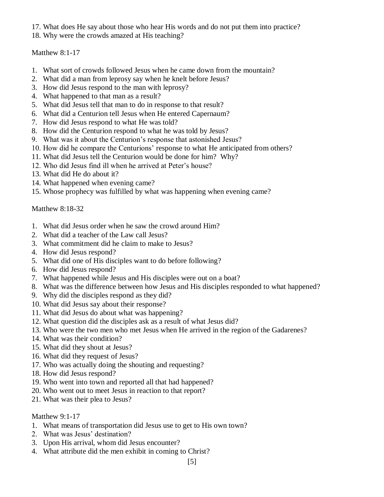- 17. What does He say about those who hear His words and do not put them into practice?
- 18. Why were the crowds amazed at His teaching?

## Matthew 8:1-17

- 1. What sort of crowds followed Jesus when he came down from the mountain?
- 2. What did a man from leprosy say when he knelt before Jesus?
- 3. How did Jesus respond to the man with leprosy?
- 4. What happened to that man as a result?
- 5. What did Jesus tell that man to do in response to that result?
- 6. What did a Centurion tell Jesus when He entered Capernaum?
- 7. How did Jesus respond to what He was told?
- 8. How did the Centurion respond to what he was told by Jesus?
- 9. What was it about the Centurion's response that astonished Jesus?
- 10. How did he compare the Centurions' response to what He anticipated from others?
- 11. What did Jesus tell the Centurion would be done for him? Why?
- 12. Who did Jesus find ill when he arrived at Peter's house?
- 13. What did He do about it?
- 14. What happened when evening came?
- 15. Whose prophecy was fulfilled by what was happening when evening came?

## Matthew 8:18-32

- 1. What did Jesus order when he saw the crowd around Him?
- 2. What did a teacher of the Law call Jesus?
- 3. What commitment did he claim to make to Jesus?
- 4. How did Jesus respond?
- 5. What did one of His disciples want to do before following?
- 6. How did Jesus respond?
- 7. What happened while Jesus and His disciples were out on a boat?
- 8. What was the difference between how Jesus and His disciples responded to what happened?
- 9. Why did the disciples respond as they did?
- 10. What did Jesus say about their response?
- 11. What did Jesus do about what was happening?
- 12. What question did the disciples ask as a result of what Jesus did?
- 13. Who were the two men who met Jesus when He arrived in the region of the Gadarenes?
- 14. What was their condition?
- 15. What did they shout at Jesus?
- 16. What did they request of Jesus?
- 17. Who was actually doing the shouting and requesting?
- 18. How did Jesus respond?
- 19. Who went into town and reported all that had happened?
- 20. Who went out to meet Jesus in reaction to that report?
- 21. What was their plea to Jesus?

## Matthew 9:1-17

- 1. What means of transportation did Jesus use to get to His own town?
- 2. What was Jesus' destination?
- 3. Upon His arrival, whom did Jesus encounter?
- 4. What attribute did the men exhibit in coming to Christ?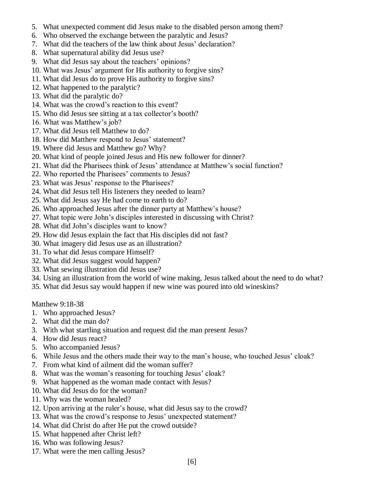- 5. What unexpected comment did Jesus make to the disabled person among them?
- 6. Who observed the exchange between the paralytic and Jesus?
- 7. What did the teachers of the law think about Jesus' declaration?
- 8. What supernatural ability did Jesus use?
- 9. What did Jesus say about the teachers' opinions?
- 10. What was Jesus' argument for His authority to forgive sins?
- 11. What did Jesus do to prove His authority to forgive sins?
- 12. What happened to the paralytic?
- 13. What did the paralytic do?
- 14. What was the crowd's reaction to this event?
- 15. Who did Jesus see sitting at a tax collector's booth?
- 16. What was Matthew's job?
- 17. What did Jesus tell Matthew to do?
- 18. How did Matthew respond to Jesus' statement?
- 19. Where did Jesus and Matthew go? Why?
- 20. What kind of people joined Jesus and His new follower for dinner?
- 21. What did the Pharisees think of Jesus' attendance at Matthew's social function?
- 22. Who reported the Pharisees' comments to Jesus?
- 23. What was Jesus' response to the Pharisees?
- 24. What did Jesus tell His listeners they needed to learn?
- 25. What did Jesus say He had come to earth to do?
- 26. Who approached Jesus after the dinner party at Matthew's house?
- 27. What topic were John's disciples interested in discussing with Christ?
- 28. What did John's disciples want to know?
- 29. How did Jesus explain the fact that His disciples did not fast?
- 30. What imagery did Jesus use as an illustration?
- 31. To what did Jesus compare Himself?
- 32. What did Jesus suggest would happen?
- 33. What sewing illustration did Jesus use?
- 34. Using an illustration from the world of wine making, Jesus talked about the need to do what?
- 35. What did Jesus say would happen if new wine was poured into old wineskins?

Matthew 9:18-38

- 1. Who approached Jesus?
- 2. What did the man do?
- 3. With what startling situation and request did the man present Jesus?
- 4. How did Jesus react?
- 5. Who accompanied Jesus?
- 6. While Jesus and the others made their way to the man's house, who touched Jesus' cloak?
- 7. From what kind of ailment did the woman suffer?
- 8. What was the woman's reasoning for touching Jesus' cloak?
- 9. What happened as the woman made contact with Jesus?
- 10. What did Jesus do for the woman?
- 11. Why was the woman healed?
- 12. Upon arriving at the ruler's house, what did Jesus say to the crowd?
- 13. What was the crowd's response to Jesus' unexpected statement?
- 14. What did Christ do after He put the crowd outside?
- 15. What happened after Christ left?
- 16. Who was following Jesus?
- 17. What were the men calling Jesus?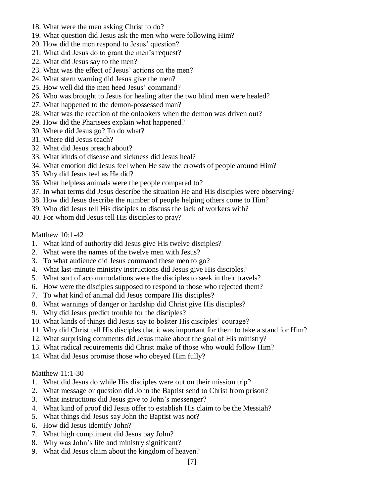- 18. What were the men asking Christ to do?
- 19. What question did Jesus ask the men who were following Him?
- 20. How did the men respond to Jesus' question?
- 21. What did Jesus do to grant the men's request?
- 22. What did Jesus say to the men?
- 23. What was the effect of Jesus' actions on the men?
- 24. What stern warning did Jesus give the men?
- 25. How well did the men heed Jesus' command?
- 26. Who was brought to Jesus for healing after the two blind men were healed?
- 27. What happened to the demon-possessed man?
- 28. What was the reaction of the onlookers when the demon was driven out?
- 29. How did the Pharisees explain what happened?
- 30. Where did Jesus go? To do what?
- 31. Where did Jesus teach?
- 32. What did Jesus preach about?
- 33. What kinds of disease and sickness did Jesus heal?
- 34. What emotion did Jesus feel when He saw the crowds of people around Him?
- 35. Why did Jesus feel as He did?
- 36. What helpless animals were the people compared to?
- 37. In what terms did Jesus describe the situation He and His disciples were observing?
- 38. How did Jesus describe the number of people helping others come to Him?
- 39. Who did Jesus tell His disciples to discuss the lack of workers with?
- 40. For whom did Jesus tell His disciples to pray?

#### Matthew 10:1-42

- 1. What kind of authority did Jesus give His twelve disciples?
- 2. What were the names of the twelve men with Jesus?
- 3. To what audience did Jesus command these men to go?
- 4. What last-minute ministry instructions did Jesus give His disciples?
- 5. What sort of accommodations were the disciples to seek in their travels?
- 6. How were the disciples supposed to respond to those who rejected them?
- 7. To what kind of animal did Jesus compare His disciples?
- 8. What warnings of danger or hardship did Christ give His disciples?
- 9. Why did Jesus predict trouble for the disciples?
- 10. What kinds of things did Jesus say to bolster His disciples' courage?
- 11. Why did Christ tell His disciples that it was important for them to take a stand for Him?
- 12. What surprising comments did Jesus make about the goal of His ministry?
- 13. What radical requirements did Christ make of those who would follow Him?
- 14. What did Jesus promise those who obeyed Him fully?

## Matthew 11:1-30

- 1. What did Jesus do while His disciples were out on their mission trip?
- 2. What message or question did John the Baptist send to Christ from prison?
- 3. What instructions did Jesus give to John's messenger?
- 4. What kind of proof did Jesus offer to establish His claim to be the Messiah?
- 5. What things did Jesus say John the Baptist was not?
- 6. How did Jesus identify John?
- 7. What high compliment did Jesus pay John?
- 8. Why was John's life and ministry significant?
- 9. What did Jesus claim about the kingdom of heaven?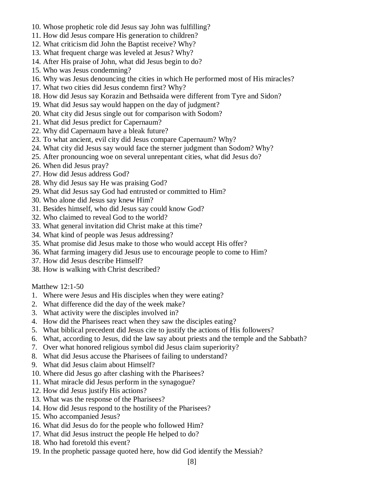- 10. Whose prophetic role did Jesus say John was fulfilling?
- 11. How did Jesus compare His generation to children?
- 12. What criticism did John the Baptist receive? Why?
- 13. What frequent charge was leveled at Jesus? Why?
- 14. After His praise of John, what did Jesus begin to do?
- 15. Who was Jesus condemning?
- 16. Why was Jesus denouncing the cities in which He performed most of His miracles?
- 17. What two cities did Jesus condemn first? Why?
- 18. How did Jesus say Korazin and Bethsaida were different from Tyre and Sidon?
- 19. What did Jesus say would happen on the day of judgment?
- 20. What city did Jesus single out for comparison with Sodom?
- 21. What did Jesus predict for Capernaum?
- 22. Why did Capernaum have a bleak future?
- 23. To what ancient, evil city did Jesus compare Capernaum? Why?
- 24. What city did Jesus say would face the sterner judgment than Sodom? Why?
- 25. After pronouncing woe on several unrepentant cities, what did Jesus do?
- 26. When did Jesus pray?
- 27. How did Jesus address God?
- 28. Why did Jesus say He was praising God?
- 29. What did Jesus say God had entrusted or committed to Him?
- 30. Who alone did Jesus say knew Him?
- 31. Besides himself, who did Jesus say could know God?
- 32. Who claimed to reveal God to the world?
- 33. What general invitation did Christ make at this time?
- 34. What kind of people was Jesus addressing?
- 35. What promise did Jesus make to those who would accept His offer?
- 36. What farming imagery did Jesus use to encourage people to come to Him?
- 37. How did Jesus describe Himself?
- 38. How is walking with Christ described?

## Matthew 12:1-50

- 1. Where were Jesus and His disciples when they were eating?
- 2. What difference did the day of the week make?
- 3. What activity were the disciples involved in?
- 4. How did the Pharisees react when they saw the disciples eating?
- 5. What biblical precedent did Jesus cite to justify the actions of His followers?
- 6. What, according to Jesus, did the law say about priests and the temple and the Sabbath?
- 7. Over what honored religious symbol did Jesus claim superiority?
- 8. What did Jesus accuse the Pharisees of failing to understand?
- 9. What did Jesus claim about Himself?
- 10. Where did Jesus go after clashing with the Pharisees?
- 11. What miracle did Jesus perform in the synagogue?
- 12. How did Jesus justify His actions?
- 13. What was the response of the Pharisees?
- 14. How did Jesus respond to the hostility of the Pharisees?
- 15. Who accompanied Jesus?
- 16. What did Jesus do for the people who followed Him?
- 17. What did Jesus instruct the people He helped to do?
- 18. Who had foretold this event?
- 19. In the prophetic passage quoted here, how did God identify the Messiah?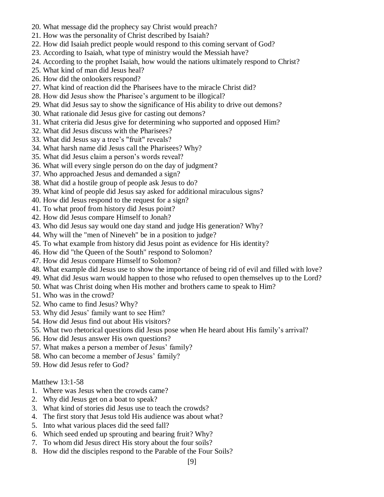- 20. What message did the prophecy say Christ would preach?
- 21. How was the personality of Christ described by Isaiah?
- 22. How did Isaiah predict people would respond to this coming servant of God?
- 23. According to Isaiah, what type of ministry would the Messiah have?
- 24. According to the prophet Isaiah, how would the nations ultimately respond to Christ?
- 25. What kind of man did Jesus heal?
- 26. How did the onlookers respond?
- 27. What kind of reaction did the Pharisees have to the miracle Christ did?
- 28. How did Jesus show the Pharisee's argument to be illogical?
- 29. What did Jesus say to show the significance of His ability to drive out demons?
- 30. What rationale did Jesus give for casting out demons?
- 31. What criteria did Jesus give for determining who supported and opposed Him?
- 32. What did Jesus discuss with the Pharisees?
- 33. What did Jesus say a tree's "fruit" reveals?
- 34. What harsh name did Jesus call the Pharisees? Why?
- 35. What did Jesus claim a person's words reveal?
- 36. What will every single person do on the day of judgment?
- 37. Who approached Jesus and demanded a sign?
- 38. What did a hostile group of people ask Jesus to do?
- 39. What kind of people did Jesus say asked for additional miraculous signs?
- 40. How did Jesus respond to the request for a sign?
- 41. To what proof from history did Jesus point?
- 42. How did Jesus compare Himself to Jonah?
- 43. Who did Jesus say would one day stand and judge His generation? Why?
- 44. Why will the "men of Nineveh" be in a position to judge?
- 45. To what example from history did Jesus point as evidence for His identity?
- 46. How did "the Queen of the South" respond to Solomon?
- 47. How did Jesus compare Himself to Solomon?
- 48. What example did Jesus use to show the importance of being rid of evil and filled with love?
- 49. What did Jesus warn would happen to those who refused to open themselves up to the Lord?
- 50. What was Christ doing when His mother and brothers came to speak to Him?
- 51. Who was in the crowd?
- 52. Who came to find Jesus? Why?
- 53. Why did Jesus' family want to see Him?
- 54. How did Jesus find out about His visitors?
- 55. What two rhetorical questions did Jesus pose when He heard about His family's arrival?
- 56. How did Jesus answer His own questions?
- 57. What makes a person a member of Jesus' family?
- 58. Who can become a member of Jesus' family?
- 59. How did Jesus refer to God?

# Matthew 13:1-58

- 1. Where was Jesus when the crowds came?
- 2. Why did Jesus get on a boat to speak?
- 3. What kind of stories did Jesus use to teach the crowds?
- 4. The first story that Jesus told His audience was about what?
- 5. Into what various places did the seed fall?
- 6. Which seed ended up sprouting and bearing fruit? Why?
- 7. To whom did Jesus direct His story about the four soils?
- 8. How did the disciples respond to the Parable of the Four Soils?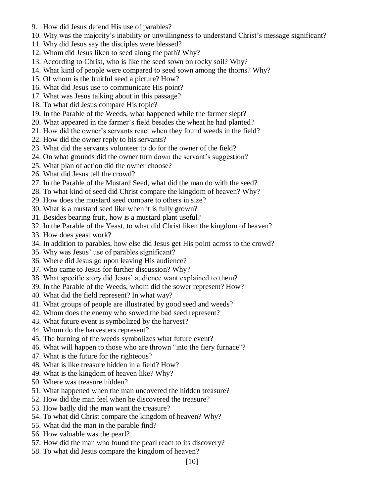- 9. How did Jesus defend His use of parables?
- 10. Why was the majority's inability or unwillingness to understand Christ's message significant?
- 11. Why did Jesus say the disciples were blessed?
- 12. Whom did Jesus liken to seed along the path? Why?
- 13. According to Christ, who is like the seed sown on rocky soil? Why?
- 14. What kind of people were compared to seed sown among the thorns? Why?
- 15. Of whom is the fruitful seed a picture? How?
- 16. What did Jesus use to communicate His point?
- 17. What was Jesus talking about in this passage?
- 18. To what did Jesus compare His topic?
- 19. In the Parable of the Weeds, what happened while the farmer slept?
- 20. What appeared in the farmer's field besides the wheat he had planted?
- 21. How did the owner's servants react when they found weeds in the field?
- 22. How did the owner reply to his servants?
- 23. What did the servants volunteer to do for the owner of the field?
- 24. On what grounds did the owner turn down the servant's suggestion?
- 25. What plan of action did the owner choose?
- 26. What did Jesus tell the crowd?
- 27. In the Parable of the Mustard Seed, what did the man do with the seed?
- 28. To what kind of seed did Christ compare the kingdom of heaven? Why?
- 29. How does the mustard seed compare to others in size?
- 30. What is a mustard seed like when it is fully grown?
- 31. Besides bearing fruit, how is a mustard plant useful?
- 32. In the Parable of the Yeast, to what did Christ liken the kingdom of heaven?
- 33. How does yeast work?
- 34. In addition to parables, how else did Jesus get His point across to the crowd?
- 35. Why was Jesus' use of parables significant?
- 36. Where did Jesus go upon leaving His audience?
- 37. Who came to Jesus for further discussion? Why?
- 38. What specific story did Jesus' audience want explained to them?
- 39. In the Parable of the Weeds, whom did the sower represent? How?
- 40. What did the field represent? In what way?
- 41. What groups of people are illustrated by good seed and weeds?
- 42. Whom does the enemy who sowed the bad seed represent?
- 43. What future event is symbolized by the harvest?
- 44. Whom do the harvesters represent?
- 45. The burning of the weeds symbolizes what future event?
- 46. What will happen to those who are thrown "into the fiery furnace"?
- 47. What is the future for the righteous?
- 48. What is like treasure hidden in a field? How?
- 49. What is the kingdom of heaven like? Why?
- 50. Where was treasure hidden?
- 51. What happened when the man uncovered the hidden treasure?
- 52. How did the man feel when he discovered the treasure?
- 53. How badly did the man want the treasure?
- 54. To what did Christ compare the kingdom of heaven? Why?
- 55. What did the man in the parable find?
- 56. How valuable was the pearl?
- 57. How did the man who found the pearl react to its discovery?
- 58. To what did Jesus compare the kingdom of heaven?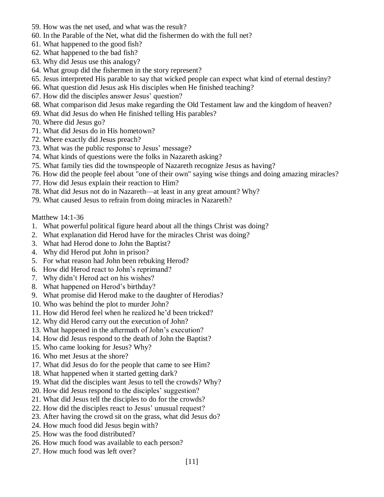- 59. How was the net used, and what was the result?
- 60. In the Parable of the Net, what did the fishermen do with the full net?
- 61. What happened to the good fish?
- 62. What happened to the bad fish?
- 63. Why did Jesus use this analogy?
- 64. What group did the fishermen in the story represent?
- 65. Jesus interpreted His parable to say that wicked people can expect what kind of eternal destiny?
- 66. What question did Jesus ask His disciples when He finished teaching?
- 67. How did the disciples answer Jesus' question?
- 68. What comparison did Jesus make regarding the Old Testament law and the kingdom of heaven?
- 69. What did Jesus do when He finished telling His parables?
- 70. Where did Jesus go?
- 71. What did Jesus do in His hometown?
- 72. Where exactly did Jesus preach?
- 73. What was the public response to Jesus' message?
- 74. What kinds of questions were the folks in Nazareth asking?
- 75. What family ties did the townspeople of Nazareth recognize Jesus as having?
- 76. How did the people feel about "one of their own" saying wise things and doing amazing miracles?
- 77. How did Jesus explain their reaction to Him?
- 78. What did Jesus not do in Nazareth—at least in any great amount? Why?
- 79. What caused Jesus to refrain from doing miracles in Nazareth?

#### Matthew 14:1-36

- 1. What powerful political figure heard about all the things Christ was doing?
- 2. What explanation did Herod have for the miracles Christ was doing?
- 3. What had Herod done to John the Baptist?
- 4. Why did Herod put John in prison?
- 5. For what reason had John been rebuking Herod?
- 6. How did Herod react to John's reprimand?
- 7. Why didn't Herod act on his wishes?
- 8. What happened on Herod's birthday?
- 9. What promise did Herod make to the daughter of Herodias?
- 10. Who was behind the plot to murder John?
- 11. How did Herod feel when he realized he'd been tricked?
- 12. Why did Herod carry out the execution of John?
- 13. What happened in the aftermath of John's execution?
- 14. How did Jesus respond to the death of John the Baptist?
- 15. Who came looking for Jesus? Why?
- 16. Who met Jesus at the shore?
- 17. What did Jesus do for the people that came to see Him?
- 18. What happened when it started getting dark?
- 19. What did the disciples want Jesus to tell the crowds? Why?
- 20. How did Jesus respond to the disciples' suggestion?
- 21. What did Jesus tell the disciples to do for the crowds?
- 22. How did the disciples react to Jesus' unusual request?
- 23. After having the crowd sit on the grass, what did Jesus do?
- 24. How much food did Jesus begin with?
- 25. How was the food distributed?
- 26. How much food was available to each person?
- 27. How much food was left over?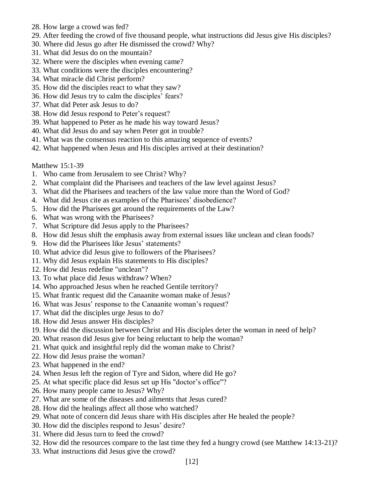- 28. How large a crowd was fed?
- 29. After feeding the crowd of five thousand people, what instructions did Jesus give His disciples?
- 30. Where did Jesus go after He dismissed the crowd? Why?
- 31. What did Jesus do on the mountain?
- 32. Where were the disciples when evening came?
- 33. What conditions were the disciples encountering?
- 34. What miracle did Christ perform?
- 35. How did the disciples react to what they saw?
- 36. How did Jesus try to calm the disciples' fears?
- 37. What did Peter ask Jesus to do?
- 38. How did Jesus respond to Peter's request?
- 39. What happened to Peter as he made his way toward Jesus?
- 40. What did Jesus do and say when Peter got in trouble?
- 41. What was the consensus reaction to this amazing sequence of events?
- 42. What happened when Jesus and His disciples arrived at their destination?

#### Matthew 15:1-39

- 1. Who came from Jerusalem to see Christ? Why?
- 2. What complaint did the Pharisees and teachers of the law level against Jesus?
- 3. What did the Pharisees and teachers of the law value more than the Word of God?
- 4. What did Jesus cite as examples of the Pharisees' disobedience?
- 5. How did the Pharisees get around the requirements of the Law?
- 6. What was wrong with the Pharisees?
- 7. What Scripture did Jesus apply to the Pharisees?
- 8. How did Jesus shift the emphasis away from external issues like unclean and clean foods?
- 9. How did the Pharisees like Jesus' statements?
- 10. What advice did Jesus give to followers of the Pharisees?
- 11. Why did Jesus explain His statements to His disciples?
- 12. How did Jesus redefine "unclean"?
- 13. To what place did Jesus withdraw? When?
- 14. Who approached Jesus when he reached Gentile territory?
- 15. What frantic request did the Canaanite woman make of Jesus?
- 16. What was Jesus' response to the Canaanite woman's request?
- 17. What did the disciples urge Jesus to do?
- 18. How did Jesus answer His disciples?
- 19. How did the discussion between Christ and His disciples deter the woman in need of help?
- 20. What reason did Jesus give for being reluctant to help the woman?
- 21. What quick and insightful reply did the woman make to Christ?
- 22. How did Jesus praise the woman?
- 23. What happened in the end?
- 24. When Jesus left the region of Tyre and Sidon, where did He go?
- 25. At what specific place did Jesus set up His "doctor's office"?
- 26. How many people came to Jesus? Why?
- 27. What are some of the diseases and ailments that Jesus cured?
- 28. How did the healings affect all those who watched?
- 29. What note of concern did Jesus share with His disciples after He healed the people?
- 30. How did the disciples respond to Jesus' desire?
- 31. Where did Jesus turn to feed the crowd?
- 32. How did the resources compare to the last time they fed a hungry crowd (see Matthew 14:13-21)?
- 33. What instructions did Jesus give the crowd?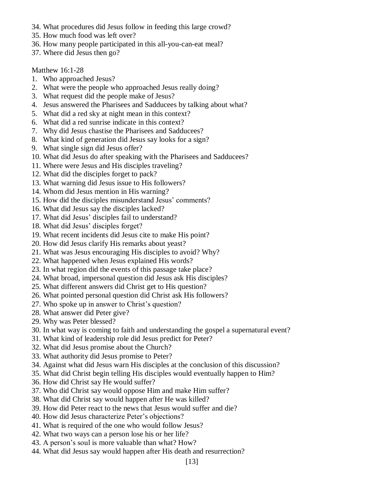- 34. What procedures did Jesus follow in feeding this large crowd?
- 35. How much food was left over?
- 36. How many people participated in this all-you-can-eat meal?
- 37. Where did Jesus then go?

Matthew 16:1-28

- 1. Who approached Jesus?
- 2. What were the people who approached Jesus really doing?
- 3. What request did the people make of Jesus?
- 4. Jesus answered the Pharisees and Sadducees by talking about what?
- 5. What did a red sky at night mean in this context?
- 6. What did a red sunrise indicate in this context?
- 7. Why did Jesus chastise the Pharisees and Sadducees?
- 8. What kind of generation did Jesus say looks for a sign?
- 9. What single sign did Jesus offer?
- 10. What did Jesus do after speaking with the Pharisees and Sadducees?
- 11. Where were Jesus and His disciples traveling?
- 12. What did the disciples forget to pack?
- 13. What warning did Jesus issue to His followers?
- 14. Whom did Jesus mention in His warning?
- 15. How did the disciples misunderstand Jesus' comments?
- 16. What did Jesus say the disciples lacked?
- 17. What did Jesus' disciples fail to understand?
- 18. What did Jesus' disciples forget?
- 19. What recent incidents did Jesus cite to make His point?
- 20. How did Jesus clarify His remarks about yeast?
- 21. What was Jesus encouraging His disciples to avoid? Why?
- 22. What happened when Jesus explained His words?
- 23. In what region did the events of this passage take place?
- 24. What broad, impersonal question did Jesus ask His disciples?
- 25. What different answers did Christ get to His question?
- 26. What pointed personal question did Christ ask His followers?
- 27. Who spoke up in answer to Christ's question?
- 28. What answer did Peter give?
- 29. Why was Peter blessed?
- 30. In what way is coming to faith and understanding the gospel a supernatural event?
- 31. What kind of leadership role did Jesus predict for Peter?
- 32. What did Jesus promise about the Church?
- 33. What authority did Jesus promise to Peter?
- 34. Against what did Jesus warn His disciples at the conclusion of this discussion?
- 35. What did Christ begin telling His disciples would eventually happen to Him?
- 36. How did Christ say He would suffer?
- 37. Who did Christ say would oppose Him and make Him suffer?
- 38. What did Christ say would happen after He was killed?
- 39. How did Peter react to the news that Jesus would suffer and die?
- 40. How did Jesus characterize Peter's objections?
- 41. What is required of the one who would follow Jesus?
- 42. What two ways can a person lose his or her life?
- 43. A person's soul is more valuable than what? How?
- 44. What did Jesus say would happen after His death and resurrection?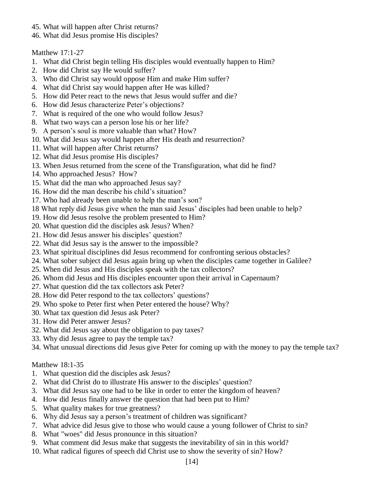- 45. What will happen after Christ returns?
- 46. What did Jesus promise His disciples?

Matthew 17:1-27

- 1. What did Christ begin telling His disciples would eventually happen to Him?
- 2. How did Christ say He would suffer?
- 3. Who did Christ say would oppose Him and make Him suffer?
- 4. What did Christ say would happen after He was killed?
- 5. How did Peter react to the news that Jesus would suffer and die?
- 6. How did Jesus characterize Peter's objections?
- 7. What is required of the one who would follow Jesus?
- 8. What two ways can a person lose his or her life?
- 9. A person's soul is more valuable than what? How?
- 10. What did Jesus say would happen after His death and resurrection?
- 11. What will happen after Christ returns?
- 12. What did Jesus promise His disciples?
- 13. When Jesus returned from the scene of the Transfiguration, what did he find?
- 14. Who approached Jesus? How?
- 15. What did the man who approached Jesus say?
- 16. How did the man describe his child's situation?
- 17. Who had already been unable to help the man's son?
- 18 What reply did Jesus give when the man said Jesus' disciples had been unable to help?
- 19. How did Jesus resolve the problem presented to Him?
- 20. What question did the disciples ask Jesus? When?
- 21. How did Jesus answer his disciples' question?
- 22. What did Jesus say is the answer to the impossible?
- 23. What spiritual disciplines did Jesus recommend for confronting serious obstacles?
- 24. What sober subject did Jesus again bring up when the disciples came together in Galilee?
- 25. When did Jesus and His disciples speak with the tax collectors?
- 26. Whom did Jesus and His disciples encounter upon their arrival in Capernaum?
- 27. What question did the tax collectors ask Peter?
- 28. How did Peter respond to the tax collectors' questions?
- 29. Who spoke to Peter first when Peter entered the house? Why?
- 30. What tax question did Jesus ask Peter?
- 31. How did Peter answer Jesus?
- 32. What did Jesus say about the obligation to pay taxes?
- 33. Why did Jesus agree to pay the temple tax?
- 34. What unusual directions did Jesus give Peter for coming up with the money to pay the temple tax?

#### Matthew 18:1-35

- 1. What question did the disciples ask Jesus?
- 2. What did Christ do to illustrate His answer to the disciples' question?
- 3. What did Jesus say one had to be like in order to enter the kingdom of heaven?
- 4. How did Jesus finally answer the question that had been put to Him?
- 5. What quality makes for true greatness?
- 6. Why did Jesus say a person's treatment of children was significant?
- 7. What advice did Jesus give to those who would cause a young follower of Christ to sin?
- 8. What "woes" did Jesus pronounce in this situation?
- 9. What comment did Jesus make that suggests the inevitability of sin in this world?
- 10. What radical figures of speech did Christ use to show the severity of sin? How?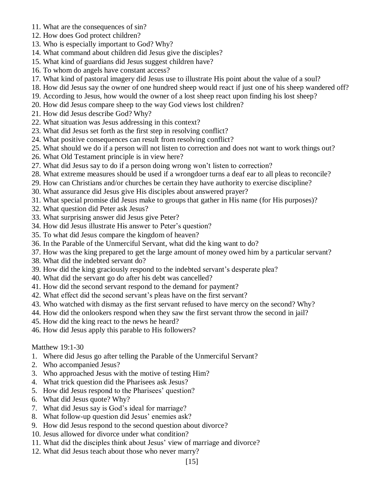- 11. What are the consequences of sin?
- 12. How does God protect children?
- 13. Who is especially important to God? Why?
- 14. What command about children did Jesus give the disciples?
- 15. What kind of guardians did Jesus suggest children have?
- 16. To whom do angels have constant access?
- 17. What kind of pastoral imagery did Jesus use to illustrate His point about the value of a soul?
- 18. How did Jesus say the owner of one hundred sheep would react if just one of his sheep wandered off?
- 19. According to Jesus, how would the owner of a lost sheep react upon finding his lost sheep?
- 20. How did Jesus compare sheep to the way God views lost children?
- 21. How did Jesus describe God? Why?
- 22. What situation was Jesus addressing in this context?
- 23. What did Jesus set forth as the first step in resolving conflict?
- 24. What positive consequences can result from resolving conflict?
- 25. What should we do if a person will not listen to correction and does not want to work things out?
- 26. What Old Testament principle is in view here?
- 27. What did Jesus say to do if a person doing wrong won't listen to correction?
- 28. What extreme measures should be used if a wrongdoer turns a deaf ear to all pleas to reconcile?
- 29. How can Christians and/or churches be certain they have authority to exercise discipline?
- 30. What assurance did Jesus give His disciples about answered prayer?
- 31. What special promise did Jesus make to groups that gather in His name (for His purposes)?
- 32. What question did Peter ask Jesus?
- 33. What surprising answer did Jesus give Peter?
- 34. How did Jesus illustrate His answer to Peter's question?
- 35. To what did Jesus compare the kingdom of heaven?
- 36. In the Parable of the Unmerciful Servant, what did the king want to do?
- 37. How was the king prepared to get the large amount of money owed him by a particular servant?
- 38. What did the indebted servant do?
- 39. How did the king graciously respond to the indebted servant's desperate plea?
- 40. What did the servant go do after his debt was cancelled?
- 41. How did the second servant respond to the demand for payment?
- 42. What effect did the second servant's pleas have on the first servant?
- 43. Who watched with dismay as the first servant refused to have mercy on the second? Why?
- 44. How did the onlookers respond when they saw the first servant throw the second in jail?
- 45. How did the king react to the news he heard?
- 46. How did Jesus apply this parable to His followers?

## Matthew 19:1-30

- 1. Where did Jesus go after telling the Parable of the Unmerciful Servant?
- 2. Who accompanied Jesus?
- 3. Who approached Jesus with the motive of testing Him?
- 4. What trick question did the Pharisees ask Jesus?
- 5. How did Jesus respond to the Pharisees' question?
- 6. What did Jesus quote? Why?
- 7. What did Jesus say is God's ideal for marriage?
- 8. What follow-up question did Jesus' enemies ask?
- 9. How did Jesus respond to the second question about divorce?
- 10. Jesus allowed for divorce under what condition?
- 11. What did the disciples think about Jesus' view of marriage and divorce?
- 12. What did Jesus teach about those who never marry?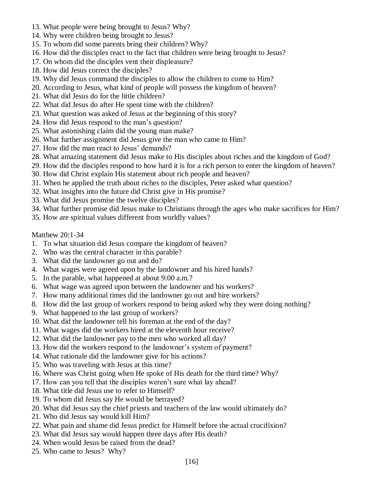- 13. What people were being brought to Jesus? Why?
- 14. Why were children being brought to Jesus?
- 15. To whom did some parents bring their children? Why?
- 16. How did the disciples react to the fact that children were being brought to Jesus?
- 17. On whom did the disciples vent their displeasure?
- 18. How did Jesus correct the disciples?
- 19. Why did Jesus command the disciples to allow the children to come to Him?
- 20. According to Jesus, what kind of people will possess the kingdom of heaven?
- 21. What did Jesus do for the little children?
- 22. What did Jesus do after He spent time with the children?
- 23. What question was asked of Jesus at the beginning of this story?
- 24. How did Jesus respond to the man's question?
- 25. What astonishing claim did the young man make?
- 26. What further assignment did Jesus give the man who came to Him?
- 27. How did the man react to Jesus' demands?
- 28. What amazing statement did Jesus make to His disciples about riches and the kingdom of God?
- 29. How did the disciples respond to how hard it is for a rich person to enter the kingdom of heaven?
- 30. How did Christ explain His statement about rich people and heaven?
- 31. When he applied the truth about riches to the disciples, Peter asked what question?
- 32. What insights into the future did Christ give in His promise?
- 33. What did Jesus promise the twelve disciples?
- 34. What further promise did Jesus make to Christians through the ages who make sacrifices for Him?
- 35. How are spiritual values different from worldly values?

## Matthew 20:1-34

- 1. To what situation did Jesus compare the kingdom of heaven?
- 2. Who was the central character in this parable?
- 3. What did the landowner go out and do?
- 4. What wages were agreed upon by the landowner and his hired hands?
- 5. In the parable, what happened at about 9:00 a.m.?
- 6. What wage was agreed upon between the landowner and his workers?
- 7. How many additional times did the landowner go out and hire workers?
- 8. How did the last group of workers respond to being asked why they were doing nothing?
- 9. What happened to the last group of workers?
- 10. What did the landowner tell his foreman at the end of the day?
- 11. What wages did the workers hired at the eleventh hour receive?
- 12. What did the landowner pay to the men who worked all day?
- 13. How did the workers respond to the landowner's system of payment?
- 14. What rationale did the landowner give for his actions?
- 15. Who was traveling with Jesus at this time?
- 16. Where was Christ going when He spoke of His death for the third time? Why?
- 17. How can you tell that the disciples weren't sure what lay ahead?
- 18. What title did Jesus use to refer to Himself?
- 19. To whom did Jesus say He would be betrayed?
- 20. What did Jesus say the chief priests and teachers of the law would ultimately do?
- 21. Who did Jesus say would kill Him?
- 22. What pain and shame did Jesus predict for Himself before the actual crucifixion?
- 23. What did Jesus say would happen three days after His death?
- 24. When would Jesus be raised from the dead?
- 25. Who came to Jesus? Why?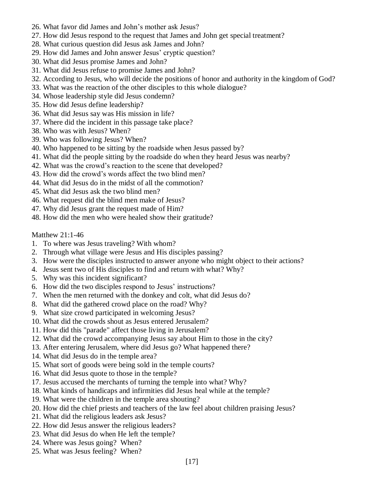- 26. What favor did James and John's mother ask Jesus?
- 27. How did Jesus respond to the request that James and John get special treatment?
- 28. What curious question did Jesus ask James and John?
- 29. How did James and John answer Jesus' cryptic question?
- 30. What did Jesus promise James and John?
- 31. What did Jesus refuse to promise James and John?
- 32. According to Jesus, who will decide the positions of honor and authority in the kingdom of God?
- 33. What was the reaction of the other disciples to this whole dialogue?
- 34. Whose leadership style did Jesus condemn?
- 35. How did Jesus define leadership?
- 36. What did Jesus say was His mission in life?
- 37. Where did the incident in this passage take place?
- 38. Who was with Jesus? When?
- 39. Who was following Jesus? When?
- 40. Who happened to be sitting by the roadside when Jesus passed by?
- 41. What did the people sitting by the roadside do when they heard Jesus was nearby?
- 42. What was the crowd's reaction to the scene that developed?
- 43. How did the crowd's words affect the two blind men?
- 44. What did Jesus do in the midst of all the commotion?
- 45. What did Jesus ask the two blind men?
- 46. What request did the blind men make of Jesus?
- 47. Why did Jesus grant the request made of Him?
- 48. How did the men who were healed show their gratitude?

#### Matthew 21:1-46

- 1. To where was Jesus traveling? With whom?
- 2. Through what village were Jesus and His disciples passing?
- 3. How were the disciples instructed to answer anyone who might object to their actions?
- 4. Jesus sent two of His disciples to find and return with what? Why?
- 5. Why was this incident significant?
- 6. How did the two disciples respond to Jesus' instructions?
- 7. When the men returned with the donkey and colt, what did Jesus do?
- 8. What did the gathered crowd place on the road? Why?
- 9. What size crowd participated in welcoming Jesus?
- 10. What did the crowds shout as Jesus entered Jerusalem?
- 11. How did this "parade" affect those living in Jerusalem?
- 12. What did the crowd accompanying Jesus say about Him to those in the city?
- 13. After entering Jerusalem, where did Jesus go? What happened there?
- 14. What did Jesus do in the temple area?
- 15. What sort of goods were being sold in the temple courts?
- 16. What did Jesus quote to those in the temple?
- 17. Jesus accused the merchants of turning the temple into what? Why?
- 18. What kinds of handicaps and infirmities did Jesus heal while at the temple?
- 19. What were the children in the temple area shouting?
- 20. How did the chief priests and teachers of the law feel about children praising Jesus?
- 21. What did the religious leaders ask Jesus?
- 22. How did Jesus answer the religious leaders?
- 23. What did Jesus do when He left the temple?
- 24. Where was Jesus going? When?
- 25. What was Jesus feeling? When?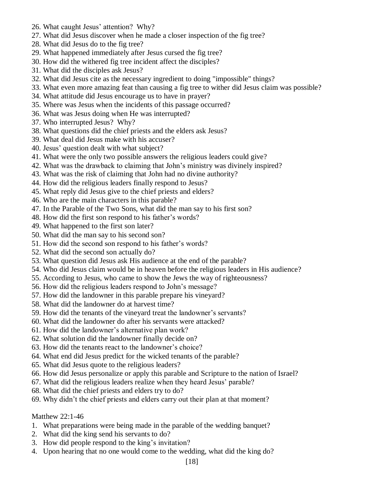- 26. What caught Jesus' attention? Why?
- 27. What did Jesus discover when he made a closer inspection of the fig tree?
- 28. What did Jesus do to the fig tree?
- 29. What happened immediately after Jesus cursed the fig tree?
- 30. How did the withered fig tree incident affect the disciples?
- 31. What did the disciples ask Jesus?
- 32. What did Jesus cite as the necessary ingredient to doing "impossible" things?
- 33. What even more amazing feat than causing a fig tree to wither did Jesus claim was possible?
- 34. What attitude did Jesus encourage us to have in prayer?
- 35. Where was Jesus when the incidents of this passage occurred?
- 36. What was Jesus doing when He was interrupted?
- 37. Who interrupted Jesus? Why?
- 38. What questions did the chief priests and the elders ask Jesus?
- 39. What deal did Jesus make with his accuser?
- 40. Jesus' question dealt with what subject?
- 41. What were the only two possible answers the religious leaders could give?
- 42. What was the drawback to claiming that John's ministry was divinely inspired?
- 43. What was the risk of claiming that John had no divine authority?
- 44. How did the religious leaders finally respond to Jesus?
- 45. What reply did Jesus give to the chief priests and elders?
- 46. Who are the main characters in this parable?
- 47. In the Parable of the Two Sons, what did the man say to his first son?
- 48. How did the first son respond to his father's words?
- 49. What happened to the first son later?
- 50. What did the man say to his second son?
- 51. How did the second son respond to his father's words?
- 52. What did the second son actually do?
- 53. What question did Jesus ask His audience at the end of the parable?
- 54. Who did Jesus claim would be in heaven before the religious leaders in His audience?
- 55. According to Jesus, who came to show the Jews the way of righteousness?
- 56. How did the religious leaders respond to John's message?
- 57. How did the landowner in this parable prepare his vineyard?
- 58. What did the landowner do at harvest time?
- 59. How did the tenants of the vineyard treat the landowner's servants?
- 60. What did the landowner do after his servants were attacked?
- 61. How did the landowner's alternative plan work?
- 62. What solution did the landowner finally decide on?
- 63. How did the tenants react to the landowner's choice?
- 64. What end did Jesus predict for the wicked tenants of the parable?
- 65. What did Jesus quote to the religious leaders?
- 66. How did Jesus personalize or apply this parable and Scripture to the nation of Israel?
- 67. What did the religious leaders realize when they heard Jesus' parable?
- 68. What did the chief priests and elders try to do?
- 69. Why didn't the chief priests and elders carry out their plan at that moment?

#### Matthew 22:1-46

- 1. What preparations were being made in the parable of the wedding banquet?
- 2. What did the king send his servants to do?
- 3. How did people respond to the king's invitation?
- 4. Upon hearing that no one would come to the wedding, what did the king do?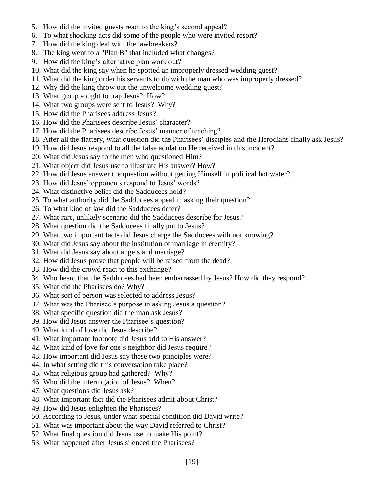- 5. How did the invited guests react to the king's second appeal?
- 6. To what shocking acts did some of the people who were invited resort?
- 7. How did the king deal with the lawbreakers?
- 8. The king went to a "Plan B" that included what changes?
- 9. How did the king's alternative plan work out?
- 10. What did the king say when he spotted an improperly dressed wedding guest?
- 11. What did the king order his servants to do with the man who was improperly dressed?
- 12. Why did the king throw out the unwelcome wedding guest?
- 13. What group sought to trap Jesus? How?
- 14. What two groups were sent to Jesus? Why?
- 15. How did the Pharisees address Jesus?
- 16. How did the Pharisees describe Jesus' character?
- 17. How did the Pharisees describe Jesus' manner of teaching?
- 18. After all the flattery, what question did the Pharisees' disciples and the Herodians finally ask Jesus?
- 19. How did Jesus respond to all the false adulation He received in this incident?
- 20. What did Jesus say to the men who questioned Him?
- 21. What object did Jesus use to illustrate His answer? How?
- 22. How did Jesus answer the question without getting Himself in political hot water?
- 23. How did Jesus' opponents respond to Jesus' words?
- 24. What distinctive belief did the Sadducees hold?
- 25. To what authority did the Sadducees appeal in asking their question?
- 26. To what kind of law did the Sadducees defer?
- 27. What rare, unlikely scenario did the Sadducees describe for Jesus?
- 28. What question did the Sadducees finally put to Jesus?
- 29. What two important facts did Jesus charge the Sadducees with not knowing?
- 30. What did Jesus say about the institution of marriage in eternity?
- 31. What did Jesus say about angels and marriage?
- 32. How did Jesus prove that people will be raised from the dead?
- 33. How did the crowd react to this exchange?
- 34. Who heard that the Sadducees had been embarrassed by Jesus? How did they respond?
- 35. What did the Pharisees do? Why?
- 36. What sort of person was selected to address Jesus?
- 37. What was the Pharisee's purpose in asking Jesus a question?
- 38. What specific question did the man ask Jesus?
- 39. How did Jesus answer the Pharisee's question?
- 40. What kind of love did Jesus describe?
- 41. What important footnote did Jesus add to His answer?
- 42. What kind of love for one's neighbor did Jesus require?
- 43. How important did Jesus say these two principles were?
- 44. In what setting did this conversation take place?
- 45. What religious group had gathered? Why?
- 46. Who did the interrogation of Jesus? When?
- 47. What questions did Jesus ask?
- 48. What important fact did the Pharisees admit about Christ?
- 49. How did Jesus enlighten the Pharisees?
- 50. According to Jesus, under what special condition did David write?
- 51. What was important about the way David referred to Christ?
- 52. What final question did Jesus use to make His point?
- 53. What happened after Jesus silenced the Pharisees?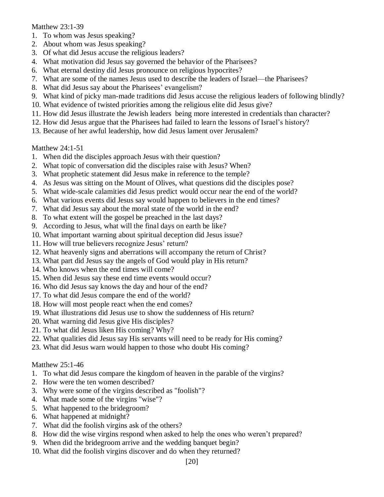#### Matthew 23:1-39

- 1. To whom was Jesus speaking?
- 2. About whom was Jesus speaking?
- 3. Of what did Jesus accuse the religious leaders?
- 4. What motivation did Jesus say governed the behavior of the Pharisees?
- 6. What eternal destiny did Jesus pronounce on religious hypocrites?
- 7. What are some of the names Jesus used to describe the leaders of Israel—the Pharisees?
- 8. What did Jesus say about the Pharisees' evangelism?
- 9. What kind of picky man-made traditions did Jesus accuse the religious leaders of following blindly?
- 10. What evidence of twisted priorities among the religious elite did Jesus give?
- 11. How did Jesus illustrate the Jewish leaders being more interested in credentials than character?
- 12. How did Jesus argue that the Pharisees had failed to learn the lessons of Israel's history?
- 13. Because of her awful leadership, how did Jesus lament over Jerusalem?

## Matthew 24:1-51

- 1. When did the disciples approach Jesus with their question?
- 2. What topic of conversation did the disciples raise with Jesus? When?
- 3. What prophetic statement did Jesus make in reference to the temple?
- 4. As Jesus was sitting on the Mount of Olives, what questions did the disciples pose?
- 5. What wide-scale calamities did Jesus predict would occur near the end of the world?
- 6. What various events did Jesus say would happen to believers in the end times?
- 7. What did Jesus say about the moral state of the world in the end?
- 8. To what extent will the gospel be preached in the last days?
- 9. According to Jesus, what will the final days on earth be like?
- 10. What important warning about spiritual deception did Jesus issue?
- 11. How will true believers recognize Jesus' return?
- 12. What heavenly signs and aberrations will accompany the return of Christ?
- 13. What part did Jesus say the angels of God would play in His return?
- 14. Who knows when the end times will come?
- 15. When did Jesus say these end time events would occur?
- 16. Who did Jesus say knows the day and hour of the end?
- 17. To what did Jesus compare the end of the world?
- 18. How will most people react when the end comes?
- 19. What illustrations did Jesus use to show the suddenness of His return?
- 20. What warning did Jesus give His disciples?
- 21. To what did Jesus liken His coming? Why?
- 22. What qualities did Jesus say His servants will need to be ready for His coming?
- 23. What did Jesus warn would happen to those who doubt His coming?

# Matthew 25:1-46

- 1. To what did Jesus compare the kingdom of heaven in the parable of the virgins?
- 2. How were the ten women described?
- 3. Why were some of the virgins described as "foolish"?
- 4. What made some of the virgins "wise"?
- 5. What happened to the bridegroom?
- 6. What happened at midnight?
- 7. What did the foolish virgins ask of the others?
- 8. How did the wise virgins respond when asked to help the ones who weren't prepared?
- 9. When did the bridegroom arrive and the wedding banquet begin?
- 10. What did the foolish virgins discover and do when they returned?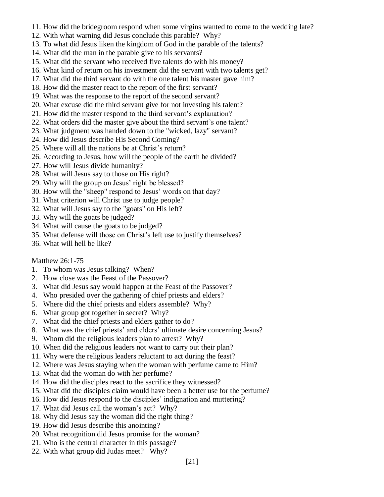- 11. How did the bridegroom respond when some virgins wanted to come to the wedding late?
- 12. With what warning did Jesus conclude this parable? Why?
- 13. To what did Jesus liken the kingdom of God in the parable of the talents?
- 14. What did the man in the parable give to his servants?
- 15. What did the servant who received five talents do with his money?
- 16. What kind of return on his investment did the servant with two talents get?
- 17. What did the third servant do with the one talent his master gave him?
- 18. How did the master react to the report of the first servant?
- 19. What was the response to the report of the second servant?
- 20. What excuse did the third servant give for not investing his talent?
- 21. How did the master respond to the third servant's explanation?
- 22. What orders did the master give about the third servant's one talent?
- 23. What judgment was handed down to the "wicked, lazy" servant?
- 24. How did Jesus describe His Second Coming?
- 25. Where will all the nations be at Christ's return?
- 26. According to Jesus, how will the people of the earth be divided?
- 27. How will Jesus divide humanity?
- 28. What will Jesus say to those on His right?
- 29. Why will the group on Jesus' right be blessed?
- 30. How will the "sheep" respond to Jesus' words on that day?
- 31. What criterion will Christ use to judge people?
- 32. What will Jesus say to the "goats" on His left?
- 33. Why will the goats be judged?
- 34. What will cause the goats to be judged?
- 35. What defense will those on Christ's left use to justify themselves?
- 36. What will hell be like?
- Matthew 26:1-75
- 1. To whom was Jesus talking? When?
- 2. How close was the Feast of the Passover?
- 3. What did Jesus say would happen at the Feast of the Passover?
- 4. Who presided over the gathering of chief priests and elders?
- 5. Where did the chief priests and elders assemble? Why?
- 6. What group got together in secret? Why?
- 7. What did the chief priests and elders gather to do?
- 8. What was the chief priests' and elders' ultimate desire concerning Jesus?
- 9. Whom did the religious leaders plan to arrest? Why?
- 10. When did the religious leaders not want to carry out their plan?
- 11. Why were the religious leaders reluctant to act during the feast?
- 12. Where was Jesus staying when the woman with perfume came to Him?
- 13. What did the woman do with her perfume?
- 14. How did the disciples react to the sacrifice they witnessed?
- 15. What did the disciples claim would have been a better use for the perfume?
- 16. How did Jesus respond to the disciples' indignation and muttering?
- 17. What did Jesus call the woman's act? Why?
- 18. Why did Jesus say the woman did the right thing?
- 19. How did Jesus describe this anointing?
- 20. What recognition did Jesus promise for the woman?
- 21. Who is the central character in this passage?
- 22. With what group did Judas meet? Why?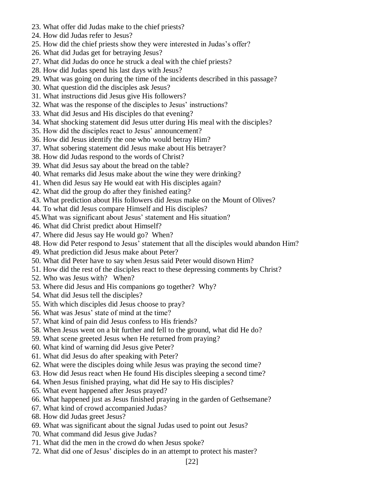- 23. What offer did Judas make to the chief priests?
- 24. How did Judas refer to Jesus?
- 25. How did the chief priests show they were interested in Judas's offer?
- 26. What did Judas get for betraying Jesus?
- 27. What did Judas do once he struck a deal with the chief priests?
- 28. How did Judas spend his last days with Jesus?
- 29. What was going on during the time of the incidents described in this passage?
- 30. What question did the disciples ask Jesus?
- 31. What instructions did Jesus give His followers?
- 32. What was the response of the disciples to Jesus' instructions?
- 33. What did Jesus and His disciples do that evening?
- 34. What shocking statement did Jesus utter during His meal with the disciples?
- 35. How did the disciples react to Jesus' announcement?
- 36. How did Jesus identify the one who would betray Him?
- 37. What sobering statement did Jesus make about His betrayer?
- 38. How did Judas respond to the words of Christ?
- 39. What did Jesus say about the bread on the table?
- 40. What remarks did Jesus make about the wine they were drinking?
- 41. When did Jesus say He would eat with His disciples again?
- 42. What did the group do after they finished eating?
- 43. What prediction about His followers did Jesus make on the Mount of Olives?
- 44. To what did Jesus compare Himself and His disciples?
- 45.What was significant about Jesus' statement and His situation?
- 46. What did Christ predict about Himself?
- 47. Where did Jesus say He would go? When?
- 48. How did Peter respond to Jesus' statement that all the disciples would abandon Him?
- 49. What prediction did Jesus make about Peter?
- 50. What did Peter have to say when Jesus said Peter would disown Him?
- 51. How did the rest of the disciples react to these depressing comments by Christ?
- 52. Who was Jesus with? When?
- 53. Where did Jesus and His companions go together? Why?
- 54. What did Jesus tell the disciples?
- 55. With which disciples did Jesus choose to pray?
- 56. What was Jesus' state of mind at the time?
- 57. What kind of pain did Jesus confess to His friends?
- 58. When Jesus went on a bit further and fell to the ground, what did He do?
- 59. What scene greeted Jesus when He returned from praying?
- 60. What kind of warning did Jesus give Peter?
- 61. What did Jesus do after speaking with Peter?
- 62. What were the disciples doing while Jesus was praying the second time?
- 63. How did Jesus react when He found His disciples sleeping a second time?
- 64. When Jesus finished praying, what did He say to His disciples?
- 65. What event happened after Jesus prayed?
- 66. What happened just as Jesus finished praying in the garden of Gethsemane?
- 67. What kind of crowd accompanied Judas?
- 68. How did Judas greet Jesus?
- 69. What was significant about the signal Judas used to point out Jesus?
- 70. What command did Jesus give Judas?
- 71. What did the men in the crowd do when Jesus spoke?
- 72. What did one of Jesus' disciples do in an attempt to protect his master?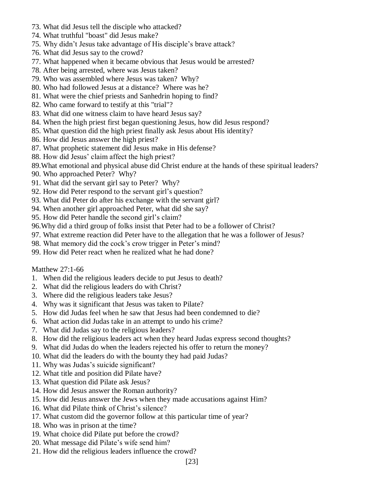- 73. What did Jesus tell the disciple who attacked?
- 74. What truthful "boast" did Jesus make?
- 75. Why didn't Jesus take advantage of His disciple's brave attack?
- 76. What did Jesus say to the crowd?
- 77. What happened when it became obvious that Jesus would be arrested?
- 78. After being arrested, where was Jesus taken?
- 79. Who was assembled where Jesus was taken? Why?
- 80. Who had followed Jesus at a distance? Where was he?
- 81. What were the chief priests and Sanhedrin hoping to find?
- 82. Who came forward to testify at this "trial"?
- 83. What did one witness claim to have heard Jesus say?
- 84. When the high priest first began questioning Jesus, how did Jesus respond?
- 85. What question did the high priest finally ask Jesus about His identity?
- 86. How did Jesus answer the high priest?
- 87. What prophetic statement did Jesus make in His defense?
- 88. How did Jesus' claim affect the high priest?
- 89.What emotional and physical abuse did Christ endure at the hands of these spiritual leaders?
- 90. Who approached Peter? Why?
- 91. What did the servant girl say to Peter? Why?
- 92. How did Peter respond to the servant girl's question?
- 93. What did Peter do after his exchange with the servant girl?
- 94. When another girl approached Peter, what did she say?
- 95. How did Peter handle the second girl's claim?
- 96.Why did a third group of folks insist that Peter had to be a follower of Christ?
- 97. What extreme reaction did Peter have to the allegation that he was a follower of Jesus?
- 98. What memory did the cock's crow trigger in Peter's mind?
- 99. How did Peter react when he realized what he had done?

Matthew 27:1-66

- 1. When did the religious leaders decide to put Jesus to death?
- 2. What did the religious leaders do with Christ?
- 3. Where did the religious leaders take Jesus?
- 4. Why was it significant that Jesus was taken to Pilate?
- 5. How did Judas feel when he saw that Jesus had been condemned to die?
- 6. What action did Judas take in an attempt to undo his crime?
- 7. What did Judas say to the religious leaders?
- 8. How did the religious leaders act when they heard Judas express second thoughts?
- 9. What did Judas do when the leaders rejected his offer to return the money?
- 10. What did the leaders do with the bounty they had paid Judas?
- 11. Why was Judas's suicide significant?
- 12. What title and position did Pilate have?
- 13. What question did Pilate ask Jesus?
- 14. How did Jesus answer the Roman authority?
- 15. How did Jesus answer the Jews when they made accusations against Him?
- 16. What did Pilate think of Christ's silence?
- 17. What custom did the governor follow at this particular time of year?
- 18. Who was in prison at the time?
- 19. What choice did Pilate put before the crowd?
- 20. What message did Pilate's wife send him?
- 21. How did the religious leaders influence the crowd?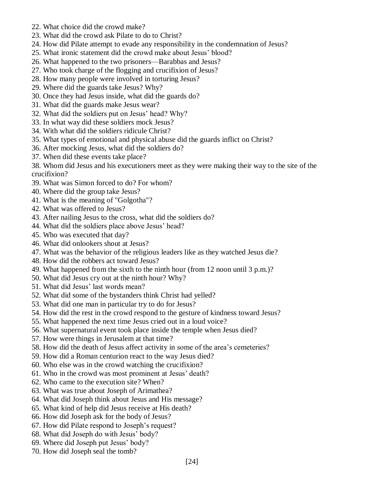- 22. What choice did the crowd make?
- 23. What did the crowd ask Pilate to do to Christ?
- 24. How did Pilate attempt to evade any responsibility in the condemnation of Jesus?
- 25. What ironic statement did the crowd make about Jesus' blood?
- 26. What happened to the two prisoners—Barabbas and Jesus?
- 27. Who took charge of the flogging and crucifixion of Jesus?
- 28. How many people were involved in torturing Jesus?
- 29. Where did the guards take Jesus? Why?
- 30. Once they had Jesus inside, what did the guards do?
- 31. What did the guards make Jesus wear?
- 32. What did the soldiers put on Jesus' head? Why?
- 33. In what way did these soldiers mock Jesus?
- 34. With what did the soldiers ridicule Christ?
- 35. What types of emotional and physical abuse did the guards inflict on Christ?
- 36. After mocking Jesus, what did the soldiers do?
- 37. When did these events take place?

38. Whom did Jesus and his executioners meet as they were making their way to the site of the crucifixion?

- 39. What was Simon forced to do? For whom?
- 40. Where did the group take Jesus?
- 41. What is the meaning of "Golgotha"?
- 42. What was offered to Jesus?
- 43. After nailing Jesus to the cross, what did the soldiers do?
- 44. What did the soldiers place above Jesus' head?
- 45. Who was executed that day?
- 46. What did onlookers shout at Jesus?
- 47. What was the behavior of the religious leaders like as they watched Jesus die?
- 48. How did the robbers act toward Jesus?
- 49. What happened from the sixth to the ninth hour (from 12 noon until 3 p.m.)?
- 50. What did Jesus cry out at the ninth hour? Why?
- 51. What did Jesus' last words mean?
- 52. What did some of the bystanders think Christ had yelled?
- 53. What did one man in particular try to do for Jesus?
- 54. How did the rest in the crowd respond to the gesture of kindness toward Jesus?
- 55. What happened the next time Jesus cried out in a loud voice?
- 56. What supernatural event took place inside the temple when Jesus died?
- 57. How were things in Jerusalem at that time?
- 58. How did the death of Jesus affect activity in some of the area's cemeteries?
- 59. How did a Roman centurion react to the way Jesus died?
- 60. Who else was in the crowd watching the crucifixion?
- 61. Who in the crowd was most prominent at Jesus' death?
- 62. Who came to the execution site? When?
- 63. What was true about Joseph of Arimathea?
- 64. What did Joseph think about Jesus and His message?
- 65. What kind of help did Jesus receive at His death?
- 66. How did Joseph ask for the body of Jesus?
- 67. How did Pilate respond to Joseph's request?
- 68. What did Joseph do with Jesus' body?
- 69. Where did Joseph put Jesus' body?
- 70. How did Joseph seal the tomb?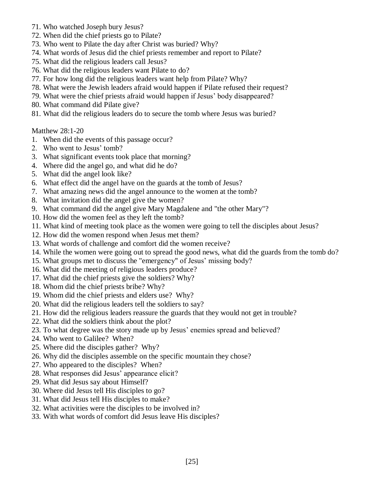- 71. Who watched Joseph bury Jesus?
- 72. When did the chief priests go to Pilate?
- 73. Who went to Pilate the day after Christ was buried? Why?
- 74. What words of Jesus did the chief priests remember and report to Pilate?
- 75. What did the religious leaders call Jesus?
- 76. What did the religious leaders want Pilate to do?
- 77. For how long did the religious leaders want help from Pilate? Why?
- 78. What were the Jewish leaders afraid would happen if Pilate refused their request?
- 79. What were the chief priests afraid would happen if Jesus' body disappeared?
- 80. What command did Pilate give?
- 81. What did the religious leaders do to secure the tomb where Jesus was buried?

#### Matthew 28:1-20

- 1. When did the events of this passage occur?
- 2. Who went to Jesus' tomb?
- 3. What significant events took place that morning?
- 4. Where did the angel go, and what did he do?
- 5. What did the angel look like?
- 6. What effect did the angel have on the guards at the tomb of Jesus?
- 7. What amazing news did the angel announce to the women at the tomb?
- 8. What invitation did the angel give the women?
- 9. What command did the angel give Mary Magdalene and "the other Mary"?
- 10. How did the women feel as they left the tomb?
- 11. What kind of meeting took place as the women were going to tell the disciples about Jesus?
- 12. How did the women respond when Jesus met them?
- 13. What words of challenge and comfort did the women receive?
- 14. While the women were going out to spread the good news, what did the guards from the tomb do?
- 15. What groups met to discuss the "emergency" of Jesus' missing body?
- 16. What did the meeting of religious leaders produce?
- 17. What did the chief priests give the soldiers? Why?
- 18. Whom did the chief priests bribe? Why?
- 19. Whom did the chief priests and elders use? Why?
- 20. What did the religious leaders tell the soldiers to say?
- 21. How did the religious leaders reassure the guards that they would not get in trouble?
- 22. What did the soldiers think about the plot?
- 23. To what degree was the story made up by Jesus' enemies spread and believed?
- 24. Who went to Galilee? When?
- 25. Where did the disciples gather? Why?
- 26. Why did the disciples assemble on the specific mountain they chose?
- 27. Who appeared to the disciples? When?
- 28. What responses did Jesus' appearance elicit?
- 29. What did Jesus say about Himself?
- 30. Where did Jesus tell His disciples to go?
- 31. What did Jesus tell His disciples to make?
- 32. What activities were the disciples to be involved in?
- 33. With what words of comfort did Jesus leave His disciples?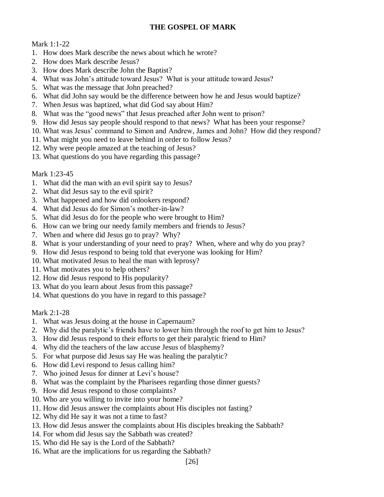## **THE GOSPEL OF MARK**

#### Mark 1:1-22

- 1. How does Mark describe the news about which he wrote?
- 2. How does Mark describe Jesus?
- 3. How does Mark describe John the Baptist?
- 4. What was John's attitude toward Jesus? What is your attitude toward Jesus?
- 5. What was the message that John preached?
- 6. What did John say would be the difference between how he and Jesus would baptize?
- 7. When Jesus was baptized, what did God say about Him?
- 8. What was the "good news" that Jesus preached after John went to prison?
- 9. How did Jesus say people should respond to that news? What has been your response?
- 10. What was Jesus' command to Simon and Andrew, James and John? How did they respond?
- 11. What might you need to leave behind in order to follow Jesus?
- 12. Why were people amazed at the teaching of Jesus?
- 13. What questions do you have regarding this passage?

## Mark 1:23-45

- 1. What did the man with an evil spirit say to Jesus?
- 2. What did Jesus say to the evil spirit?
- 3. What happened and how did onlookers respond?
- 4. What did Jesus do for Simon's mother-in-law?
- 5. What did Jesus do for the people who were brought to Him?
- 6. How can we bring our needy family members and friends to Jesus?
- 7. When and where did Jesus go to pray? Why?
- 8. What is your understanding of your need to pray? When, where and why do you pray?
- 9. How did Jesus respond to being told that everyone was looking for Him?
- 10. What motivated Jesus to heal the man with leprosy?
- 11. What motivates you to help others?
- 12. How did Jesus respond to His popularity?
- 13. What do you learn about Jesus from this passage?
- 14. What questions do you have in regard to this passage?

#### Mark 2:1-28

- 1. What was Jesus doing at the house in Capernaum?
- 2. Why did the paralytic's friends have to lower him through the roof to get him to Jesus?
- 3. How did Jesus respond to their efforts to get their paralytic friend to Him?
- 4. Why did the teachers of the law accuse Jesus of blasphemy?
- 5. For what purpose did Jesus say He was healing the paralytic?
- 6. How did Levi respond to Jesus calling him?
- 7. Who joined Jesus for dinner at Levi's house?
- 8. What was the complaint by the Pharisees regarding those dinner guests?
- 9. How did Jesus respond to those complaints?
- 10. Who are you willing to invite into your home?
- 11. How did Jesus answer the complaints about His disciples not fasting?
- 12. Why did He say it was not a time to fast?
- 13. How did Jesus answer the complaints about His disciples breaking the Sabbath?
- 14. For whom did Jesus say the Sabbath was created?
- 15. Who did He say is the Lord of the Sabbath?
- 16. What are the implications for us regarding the Sabbath?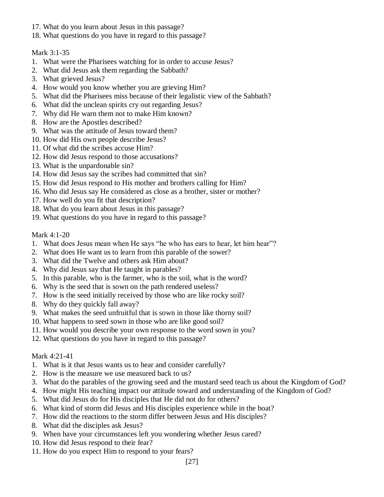- 17. What do you learn about Jesus in this passage?
- 18. What questions do you have in regard to this passage?

#### Mark 3:1-35

- 1. What were the Pharisees watching for in order to accuse Jesus?
- 2. What did Jesus ask them regarding the Sabbath?
- 3. What grieved Jesus?
- 4. How would you know whether you are grieving Him?
- 5. What did the Pharisees miss because of their legalistic view of the Sabbath?
- 6. What did the unclean spirits cry out regarding Jesus?
- 7. Why did He warn them not to make Him known?
- 8. How are the Apostles described?
- 9. What was the attitude of Jesus toward them?
- 10. How did His own people describe Jesus?
- 11. Of what did the scribes accuse Him?
- 12. How did Jesus respond to those accusations?
- 13. What is the unpardonable sin?
- 14. How did Jesus say the scribes had committed that sin?
- 15. How did Jesus respond to His mother and brothers calling for Him?
- 16. Who did Jesus say He considered as close as a brother, sister or mother?
- 17. How well do you fit that description?
- 18. What do you learn about Jesus in this passage?
- 19. What questions do you have in regard to this passage?

#### Mark 4:1-20

- 1. What does Jesus mean when He says "he who has ears to hear, let him hear"?
- 2. What does He want us to learn from this parable of the sower?
- 3. What did the Twelve and others ask Him about?
- 4. Why did Jesus say that He taught in parables?
- 5. In this parable, who is the farmer, who is the soil, what is the word?
- 6. Why is the seed that is sown on the path rendered useless?
- 7. How is the seed initially received by those who are like rocky soil?
- 8. Why do they quickly fall away?
- 9. What makes the seed unfruitful that is sown in those like thorny soil?
- 10. What happens to seed sown in those who are like good soil?
- 11. How would you describe your own response to the word sown in you?
- 12. What questions do you have in regard to this passage?

## Mark 4:21-41

- 1. What is it that Jesus wants us to hear and consider carefully?
- 2. How is the measure we use measured back to us?
- 3. What do the parables of the growing seed and the mustard seed teach us about the Kingdom of God?
- 4. How might His teaching impact our attitude toward and understanding of the Kingdom of God?
- 5. What did Jesus do for His disciples that He did not do for others?
- 6. What kind of storm did Jesus and His disciples experience while in the boat?
- 7. How did the reactions to the storm differ between Jesus and His disciples?
- 8. What did the disciples ask Jesus?
- 9. When have your circumstances left you wondering whether Jesus cared?
- 10. How did Jesus respond to their fear?
- 11. How do you expect Him to respond to your fears?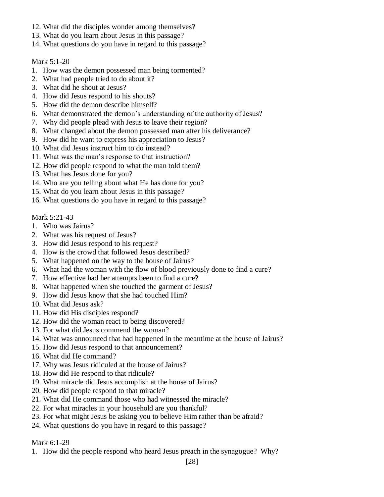- 12. What did the disciples wonder among themselves?
- 13. What do you learn about Jesus in this passage?
- 14. What questions do you have in regard to this passage?

#### Mark 5:1-20

- 1. How was the demon possessed man being tormented?
- 2. What had people tried to do about it?
- 3. What did he shout at Jesus?
- 4. How did Jesus respond to his shouts?
- 5. How did the demon describe himself?
- 6. What demonstrated the demon's understanding of the authority of Jesus?
- 7. Why did people plead with Jesus to leave their region?
- 8. What changed about the demon possessed man after his deliverance?
- 9. How did he want to express his appreciation to Jesus?
- 10. What did Jesus instruct him to do instead?
- 11. What was the man's response to that instruction?
- 12. How did people respond to what the man told them?
- 13. What has Jesus done for you?
- 14. Who are you telling about what He has done for you?
- 15. What do you learn about Jesus in this passage?
- 16. What questions do you have in regard to this passage?

#### Mark 5:21-43

- 1. Who was Jairus?
- 2. What was his request of Jesus?
- 3. How did Jesus respond to his request?
- 4. How is the crowd that followed Jesus described?
- 5. What happened on the way to the house of Jairus?
- 6. What had the woman with the flow of blood previously done to find a cure?
- 7. How effective had her attempts been to find a cure?
- 8. What happened when she touched the garment of Jesus?
- 9. How did Jesus know that she had touched Him?
- 10. What did Jesus ask?
- 11. How did His disciples respond?
- 12. How did the woman react to being discovered?
- 13. For what did Jesus commend the woman?
- 14. What was announced that had happened in the meantime at the house of Jairus?
- 15. How did Jesus respond to that announcement?
- 16. What did He command?
- 17. Why was Jesus ridiculed at the house of Jairus?
- 18. How did He respond to that ridicule?
- 19. What miracle did Jesus accomplish at the house of Jairus?
- 20. How did people respond to that miracle?
- 21. What did He command those who had witnessed the miracle?
- 22. For what miracles in your household are you thankful?
- 23. For what might Jesus be asking you to believe Him rather than be afraid?
- 24. What questions do you have in regard to this passage?

#### Mark 6:1-29

1. How did the people respond who heard Jesus preach in the synagogue? Why?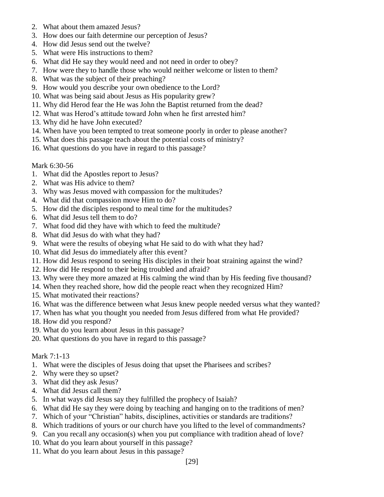- 2. What about them amazed Jesus?
- 3. How does our faith determine our perception of Jesus?
- 4. How did Jesus send out the twelve?
- 5. What were His instructions to them?
- 6. What did He say they would need and not need in order to obey?
- 7. How were they to handle those who would neither welcome or listen to them?
- 8. What was the subject of their preaching?
- 9. How would you describe your own obedience to the Lord?
- 10. What was being said about Jesus as His popularity grew?
- 11. Why did Herod fear the He was John the Baptist returned from the dead?
- 12. What was Herod's attitude toward John when he first arrested him?
- 13. Why did he have John executed?
- 14. When have you been tempted to treat someone poorly in order to please another?
- 15. What does this passage teach about the potential costs of ministry?
- 16. What questions do you have in regard to this passage?

#### Mark 6:30-56

- 1. What did the Apostles report to Jesus?
- 2. What was His advice to them?
- 3. Why was Jesus moved with compassion for the multitudes?
- 4. What did that compassion move Him to do?
- 5. How did the disciples respond to meal time for the multitudes?
- 6. What did Jesus tell them to do?
- 7. What food did they have with which to feed the multitude?
- 8. What did Jesus do with what they had?
- 9. What were the results of obeying what He said to do with what they had?
- 10. What did Jesus do immediately after this event?
- 11. How did Jesus respond to seeing His disciples in their boat straining against the wind?
- 12. How did He respond to their being troubled and afraid?
- 13. Why were they more amazed at His calming the wind than by His feeding five thousand?
- 14. When they reached shore, how did the people react when they recognized Him?
- 15. What motivated their reactions?
- 16. What was the difference between what Jesus knew people needed versus what they wanted?
- 17. When has what you thought you needed from Jesus differed from what He provided?
- 18. How did you respond?
- 19. What do you learn about Jesus in this passage?
- 20. What questions do you have in regard to this passage?

## Mark 7:1-13

- 1. What were the disciples of Jesus doing that upset the Pharisees and scribes?
- 2. Why were they so upset?
- 3. What did they ask Jesus?
- 4. What did Jesus call them?
- 5. In what ways did Jesus say they fulfilled the prophecy of Isaiah?
- 6. What did He say they were doing by teaching and hanging on to the traditions of men?
- 7. Which of your "Christian" habits, disciplines, activities or standards are traditions?
- 8. Which traditions of yours or our church have you lifted to the level of commandments?
- 9. Can you recall any occasion(s) when you put compliance with tradition ahead of love?
- 10. What do you learn about yourself in this passage?
- 11. What do you learn about Jesus in this passage?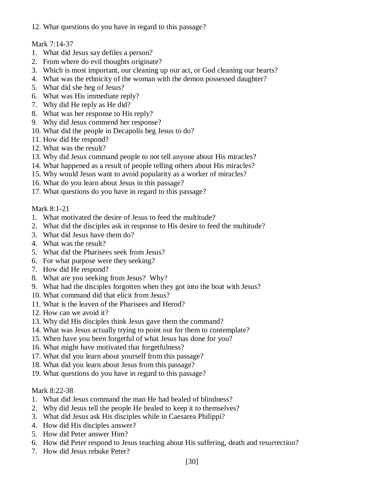12. What questions do you have in regard to this passage?

# Mark 7:14-37

- 1. What did Jesus say defiles a person?
- 2. From where do evil thoughts originate?
- 3. Which is most important, our cleaning up our act, or God cleaning our hearts?
- 4. What was the ethnicity of the woman with the demon possessed daughter?
- 5. What did she beg of Jesus?
- 6. What was His immediate reply?
- 7. Why did He reply as He did?
- 8. What was her response to His reply?
- 9. Why did Jesus commend her response?
- 10. What did the people in Decapolis beg Jesus to do?
- 11. How did He respond?
- 12. What was the result?
- 13. Why did Jesus command people to not tell anyone about His miracles?
- 14. What happened as a result of people telling others about His miracles?
- 15. Why would Jesus want to avoid popularity as a worker of miracles?
- 16. What do you learn about Jesus in this passage?
- 17. What questions do you have in regard to this passage?

# Mark 8:1-21

- 1. What motivated the desire of Jesus to feed the multitude?
- 2. What did the disciples ask in response to His desire to feed the multitude?
- 3. What did Jesus have them do?
- 4. What was the result?
- 5. What did the Pharisees seek from Jesus?
- 6. For what purpose were they seeking?
- 7. How did He respond?
- 8. What are you seeking from Jesus? Why?
- 9. What had the disciples forgotten when they got into the boat with Jesus?
- 10. What command did that elicit from Jesus?
- 11. What is the leaven of the Pharisees and Herod?
- 12. How can we avoid it?
- 13. Why did His disciples think Jesus gave them the command?
- 14. What was Jesus actually trying to point out for them to contemplate?
- 15. When have you been forgetful of what Jesus has done for you?
- 16. What might have motivated that forgetfulness?
- 17. What did you learn about yourself from this passage?
- 18. What did you learn about Jesus from this passage?
- 19. What questions do you have in regard to this passage?

# Mark 8:22-38

- 1. What did Jesus command the man He had healed of blindness?
- 2. Why did Jesus tell the people He healed to keep it to themselves?
- 3. What did Jesus ask His disciples while in Caesarea Philippi?
- 4. How did His disciples answer?
- 5. How did Peter answer Him?
- 6. How did Peter respond to Jesus teaching about His suffering, death and resurrection?
- 7. How did Jesus rebuke Peter?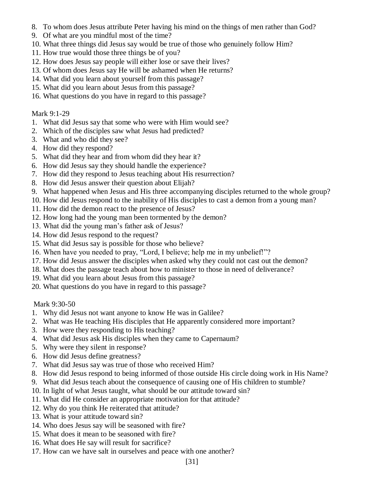- 8. To whom does Jesus attribute Peter having his mind on the things of men rather than God?
- 9. Of what are you mindful most of the time?
- 10. What three things did Jesus say would be true of those who genuinely follow Him?
- 11. How true would those three things be of you?
- 12. How does Jesus say people will either lose or save their lives?
- 13. Of whom does Jesus say He will be ashamed when He returns?
- 14. What did you learn about yourself from this passage?
- 15. What did you learn about Jesus from this passage?
- 16. What questions do you have in regard to this passage?

#### Mark 9:1-29

- 1. What did Jesus say that some who were with Him would see?
- 2. Which of the disciples saw what Jesus had predicted?
- 3. What and who did they see?
- 4. How did they respond?
- 5. What did they hear and from whom did they hear it?
- 6. How did Jesus say they should handle the experience?
- 7. How did they respond to Jesus teaching about His resurrection?
- 8. How did Jesus answer their question about Elijah?
- 9. What happened when Jesus and His three accompanying disciples returned to the whole group?
- 10. How did Jesus respond to the inability of His disciples to cast a demon from a young man?
- 11. How did the demon react to the presence of Jesus?
- 12. How long had the young man been tormented by the demon?
- 13. What did the young man's father ask of Jesus?
- 14. How did Jesus respond to the request?
- 15. What did Jesus say is possible for those who believe?
- 16. When have you needed to pray, "Lord, I believe; help me in my unbelief!"?
- 17. How did Jesus answer the disciples when asked why they could not cast out the demon?
- 18. What does the passage teach about how to minister to those in need of deliverance?
- 19. What did you learn about Jesus from this passage?
- 20. What questions do you have in regard to this passage?

#### Mark 9:30-50

- 1. Why did Jesus not want anyone to know He was in Galilee?
- 2. What was He teaching His disciples that He apparently considered more important?
- 3. How were they responding to His teaching?
- 4. What did Jesus ask His disciples when they came to Capernaum?
- 5. Why were they silent in response?
- 6. How did Jesus define greatness?
- 7. What did Jesus say was true of those who received Him?
- 8. How did Jesus respond to being informed of those outside His circle doing work in His Name?
- 9. What did Jesus teach about the consequence of causing one of His children to stumble?
- 10. In light of what Jesus taught, what should be our attitude toward sin?
- 11. What did He consider an appropriate motivation for that attitude?
- 12. Why do you think He reiterated that attitude?
- 13. What is your attitude toward sin?
- 14. Who does Jesus say will be seasoned with fire?
- 15. What does it mean to be seasoned with fire?
- 16. What does He say will result for sacrifice?
- 17. How can we have salt in ourselves and peace with one another?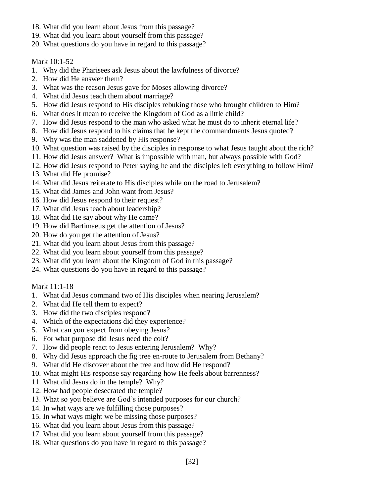- 18. What did you learn about Jesus from this passage?
- 19. What did you learn about yourself from this passage?
- 20. What questions do you have in regard to this passage?

### Mark 10:1-52

- 1. Why did the Pharisees ask Jesus about the lawfulness of divorce?
- 2. How did He answer them?
- 3. What was the reason Jesus gave for Moses allowing divorce?
- 4. What did Jesus teach them about marriage?
- 5. How did Jesus respond to His disciples rebuking those who brought children to Him?
- 6. What does it mean to receive the Kingdom of God as a little child?
- 7. How did Jesus respond to the man who asked what he must do to inherit eternal life?
- 8. How did Jesus respond to his claims that he kept the commandments Jesus quoted?
- 9. Why was the man saddened by His response?
- 10. What question was raised by the disciples in response to what Jesus taught about the rich?
- 11. How did Jesus answer? What is impossible with man, but always possible with God?
- 12. How did Jesus respond to Peter saying he and the disciples left everything to follow Him?
- 13. What did He promise?
- 14. What did Jesus reiterate to His disciples while on the road to Jerusalem?
- 15. What did James and John want from Jesus?
- 16. How did Jesus respond to their request?
- 17. What did Jesus teach about leadership?
- 18. What did He say about why He came?
- 19. How did Bartimaeus get the attention of Jesus?
- 20. How do you get the attention of Jesus?
- 21. What did you learn about Jesus from this passage?
- 22. What did you learn about yourself from this passage?
- 23. What did you learn about the Kingdom of God in this passage?
- 24. What questions do you have in regard to this passage?

## Mark 11:1-18

- 1. What did Jesus command two of His disciples when nearing Jerusalem?
- 2. What did He tell them to expect?
- 3. How did the two disciples respond?
- 4. Which of the expectations did they experience?
- 5. What can you expect from obeying Jesus?
- 6. For what purpose did Jesus need the colt?
- 7. How did people react to Jesus entering Jerusalem? Why?
- 8. Why did Jesus approach the fig tree en-route to Jerusalem from Bethany?
- 9. What did He discover about the tree and how did He respond?
- 10. What might His response say regarding how He feels about barrenness?
- 11. What did Jesus do in the temple? Why?
- 12. How had people desecrated the temple?
- 13. What so you believe are God's intended purposes for our church?
- 14. In what ways are we fulfilling those purposes?
- 15. In what ways might we be missing those purposes?
- 16. What did you learn about Jesus from this passage?
- 17. What did you learn about yourself from this passage?
- 18. What questions do you have in regard to this passage?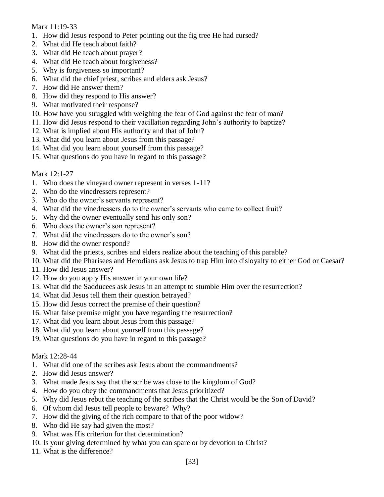#### Mark 11:19-33

- 1. How did Jesus respond to Peter pointing out the fig tree He had cursed?
- 2. What did He teach about faith?
- 3. What did He teach about prayer?
- 4. What did He teach about forgiveness?
- 5. Why is forgiveness so important?
- 6. What did the chief priest, scribes and elders ask Jesus?
- 7. How did He answer them?
- 8. How did they respond to His answer?
- 9. What motivated their response?
- 10. How have you struggled with weighing the fear of God against the fear of man?
- 11. How did Jesus respond to their vacillation regarding John's authority to baptize?
- 12. What is implied about His authority and that of John?
- 13. What did you learn about Jesus from this passage?
- 14. What did you learn about yourself from this passage?
- 15. What questions do you have in regard to this passage?

## Mark 12:1-27

- 1. Who does the vineyard owner represent in verses 1-11?
- 2. Who do the vinedressers represent?
- 3. Who do the owner's servants represent?
- 4. What did the vinedressers do to the owner's servants who came to collect fruit?
- 5. Why did the owner eventually send his only son?
- 6. Who does the owner's son represent?
- 7. What did the vinedressers do to the owner's son?
- 8. How did the owner respond?
- 9. What did the priests, scribes and elders realize about the teaching of this parable?
- 10. What did the Pharisees and Herodians ask Jesus to trap Him into disloyalty to either God or Caesar?
- 11. How did Jesus answer?
- 12. How do you apply His answer in your own life?
- 13. What did the Sadducees ask Jesus in an attempt to stumble Him over the resurrection?
- 14. What did Jesus tell them their question betrayed?
- 15. How did Jesus correct the premise of their question?
- 16. What false premise might you have regarding the resurrection?
- 17. What did you learn about Jesus from this passage?
- 18. What did you learn about yourself from this passage?
- 19. What questions do you have in regard to this passage?

# Mark 12:28-44

- 1. What did one of the scribes ask Jesus about the commandments?
- 2. How did Jesus answer?
- 3. What made Jesus say that the scribe was close to the kingdom of God?
- 4. How do you obey the commandments that Jesus prioritized?
- 5. Why did Jesus rebut the teaching of the scribes that the Christ would be the Son of David?
- 6. Of whom did Jesus tell people to beware? Why?
- 7. How did the giving of the rich compare to that of the poor widow?
- 8. Who did He say had given the most?
- 9. What was His criterion for that determination?
- 10. Is your giving determined by what you can spare or by devotion to Christ?
- 11. What is the difference?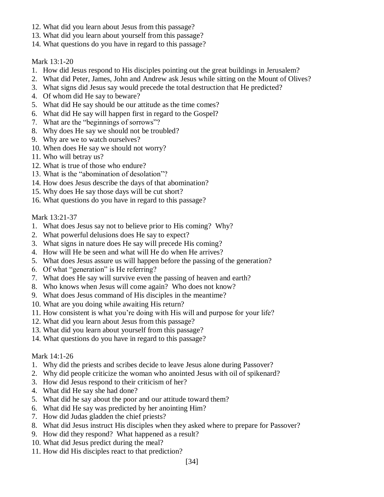- 12. What did you learn about Jesus from this passage?
- 13. What did you learn about yourself from this passage?
- 14. What questions do you have in regard to this passage?

### Mark 13:1-20

- 1. How did Jesus respond to His disciples pointing out the great buildings in Jerusalem?
- 2. What did Peter, James, John and Andrew ask Jesus while sitting on the Mount of Olives?
- 3. What signs did Jesus say would precede the total destruction that He predicted?
- 4. Of whom did He say to beware?
- 5. What did He say should be our attitude as the time comes?
- 6. What did He say will happen first in regard to the Gospel?
- 7. What are the "beginnings of sorrows"?
- 8. Why does He say we should not be troubled?
- 9. Why are we to watch ourselves?
- 10. When does He say we should not worry?
- 11. Who will betray us?
- 12. What is true of those who endure?
- 13. What is the "abomination of desolation"?
- 14. How does Jesus describe the days of that abomination?
- 15. Why does He say those days will be cut short?
- 16. What questions do you have in regard to this passage?

## Mark 13:21-37

- 1. What does Jesus say not to believe prior to His coming? Why?
- 2. What powerful delusions does He say to expect?
- 3. What signs in nature does He say will precede His coming?
- 4. How will He be seen and what will He do when He arrives?
- 5. What does Jesus assure us will happen before the passing of the generation?
- 6. Of what "generation" is He referring?
- 7. What does He say will survive even the passing of heaven and earth?
- 8. Who knows when Jesus will come again? Who does not know?
- 9. What does Jesus command of His disciples in the meantime?
- 10. What are you doing while awaiting His return?
- 11. How consistent is what you're doing with His will and purpose for your life?
- 12. What did you learn about Jesus from this passage?
- 13. What did you learn about yourself from this passage?
- 14. What questions do you have in regard to this passage?

# Mark 14:1-26

- 1. Why did the priests and scribes decide to leave Jesus alone during Passover?
- 2. Why did people criticize the woman who anointed Jesus with oil of spikenard?
- 3. How did Jesus respond to their criticism of her?
- 4. What did He say she had done?
- 5. What did he say about the poor and our attitude toward them?
- 6. What did He say was predicted by her anointing Him?
- 7. How did Judas gladden the chief priests?
- 8. What did Jesus instruct His disciples when they asked where to prepare for Passover?
- 9. How did they respond? What happened as a result?
- 10. What did Jesus predict during the meal?
- 11. How did His disciples react to that prediction?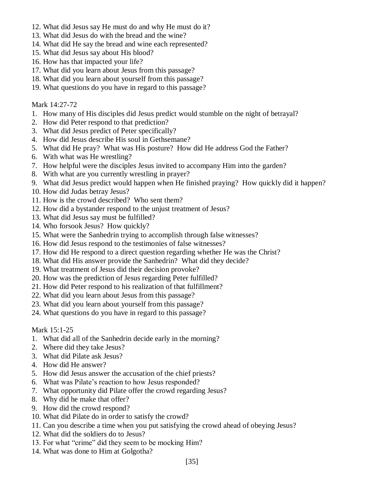- 12. What did Jesus say He must do and why He must do it?
- 13. What did Jesus do with the bread and the wine?
- 14. What did He say the bread and wine each represented?
- 15. What did Jesus say about His blood?
- 16. How has that impacted your life?
- 17. What did you learn about Jesus from this passage?
- 18. What did you learn about yourself from this passage?
- 19. What questions do you have in regard to this passage?

## Mark 14:27-72

- 1. How many of His disciples did Jesus predict would stumble on the night of betrayal?
- 2. How did Peter respond to that prediction?
- 3. What did Jesus predict of Peter specifically?
- 4. How did Jesus describe His soul in Gethsemane?
- 5. What did He pray? What was His posture? How did He address God the Father?
- 6. With what was He wrestling?
- 7. How helpful were the disciples Jesus invited to accompany Him into the garden?
- 8. With what are you currently wrestling in prayer?
- 9. What did Jesus predict would happen when He finished praying? How quickly did it happen?
- 10. How did Judas betray Jesus?
- 11. How is the crowd described? Who sent them?
- 12. How did a bystander respond to the unjust treatment of Jesus?
- 13. What did Jesus say must be fulfilled?
- 14. Who forsook Jesus? How quickly?
- 15. What were the Sanhedrin trying to accomplish through false witnesses?
- 16. How did Jesus respond to the testimonies of false witnesses?
- 17. How did He respond to a direct question regarding whether He was the Christ?
- 18. What did His answer provide the Sanhedrin? What did they decide?
- 19. What treatment of Jesus did their decision provoke?
- 20. How was the prediction of Jesus regarding Peter fulfilled?
- 21. How did Peter respond to his realization of that fulfillment?
- 22. What did you learn about Jesus from this passage?
- 23. What did you learn about yourself from this passage?
- 24. What questions do you have in regard to this passage?

# Mark 15:1-25

- 1. What did all of the Sanhedrin decide early in the morning?
- 2. Where did they take Jesus?
- 3. What did Pilate ask Jesus?
- 4. How did He answer?
- 5. How did Jesus answer the accusation of the chief priests?
- 6. What was Pilate's reaction to how Jesus responded?
- 7. What opportunity did Pilate offer the crowd regarding Jesus?
- 8. Why did he make that offer?
- 9. How did the crowd respond?
- 10. What did Pilate do in order to satisfy the crowd?
- 11. Can you describe a time when you put satisfying the crowd ahead of obeying Jesus?
- 12. What did the soldiers do to Jesus?
- 13. For what "crime" did they seem to be mocking Him?
- 14. What was done to Him at Golgotha?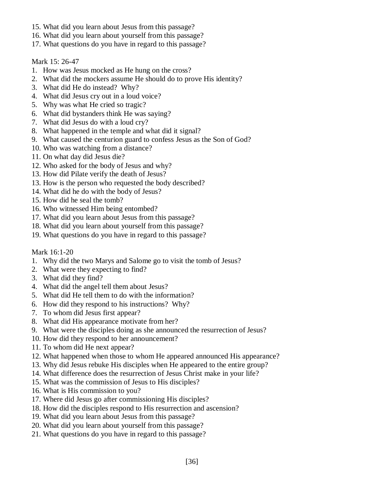- 15. What did you learn about Jesus from this passage?
- 16. What did you learn about yourself from this passage?
- 17. What questions do you have in regard to this passage?

#### Mark 15: 26-47

- 1. How was Jesus mocked as He hung on the cross?
- 2. What did the mockers assume He should do to prove His identity?
- 3. What did He do instead? Why?
- 4. What did Jesus cry out in a loud voice?
- 5. Why was what He cried so tragic?
- 6. What did bystanders think He was saying?
- 7. What did Jesus do with a loud cry?
- 8. What happened in the temple and what did it signal?
- 9. What caused the centurion guard to confess Jesus as the Son of God?
- 10. Who was watching from a distance?
- 11. On what day did Jesus die?
- 12. Who asked for the body of Jesus and why?
- 13. How did Pilate verify the death of Jesus?
- 13. How is the person who requested the body described?
- 14. What did he do with the body of Jesus?
- 15. How did he seal the tomb?
- 16. Who witnessed Him being entombed?
- 17. What did you learn about Jesus from this passage?
- 18. What did you learn about yourself from this passage?
- 19. What questions do you have in regard to this passage?

#### Mark 16:1-20

- 1. Why did the two Marys and Salome go to visit the tomb of Jesus?
- 2. What were they expecting to find?
- 3. What did they find?
- 4. What did the angel tell them about Jesus?
- 5. What did He tell them to do with the information?
- 6. How did they respond to his instructions? Why?
- 7. To whom did Jesus first appear?
- 8. What did His appearance motivate from her?
- 9. What were the disciples doing as she announced the resurrection of Jesus?
- 10. How did they respond to her announcement?
- 11. To whom did He next appear?
- 12. What happened when those to whom He appeared announced His appearance?
- 13. Why did Jesus rebuke His disciples when He appeared to the entire group?
- 14. What difference does the resurrection of Jesus Christ make in your life?
- 15. What was the commission of Jesus to His disciples?
- 16. What is His commission to you?
- 17. Where did Jesus go after commissioning His disciples?
- 18. How did the disciples respond to His resurrection and ascension?
- 19. What did you learn about Jesus from this passage?
- 20. What did you learn about yourself from this passage?
- 21. What questions do you have in regard to this passage?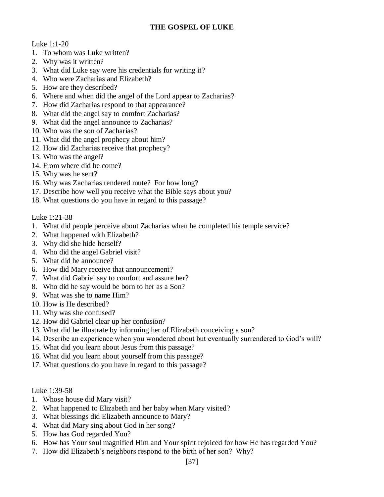# **THE GOSPEL OF LUKE**

Luke 1:1-20

- 1. To whom was Luke written?
- 2. Why was it written?
- 3. What did Luke say were his credentials for writing it?
- 4. Who were Zacharias and Elizabeth?
- 5. How are they described?
- 6. Where and when did the angel of the Lord appear to Zacharias?
- 7. How did Zacharias respond to that appearance?
- 8. What did the angel say to comfort Zacharias?
- 9. What did the angel announce to Zacharias?
- 10. Who was the son of Zacharias?
- 11. What did the angel prophecy about him?
- 12. How did Zacharias receive that prophecy?
- 13. Who was the angel?
- 14. From where did he come?
- 15. Why was he sent?
- 16. Why was Zacharias rendered mute? For how long?
- 17. Describe how well you receive what the Bible says about you?
- 18. What questions do you have in regard to this passage?

### Luke 1:21-38

- 1. What did people perceive about Zacharias when he completed his temple service?
- 2. What happened with Elizabeth?
- 3. Why did she hide herself?
- 4. Who did the angel Gabriel visit?
- 5. What did he announce?
- 6. How did Mary receive that announcement?
- 7. What did Gabriel say to comfort and assure her?
- 8. Who did he say would be born to her as a Son?
- 9. What was she to name Him?
- 10. How is He described?
- 11. Why was she confused?
- 12. How did Gabriel clear up her confusion?
- 13. What did he illustrate by informing her of Elizabeth conceiving a son?
- 14. Describe an experience when you wondered about but eventually surrendered to God's will?
- 15. What did you learn about Jesus from this passage?
- 16. What did you learn about yourself from this passage?
- 17. What questions do you have in regard to this passage?

#### Luke 1:39-58

- 1. Whose house did Mary visit?
- 2. What happened to Elizabeth and her baby when Mary visited?
- 3. What blessings did Elizabeth announce to Mary?
- 4. What did Mary sing about God in her song?
- 5. How has God regarded You?
- 6. How has Your soul magnified Him and Your spirit rejoiced for how He has regarded You?
- 7. How did Elizabeth's neighbors respond to the birth of her son? Why?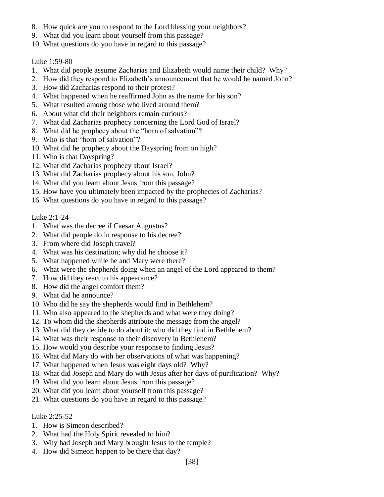- 8. How quick are you to respond to the Lord blessing your neighbors?
- 9. What did you learn about yourself from this passage?
- 10. What questions do you have in regard to this passage?

## Luke 1:59-80

- 1. What did people assume Zacharias and Elizabeth would name their child? Why?
- 2. How did they respond to Elizabeth's announcement that he would be named John?
- 3. How did Zacharias respond to their protest?
- 4. What happened when he reaffirmed John as the name for his son?
- 5. What resulted among those who lived around them?
- 6. About what did their neighbors remain curious?
- 7. What did Zacharias prophecy concerning the Lord God of Israel?
- 8. What did he prophecy about the "horn of salvation"?
- 9. Who is that "horn of salvation"?
- 10. What did he prophecy about the Dayspring from on high?
- 11. Who is that Dayspring?
- 12. What did Zacharias prophecy about Israel?
- 13. What did Zacharias prophecy about his son, John?
- 14. What did you learn about Jesus from this passage?
- 15. How have you ultimately been impacted by the prophecies of Zacharias?
- 16. What questions do you have in regard to this passage?

### Luke 2:1-24

- 1. What was the decree if Caesar Augustus?
- 2. What did people do in response to his decree?
- 3. From where did Joseph travel?
- 4. What was his destination; why did he choose it?
- 5. What happened while he and Mary were there?
- 6. What were the shepherds doing when an angel of the Lord appeared to them?
- 7. How did they react to his appearance?
- 8. How did the angel comfort them?
- 9. What did he announce?
- 10. Who did he say the shepherds would find in Bethlehem?
- 11. Who also appeared to the shepherds and what were they doing?
- 12. To whom did the shepherds attribute the message from the angel?
- 13. What did they decide to do about it; who did they find in Bethlehem?
- 14. What was their response to their discovery in Bethlehem?
- 15. How would you describe your response to finding Jesus?
- 16. What did Mary do with her observations of what was happening?
- 17. What happened when Jesus was eight days old? Why?
- 18. What did Joseph and Mary do with Jesus after her days of purification? Why?
- 19. What did you learn about Jesus from this passage?
- 20. What did you learn about yourself from this passage?
- 21. What questions do you have in regard to this passage?

#### Luke 2:25-52

- 1. How is Simeon described?
- 2. What had the Holy Spirit revealed to him?
- 3. Why had Joseph and Mary brought Jesus to the temple?
- 4. How did Simeon happen to be there that day?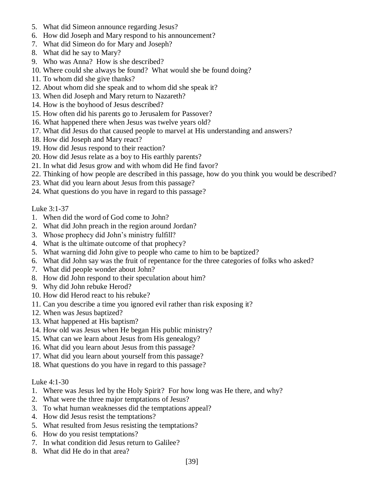- 5. What did Simeon announce regarding Jesus?
- 6. How did Joseph and Mary respond to his announcement?
- 7. What did Simeon do for Mary and Joseph?
- 8. What did he say to Mary?
- 9. Who was Anna? How is she described?
- 10. Where could she always be found? What would she be found doing?
- 11. To whom did she give thanks?
- 12. About whom did she speak and to whom did she speak it?
- 13. When did Joseph and Mary return to Nazareth?
- 14. How is the boyhood of Jesus described?
- 15. How often did his parents go to Jerusalem for Passover?
- 16. What happened there when Jesus was twelve years old?
- 17. What did Jesus do that caused people to marvel at His understanding and answers?
- 18. How did Joseph and Mary react?
- 19. How did Jesus respond to their reaction?
- 20. How did Jesus relate as a boy to His earthly parents?
- 21. In what did Jesus grow and with whom did He find favor?
- 22. Thinking of how people are described in this passage, how do you think you would be described?
- 23. What did you learn about Jesus from this passage?
- 24. What questions do you have in regard to this passage?

Luke 3:1-37

- 1. When did the word of God come to John?
- 2. What did John preach in the region around Jordan?
- 3. Whose prophecy did John's ministry fulfill?
- 4. What is the ultimate outcome of that prophecy?
- 5. What warning did John give to people who came to him to be baptized?
- 6. What did John say was the fruit of repentance for the three categories of folks who asked?
- 7. What did people wonder about John?
- 8. How did John respond to their speculation about him?
- 9. Why did John rebuke Herod?
- 10. How did Herod react to his rebuke?
- 11. Can you describe a time you ignored evil rather than risk exposing it?
- 12. When was Jesus baptized?
- 13. What happened at His baptism?
- 14. How old was Jesus when He began His public ministry?
- 15. What can we learn about Jesus from His genealogy?
- 16. What did you learn about Jesus from this passage?
- 17. What did you learn about yourself from this passage?
- 18. What questions do you have in regard to this passage?

Luke 4:1-30

- 1. Where was Jesus led by the Holy Spirit? For how long was He there, and why?
- 2. What were the three major temptations of Jesus?
- 3. To what human weaknesses did the temptations appeal?
- 4. How did Jesus resist the temptations?
- 5. What resulted from Jesus resisting the temptations?
- 6. How do you resist temptations?
- 7. In what condition did Jesus return to Galilee?
- 8. What did He do in that area?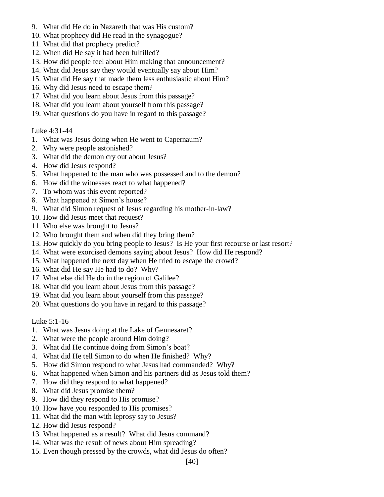- 9. What did He do in Nazareth that was His custom?
- 10. What prophecy did He read in the synagogue?
- 11. What did that prophecy predict?
- 12. When did He say it had been fulfilled?
- 13. How did people feel about Him making that announcement?
- 14. What did Jesus say they would eventually say about Him?
- 15. What did He say that made them less enthusiastic about Him?
- 16. Why did Jesus need to escape them?
- 17. What did you learn about Jesus from this passage?
- 18. What did you learn about yourself from this passage?
- 19. What questions do you have in regard to this passage?

### Luke 4:31-44

- 1. What was Jesus doing when He went to Capernaum?
- 2. Why were people astonished?
- 3. What did the demon cry out about Jesus?
- 4. How did Jesus respond?
- 5. What happened to the man who was possessed and to the demon?
- 6. How did the witnesses react to what happened?
- 7. To whom was this event reported?
- 8. What happened at Simon's house?
- 9. What did Simon request of Jesus regarding his mother-in-law?
- 10. How did Jesus meet that request?
- 11. Who else was brought to Jesus?
- 12. Who brought them and when did they bring them?
- 13. How quickly do you bring people to Jesus? Is He your first recourse or last resort?
- 14. What were exorcised demons saying about Jesus? How did He respond?
- 15. What happened the next day when He tried to escape the crowd?
- 16. What did He say He had to do? Why?
- 17. What else did He do in the region of Galilee?
- 18. What did you learn about Jesus from this passage?
- 19. What did you learn about yourself from this passage?
- 20. What questions do you have in regard to this passage?

Luke 5:1-16

- 1. What was Jesus doing at the Lake of Gennesaret?
- 2. What were the people around Him doing?
- 3. What did He continue doing from Simon's boat?
- 4. What did He tell Simon to do when He finished? Why?
- 5. How did Simon respond to what Jesus had commanded? Why?
- 6. What happened when Simon and his partners did as Jesus told them?
- 7. How did they respond to what happened?
- 8. What did Jesus promise them?
- 9. How did they respond to His promise?
- 10. How have you responded to His promises?
- 11. What did the man with leprosy say to Jesus?
- 12. How did Jesus respond?
- 13. What happened as a result? What did Jesus command?
- 14. What was the result of news about Him spreading?
- 15. Even though pressed by the crowds, what did Jesus do often?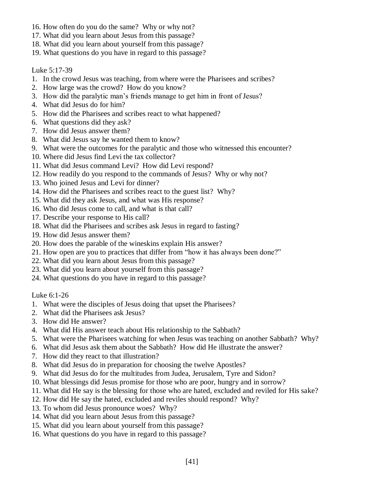- 16. How often do you do the same? Why or why not?
- 17. What did you learn about Jesus from this passage?
- 18. What did you learn about yourself from this passage?
- 19. What questions do you have in regard to this passage?

#### Luke 5:17-39

- 1. In the crowd Jesus was teaching, from where were the Pharisees and scribes?
- 2. How large was the crowd? How do you know?
- 3. How did the paralytic man's friends manage to get him in front of Jesus?
- 4. What did Jesus do for him?
- 5. How did the Pharisees and scribes react to what happened?
- 6. What questions did they ask?
- 7. How did Jesus answer them?
- 8. What did Jesus say he wanted them to know?
- 9. What were the outcomes for the paralytic and those who witnessed this encounter?
- 10. Where did Jesus find Levi the tax collector?
- 11. What did Jesus command Levi? How did Levi respond?
- 12. How readily do you respond to the commands of Jesus? Why or why not?
- 13. Who joined Jesus and Levi for dinner?
- 14. How did the Pharisees and scribes react to the guest list? Why?
- 15. What did they ask Jesus, and what was His response?
- 16. Who did Jesus come to call, and what is that call?
- 17. Describe your response to His call?
- 18. What did the Pharisees and scribes ask Jesus in regard to fasting?
- 19. How did Jesus answer them?
- 20. How does the parable of the wineskins explain His answer?
- 21. How open are you to practices that differ from "how it has always been done?"
- 22. What did you learn about Jesus from this passage?
- 23. What did you learn about yourself from this passage?
- 24. What questions do you have in regard to this passage?

## Luke 6:1-26

- 1. What were the disciples of Jesus doing that upset the Pharisees?
- 2. What did the Pharisees ask Jesus?
- 3. How did He answer?
- 4. What did His answer teach about His relationship to the Sabbath?
- 5. What were the Pharisees watching for when Jesus was teaching on another Sabbath? Why?
- 6. What did Jesus ask them about the Sabbath? How did He illustrate the answer?
- 7. How did they react to that illustration?
- 8. What did Jesus do in preparation for choosing the twelve Apostles?
- 9. What did Jesus do for the multitudes from Judea, Jerusalem, Tyre and Sidon?
- 10. What blessings did Jesus promise for those who are poor, hungry and in sorrow?
- 11. What did He say is the blessing for those who are hated, excluded and reviled for His sake?
- 12. How did He say the hated, excluded and reviles should respond? Why?
- 13. To whom did Jesus pronounce woes? Why?
- 14. What did you learn about Jesus from this passage?
- 15. What did you learn about yourself from this passage?
- 16. What questions do you have in regard to this passage?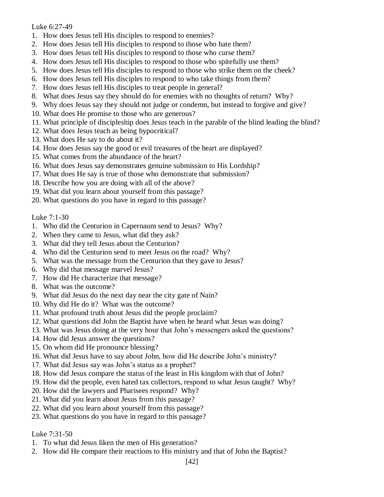#### Luke 6:27-49

- 1. How does Jesus tell His disciples to respond to enemies?
- 2. How does Jesus tell His disciples to respond to those who hate them?
- 3. How does Jesus tell His disciples to respond to those who curse them?
- 4. How does Jesus tell His disciples to respond to those who spitefully use them?
- 5. How does Jesus tell His disciples to respond to those who strike them on the cheek?
- 6. How does Jesus tell His disciples to respond to who take things from them?
- 7. How does Jesus tell His disciples to treat people in general?
- 8. What does Jesus say they should do for enemies with no thoughts of return? Why?
- 9. Why does Jesus say they should not judge or condemn, but instead to forgive and give?
- 10. What does He promise to those who are generous?
- 11. What principle of discipleship does Jesus teach in the parable of the blind leading the blind?
- 12. What does Jesus teach as being hypocritical?
- 13. What does He say to do about it?
- 14. How does Jesus say the good or evil treasures of the heart are displayed?
- 15. What comes from the abundance of the heart?
- 16. What does Jesus say demonstrates genuine submission to His Lordship?
- 17. What does He say is true of those who demonstrate that submission?
- 18. Describe how you are doing with all of the above?
- 19. What did you learn about yourself from this passage?
- 20. What questions do you have in regard to this passage?

# Luke 7:1-30

- 1. Who did the Centurion in Capernaum send to Jesus? Why?
- 2. When they came to Jesus, what did they ask?
- 3. What did they tell Jesus about the Centurion?
- 4. Who did the Centurion send to meet Jesus on the road? Why?
- 5. What was the message from the Centurion that they gave to Jesus?
- 6. Why did that message marvel Jesus?
- 7. How did He characterize that message?
- 8. What was the outcome?
- 9. What did Jesus do the next day near the city gate of Nain?
- 10. Why did He do it? What was the outcome?
- 11. What profound truth about Jesus did the people proclaim?
- 12. What questions did John the Baptist have when he heard what Jesus was doing?
- 13. What was Jesus doing at the very hour that John's messengers asked the questions?
- 14. How did Jesus answer the questions?
- 15. On whom did He pronounce blessing?
- 16. What did Jesus have to say about John, how did He describe John's ministry?
- 17. What did Jesus say was John's status as a prophet?
- 18. How did Jesus compare the status of the least in His kingdom with that of John?
- 19. How did the people, even hated tax collectors, respond to what Jesus taught? Why?
- 20. How did the lawyers and Pharisees respond? Why?
- 21. What did you learn about Jesus from this passage?
- 22. What did you learn about yourself from this passage?
- 23. What questions do you have in regard to this passage?

# Luke 7:31-50

- 1. To what did Jesus liken the men of His generation?
- 2. How did He compare their reactions to His ministry and that of John the Baptist?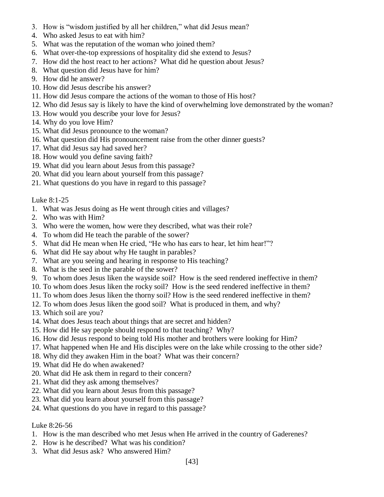- 3. How is "wisdom justified by all her children," what did Jesus mean?
- 4. Who asked Jesus to eat with him?
- 5. What was the reputation of the woman who joined them?
- 6. What over-the-top expressions of hospitality did she extend to Jesus?
- 7. How did the host react to her actions? What did he question about Jesus?
- 8. What question did Jesus have for him?
- 9. How did he answer?
- 10. How did Jesus describe his answer?
- 11. How did Jesus compare the actions of the woman to those of His host?
- 12. Who did Jesus say is likely to have the kind of overwhelming love demonstrated by the woman?
- 13. How would you describe your love for Jesus?
- 14. Why do you love Him?
- 15. What did Jesus pronounce to the woman?
- 16. What question did His pronouncement raise from the other dinner guests?
- 17. What did Jesus say had saved her?
- 18. How would you define saving faith?
- 19. What did you learn about Jesus from this passage?
- 20. What did you learn about yourself from this passage?
- 21. What questions do you have in regard to this passage?

#### Luke 8:1-25

- 1. What was Jesus doing as He went through cities and villages?
- 2. Who was with Him?
- 3. Who were the women, how were they described, what was their role?
- 4. To whom did He teach the parable of the sower?
- 5. What did He mean when He cried, "He who has ears to hear, let him hear!"?
- 6. What did He say about why He taught in parables?
- 7. What are you seeing and hearing in response to His teaching?
- 8. What is the seed in the parable of the sower?
- 9. To whom does Jesus liken the wayside soil? How is the seed rendered ineffective in them?
- 10. To whom does Jesus liken the rocky soil? How is the seed rendered ineffective in them?
- 11. To whom does Jesus liken the thorny soil? How is the seed rendered ineffective in them?
- 12. To whom does Jesus liken the good soil? What is produced in them, and why?
- 13. Which soil are you?
- 14. What does Jesus teach about things that are secret and hidden?
- 15. How did He say people should respond to that teaching? Why?
- 16. How did Jesus respond to being told His mother and brothers were looking for Him?
- 17. What happened when He and His disciples were on the lake while crossing to the other side?
- 18. Why did they awaken Him in the boat? What was their concern?
- 19. What did He do when awakened?
- 20. What did He ask them in regard to their concern?
- 21. What did they ask among themselves?
- 22. What did you learn about Jesus from this passage?
- 23. What did you learn about yourself from this passage?
- 24. What questions do you have in regard to this passage?

## Luke 8:26-56

- 1. How is the man described who met Jesus when He arrived in the country of Gaderenes?
- 2. How is he described? What was his condition?
- 3. What did Jesus ask? Who answered Him?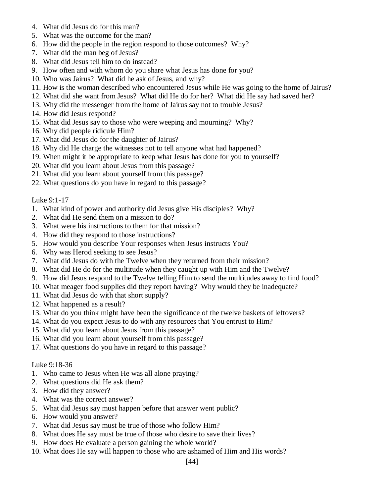- 4. What did Jesus do for this man?
- 5. What was the outcome for the man?
- 6. How did the people in the region respond to those outcomes? Why?
- 7. What did the man beg of Jesus?
- 8. What did Jesus tell him to do instead?
- 9. How often and with whom do you share what Jesus has done for you?
- 10. Who was Jairus? What did he ask of Jesus, and why?
- 11. How is the woman described who encountered Jesus while He was going to the home of Jairus?
- 12. What did she want from Jesus? What did He do for her? What did He say had saved her?
- 13. Why did the messenger from the home of Jairus say not to trouble Jesus?
- 14. How did Jesus respond?
- 15. What did Jesus say to those who were weeping and mourning? Why?
- 16. Why did people ridicule Him?
- 17. What did Jesus do for the daughter of Jairus?
- 18. Why did He charge the witnesses not to tell anyone what had happened?
- 19. When might it be appropriate to keep what Jesus has done for you to yourself?
- 20. What did you learn about Jesus from this passage?
- 21. What did you learn about yourself from this passage?
- 22. What questions do you have in regard to this passage?

### Luke 9:1-17

- 1. What kind of power and authority did Jesus give His disciples? Why?
- 2. What did He send them on a mission to do?
- 3. What were his instructions to them for that mission?
- 4. How did they respond to those instructions?
- 5. How would you describe Your responses when Jesus instructs You?
- 6. Why was Herod seeking to see Jesus?
- 7. What did Jesus do with the Twelve when they returned from their mission?
- 8. What did He do for the multitude when they caught up with Him and the Twelve?
- 9. How did Jesus respond to the Twelve telling Him to send the multitudes away to find food?
- 10. What meager food supplies did they report having? Why would they be inadequate?
- 11. What did Jesus do with that short supply?
- 12. What happened as a result?
- 13. What do you think might have been the significance of the twelve baskets of leftovers?
- 14. What do you expect Jesus to do with any resources that You entrust to Him?
- 15. What did you learn about Jesus from this passage?
- 16. What did you learn about yourself from this passage?
- 17. What questions do you have in regard to this passage?

#### Luke 9:18-36

- 1. Who came to Jesus when He was all alone praying?
- 2. What questions did He ask them?
- 3. How did they answer?
- 4. What was the correct answer?
- 5. What did Jesus say must happen before that answer went public?
- 6. How would you answer?
- 7. What did Jesus say must be true of those who follow Him?
- 8. What does He say must be true of those who desire to save their lives?
- 9. How does He evaluate a person gaining the whole world?
- 10. What does He say will happen to those who are ashamed of Him and His words?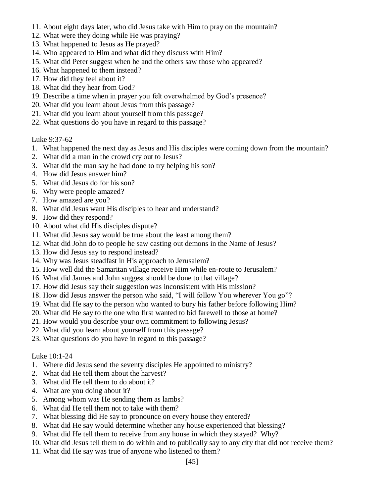- 11. About eight days later, who did Jesus take with Him to pray on the mountain?
- 12. What were they doing while He was praying?
- 13. What happened to Jesus as He prayed?
- 14. Who appeared to Him and what did they discuss with Him?
- 15. What did Peter suggest when he and the others saw those who appeared?
- 16. What happened to them instead?
- 17. How did they feel about it?
- 18. What did they hear from God?
- 19. Describe a time when in prayer you felt overwhelmed by God's presence?
- 20. What did you learn about Jesus from this passage?
- 21. What did you learn about yourself from this passage?
- 22. What questions do you have in regard to this passage?

### Luke 9:37-62

- 1. What happened the next day as Jesus and His disciples were coming down from the mountain?
- 2. What did a man in the crowd cry out to Jesus?
- 3. What did the man say he had done to try helping his son?
- 4. How did Jesus answer him?
- 5. What did Jesus do for his son?
- 6. Why were people amazed?
- 7. How amazed are you?
- 8. What did Jesus want His disciples to hear and understand?
- 9. How did they respond?
- 10. About what did His disciples dispute?
- 11. What did Jesus say would be true about the least among them?
- 12. What did John do to people he saw casting out demons in the Name of Jesus?
- 13. How did Jesus say to respond instead?
- 14. Why was Jesus steadfast in His approach to Jerusalem?
- 15. How well did the Samaritan village receive Him while en-route to Jerusalem?
- 16. What did James and John suggest should be done to that village?
- 17. How did Jesus say their suggestion was inconsistent with His mission?
- 18. How did Jesus answer the person who said, "I will follow You wherever You go"?
- 19. What did He say to the person who wanted to bury his father before following Him?
- 20. What did He say to the one who first wanted to bid farewell to those at home?
- 21. How would you describe your own commitment to following Jesus?
- 22. What did you learn about yourself from this passage?
- 23. What questions do you have in regard to this passage?

## Luke 10:1-24

- 1. Where did Jesus send the seventy disciples He appointed to ministry?
- 2. What did He tell them about the harvest?
- 3. What did He tell them to do about it?
- 4. What are you doing about it?
- 5. Among whom was He sending them as lambs?
- 6. What did He tell them not to take with them?
- 7. What blessing did He say to pronounce on every house they entered?
- 8. What did He say would determine whether any house experienced that blessing?
- 9. What did He tell them to receive from any house in which they stayed? Why?
- 10. What did Jesus tell them to do within and to publically say to any city that did not receive them?
- 11. What did He say was true of anyone who listened to them?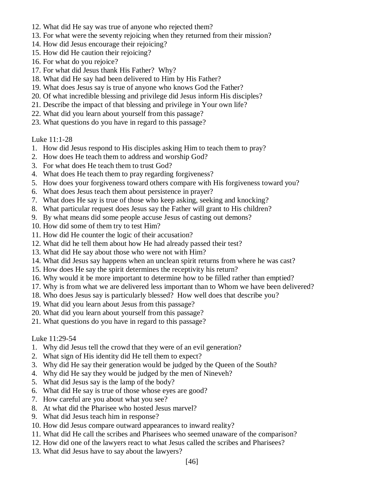- 12. What did He say was true of anyone who rejected them?
- 13. For what were the seventy rejoicing when they returned from their mission?
- 14. How did Jesus encourage their rejoicing?
- 15. How did He caution their rejoicing?
- 16. For what do you rejoice?
- 17. For what did Jesus thank His Father? Why?
- 18. What did He say had been delivered to Him by His Father?
- 19. What does Jesus say is true of anyone who knows God the Father?
- 20. Of what incredible blessing and privilege did Jesus inform His disciples?
- 21. Describe the impact of that blessing and privilege in Your own life?
- 22. What did you learn about yourself from this passage?
- 23. What questions do you have in regard to this passage?

Luke 11:1-28

- 1. How did Jesus respond to His disciples asking Him to teach them to pray?
- 2. How does He teach them to address and worship God?
- 3. For what does He teach them to trust God?
- 4. What does He teach them to pray regarding forgiveness?
- 5. How does your forgiveness toward others compare with His forgiveness toward you?
- 6. What does Jesus teach them about persistence in prayer?
- 7. What does He say is true of those who keep asking, seeking and knocking?
- 8. What particular request does Jesus say the Father will grant to His children?
- 9. By what means did some people accuse Jesus of casting out demons?
- 10. How did some of them try to test Him?
- 11. How did He counter the logic of their accusation?
- 12. What did he tell them about how He had already passed their test?
- 13. What did He say about those who were not with Him?
- 14. What did Jesus say happens when an unclean spirit returns from where he was cast?
- 15. How does He say the spirit determines the receptivity his return?
- 16. Why would it be more important to determine how to be filled rather than emptied?
- 17. Why is from what we are delivered less important than to Whom we have been delivered?
- 18. Who does Jesus say is particularly blessed? How well does that describe you?
- 19. What did you learn about Jesus from this passage?
- 20. What did you learn about yourself from this passage?
- 21. What questions do you have in regard to this passage?

## Luke 11:29-54

- 1. Why did Jesus tell the crowd that they were of an evil generation?
- 2. What sign of His identity did He tell them to expect?
- 3. Why did He say their generation would be judged by the Queen of the South?
- 4. Why did He say they would be judged by the men of Nineveh?
- 5. What did Jesus say is the lamp of the body?
- 6. What did He say is true of those whose eyes are good?
- 7. How careful are you about what you see?
- 8. At what did the Pharisee who hosted Jesus marvel?
- 9. What did Jesus teach him in response?
- 10. How did Jesus compare outward appearances to inward reality?
- 11. What did He call the scribes and Pharisees who seemed unaware of the comparison?
- 12. How did one of the lawyers react to what Jesus called the scribes and Pharisees?
- 13. What did Jesus have to say about the lawyers?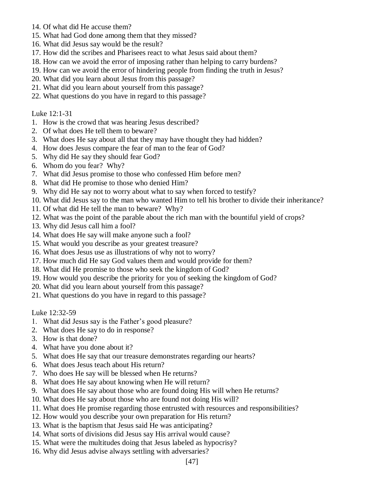- 14. Of what did He accuse them?
- 15. What had God done among them that they missed?
- 16. What did Jesus say would be the result?
- 17. How did the scribes and Pharisees react to what Jesus said about them?
- 18. How can we avoid the error of imposing rather than helping to carry burdens?
- 19. How can we avoid the error of hindering people from finding the truth in Jesus?
- 20. What did you learn about Jesus from this passage?
- 21. What did you learn about yourself from this passage?
- 22. What questions do you have in regard to this passage?

### Luke 12:1-31

- 1. How is the crowd that was hearing Jesus described?
- 2. Of what does He tell them to beware?
- 3. What does He say about all that they may have thought they had hidden?
- 4. How does Jesus compare the fear of man to the fear of God?
- 5. Why did He say they should fear God?
- 6. Whom do you fear? Why?
- 7. What did Jesus promise to those who confessed Him before men?
- 8. What did He promise to those who denied Him?
- 9. Why did He say not to worry about what to say when forced to testify?
- 10. What did Jesus say to the man who wanted Him to tell his brother to divide their inheritance?
- 11. Of what did He tell the man to beware? Why?
- 12. What was the point of the parable about the rich man with the bountiful yield of crops?
- 13. Why did Jesus call him a fool?
- 14. What does He say will make anyone such a fool?
- 15. What would you describe as your greatest treasure?
- 16. What does Jesus use as illustrations of why not to worry?
- 17. How much did He say God values them and would provide for them?
- 18. What did He promise to those who seek the kingdom of God?
- 19. How would you describe the priority for you of seeking the kingdom of God?
- 20. What did you learn about yourself from this passage?
- 21. What questions do you have in regard to this passage?

Luke 12:32-59

- 1. What did Jesus say is the Father's good pleasure?
- 2. What does He say to do in response?
- 3. How is that done?
- 4. What have you done about it?
- 5. What does He say that our treasure demonstrates regarding our hearts?
- 6. What does Jesus teach about His return?
- 7. Who does He say will be blessed when He returns?
- 8. What does He say about knowing when He will return?
- 9. What does He say about those who are found doing His will when He returns?
- 10. What does He say about those who are found not doing His will?
- 11. What does He promise regarding those entrusted with resources and responsibilities?
- 12. How would you describe your own preparation for His return?
- 13. What is the baptism that Jesus said He was anticipating?
- 14. What sorts of divisions did Jesus say His arrival would cause?
- 15. What were the multitudes doing that Jesus labeled as hypocrisy?
- 16. Why did Jesus advise always settling with adversaries?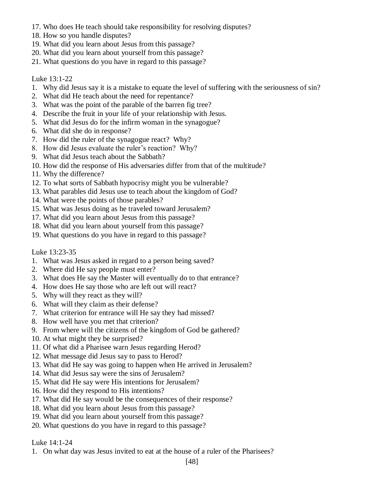- 17. Who does He teach should take responsibility for resolving disputes?
- 18. How so you handle disputes?
- 19. What did you learn about Jesus from this passage?
- 20. What did you learn about yourself from this passage?
- 21. What questions do you have in regard to this passage?

### Luke 13:1-22

- 1. Why did Jesus say it is a mistake to equate the level of suffering with the seriousness of sin?
- 2. What did He teach about the need for repentance?
- 3. What was the point of the parable of the barren fig tree?
- 4. Describe the fruit in your life of your relationship with Jesus.
- 5. What did Jesus do for the infirm woman in the synagogue?
- 6. What did she do in response?
- 7. How did the ruler of the synagogue react? Why?
- 8. How did Jesus evaluate the ruler's reaction? Why?
- 9. What did Jesus teach about the Sabbath?
- 10. How did the response of His adversaries differ from that of the multitude?
- 11. Why the difference?
- 12. To what sorts of Sabbath hypocrisy might you be vulnerable?
- 13. What parables did Jesus use to teach about the kingdom of God?
- 14. What were the points of those parables?
- 15. What was Jesus doing as he traveled toward Jerusalem?
- 17. What did you learn about Jesus from this passage?
- 18. What did you learn about yourself from this passage?
- 19. What questions do you have in regard to this passage?

#### Luke 13:23-35

- 1. What was Jesus asked in regard to a person being saved?
- 2. Where did He say people must enter?
- 3. What does He say the Master will eventually do to that entrance?
- 4. How does He say those who are left out will react?
- 5. Why will they react as they will?
- 6. What will they claim as their defense?
- 7. What criterion for entrance will He say they had missed?
- 8. How well have you met that criterion?
- 9. From where will the citizens of the kingdom of God be gathered?
- 10. At what might they be surprised?
- 11. Of what did a Pharisee warn Jesus regarding Herod?
- 12. What message did Jesus say to pass to Herod?
- 13. What did He say was going to happen when He arrived in Jerusalem?
- 14. What did Jesus say were the sins of Jerusalem?
- 15. What did He say were His intentions for Jerusalem?
- 16. How did they respond to His intentions?
- 17. What did He say would be the consequences of their response?
- 18. What did you learn about Jesus from this passage?
- 19. What did you learn about yourself from this passage?
- 20. What questions do you have in regard to this passage?

#### Luke 14:1-24

1. On what day was Jesus invited to eat at the house of a ruler of the Pharisees?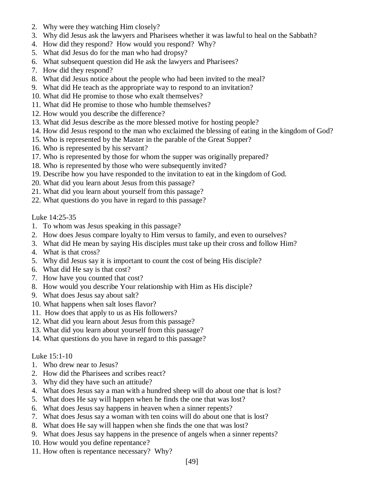- 2. Why were they watching Him closely?
- 3. Why did Jesus ask the lawyers and Pharisees whether it was lawful to heal on the Sabbath?
- 4. How did they respond? How would you respond? Why?
- 5. What did Jesus do for the man who had dropsy?
- 6. What subsequent question did He ask the lawyers and Pharisees?
- 7. How did they respond?
- 8. What did Jesus notice about the people who had been invited to the meal?
- 9. What did He teach as the appropriate way to respond to an invitation?
- 10. What did He promise to those who exalt themselves?
- 11. What did He promise to those who humble themselves?
- 12. How would you describe the difference?
- 13. What did Jesus describe as the more blessed motive for hosting people?
- 14. How did Jesus respond to the man who exclaimed the blessing of eating in the kingdom of God?
- 15. Who is represented by the Master in the parable of the Great Supper?
- 16. Who is represented by his servant?
- 17. Who is represented by those for whom the supper was originally prepared?
- 18. Who is represented by those who were subsequently invited?
- 19. Describe how you have responded to the invitation to eat in the kingdom of God.
- 20. What did you learn about Jesus from this passage?
- 21. What did you learn about yourself from this passage?
- 22. What questions do you have in regard to this passage?

### Luke 14:25-35

- 1. To whom was Jesus speaking in this passage?
- 2. How does Jesus compare loyalty to Him versus to family, and even to ourselves?
- 3. What did He mean by saying His disciples must take up their cross and follow Him?
- 4. What is that cross?
- 5. Why did Jesus say it is important to count the cost of being His disciple?
- 6. What did He say is that cost?
- 7. How have you counted that cost?
- 8. How would you describe Your relationship with Him as His disciple?
- 9. What does Jesus say about salt?
- 10. What happens when salt loses flavor?
- 11. How does that apply to us as His followers?
- 12. What did you learn about Jesus from this passage?
- 13. What did you learn about yourself from this passage?
- 14. What questions do you have in regard to this passage?

#### Luke 15:1-10

- 1. Who drew near to Jesus?
- 2. How did the Pharisees and scribes react?
- 3. Why did they have such an attitude?
- 4. What does Jesus say a man with a hundred sheep will do about one that is lost?
- 5. What does He say will happen when he finds the one that was lost?
- 6. What does Jesus say happens in heaven when a sinner repents?
- 7. What does Jesus say a woman with ten coins will do about one that is lost?
- 8. What does He say will happen when she finds the one that was lost?
- 9. What does Jesus say happens in the presence of angels when a sinner repents?
- 10. How would you define repentance?
- 11. How often is repentance necessary? Why?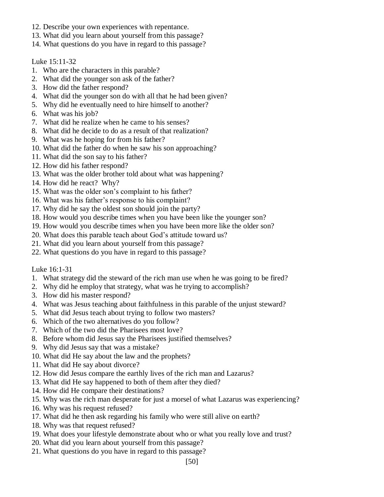- 12. Describe your own experiences with repentance.
- 13. What did you learn about yourself from this passage?
- 14. What questions do you have in regard to this passage?

## Luke 15:11-32

- 1. Who are the characters in this parable?
- 2. What did the younger son ask of the father?
- 3. How did the father respond?
- 4. What did the younger son do with all that he had been given?
- 5. Why did he eventually need to hire himself to another?
- 6. What was his job?
- 7. What did he realize when he came to his senses?
- 8. What did he decide to do as a result of that realization?
- 9. What was he hoping for from his father?
- 10. What did the father do when he saw his son approaching?
- 11. What did the son say to his father?
- 12. How did his father respond?
- 13. What was the older brother told about what was happening?
- 14. How did he react? Why?
- 15. What was the older son's complaint to his father?
- 16. What was his father's response to his complaint?
- 17. Why did he say the oldest son should join the party?
- 18. How would you describe times when you have been like the younger son?
- 19. How would you describe times when you have been more like the older son?
- 20. What does this parable teach about God's attitude toward us?
- 21. What did you learn about yourself from this passage?
- 22. What questions do you have in regard to this passage?

Luke 16:1-31

- 1. What strategy did the steward of the rich man use when he was going to be fired?
- 2. Why did he employ that strategy, what was he trying to accomplish?
- 3. How did his master respond?
- 4. What was Jesus teaching about faithfulness in this parable of the unjust steward?
- 5. What did Jesus teach about trying to follow two masters?
- 6. Which of the two alternatives do you follow?
- 7. Which of the two did the Pharisees most love?
- 8. Before whom did Jesus say the Pharisees justified themselves?
- 9. Why did Jesus say that was a mistake?
- 10. What did He say about the law and the prophets?
- 11. What did He say about divorce?
- 12. How did Jesus compare the earthly lives of the rich man and Lazarus?
- 13. What did He say happened to both of them after they died?
- 14. How did He compare their destinations?
- 15. Why was the rich man desperate for just a morsel of what Lazarus was experiencing?
- 16. Why was his request refused?
- 17. What did he then ask regarding his family who were still alive on earth?
- 18. Why was that request refused?
- 19. What does your lifestyle demonstrate about who or what you really love and trust?
- 20. What did you learn about yourself from this passage?
- 21. What questions do you have in regard to this passage?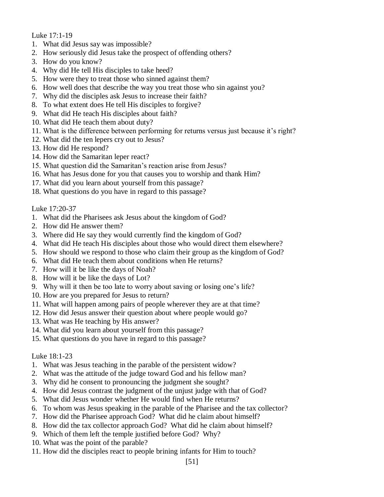Luke 17:1-19

- 1. What did Jesus say was impossible?
- 2. How seriously did Jesus take the prospect of offending others?
- 3. How do you know?
- 4. Why did He tell His disciples to take heed?
- 5. How were they to treat those who sinned against them?
- 6. How well does that describe the way you treat those who sin against you?
- 7. Why did the disciples ask Jesus to increase their faith?
- 8. To what extent does He tell His disciples to forgive?
- 9. What did He teach His disciples about faith?
- 10. What did He teach them about duty?
- 11. What is the difference between performing for returns versus just because it's right?
- 12. What did the ten lepers cry out to Jesus?
- 13. How did He respond?
- 14. How did the Samaritan leper react?
- 15. What question did the Samaritan's reaction arise from Jesus?
- 16. What has Jesus done for you that causes you to worship and thank Him?
- 17. What did you learn about yourself from this passage?
- 18. What questions do you have in regard to this passage?

Luke 17:20-37

- 1. What did the Pharisees ask Jesus about the kingdom of God?
- 2. How did He answer them?
- 3. Where did He say they would currently find the kingdom of God?
- 4. What did He teach His disciples about those who would direct them elsewhere?
- 5. How should we respond to those who claim their group as the kingdom of God?
- 6. What did He teach them about conditions when He returns?
- 7. How will it be like the days of Noah?
- 8. How will it be like the days of Lot?
- 9. Why will it then be too late to worry about saving or losing one's life?
- 10. How are you prepared for Jesus to return?
- 11. What will happen among pairs of people wherever they are at that time?
- 12. How did Jesus answer their question about where people would go?
- 13. What was He teaching by His answer?
- 14. What did you learn about yourself from this passage?
- 15. What questions do you have in regard to this passage?

Luke 18:1-23

- 1. What was Jesus teaching in the parable of the persistent widow?
- 2. What was the attitude of the judge toward God and his fellow man?
- 3. Why did he consent to pronouncing the judgment she sought?
- 4. How did Jesus contrast the judgment of the unjust judge with that of God?
- 5. What did Jesus wonder whether He would find when He returns?
- 6. To whom was Jesus speaking in the parable of the Pharisee and the tax collector?
- 7. How did the Pharisee approach God? What did he claim about himself?
- 8. How did the tax collector approach God? What did he claim about himself?
- 9. Which of them left the temple justified before God? Why?
- 10. What was the point of the parable?
- 11. How did the disciples react to people brining infants for Him to touch?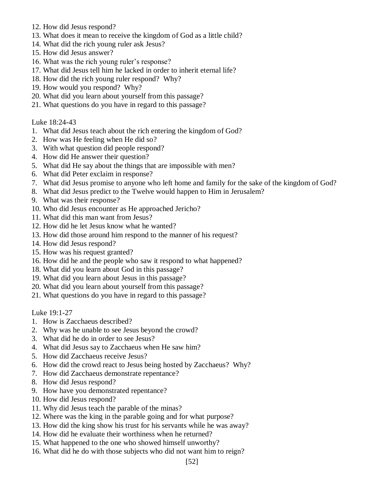- 12. How did Jesus respond?
- 13. What does it mean to receive the kingdom of God as a little child?
- 14. What did the rich young ruler ask Jesus?
- 15. How did Jesus answer?
- 16. What was the rich young ruler's response?
- 17. What did Jesus tell him he lacked in order to inherit eternal life?
- 18. How did the rich young ruler respond? Why?
- 19. How would you respond? Why?
- 20. What did you learn about yourself from this passage?
- 21. What questions do you have in regard to this passage?

#### Luke 18:24-43

- 1. What did Jesus teach about the rich entering the kingdom of God?
- 2. How was He feeling when He did so?
- 3. With what question did people respond?
- 4. How did He answer their question?
- 5. What did He say about the things that are impossible with men?
- 6. What did Peter exclaim in response?
- 7. What did Jesus promise to anyone who left home and family for the sake of the kingdom of God?
- 8. What did Jesus predict to the Twelve would happen to Him in Jerusalem?
- 9. What was their response?
- 10. Who did Jesus encounter as He approached Jericho?
- 11. What did this man want from Jesus?
- 12. How did he let Jesus know what he wanted?
- 13. How did those around him respond to the manner of his request?
- 14. How did Jesus respond?
- 15. How was his request granted?
- 16. How did he and the people who saw it respond to what happened?
- 18. What did you learn about God in this passage?
- 19. What did you learn about Jesus in this passage?
- 20. What did you learn about yourself from this passage?
- 21. What questions do you have in regard to this passage?

#### Luke 19:1-27

- 1. How is Zacchaeus described?
- 2. Why was he unable to see Jesus beyond the crowd?
- 3. What did he do in order to see Jesus?
- 4. What did Jesus say to Zacchaeus when He saw him?
- 5. How did Zacchaeus receive Jesus?
- 6. How did the crowd react to Jesus being hosted by Zacchaeus? Why?
- 7. How did Zacchaeus demonstrate repentance?
- 8. How did Jesus respond?
- 9. How have you demonstrated repentance?
- 10. How did Jesus respond?
- 11. Why did Jesus teach the parable of the minas?
- 12. Where was the king in the parable going and for what purpose?
- 13. How did the king show his trust for his servants while he was away?
- 14. How did he evaluate their worthiness when he returned?
- 15. What happened to the one who showed himself unworthy?
- 16. What did he do with those subjects who did not want him to reign?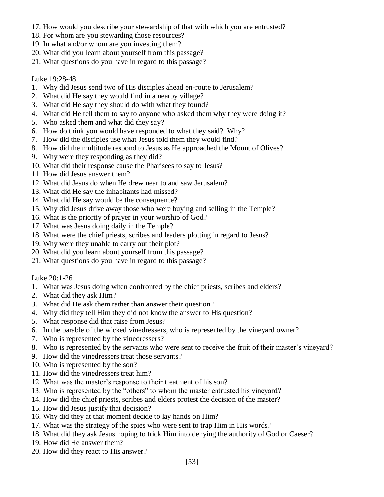- 17. How would you describe your stewardship of that with which you are entrusted?
- 18. For whom are you stewarding those resources?
- 19. In what and/or whom are you investing them?
- 20. What did you learn about yourself from this passage?
- 21. What questions do you have in regard to this passage?

### Luke 19:28-48

- 1. Why did Jesus send two of His disciples ahead en-route to Jerusalem?
- 2. What did He say they would find in a nearby village?
- 3. What did He say they should do with what they found?
- 4. What did He tell them to say to anyone who asked them why they were doing it?
- 5. Who asked them and what did they say?
- 6. How do think you would have responded to what they said? Why?
- 7. How did the disciples use what Jesus told them they would find?
- 8. How did the multitude respond to Jesus as He approached the Mount of Olives?
- 9. Why were they responding as they did?
- 10. What did their response cause the Pharisees to say to Jesus?
- 11. How did Jesus answer them?
- 12. What did Jesus do when He drew near to and saw Jerusalem?
- 13. What did He say the inhabitants had missed?
- 14. What did He say would be the consequence?
- 15. Why did Jesus drive away those who were buying and selling in the Temple?
- 16. What is the priority of prayer in your worship of God?
- 17. What was Jesus doing daily in the Temple?
- 18. What were the chief priests, scribes and leaders plotting in regard to Jesus?
- 19. Why were they unable to carry out their plot?
- 20. What did you learn about yourself from this passage?
- 21. What questions do you have in regard to this passage?

## Luke 20:1-26

- 1. What was Jesus doing when confronted by the chief priests, scribes and elders?
- 2. What did they ask Him?
- 3. What did He ask them rather than answer their question?
- 4. Why did they tell Him they did not know the answer to His question?
- 5. What response did that raise from Jesus?
- 6. In the parable of the wicked vinedressers, who is represented by the vineyard owner?
- 7. Who is represented by the vinedressers?
- 8. Who is represented by the servants who were sent to receive the fruit of their master's vineyard?
- 9. How did the vinedressers treat those servants?
- 10. Who is represented by the son?
- 11. How did the vinedressers treat him?
- 12. What was the master's response to their treatment of his son?
- 13. Who is represented by the "others" to whom the master entrusted his vineyard?
- 14. How did the chief priests, scribes and elders protest the decision of the master?
- 15. How did Jesus justify that decision?
- 16. Why did they at that moment decide to lay hands on Him?
- 17. What was the strategy of the spies who were sent to trap Him in His words?
- 18. What did they ask Jesus hoping to trick Him into denying the authority of God or Caeser?
- 19. How did He answer them?
- 20. How did they react to His answer?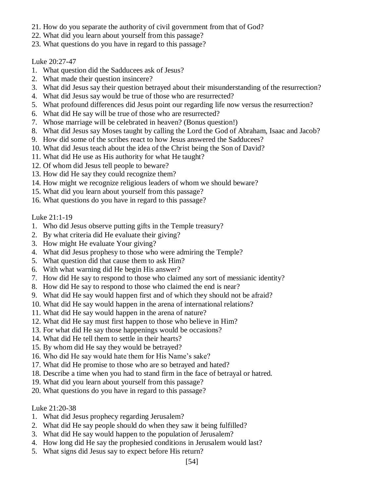- 21. How do you separate the authority of civil government from that of God?
- 22. What did you learn about yourself from this passage?
- 23. What questions do you have in regard to this passage?

### Luke 20:27-47

- 1. What question did the Sadducees ask of Jesus?
- 2. What made their question insincere?
- 3. What did Jesus say their question betrayed about their misunderstanding of the resurrection?
- 4. What did Jesus say would be true of those who are resurrected?
- 5. What profound differences did Jesus point our regarding life now versus the resurrection?
- 6. What did He say will be true of those who are resurrected?
- 7. Whose marriage will be celebrated in heaven? (Bonus question!)
- 8. What did Jesus say Moses taught by calling the Lord the God of Abraham, Isaac and Jacob?
- 9. How did some of the scribes react to how Jesus answered the Sadducees?
- 10. What did Jesus teach about the idea of the Christ being the Son of David?
- 11. What did He use as His authority for what He taught?
- 12. Of whom did Jesus tell people to beware?
- 13. How did He say they could recognize them?
- 14. How might we recognize religious leaders of whom we should beware?
- 15. What did you learn about yourself from this passage?
- 16. What questions do you have in regard to this passage?

### Luke 21:1-19

- 1. Who did Jesus observe putting gifts in the Temple treasury?
- 2. By what criteria did He evaluate their giving?
- 3. How might He evaluate Your giving?
- 4. What did Jesus prophesy to those who were admiring the Temple?
- 5. What question did that cause them to ask Him?
- 6. With what warning did He begin His answer?
- 7. How did He say to respond to those who claimed any sort of messianic identity?
- 8. How did He say to respond to those who claimed the end is near?
- 9. What did He say would happen first and of which they should not be afraid?
- 10. What did He say would happen in the arena of international relations?
- 11. What did He say would happen in the arena of nature?
- 12. What did He say must first happen to those who believe in Him?
- 13. For what did He say those happenings would be occasions?
- 14. What did He tell them to settle in their hearts?
- 15. By whom did He say they would be betrayed?
- 16. Who did He say would hate them for His Name's sake?
- 17. What did He promise to those who are so betrayed and hated?
- 18. Describe a time when you had to stand firm in the face of betrayal or hatred.
- 19. What did you learn about yourself from this passage?
- 20. What questions do you have in regard to this passage?

## Luke 21:20-38

- 1. What did Jesus prophecy regarding Jerusalem?
- 2. What did He say people should do when they saw it being fulfilled?
- 3. What did He say would happen to the population of Jerusalem?
- 4. How long did He say the prophesied conditions in Jerusalem would last?
- 5. What signs did Jesus say to expect before His return?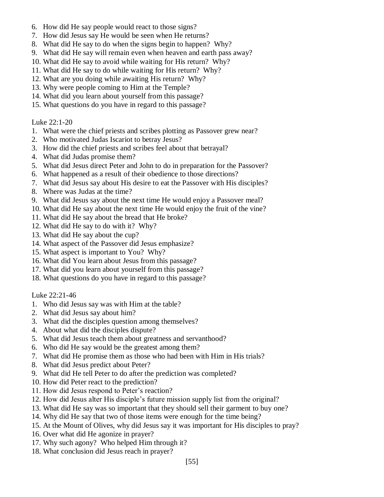- 6. How did He say people would react to those signs?
- 7. How did Jesus say He would be seen when He returns?
- 8. What did He say to do when the signs begin to happen? Why?
- 9. What did He say will remain even when heaven and earth pass away?
- 10. What did He say to avoid while waiting for His return? Why?
- 11. What did He say to do while waiting for His return? Why?
- 12. What are you doing while awaiting His return? Why?
- 13. Why were people coming to Him at the Temple?
- 14. What did you learn about yourself from this passage?
- 15. What questions do you have in regard to this passage?

# Luke 22:1-20

- 1. What were the chief priests and scribes plotting as Passover grew near?
- 2. Who motivated Judas Iscariot to betray Jesus?
- 3. How did the chief priests and scribes feel about that betrayal?
- 4. What did Judas promise them?
- 5. What did Jesus direct Peter and John to do in preparation for the Passover?
- 6. What happened as a result of their obedience to those directions?
- 7. What did Jesus say about His desire to eat the Passover with His disciples?
- 8. Where was Judas at the time?
- 9. What did Jesus say about the next time He would enjoy a Passover meal?
- 10. What did He say about the next time He would enjoy the fruit of the vine?
- 11. What did He say about the bread that He broke?
- 12. What did He say to do with it? Why?
- 13. What did He say about the cup?
- 14. What aspect of the Passover did Jesus emphasize?
- 15. What aspect is important to You? Why?
- 16. What did You learn about Jesus from this passage?
- 17. What did you learn about yourself from this passage?
- 18. What questions do you have in regard to this passage?

# Luke 22:21-46

- 1. Who did Jesus say was with Him at the table?
- 2. What did Jesus say about him?
- 3. What did the disciples question among themselves?
- 4. About what did the disciples dispute?
- 5. What did Jesus teach them about greatness and servanthood?
- 6. Who did He say would be the greatest among them?
- 7. What did He promise them as those who had been with Him in His trials?
- 8. What did Jesus predict about Peter?
- 9. What did He tell Peter to do after the prediction was completed?
- 10. How did Peter react to the prediction?
- 11. How did Jesus respond to Peter's reaction?
- 12. How did Jesus alter His disciple's future mission supply list from the original?
- 13. What did He say was so important that they should sell their garment to buy one?
- 14. Why did He say that two of those items were enough for the time being?
- 15. At the Mount of Olives, why did Jesus say it was important for His disciples to pray?
- 16. Over what did He agonize in prayer?
- 17. Why such agony? Who helped Him through it?
- 18. What conclusion did Jesus reach in prayer?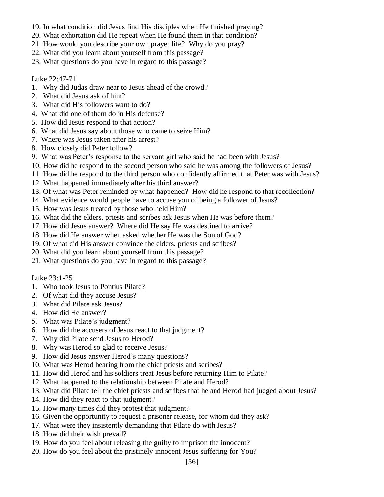- 19. In what condition did Jesus find His disciples when He finished praying?
- 20. What exhortation did He repeat when He found them in that condition?
- 21. How would you describe your own prayer life? Why do you pray?
- 22. What did you learn about yourself from this passage?
- 23. What questions do you have in regard to this passage?

## Luke 22:47-71

- 1. Why did Judas draw near to Jesus ahead of the crowd?
- 2. What did Jesus ask of him?
- 3. What did His followers want to do?
- 4. What did one of them do in His defense?
- 5. How did Jesus respond to that action?
- 6. What did Jesus say about those who came to seize Him?
- 7. Where was Jesus taken after his arrest?
- 8. How closely did Peter follow?
- 9. What was Peter's response to the servant girl who said he had been with Jesus?
- 10. How did he respond to the second person who said he was among the followers of Jesus?
- 11. How did he respond to the third person who confidently affirmed that Peter was with Jesus?
- 12. What happened immediately after his third answer?
- 13. Of what was Peter reminded by what happened? How did he respond to that recollection?
- 14. What evidence would people have to accuse you of being a follower of Jesus?
- 15. How was Jesus treated by those who held Him?
- 16. What did the elders, priests and scribes ask Jesus when He was before them?
- 17. How did Jesus answer? Where did He say He was destined to arrive?
- 18. How did He answer when asked whether He was the Son of God?
- 19. Of what did His answer convince the elders, priests and scribes?
- 20. What did you learn about yourself from this passage?
- 21. What questions do you have in regard to this passage?

## Luke 23:1-25

- 1. Who took Jesus to Pontius Pilate?
- 2. Of what did they accuse Jesus?
- 3. What did Pilate ask Jesus?
- 4. How did He answer?
- 5. What was Pilate's judgment?
- 6. How did the accusers of Jesus react to that judgment?
- 7. Why did Pilate send Jesus to Herod?
- 8. Why was Herod so glad to receive Jesus?
- 9. How did Jesus answer Herod's many questions?
- 10. What was Herod hearing from the chief priests and scribes?
- 11. How did Herod and his soldiers treat Jesus before returning Him to Pilate?
- 12. What happened to the relationship between Pilate and Herod?
- 13. What did Pilate tell the chief priests and scribes that he and Herod had judged about Jesus?
- 14. How did they react to that judgment?
- 15. How many times did they protest that judgment?
- 16. Given the opportunity to request a prisoner release, for whom did they ask?
- 17. What were they insistently demanding that Pilate do with Jesus?
- 18. How did their wish prevail?
- 19. How do you feel about releasing the guilty to imprison the innocent?
- 20. How do you feel about the pristinely innocent Jesus suffering for You?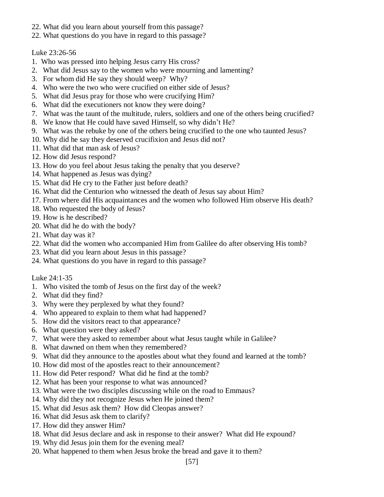- 22. What did you learn about yourself from this passage?
- 22. What questions do you have in regard to this passage?

## Luke 23:26-56

- 1. Who was pressed into helping Jesus carry His cross?
- 2. What did Jesus say to the women who were mourning and lamenting?
- 3. For whom did He say they should weep? Why?
- 4. Who were the two who were crucified on either side of Jesus?
- 5. What did Jesus pray for those who were crucifying Him?
- 6. What did the executioners not know they were doing?
- 7. What was the taunt of the multitude, rulers, soldiers and one of the others being crucified?
- 8. We know that He could have saved Himself, so why didn't He?
- 9. What was the rebuke by one of the others being crucified to the one who taunted Jesus?
- 10. Why did he say they deserved crucifixion and Jesus did not?
- 11. What did that man ask of Jesus?
- 12. How did Jesus respond?
- 13. How do you feel about Jesus taking the penalty that you deserve?
- 14. What happened as Jesus was dying?
- 15. What did He cry to the Father just before death?
- 16. What did the Centurion who witnessed the death of Jesus say about Him?
- 17. From where did His acquaintances and the women who followed Him observe His death?
- 18. Who requested the body of Jesus?
- 19. How is he described?
- 20. What did he do with the body?
- 21. What day was it?
- 22. What did the women who accompanied Him from Galilee do after observing His tomb?
- 23. What did you learn about Jesus in this passage?
- 24. What questions do you have in regard to this passage?

## Luke 24:1-35

- 1. Who visited the tomb of Jesus on the first day of the week?
- 2. What did they find?
- 3. Why were they perplexed by what they found?
- 4. Who appeared to explain to them what had happened?
- 5. How did the visitors react to that appearance?
- 6. What question were they asked?
- 7. What were they asked to remember about what Jesus taught while in Galilee?
- 8. What dawned on them when they remembered?
- 9. What did they announce to the apostles about what they found and learned at the tomb?
- 10. How did most of the apostles react to their announcement?
- 11. How did Peter respond? What did he find at the tomb?
- 12. What has been your response to what was announced?
- 13. What were the two disciples discussing while on the road to Emmaus?
- 14. Why did they not recognize Jesus when He joined them?
- 15. What did Jesus ask them? How did Cleopas answer?
- 16. What did Jesus ask them to clarify?
- 17. How did they answer Him?
- 18. What did Jesus declare and ask in response to their answer? What did He expound?
- 19. Why did Jesus join them for the evening meal?
- 20. What happened to them when Jesus broke the bread and gave it to them?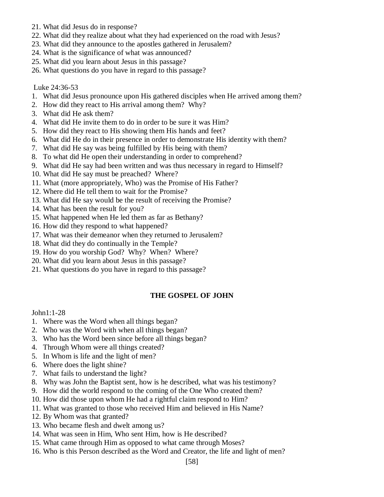- 21. What did Jesus do in response?
- 22. What did they realize about what they had experienced on the road with Jesus?
- 23. What did they announce to the apostles gathered in Jerusalem?
- 24. What is the significance of what was announced?
- 25. What did you learn about Jesus in this passage?
- 26. What questions do you have in regard to this passage?

#### Luke 24:36-53

- 1. What did Jesus pronounce upon His gathered disciples when He arrived among them?
- 2. How did they react to His arrival among them? Why?
- 3. What did He ask them?
- 4. What did He invite them to do in order to be sure it was Him?
- 5. How did they react to His showing them His hands and feet?
- 6. What did He do in their presence in order to demonstrate His identity with them?
- 7. What did He say was being fulfilled by His being with them?
- 8. To what did He open their understanding in order to comprehend?
- 9. What did He say had been written and was thus necessary in regard to Himself?
- 10. What did He say must be preached? Where?
- 11. What (more appropriately, Who) was the Promise of His Father?
- 12. Where did He tell them to wait for the Promise?
- 13. What did He say would be the result of receiving the Promise?
- 14. What has been the result for you?
- 15. What happened when He led them as far as Bethany?
- 16. How did they respond to what happened?
- 17. What was their demeanor when they returned to Jerusalem?
- 18. What did they do continually in the Temple?
- 19. How do you worship God? Why? When? Where?
- 20. What did you learn about Jesus in this passage?
- 21. What questions do you have in regard to this passage?

#### **THE GOSPEL OF JOHN**

#### John1:1-28

- 1. Where was the Word when all things began?
- 2. Who was the Word with when all things began?
- 3. Who has the Word been since before all things began?
- 4. Through Whom were all things created?
- 5. In Whom is life and the light of men?
- 6. Where does the light shine?
- 7. What fails to understand the light?
- 8. Why was John the Baptist sent, how is he described, what was his testimony?
- 9. How did the world respond to the coming of the One Who created them?
- 10. How did those upon whom He had a rightful claim respond to Him?
- 11. What was granted to those who received Him and believed in His Name?
- 12. By Whom was that granted?
- 13. Who became flesh and dwelt among us?
- 14. What was seen in Him, Who sent Him, how is He described?
- 15. What came through Him as opposed to what came through Moses?
- 16. Who is this Person described as the Word and Creator, the life and light of men?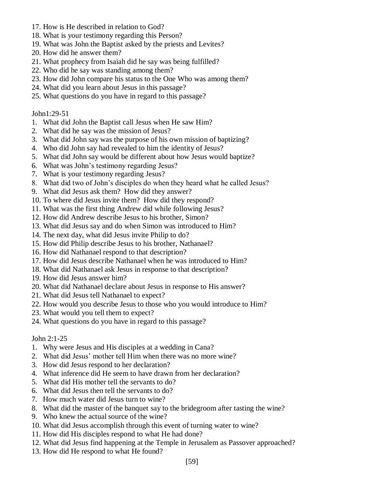- 17. How is He described in relation to God?
- 18. What is your testimony regarding this Person?
- 19. What was John the Baptist asked by the priests and Levites?
- 20. How did he answer them?
- 21. What prophecy from Isaiah did he say was being fulfilled?
- 22. Who did he say was standing among them?
- 23. How did John compare his status to the One Who was among them?
- 24. What did you learn about Jesus in this passage?
- 25. What questions do you have in regard to this passage?

### John1:29-51

- 1. What did John the Baptist call Jesus when He saw Him?
- 2. What did he say was the mission of Jesus?
- 3. What did John say was the purpose of his own mission of baptizing?
- 4. Who did John say had revealed to him the identity of Jesus?
- 5. What did John say would be different about how Jesus would baptize?
- 6. What was John's testimony regarding Jesus?
- 7. What is your testimony regarding Jesus?
- 8. What did two of John's disciples do when they heard what he called Jesus?
- 9. What did Jesus ask them? How did they answer?
- 10. To where did Jesus invite them? How did they respond?
- 11. What was the first thing Andrew did while following Jesus?
- 12. How did Andrew describe Jesus to his brother, Simon?
- 13. What did Jesus say and do when Simon was introduced to Him?
- 14. The next day, what did Jesus invite Philip to do?
- 15. How did Philip describe Jesus to his brother, Nathanael?
- 16. How did Nathanael respond to that description?
- 17. How did Jesus describe Nathanael when he was introduced to Him?
- 18. What did Nathanael ask Jesus in response to that description?
- 19. How did Jesus answer him?
- 20. What did Nathanael declare about Jesus in response to His answer?
- 21. What did Jesus tell Nathanael to expect?
- 22. How would you describe Jesus to those who you would introduce to Him?
- 23. What would you tell them to expect?
- 24. What questions do you have in regard to this passage?

## John 2:1-25

- 1. Why were Jesus and His disciples at a wedding in Cana?
- 2. What did Jesus' mother tell Him when there was no more wine?
- 3. How did Jesus respond to her declaration?
- 4. What inference did He seem to have drawn from her declaration?
- 5. What did His mother tell the servants to do?
- 6. What did Jesus then tell the servants to do?
- 7. How much water did Jesus turn to wine?
- 8. What did the master of the banquet say to the bridegroom after tasting the wine?
- 9. Who knew the actual source of the wine?
- 10. What did Jesus accomplish through this event of turning water to wine?
- 11. How did His disciples respond to what He had done?
- 12. What did Jesus find happening at the Temple in Jerusalem as Passover approached?
- 13. How did He respond to what He found?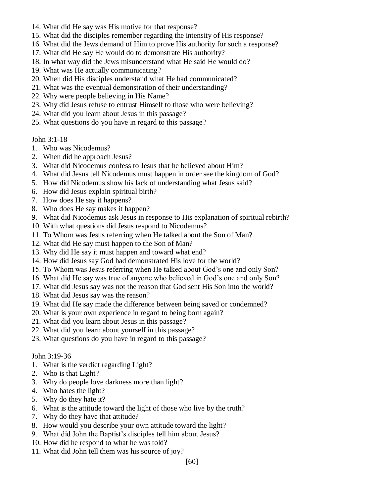- 14. What did He say was His motive for that response?
- 15. What did the disciples remember regarding the intensity of His response?
- 16. What did the Jews demand of Him to prove His authority for such a response?
- 17. What did He say He would do to demonstrate His authority?
- 18. In what way did the Jews misunderstand what He said He would do?
- 19. What was He actually communicating?
- 20. When did His disciples understand what He had communicated?
- 21. What was the eventual demonstration of their understanding?
- 22. Why were people believing in His Name?
- 23. Why did Jesus refuse to entrust Himself to those who were believing?
- 24. What did you learn about Jesus in this passage?
- 25. What questions do you have in regard to this passage?

### John 3:1-18

- 1. Who was Nicodemus?
- 2. When did he approach Jesus?
- 3. What did Nicodemus confess to Jesus that he believed about Him?
- 4. What did Jesus tell Nicodemus must happen in order see the kingdom of God?
- 5. How did Nicodemus show his lack of understanding what Jesus said?
- 6. How did Jesus explain spiritual birth?
- 7. How does He say it happens?
- 8. Who does He say makes it happen?
- 9. What did Nicodemus ask Jesus in response to His explanation of spiritual rebirth?
- 10. With what questions did Jesus respond to Nicodemus?
- 11. To Whom was Jesus referring when He talked about the Son of Man?
- 12. What did He say must happen to the Son of Man?
- 13. Why did He say it must happen and toward what end?
- 14. How did Jesus say God had demonstrated His love for the world?
- 15. To Whom was Jesus referring when He talked about God's one and only Son?
- 16. What did He say was true of anyone who believed in God's one and only Son?
- 17. What did Jesus say was not the reason that God sent His Son into the world?
- 18. What did Jesus say was the reason?
- 19. What did He say made the difference between being saved or condemned?
- 20. What is your own experience in regard to being born again?
- 21. What did you learn about Jesus in this passage?
- 22. What did you learn about yourself in this passage?
- 23. What questions do you have in regard to this passage?

## John 3:19-36

- 1. What is the verdict regarding Light?
- 2. Who is that Light?
- 3. Why do people love darkness more than light?
- 4. Who hates the light?
- 5. Why do they hate it?
- 6. What is the attitude toward the light of those who live by the truth?
- 7. Why do they have that attitude?
- 8. How would you describe your own attitude toward the light?
- 9. What did John the Baptist's disciples tell him about Jesus?
- 10. How did he respond to what he was told?
- 11. What did John tell them was his source of joy?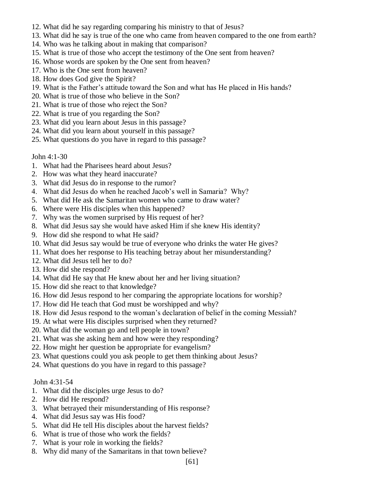- 12. What did he say regarding comparing his ministry to that of Jesus?
- 13. What did he say is true of the one who came from heaven compared to the one from earth?
- 14. Who was he talking about in making that comparison?
- 15. What is true of those who accept the testimony of the One sent from heaven?
- 16. Whose words are spoken by the One sent from heaven?
- 17. Who is the One sent from heaven?
- 18. How does God give the Spirit?
- 19. What is the Father's attitude toward the Son and what has He placed in His hands?
- 20. What is true of those who believe in the Son?
- 21. What is true of those who reject the Son?
- 22. What is true of you regarding the Son?
- 23. What did you learn about Jesus in this passage?
- 24. What did you learn about yourself in this passage?
- 25. What questions do you have in regard to this passage?

## John 4:1-30

- 1. What had the Pharisees heard about Jesus?
- 2. How was what they heard inaccurate?
- 3. What did Jesus do in response to the rumor?
- 4. What did Jesus do when he reached Jacob's well in Samaria? Why?
- 5. What did He ask the Samaritan women who came to draw water?
- 6. Where were His disciples when this happened?
- 7. Why was the women surprised by His request of her?
- 8. What did Jesus say she would have asked Him if she knew His identity?
- 9. How did she respond to what He said?
- 10. What did Jesus say would be true of everyone who drinks the water He gives?
- 11. What does her response to His teaching betray about her misunderstanding?
- 12. What did Jesus tell her to do?
- 13. How did she respond?
- 14. What did He say that He knew about her and her living situation?
- 15. How did she react to that knowledge?
- 16. How did Jesus respond to her comparing the appropriate locations for worship?
- 17. How did He teach that God must be worshipped and why?
- 18. How did Jesus respond to the woman's declaration of belief in the coming Messiah?
- 19. At what were His disciples surprised when they returned?
- 20. What did the woman go and tell people in town?
- 21. What was she asking hem and how were they responding?
- 22. How might her question be appropriate for evangelism?
- 23. What questions could you ask people to get them thinking about Jesus?
- 24. What questions do you have in regard to this passage?

## John 4:31-54

- 1. What did the disciples urge Jesus to do?
- 2. How did He respond?
- 3. What betrayed their misunderstanding of His response?
- 4. What did Jesus say was His food?
- 5. What did He tell His disciples about the harvest fields?
- 6. What is true of those who work the fields?
- 7. What is your role in working the fields?
- 8. Why did many of the Samaritans in that town believe?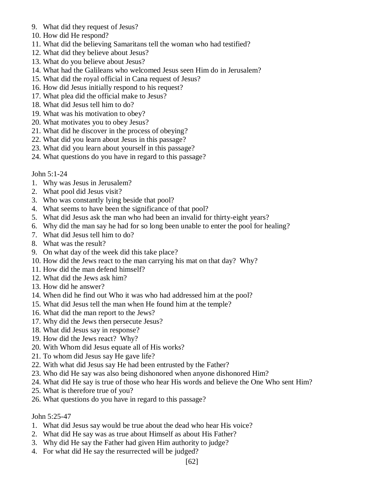- 9. What did they request of Jesus?
- 10. How did He respond?
- 11. What did the believing Samaritans tell the woman who had testified?
- 12. What did they believe about Jesus?
- 13. What do you believe about Jesus?
- 14. What had the Galileans who welcomed Jesus seen Him do in Jerusalem?
- 15. What did the royal official in Cana request of Jesus?
- 16. How did Jesus initially respond to his request?
- 17. What plea did the official make to Jesus?
- 18. What did Jesus tell him to do?
- 19. What was his motivation to obey?
- 20. What motivates you to obey Jesus?
- 21. What did he discover in the process of obeying?
- 22. What did you learn about Jesus in this passage?
- 23. What did you learn about yourself in this passage?
- 24. What questions do you have in regard to this passage?

### John 5:1-24

- 1. Why was Jesus in Jerusalem?
- 2. What pool did Jesus visit?
- 3. Who was constantly lying beside that pool?
- 4. What seems to have been the significance of that pool?
- 5. What did Jesus ask the man who had been an invalid for thirty-eight years?
- 6. Why did the man say he had for so long been unable to enter the pool for healing?
- 7. What did Jesus tell him to do?
- 8. What was the result?
- 9. On what day of the week did this take place?
- 10. How did the Jews react to the man carrying his mat on that day? Why?
- 11. How did the man defend himself?
- 12. What did the Jews ask him?
- 13. How did he answer?
- 14. When did he find out Who it was who had addressed him at the pool?
- 15. What did Jesus tell the man when He found him at the temple?
- 16. What did the man report to the Jews?
- 17. Why did the Jews then persecute Jesus?
- 18. What did Jesus say in response?
- 19. How did the Jews react? Why?
- 20. With Whom did Jesus equate all of His works?
- 21. To whom did Jesus say He gave life?
- 22. With what did Jesus say He had been entrusted by the Father?
- 23. Who did He say was also being dishonored when anyone dishonored Him?
- 24. What did He say is true of those who hear His words and believe the One Who sent Him?
- 25. What is therefore true of you?
- 26. What questions do you have in regard to this passage?

#### John 5:25-47

- 1. What did Jesus say would be true about the dead who hear His voice?
- 2. What did He say was as true about Himself as about His Father?
- 3. Why did He say the Father had given Him authority to judge?
- 4. For what did He say the resurrected will be judged?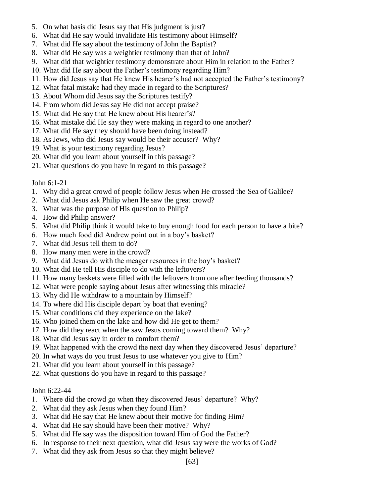- 5. On what basis did Jesus say that His judgment is just?
- 6. What did He say would invalidate His testimony about Himself?
- 7. What did He say about the testimony of John the Baptist?
- 8. What did He say was a weightier testimony than that of John?
- 9. What did that weightier testimony demonstrate about Him in relation to the Father?
- 10. What did He say about the Father's testimony regarding Him?
- 11. How did Jesus say that He knew His hearer's had not accepted the Father's testimony?
- 12. What fatal mistake had they made in regard to the Scriptures?
- 13. About Whom did Jesus say the Scriptures testify?
- 14. From whom did Jesus say He did not accept praise?
- 15. What did He say that He knew about His hearer's?
- 16. What mistake did He say they were making in regard to one another?
- 17. What did He say they should have been doing instead?
- 18. As Jews, who did Jesus say would be their accuser? Why?
- 19. What is your testimony regarding Jesus?
- 20. What did you learn about yourself in this passage?
- 21. What questions do you have in regard to this passage?

# John 6:1-21

- 1. Why did a great crowd of people follow Jesus when He crossed the Sea of Galilee?
- 2. What did Jesus ask Philip when He saw the great crowd?
- 3. What was the purpose of His question to Philip?
- 4. How did Philip answer?
- 5. What did Philip think it would take to buy enough food for each person to have a bite?
- 6. How much food did Andrew point out in a boy's basket?
- 7. What did Jesus tell them to do?
- 8. How many men were in the crowd?
- 9. What did Jesus do with the meager resources in the boy's basket?
- 10. What did He tell His disciple to do with the leftovers?
- 11. How many baskets were filled with the leftovers from one after feeding thousands?
- 12. What were people saying about Jesus after witnessing this miracle?
- 13. Why did He withdraw to a mountain by Himself?
- 14. To where did His disciple depart by boat that evening?
- 15. What conditions did they experience on the lake?
- 16. Who joined them on the lake and how did He get to them?
- 17. How did they react when the saw Jesus coming toward them? Why?
- 18. What did Jesus say in order to comfort them?
- 19. What happened with the crowd the next day when they discovered Jesus' departure?
- 20. In what ways do you trust Jesus to use whatever you give to Him?
- 21. What did you learn about yourself in this passage?
- 22. What questions do you have in regard to this passage?

## John 6:22-44

- 1. Where did the crowd go when they discovered Jesus' departure? Why?
- 2. What did they ask Jesus when they found Him?
- 3. What did He say that He knew about their motive for finding Him?
- 4. What did He say should have been their motive? Why?
- 5. What did He say was the disposition toward Him of God the Father?
- 6. In response to their next question, what did Jesus say were the works of God?
- 7. What did they ask from Jesus so that they might believe?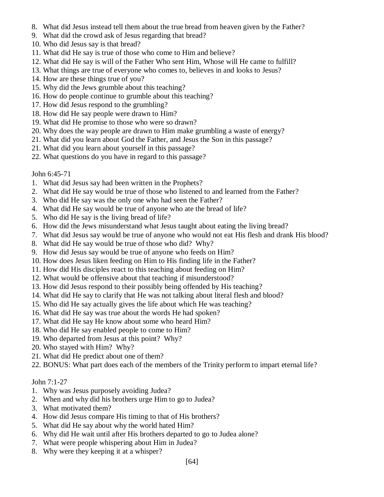- 8. What did Jesus instead tell them about the true bread from heaven given by the Father?
- 9. What did the crowd ask of Jesus regarding that bread?
- 10. Who did Jesus say is that bread?
- 11. What did He say is true of those who come to Him and believe?
- 12. What did He say is will of the Father Who sent Him, Whose will He came to fulfill?
- 13. What things are true of everyone who comes to, believes in and looks to Jesus?
- 14. How are these things true of you?
- 15. Why did the Jews grumble about this teaching?
- 16. How do people continue to grumble about this teaching?
- 17. How did Jesus respond to the grumbling?
- 18. How did He say people were drawn to Him?
- 19. What did He promise to those who were so drawn?
- 20. Why does the way people are drawn to Him make grumbling a waste of energy?
- 21. What did you learn about God the Father, and Jesus the Son in this passage?
- 21. What did you learn about yourself in this passage?
- 22. What questions do you have in regard to this passage?

### John 6:45-71

- 1. What did Jesus say had been written in the Prophets?
- 2. What did He say would be true of those who listened to and learned from the Father?
- 3. Who did He say was the only one who had seen the Father?
- 4. What did He say would be true of anyone who ate the bread of life?
- 5. Who did He say is the living bread of life?
- 6. How did the Jews misunderstand what Jesus taught about eating the living bread?
- 7. What did Jesus say would be true of anyone who would not eat His flesh and drank His blood?
- 8. What did He say would be true of those who did? Why?
- 9. How did Jesus say would be true of anyone who feeds on Him?
- 10. How does Jesus liken feeding on Him to His finding life in the Father?
- 11. How did His disciples react to this teaching about feeding on Him?
- 12. What would be offensive about that teaching if misunderstood?
- 13. How did Jesus respond to their possibly being offended by His teaching?
- 14. What did He say to clarify that He was not talking about literal flesh and blood?
- 15. Who did He say actually gives the life about which He was teaching?
- 16. What did He say was true about the words He had spoken?
- 17. What did He say He know about some who heard Him?
- 18. Who did He say enabled people to come to Him?
- 19. Who departed from Jesus at this point? Why?
- 20. Who stayed with Him? Why?
- 21. What did He predict about one of them?
- 22. BONUS: What part does each of the members of the Trinity perform to impart eternal life?

## John 7:1-27

- 1. Why was Jesus purposely avoiding Judea?
- 2. When and why did his brothers urge Him to go to Judea?
- 3. What motivated them?
- 4. How did Jesus compare His timing to that of His brothers?
- 5. What did He say about why the world hated Him?
- 6. Why did He wait until after His brothers departed to go to Judea alone?
- 7. What were people whispering about Him in Judea?
- 8. Why were they keeping it at a whisper?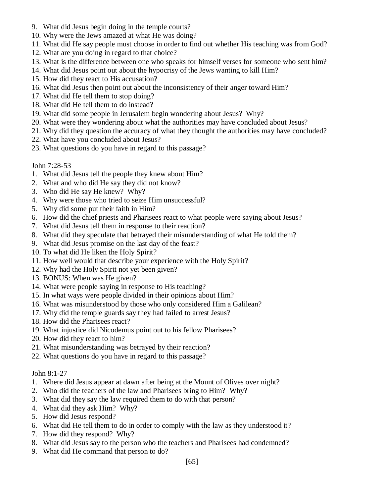- 9. What did Jesus begin doing in the temple courts?
- 10. Why were the Jews amazed at what He was doing?
- 11. What did He say people must choose in order to find out whether His teaching was from God?
- 12. What are you doing in regard to that choice?
- 13. What is the difference between one who speaks for himself verses for someone who sent him?
- 14. What did Jesus point out about the hypocrisy of the Jews wanting to kill Him?
- 15. How did they react to His accusation?
- 16. What did Jesus then point out about the inconsistency of their anger toward Him?
- 17. What did He tell them to stop doing?
- 18. What did He tell them to do instead?
- 19. What did some people in Jerusalem begin wondering about Jesus? Why?
- 20. What were they wondering about what the authorities may have concluded about Jesus?
- 21. Why did they question the accuracy of what they thought the authorities may have concluded?
- 22. What have you concluded about Jesus?
- 23. What questions do you have in regard to this passage?

# John 7:28-53

- 1. What did Jesus tell the people they knew about Him?
- 2. What and who did He say they did not know?
- 3. Who did He say He knew? Why?
- 4. Why were those who tried to seize Him unsuccessful?
- 5. Why did some put their faith in Him?
- 6. How did the chief priests and Pharisees react to what people were saying about Jesus?
- 7. What did Jesus tell them in response to their reaction?
- 8. What did they speculate that betrayed their misunderstanding of what He told them?
- 9. What did Jesus promise on the last day of the feast?
- 10. To what did He liken the Holy Spirit?
- 11. How well would that describe your experience with the Holy Spirit?
- 12. Why had the Holy Spirit not yet been given?
- 13. BONUS: When was He given?
- 14. What were people saying in response to His teaching?
- 15. In what ways were people divided in their opinions about Him?
- 16. What was misunderstood by those who only considered Him a Galilean?
- 17. Why did the temple guards say they had failed to arrest Jesus?
- 18. How did the Pharisees react?
- 19. What injustice did Nicodemus point out to his fellow Pharisees?
- 20. How did they react to him?
- 21. What misunderstanding was betrayed by their reaction?
- 22. What questions do you have in regard to this passage?

## John 8:1-27

- 1. Where did Jesus appear at dawn after being at the Mount of Olives over night?
- 2. Who did the teachers of the law and Pharisees bring to Him? Why?
- 3. What did they say the law required them to do with that person?
- 4. What did they ask Him? Why?
- 5. How did Jesus respond?
- 6. What did He tell them to do in order to comply with the law as they understood it?
- 7. How did they respond? Why?
- 8. What did Jesus say to the person who the teachers and Pharisees had condemned?
- 9. What did He command that person to do?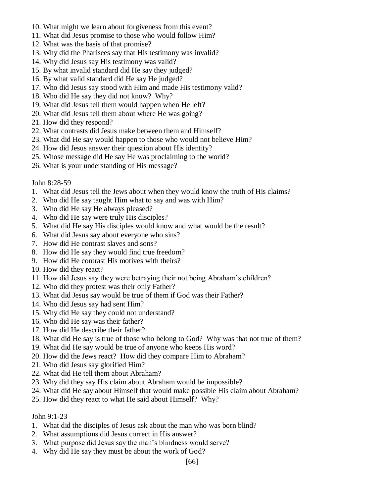- 10. What might we learn about forgiveness from this event?
- 11. What did Jesus promise to those who would follow Him?
- 12. What was the basis of that promise?
- 13. Why did the Pharisees say that His testimony was invalid?
- 14. Why did Jesus say His testimony was valid?
- 15. By what invalid standard did He say they judged?
- 16. By what valid standard did He say He judged?
- 17. Who did Jesus say stood with Him and made His testimony valid?
- 18. Who did He say they did not know? Why?
- 19. What did Jesus tell them would happen when He left?
- 20. What did Jesus tell them about where He was going?
- 21. How did they respond?
- 22. What contrasts did Jesus make between them and Himself?
- 23. What did He say would happen to those who would not believe Him?
- 24. How did Jesus answer their question about His identity?
- 25. Whose message did He say He was proclaiming to the world?
- 26. What is your understanding of His message?

### John 8:28-59

- 1. What did Jesus tell the Jews about when they would know the truth of His claims?
- 2. Who did He say taught Him what to say and was with Him?
- 3. Who did He say He always pleased?
- 4. Who did He say were truly His disciples?
- 5. What did He say His disciples would know and what would be the result?
- 6. What did Jesus say about everyone who sins?
- 7. How did He contrast slaves and sons?
- 8. How did He say they would find true freedom?
- 9. How did He contrast His motives with theirs?
- 10. How did they react?
- 11. How did Jesus say they were betraying their not being Abraham's children?
- 12. Who did they protest was their only Father?
- 13. What did Jesus say would be true of them if God was their Father?
- 14. Who did Jesus say had sent Him?
- 15. Why did He say they could not understand?
- 16. Who did He say was their father?
- 17. How did He describe their father?
- 18. What did He say is true of those who belong to God? Why was that not true of them?
- 19. What did He say would be true of anyone who keeps His word?
- 20. How did the Jews react? How did they compare Him to Abraham?
- 21. Who did Jesus say glorified Him?
- 22. What did He tell them about Abraham?
- 23. Why did they say His claim about Abraham would be impossible?
- 24. What did He say about Himself that would make possible His claim about Abraham?
- 25. How did they react to what He said about Himself? Why?

#### John 9:1-23

- 1. What did the disciples of Jesus ask about the man who was born blind?
- 2. What assumptions did Jesus correct in His answer?
- 3. What purpose did Jesus say the man's blindness would serve?
- 4. Why did He say they must be about the work of God?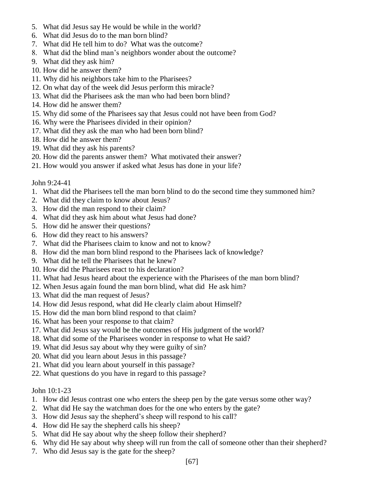- 5. What did Jesus say He would be while in the world?
- 6. What did Jesus do to the man born blind?
- 7. What did He tell him to do? What was the outcome?
- 8. What did the blind man's neighbors wonder about the outcome?
- 9. What did they ask him?
- 10. How did he answer them?
- 11. Why did his neighbors take him to the Pharisees?
- 12. On what day of the week did Jesus perform this miracle?
- 13. What did the Pharisees ask the man who had been born blind?
- 14. How did he answer them?
- 15. Why did some of the Pharisees say that Jesus could not have been from God?
- 16. Why were the Pharisees divided in their opinion?
- 17. What did they ask the man who had been born blind?
- 18. How did he answer them?
- 19. What did they ask his parents?
- 20. How did the parents answer them? What motivated their answer?
- 21. How would you answer if asked what Jesus has done in your life?

### John 9:24-41

- 1. What did the Pharisees tell the man born blind to do the second time they summoned him?
- 2. What did they claim to know about Jesus?
- 3. How did the man respond to their claim?
- 4. What did they ask him about what Jesus had done?
- 5. How did he answer their questions?
- 6. How did they react to his answers?
- 7. What did the Pharisees claim to know and not to know?
- 8. How did the man born blind respond to the Pharisees lack of knowledge?
- 9. What did he tell the Pharisees that he knew?
- 10. How did the Pharisees react to his declaration?
- 11. What had Jesus heard about the experience with the Pharisees of the man born blind?
- 12. When Jesus again found the man born blind, what did He ask him?
- 13. What did the man request of Jesus?
- 14. How did Jesus respond, what did He clearly claim about Himself?
- 15. How did the man born blind respond to that claim?
- 16. What has been your response to that claim?
- 17. What did Jesus say would be the outcomes of His judgment of the world?
- 18. What did some of the Pharisees wonder in response to what He said?
- 19. What did Jesus say about why they were guilty of sin?
- 20. What did you learn about Jesus in this passage?
- 21. What did you learn about yourself in this passage?
- 22. What questions do you have in regard to this passage?

#### John 10:1-23

- 1. How did Jesus contrast one who enters the sheep pen by the gate versus some other way?
- 2. What did He say the watchman does for the one who enters by the gate?
- 3. How did Jesus say the shepherd's sheep will respond to his call?
- 4. How did He say the shepherd calls his sheep?
- 5. What did He say about why the sheep follow their shepherd?
- 6. Why did He say about why sheep will run from the call of someone other than their shepherd?
- 7. Who did Jesus say is the gate for the sheep?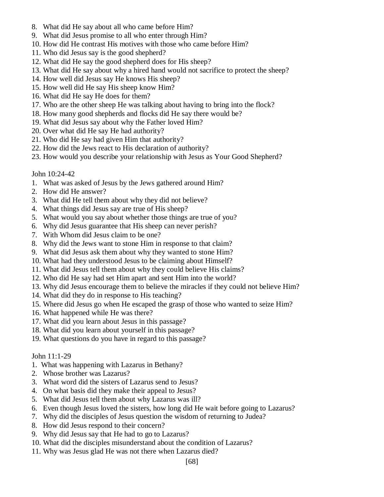- 8. What did He say about all who came before Him?
- 9. What did Jesus promise to all who enter through Him?
- 10. How did He contrast His motives with those who came before Him?
- 11. Who did Jesus say is the good shepherd?
- 12. What did He say the good shepherd does for His sheep?
- 13. What did He say about why a hired hand would not sacrifice to protect the sheep?
- 14. How well did Jesus say He knows His sheep?
- 15. How well did He say His sheep know Him?
- 16. What did He say He does for them?
- 17. Who are the other sheep He was talking about having to bring into the flock?
- 18. How many good shepherds and flocks did He say there would be?
- 19. What did Jesus say about why the Father loved Him?
- 20. Over what did He say He had authority?
- 21. Who did He say had given Him that authority?
- 22. How did the Jews react to His declaration of authority?
- 23. How would you describe your relationship with Jesus as Your Good Shepherd?

### John 10:24-42

- 1. What was asked of Jesus by the Jews gathered around Him?
- 2. How did He answer?
- 3. What did He tell them about why they did not believe?
- 4. What things did Jesus say are true of His sheep?
- 5. What would you say about whether those things are true of you?
- 6. Why did Jesus guarantee that His sheep can never perish?
- 7. With Whom did Jesus claim to be one?
- 8. Why did the Jews want to stone Him in response to that claim?
- 9. What did Jesus ask them about why they wanted to stone Him?
- 10. What had they understood Jesus to be claiming about Himself?
- 11. What did Jesus tell them about why they could believe His claims?
- 12. Who did He say had set Him apart and sent Him into the world?
- 13. Why did Jesus encourage them to believe the miracles if they could not believe Him?
- 14. What did they do in response to His teaching?
- 15. Where did Jesus go when He escaped the grasp of those who wanted to seize Him?
- 16. What happened while He was there?
- 17. What did you learn about Jesus in this passage?
- 18. What did you learn about yourself in this passage?
- 19. What questions do you have in regard to this passage?

#### John 11:1-29

- 1. What was happening with Lazarus in Bethany?
- 2. Whose brother was Lazarus?
- 3. What word did the sisters of Lazarus send to Jesus?
- 4. On what basis did they make their appeal to Jesus?
- 5. What did Jesus tell them about why Lazarus was ill?
- 6. Even though Jesus loved the sisters, how long did He wait before going to Lazarus?
- 7. Why did the disciples of Jesus question the wisdom of returning to Judea?
- 8. How did Jesus respond to their concern?
- 9. Why did Jesus say that He had to go to Lazarus?
- 10. What did the disciples misunderstand about the condition of Lazarus?
- 11. Why was Jesus glad He was not there when Lazarus died?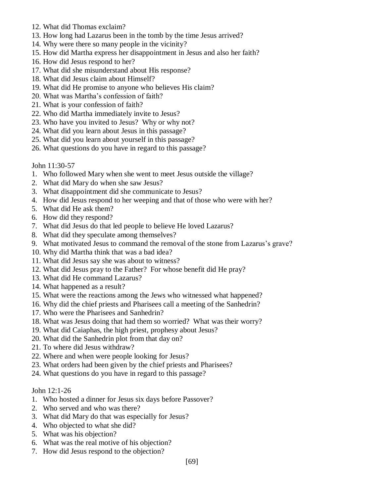- 12. What did Thomas exclaim?
- 13. How long had Lazarus been in the tomb by the time Jesus arrived?
- 14. Why were there so many people in the vicinity?
- 15. How did Martha express her disappointment in Jesus and also her faith?
- 16. How did Jesus respond to her?
- 17. What did she misunderstand about His response?
- 18. What did Jesus claim about Himself?
- 19. What did He promise to anyone who believes His claim?
- 20. What was Martha's confession of faith?
- 21. What is your confession of faith?
- 22. Who did Martha immediately invite to Jesus?
- 23. Who have you invited to Jesus? Why or why not?
- 24. What did you learn about Jesus in this passage?
- 25. What did you learn about yourself in this passage?
- 26. What questions do you have in regard to this passage?

### John 11:30-57

- 1. Who followed Mary when she went to meet Jesus outside the village?
- 2. What did Mary do when she saw Jesus?
- 3. What disappointment did she communicate to Jesus?
- 4. How did Jesus respond to her weeping and that of those who were with her?
- 5. What did He ask them?
- 6. How did they respond?
- 7. What did Jesus do that led people to believe He loved Lazarus?
- 8. What did they speculate among themselves?
- 9. What motivated Jesus to command the removal of the stone from Lazarus's grave?
- 10. Why did Martha think that was a bad idea?
- 11. What did Jesus say she was about to witness?
- 12. What did Jesus pray to the Father? For whose benefit did He pray?
- 13. What did He command Lazarus?
- 14. What happened as a result?
- 15. What were the reactions among the Jews who witnessed what happened?
- 16. Why did the chief priests and Pharisees call a meeting of the Sanhedrin?
- 17. Who were the Pharisees and Sanhedrin?
- 18. What was Jesus doing that had them so worried? What was their worry?
- 19. What did Caiaphas, the high priest, prophesy about Jesus?
- 20. What did the Sanhedrin plot from that day on?
- 21. To where did Jesus withdraw?
- 22. Where and when were people looking for Jesus?
- 23. What orders had been given by the chief priests and Pharisees?
- 24. What questions do you have in regard to this passage?

#### John 12:1-26

- 1. Who hosted a dinner for Jesus six days before Passover?
- 2. Who served and who was there?
- 3. What did Mary do that was especially for Jesus?
- 4. Who objected to what she did?
- 5. What was his objection?
- 6. What was the real motive of his objection?
- 7. How did Jesus respond to the objection?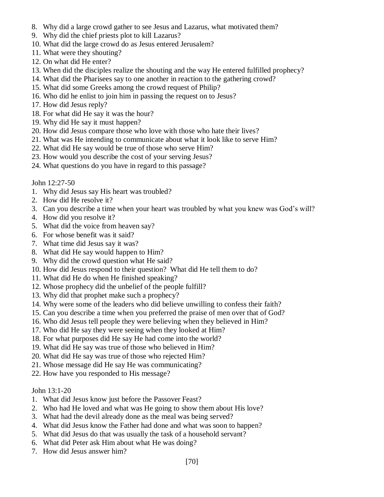- 8. Why did a large crowd gather to see Jesus and Lazarus, what motivated them?
- 9. Why did the chief priests plot to kill Lazarus?
- 10. What did the large crowd do as Jesus entered Jerusalem?
- 11. What were they shouting?
- 12. On what did He enter?
- 13. When did the disciples realize the shouting and the way He entered fulfilled prophecy?
- 14. What did the Pharisees say to one another in reaction to the gathering crowd?
- 15. What did some Greeks among the crowd request of Philip?
- 16. Who did he enlist to join him in passing the request on to Jesus?
- 17. How did Jesus reply?
- 18. For what did He say it was the hour?
- 19. Why did He say it must happen?
- 20. How did Jesus compare those who love with those who hate their lives?
- 21. What was He intending to communicate about what it look like to serve Him?
- 22. What did He say would be true of those who serve Him?
- 23. How would you describe the cost of your serving Jesus?
- 24. What questions do you have in regard to this passage?

John 12:27-50

- 1. Why did Jesus say His heart was troubled?
- 2. How did He resolve it?
- 3. Can you describe a time when your heart was troubled by what you knew was God's will?
- 4. How did you resolve it?
- 5. What did the voice from heaven say?
- 6. For whose benefit was it said?
- 7. What time did Jesus say it was?
- 8. What did He say would happen to Him?
- 9. Why did the crowd question what He said?
- 10. How did Jesus respond to their question? What did He tell them to do?
- 11. What did He do when He finished speaking?
- 12. Whose prophecy did the unbelief of the people fulfill?
- 13. Why did that prophet make such a prophecy?
- 14. Why were some of the leaders who did believe unwilling to confess their faith?
- 15. Can you describe a time when you preferred the praise of men over that of God?
- 16. Who did Jesus tell people they were believing when they believed in Him?
- 17. Who did He say they were seeing when they looked at Him?
- 18. For what purposes did He say He had come into the world?
- 19. What did He say was true of those who believed in Him?
- 20. What did He say was true of those who rejected Him?
- 21. Whose message did He say He was communicating?
- 22. How have you responded to His message?

#### John 13:1-20

- 1. What did Jesus know just before the Passover Feast?
- 2. Who had He loved and what was He going to show them about His love?
- 3. What had the devil already done as the meal was being served?
- 4. What did Jesus know the Father had done and what was soon to happen?
- 5. What did Jesus do that was usually the task of a household servant?
- 6. What did Peter ask Him about what He was doing?
- 7. How did Jesus answer him?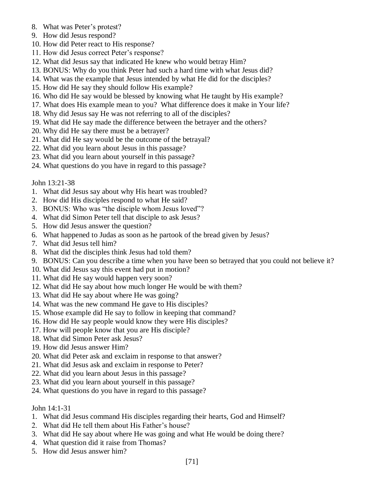- 8. What was Peter's protest?
- 9. How did Jesus respond?
- 10. How did Peter react to His response?
- 11. How did Jesus correct Peter's response?
- 12. What did Jesus say that indicated He knew who would betray Him?
- 13. BONUS: Why do you think Peter had such a hard time with what Jesus did?
- 14. What was the example that Jesus intended by what He did for the disciples?
- 15. How did He say they should follow His example?
- 16. Who did He say would be blessed by knowing what He taught by His example?
- 17. What does His example mean to you? What difference does it make in Your life?
- 18. Why did Jesus say He was not referring to all of the disciples?
- 19. What did He say made the difference between the betrayer and the others?
- 20. Why did He say there must be a betrayer?
- 21. What did He say would be the outcome of the betrayal?
- 22. What did you learn about Jesus in this passage?
- 23. What did you learn about yourself in this passage?
- 24. What questions do you have in regard to this passage?

# John 13:21-38

- 1. What did Jesus say about why His heart was troubled?
- 2. How did His disciples respond to what He said?
- 3. BONUS: Who was "the disciple whom Jesus loved"?
- 4. What did Simon Peter tell that disciple to ask Jesus?
- 5. How did Jesus answer the question?
- 6. What happened to Judas as soon as he partook of the bread given by Jesus?
- 7. What did Jesus tell him?
- 8. What did the disciples think Jesus had told them?
- 9. BONUS: Can you describe a time when you have been so betrayed that you could not believe it?
- 10. What did Jesus say this event had put in motion?
- 11. What did He say would happen very soon?
- 12. What did He say about how much longer He would be with them?
- 13. What did He say about where He was going?
- 14. What was the new command He gave to His disciples?
- 15. Whose example did He say to follow in keeping that command?
- 16. How did He say people would know they were His disciples?
- 17. How will people know that you are His disciple?
- 18. What did Simon Peter ask Jesus?
- 19. How did Jesus answer Him?
- 20. What did Peter ask and exclaim in response to that answer?
- 21. What did Jesus ask and exclaim in response to Peter?
- 22. What did you learn about Jesus in this passage?
- 23. What did you learn about yourself in this passage?
- 24. What questions do you have in regard to this passage?

## John 14:1-31

- 1. What did Jesus command His disciples regarding their hearts, God and Himself?
- 2. What did He tell them about His Father's house?
- 3. What did He say about where He was going and what He would be doing there?
- 4. What question did it raise from Thomas?
- 5. How did Jesus answer him?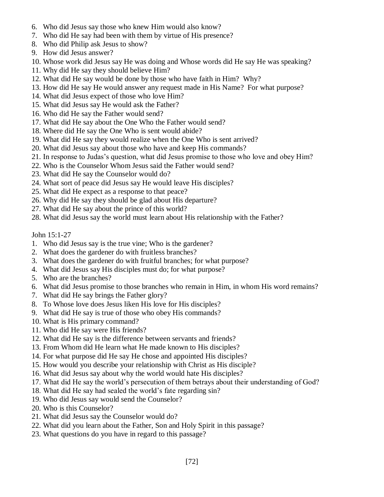- 6. Who did Jesus say those who knew Him would also know?
- 7. Who did He say had been with them by virtue of His presence?
- 8. Who did Philip ask Jesus to show?
- 9. How did Jesus answer?
- 10. Whose work did Jesus say He was doing and Whose words did He say He was speaking?
- 11. Why did He say they should believe Him?
- 12. What did He say would be done by those who have faith in Him? Why?
- 13. How did He say He would answer any request made in His Name? For what purpose?
- 14. What did Jesus expect of those who love Him?
- 15. What did Jesus say He would ask the Father?
- 16. Who did He say the Father would send?
- 17. What did He say about the One Who the Father would send?
- 18. Where did He say the One Who is sent would abide?
- 19. What did He say they would realize when the One Who is sent arrived?
- 20. What did Jesus say about those who have and keep His commands?
- 21. In response to Judas's question, what did Jesus promise to those who love and obey Him?
- 22. Who is the Counselor Whom Jesus said the Father would send?
- 23. What did He say the Counselor would do?
- 24. What sort of peace did Jesus say He would leave His disciples?
- 25. What did He expect as a response to that peace?
- 26. Why did He say they should be glad about His departure?
- 27. What did He say about the prince of this world?
- 28. What did Jesus say the world must learn about His relationship with the Father?

# John 15:1-27

- 1. Who did Jesus say is the true vine; Who is the gardener?
- 2. What does the gardener do with fruitless branches?
- 3. What does the gardener do with fruitful branches; for what purpose?
- 4. What did Jesus say His disciples must do; for what purpose?
- 5. Who are the branches?
- 6. What did Jesus promise to those branches who remain in Him, in whom His word remains?
- 7. What did He say brings the Father glory?
- 8. To Whose love does Jesus liken His love for His disciples?
- 9. What did He say is true of those who obey His commands?
- 10. What is His primary command?
- 11. Who did He say were His friends?
- 12. What did He say is the difference between servants and friends?
- 13. From Whom did He learn what He made known to His disciples?
- 14. For what purpose did He say He chose and appointed His disciples?
- 15. How would you describe your relationship with Christ as His disciple?
- 16. What did Jesus say about why the world would hate His disciples?
- 17. What did He say the world's persecution of them betrays about their understanding of God?
- 18. What did He say had sealed the world's fate regarding sin?
- 19. Who did Jesus say would send the Counselor?
- 20. Who is this Counselor?
- 21. What did Jesus say the Counselor would do?
- 22. What did you learn about the Father, Son and Holy Spirit in this passage?
- 23. What questions do you have in regard to this passage?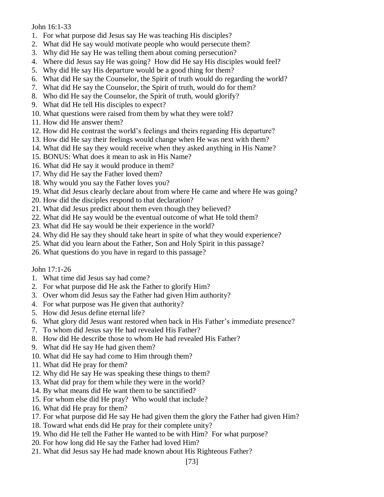#### John 16:1-33

- 1. For what purpose did Jesus say He was teaching His disciples?
- 2. What did He say would motivate people who would persecute them?
- 3. Why did He say He was telling them about coming persecution?
- 4. Where did Jesus say He was going? How did He say His disciples would feel?
- 5. Why did He say His departure would be a good thing for them?
- 6. What did He say the Counselor, the Spirit of truth would do regarding the world?
- 7. What did He say the Counselor, the Spirit of truth, would do for them?
- 8. Who did He say the Counselor, the Spirit of truth, would glorify?
- 9. What did He tell His disciples to expect?
- 10. What questions were raised from them by what they were told?
- 11. How did He answer them?
- 12. How did He contrast the world's feelings and theirs regarding His departure?
- 13. How did He say their feelings would change when He was next with them?
- 14. What did He say they would receive when they asked anything in His Name?
- 15. BONUS: What does it mean to ask in His Name?
- 16. What did He say it would produce in them?
- 17. Why did He say the Father loved them?
- 18. Why would you say the Father loves you?
- 19. What did Jesus clearly declare about from where He came and where He was going?
- 20. How did the disciples respond to that declaration?
- 21. What did Jesus predict about them even though they believed?
- 22. What did He say would be the eventual outcome of what He told them?
- 23. What did He say would be their experience in the world?
- 24. Why did He say they should take heart in spite of what they would experience?
- 25. What did you learn about the Father, Son and Holy Spirit in this passage?
- 26. What questions do you have in regard to this passage?

#### John 17:1-26

- 1. What time did Jesus say had come?
- 2. For what purpose did He ask the Father to glorify Him?
- 3. Over whom did Jesus say the Father had given Him authority?
- 4. For what purpose was He given that authority?
- 5. How did Jesus define eternal life?
- 6. What glory did Jesus want restored when back in His Father's immediate presence?
- 7. To whom did Jesus say He had revealed His Father?
- 8. How did He describe those to whom He had revealed His Father?
- 9. What did He say He had given them?
- 10. What did He say had come to Him through them?
- 11. What did He pray for them?
- 12. Why did He say He was speaking these things to them?
- 13. What did pray for them while they were in the world?
- 14. By what means did He want them to be sanctified?
- 15. For whom else did He pray? Who would that include?
- 16. What did He pray for them?
- 17. For what purpose did He say He had given them the glory the Father had given Him?
- 18. Toward what ends did He pray for their complete unity?
- 19. Who did He tell the Father He wanted to be with Him? For what purpose?
- 20. For how long did He say the Father had loved Him?
- 21. What did Jesus say He had made known about His Righteous Father?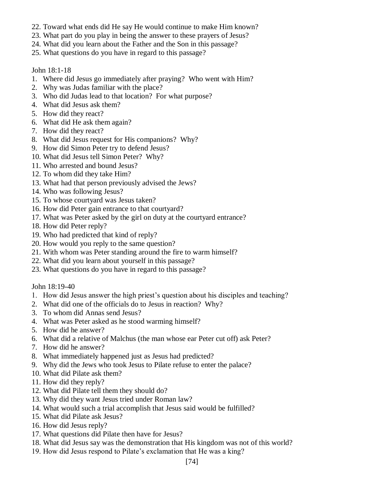- 22. Toward what ends did He say He would continue to make Him known?
- 23. What part do you play in being the answer to these prayers of Jesus?
- 24. What did you learn about the Father and the Son in this passage?
- 25. What questions do you have in regard to this passage?

### John 18:1-18

- 1. Where did Jesus go immediately after praying? Who went with Him?
- 2. Why was Judas familiar with the place?
- 3. Who did Judas lead to that location? For what purpose?
- 4. What did Jesus ask them?
- 5. How did they react?
- 6. What did He ask them again?
- 7. How did they react?
- 8. What did Jesus request for His companions? Why?
- 9. How did Simon Peter try to defend Jesus?
- 10. What did Jesus tell Simon Peter? Why?
- 11. Who arrested and bound Jesus?
- 12. To whom did they take Him?
- 13. What had that person previously advised the Jews?
- 14. Who was following Jesus?
- 15. To whose courtyard was Jesus taken?
- 16. How did Peter gain entrance to that courtyard?
- 17. What was Peter asked by the girl on duty at the courtyard entrance?
- 18. How did Peter reply?
- 19. Who had predicted that kind of reply?
- 20. How would you reply to the same question?
- 21. With whom was Peter standing around the fire to warm himself?
- 22. What did you learn about yourself in this passage?
- 23. What questions do you have in regard to this passage?

#### John 18:19-40

- 1. How did Jesus answer the high priest's question about his disciples and teaching?
- 2. What did one of the officials do to Jesus in reaction? Why?
- 3. To whom did Annas send Jesus?
- 4. What was Peter asked as he stood warming himself?
- 5. How did he answer?
- 6. What did a relative of Malchus (the man whose ear Peter cut off) ask Peter?
- 7. How did he answer?
- 8. What immediately happened just as Jesus had predicted?
- 9. Why did the Jews who took Jesus to Pilate refuse to enter the palace?
- 10. What did Pilate ask them?
- 11. How did they reply?
- 12. What did Pilate tell them they should do?
- 13. Why did they want Jesus tried under Roman law?
- 14. What would such a trial accomplish that Jesus said would be fulfilled?
- 15. What did Pilate ask Jesus?
- 16. How did Jesus reply?
- 17. What questions did Pilate then have for Jesus?
- 18. What did Jesus say was the demonstration that His kingdom was not of this world?
- 19. How did Jesus respond to Pilate's exclamation that He was a king?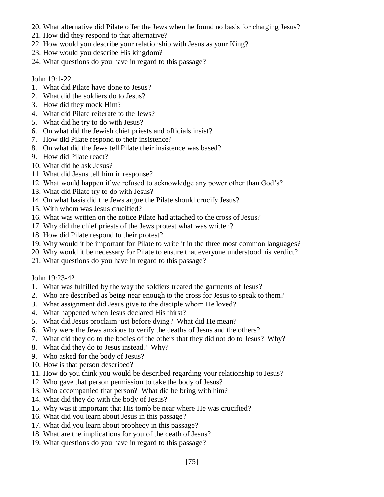- 20. What alternative did Pilate offer the Jews when he found no basis for charging Jesus?
- 21. How did they respond to that alternative?
- 22. How would you describe your relationship with Jesus as your King?
- 23. How would you describe His kingdom?
- 24. What questions do you have in regard to this passage?

#### John 19:1-22

- 1. What did Pilate have done to Jesus?
- 2. What did the soldiers do to Jesus?
- 3. How did they mock Him?
- 4. What did Pilate reiterate to the Jews?
- 5. What did he try to do with Jesus?
- 6. On what did the Jewish chief priests and officials insist?
- 7. How did Pilate respond to their insistence?
- 8. On what did the Jews tell Pilate their insistence was based?
- 9. How did Pilate react?
- 10. What did he ask Jesus?
- 11. What did Jesus tell him in response?
- 12. What would happen if we refused to acknowledge any power other than God's?
- 13. What did Pilate try to do with Jesus?
- 14. On what basis did the Jews argue the Pilate should crucify Jesus?
- 15. With whom was Jesus crucified?
- 16. What was written on the notice Pilate had attached to the cross of Jesus?
- 17. Why did the chief priests of the Jews protest what was written?
- 18. How did Pilate respond to their protest?
- 19. Why would it be important for Pilate to write it in the three most common languages?
- 20. Why would it be necessary for Pilate to ensure that everyone understood his verdict?
- 21. What questions do you have in regard to this passage?

#### John 19:23-42

- 1. What was fulfilled by the way the soldiers treated the garments of Jesus?
- 2. Who are described as being near enough to the cross for Jesus to speak to them?
- 3. What assignment did Jesus give to the disciple whom He loved?
- 4. What happened when Jesus declared His thirst?
- 5. What did Jesus proclaim just before dying? What did He mean?
- 6. Why were the Jews anxious to verify the deaths of Jesus and the others?
- 7. What did they do to the bodies of the others that they did not do to Jesus? Why?
- 8. What did they do to Jesus instead? Why?
- 9. Who asked for the body of Jesus?
- 10. How is that person described?
- 11. How do you think you would be described regarding your relationship to Jesus?
- 12. Who gave that person permission to take the body of Jesus?
- 13. Who accompanied that person? What did he bring with him?
- 14. What did they do with the body of Jesus?
- 15. Why was it important that His tomb be near where He was crucified?
- 16. What did you learn about Jesus in this passage?
- 17. What did you learn about prophecy in this passage?
- 18. What are the implications for you of the death of Jesus?
- 19. What questions do you have in regard to this passage?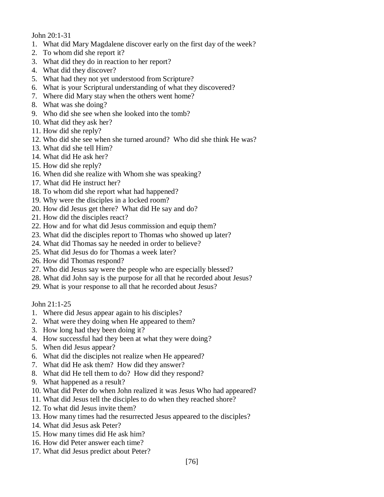John 20:1-31

- 1. What did Mary Magdalene discover early on the first day of the week?
- 2. To whom did she report it?
- 3. What did they do in reaction to her report?
- 4. What did they discover?
- 5. What had they not yet understood from Scripture?
- 6. What is your Scriptural understanding of what they discovered?
- 7. Where did Mary stay when the others went home?
- 8. What was she doing?
- 9. Who did she see when she looked into the tomb?
- 10. What did they ask her?
- 11. How did she reply?
- 12. Who did she see when she turned around? Who did she think He was?
- 13. What did she tell Him?
- 14. What did He ask her?
- 15. How did she reply?
- 16. When did she realize with Whom she was speaking?
- 17. What did He instruct her?
- 18. To whom did she report what had happened?
- 19. Why were the disciples in a locked room?
- 20. How did Jesus get there? What did He say and do?
- 21. How did the disciples react?
- 22. How and for what did Jesus commission and equip them?
- 23. What did the disciples report to Thomas who showed up later?
- 24. What did Thomas say he needed in order to believe?
- 25. What did Jesus do for Thomas a week later?
- 26. How did Thomas respond?
- 27. Who did Jesus say were the people who are especially blessed?
- 28. What did John say is the purpose for all that he recorded about Jesus?
- 29. What is your response to all that he recorded about Jesus?

John 21:1-25

- 1. Where did Jesus appear again to his disciples?
- 2. What were they doing when He appeared to them?
- 3. How long had they been doing it?
- 4. How successful had they been at what they were doing?
- 5. When did Jesus appear?
- 6. What did the disciples not realize when He appeared?
- 7. What did He ask them? How did they answer?
- 8. What did He tell them to do? How did they respond?
- 9. What happened as a result?
- 10. What did Peter do when John realized it was Jesus Who had appeared?
- 11. What did Jesus tell the disciples to do when they reached shore?
- 12. To what did Jesus invite them?
- 13. How many times had the resurrected Jesus appeared to the disciples?
- 14. What did Jesus ask Peter?
- 15. How many times did He ask him?
- 16. How did Peter answer each time?
- 17. What did Jesus predict about Peter?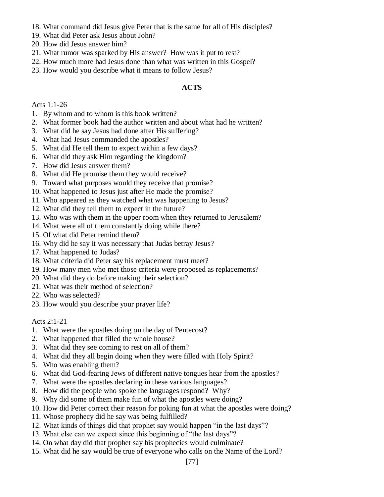- 18. What command did Jesus give Peter that is the same for all of His disciples?
- 19. What did Peter ask Jesus about John?
- 20. How did Jesus answer him?
- 21. What rumor was sparked by His answer? How was it put to rest?
- 22. How much more had Jesus done than what was written in this Gospel?
- 23. How would you describe what it means to follow Jesus?

## **ACTS**

- Acts 1:1-26
- 1. By whom and to whom is this book written?
- 2. What former book had the author written and about what had he written?
- 3. What did he say Jesus had done after His suffering?
- 4. What had Jesus commanded the apostles?
- 5. What did He tell them to expect within a few days?
- 6. What did they ask Him regarding the kingdom?
- 7. How did Jesus answer them?
- 8. What did He promise them they would receive?
- 9. Toward what purposes would they receive that promise?
- 10. What happened to Jesus just after He made the promise?
- 11. Who appeared as they watched what was happening to Jesus?
- 12. What did they tell them to expect in the future?
- 13. Who was with them in the upper room when they returned to Jerusalem?
- 14. What were all of them constantly doing while there?
- 15. Of what did Peter remind them?
- 16. Why did he say it was necessary that Judas betray Jesus?
- 17. What happened to Judas?
- 18. What criteria did Peter say his replacement must meet?
- 19. How many men who met those criteria were proposed as replacements?
- 20. What did they do before making their selection?
- 21. What was their method of selection?
- 22. Who was selected?
- 23. How would you describe your prayer life?

#### Acts 2:1-21

- 1. What were the apostles doing on the day of Pentecost?
- 2. What happened that filled the whole house?
- 3. What did they see coming to rest on all of them?
- 4. What did they all begin doing when they were filled with Holy Spirit?
- 5. Who was enabling them?
- 6. What did God-fearing Jews of different native tongues hear from the apostles?
- 7. What were the apostles declaring in these various languages?
- 8. How did the people who spoke the languages respond? Why?
- 9. Why did some of them make fun of what the apostles were doing?
- 10. How did Peter correct their reason for poking fun at what the apostles were doing?
- 11. Whose prophecy did he say was being fulfilled?
- 12. What kinds of things did that prophet say would happen "in the last days"?
- 13. What else can we expect since this beginning of "the last days"?
- 14. On what day did that prophet say his prophecies would culminate?
- 15. What did he say would be true of everyone who calls on the Name of the Lord?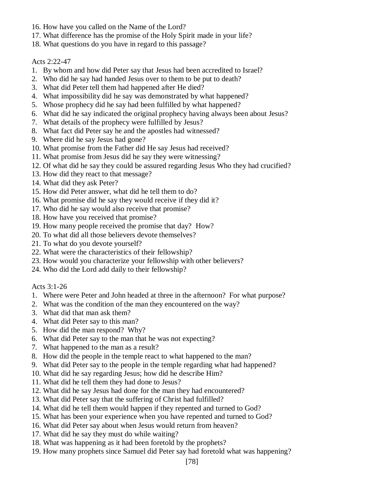- 16. How have you called on the Name of the Lord?
- 17. What difference has the promise of the Holy Spirit made in your life?
- 18. What questions do you have in regard to this passage?

#### Acts 2:22-47

- 1. By whom and how did Peter say that Jesus had been accredited to Israel?
- 2. Who did he say had handed Jesus over to them to be put to death?
- 3. What did Peter tell them had happened after He died?
- 4. What impossibility did he say was demonstrated by what happened?
- 5. Whose prophecy did he say had been fulfilled by what happened?
- 6. What did he say indicated the original prophecy having always been about Jesus?
- 7. What details of the prophecy were fulfilled by Jesus?
- 8. What fact did Peter say he and the apostles had witnessed?
- 9. Where did he say Jesus had gone?
- 10. What promise from the Father did He say Jesus had received?
- 11. What promise from Jesus did he say they were witnessing?
- 12. Of what did he say they could be assured regarding Jesus Who they had crucified?
- 13. How did they react to that message?
- 14. What did they ask Peter?
- 15. How did Peter answer, what did he tell them to do?
- 16. What promise did he say they would receive if they did it?
- 17. Who did he say would also receive that promise?
- 18. How have you received that promise?
- 19. How many people received the promise that day? How?
- 20. To what did all those believers devote themselves?
- 21. To what do you devote yourself?
- 22. What were the characteristics of their fellowship?
- 23. How would you characterize your fellowship with other believers?
- 24. Who did the Lord add daily to their fellowship?

#### Acts 3:1-26

- 1. Where were Peter and John headed at three in the afternoon? For what purpose?
- 2. What was the condition of the man they encountered on the way?
- 3. What did that man ask them?
- 4. What did Peter say to this man?
- 5. How did the man respond? Why?
- 6. What did Peter say to the man that he was not expecting?
- 7. What happened to the man as a result?
- 8. How did the people in the temple react to what happened to the man?
- 9. What did Peter say to the people in the temple regarding what had happened?
- 10. What did he say regarding Jesus; how did he describe Him?
- 11. What did he tell them they had done to Jesus?
- 12. What did he say Jesus had done for the man they had encountered?
- 13. What did Peter say that the suffering of Christ had fulfilled?
- 14. What did he tell them would happen if they repented and turned to God?
- 15. What has been your experience when you have repented and turned to God?
- 16. What did Peter say about when Jesus would return from heaven?
- 17. What did he say they must do while waiting?
- 18. What was happening as it had been foretold by the prophets?
- 19. How many prophets since Samuel did Peter say had foretold what was happening?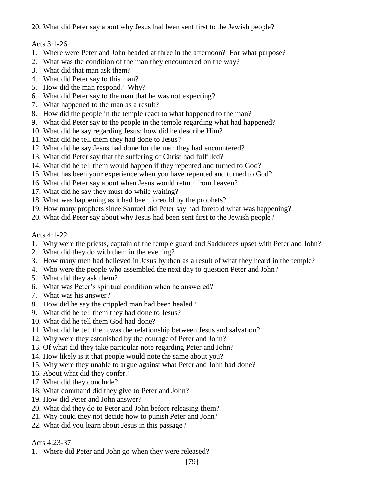20. What did Peter say about why Jesus had been sent first to the Jewish people?

## Acts 3:1-26

- 1. Where were Peter and John headed at three in the afternoon? For what purpose?
- 2. What was the condition of the man they encountered on the way?
- 3. What did that man ask them?
- 4. What did Peter say to this man?
- 5. How did the man respond? Why?
- 6. What did Peter say to the man that he was not expecting?
- 7. What happened to the man as a result?
- 8. How did the people in the temple react to what happened to the man?
- 9. What did Peter say to the people in the temple regarding what had happened?
- 10. What did he say regarding Jesus; how did he describe Him?
- 11. What did he tell them they had done to Jesus?
- 12. What did he say Jesus had done for the man they had encountered?
- 13. What did Peter say that the suffering of Christ had fulfilled?
- 14. What did he tell them would happen if they repented and turned to God?
- 15. What has been your experience when you have repented and turned to God?
- 16. What did Peter say about when Jesus would return from heaven?
- 17. What did he say they must do while waiting?
- 18. What was happening as it had been foretold by the prophets?
- 19. How many prophets since Samuel did Peter say had foretold what was happening?
- 20. What did Peter say about why Jesus had been sent first to the Jewish people?

# Acts 4:1-22

- 1. Why were the priests, captain of the temple guard and Sadducees upset with Peter and John?
- 2. What did they do with them in the evening?
- 3. How many men had believed in Jesus by then as a result of what they heard in the temple?
- 4. Who were the people who assembled the next day to question Peter and John?
- 5. What did they ask them?
- 6. What was Peter's spiritual condition when he answered?
- 7. What was his answer?
- 8. How did he say the crippled man had been healed?
- 9. What did he tell them they had done to Jesus?
- 10. What did he tell them God had done?
- 11. What did he tell them was the relationship between Jesus and salvation?
- 12. Why were they astonished by the courage of Peter and John?
- 13. Of what did they take particular note regarding Peter and John?
- 14. How likely is it that people would note the same about you?
- 15. Why were they unable to argue against what Peter and John had done?
- 16. About what did they confer?
- 17. What did they conclude?
- 18. What command did they give to Peter and John?
- 19. How did Peter and John answer?
- 20. What did they do to Peter and John before releasing them?
- 21. Why could they not decide how to punish Peter and John?
- 22. What did you learn about Jesus in this passage?

# Acts 4:23-37

1. Where did Peter and John go when they were released?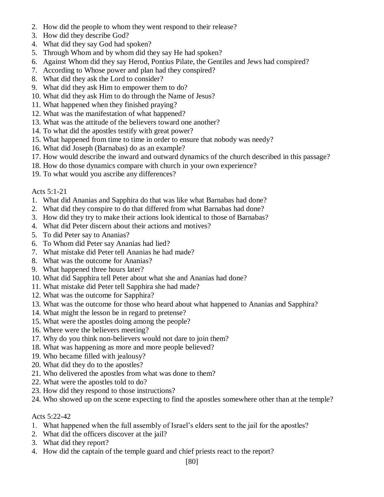- 2. How did the people to whom they went respond to their release?
- 3. How did they describe God?
- 4. What did they say God had spoken?
- 5. Through Whom and by whom did they say He had spoken?
- 6. Against Whom did they say Herod, Pontius Pilate, the Gentiles and Jews had conspired?
- 7. According to Whose power and plan had they conspired?
- 8. What did they ask the Lord to consider?
- 9. What did they ask Him to empower them to do?
- 10. What did they ask Him to do through the Name of Jesus?
- 11. What happened when they finished praying?
- 12. What was the manifestation of what happened?
- 13. What was the attitude of the believers toward one another?
- 14. To what did the apostles testify with great power?
- 15. What happened from time to time in order to ensure that nobody was needy?
- 16. What did Joseph (Barnabas) do as an example?
- 17. How would describe the inward and outward dynamics of the church described in this passage?
- 18. How do those dynamics compare with church in your own experience?
- 19. To what would you ascribe any differences?

## Acts 5:1-21

- 1. What did Ananias and Sapphira do that was like what Barnabas had done?
- 2. What did they conspire to do that differed from what Barnabas had done?
- 3. How did they try to make their actions look identical to those of Barnabas?
- 4. What did Peter discern about their actions and motives?
- 5. To did Peter say to Ananias?
- 6. To Whom did Peter say Ananias had lied?
- 7. What mistake did Peter tell Ananias he had made?
- 8. What was the outcome for Ananias?
- 9. What happened three hours later?
- 10. What did Sapphira tell Peter about what she and Ananias had done?
- 11. What mistake did Peter tell Sapphira she had made?
- 12. What was the outcome for Sapphira?
- 13. What was the outcome for those who heard about what happened to Ananias and Sapphira?
- 14. What might the lesson be in regard to pretense?
- 15. What were the apostles doing among the people?
- 16. Where were the believers meeting?
- 17. Why do you think non-believers would not dare to join them?
- 18. What was happening as more and more people believed?
- 19. Who became filled with jealousy?
- 20. What did they do to the apostles?
- 21. Who delivered the apostles from what was done to them?
- 22. What were the apostles told to do?
- 23. How did they respond to those instructions?
- 24. Who showed up on the scene expecting to find the apostles somewhere other than at the temple?

# Acts 5:22-42

- 1. What happened when the full assembly of Israel's elders sent to the jail for the apostles?
- 2. What did the officers discover at the jail?
- 3. What did they report?
- 4. How did the captain of the temple guard and chief priests react to the report?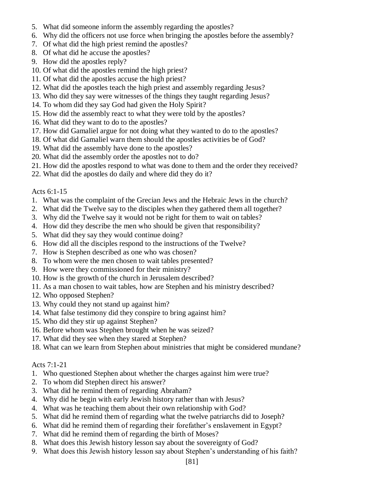- 5. What did someone inform the assembly regarding the apostles?
- 6. Why did the officers not use force when bringing the apostles before the assembly?
- 7. Of what did the high priest remind the apostles?
- 8. Of what did he accuse the apostles?
- 9. How did the apostles reply?
- 10. Of what did the apostles remind the high priest?
- 11. Of what did the apostles accuse the high priest?
- 12. What did the apostles teach the high priest and assembly regarding Jesus?
- 13. Who did they say were witnesses of the things they taught regarding Jesus?
- 14. To whom did they say God had given the Holy Spirit?
- 15. How did the assembly react to what they were told by the apostles?
- 16. What did they want to do to the apostles?
- 17. How did Gamaliel argue for not doing what they wanted to do to the apostles?
- 18. Of what did Gamaliel warn them should the apostles activities be of God?
- 19. What did the assembly have done to the apostles?
- 20. What did the assembly order the apostles not to do?
- 21. How did the apostles respond to what was done to them and the order they received?
- 22. What did the apostles do daily and where did they do it?

#### Acts 6:1-15

- 1. What was the complaint of the Grecian Jews and the Hebraic Jews in the church?
- 2. What did the Twelve say to the disciples when they gathered them all together?
- 3. Why did the Twelve say it would not be right for them to wait on tables?
- 4. How did they describe the men who should be given that responsibility?
- 5. What did they say they would continue doing?
- 6. How did all the disciples respond to the instructions of the Twelve?
- 7. How is Stephen described as one who was chosen?
- 8. To whom were the men chosen to wait tables presented?
- 9. How were they commissioned for their ministry?
- 10. How is the growth of the church in Jerusalem described?
- 11. As a man chosen to wait tables, how are Stephen and his ministry described?
- 12. Who opposed Stephen?
- 13. Why could they not stand up against him?
- 14. What false testimony did they conspire to bring against him?
- 15. Who did they stir up against Stephen?
- 16. Before whom was Stephen brought when he was seized?
- 17. What did they see when they stared at Stephen?
- 18. What can we learn from Stephen about ministries that might be considered mundane?

#### Acts 7:1-21

- 1. Who questioned Stephen about whether the charges against him were true?
- 2. To whom did Stephen direct his answer?
- 3. What did he remind them of regarding Abraham?
- 4. Why did he begin with early Jewish history rather than with Jesus?
- 4. What was he teaching them about their own relationship with God?
- 5. What did he remind them of regarding what the twelve patriarchs did to Joseph?
- 6. What did he remind them of regarding their forefather's enslavement in Egypt?
- 7. What did he remind them of regarding the birth of Moses?
- 8. What does this Jewish history lesson say about the sovereignty of God?
- 9. What does this Jewish history lesson say about Stephen's understanding of his faith?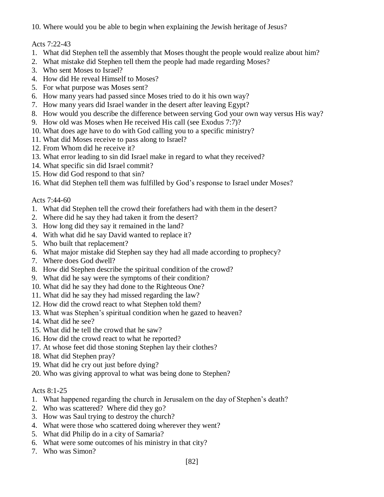10. Where would you be able to begin when explaining the Jewish heritage of Jesus?

## Acts 7:22-43

- 1. What did Stephen tell the assembly that Moses thought the people would realize about him?
- 2. What mistake did Stephen tell them the people had made regarding Moses?
- 3. Who sent Moses to Israel?
- 4. How did He reveal Himself to Moses?
- 5. For what purpose was Moses sent?
- 6. How many years had passed since Moses tried to do it his own way?
- 7. How many years did Israel wander in the desert after leaving Egypt?
- 8. How would you describe the difference between serving God your own way versus His way?
- 9. How old was Moses when He received His call (see Exodus 7:7)?
- 10. What does age have to do with God calling you to a specific ministry?
- 11. What did Moses receive to pass along to Israel?
- 12. From Whom did he receive it?
- 13. What error leading to sin did Israel make in regard to what they received?
- 14. What specific sin did Israel commit?
- 15. How did God respond to that sin?
- 16. What did Stephen tell them was fulfilled by God's response to Israel under Moses?

# Acts 7:44-60

- 1. What did Stephen tell the crowd their forefathers had with them in the desert?
- 2. Where did he say they had taken it from the desert?
- 3. How long did they say it remained in the land?
- 4. With what did he say David wanted to replace it?
- 5. Who built that replacement?
- 6. What major mistake did Stephen say they had all made according to prophecy?
- 7. Where does God dwell?
- 8. How did Stephen describe the spiritual condition of the crowd?
- 9. What did he say were the symptoms of their condition?
- 10. What did he say they had done to the Righteous One?
- 11. What did he say they had missed regarding the law?
- 12. How did the crowd react to what Stephen told them?
- 13. What was Stephen's spiritual condition when he gazed to heaven?
- 14. What did he see?
- 15. What did he tell the crowd that he saw?
- 16. How did the crowd react to what he reported?
- 17. At whose feet did those stoning Stephen lay their clothes?
- 18. What did Stephen pray?
- 19. What did he cry out just before dying?
- 20. Who was giving approval to what was being done to Stephen?

# Acts 8:1-25

- 1. What happened regarding the church in Jerusalem on the day of Stephen's death?
- 2. Who was scattered? Where did they go?
- 3. How was Saul trying to destroy the church?
- 4. What were those who scattered doing wherever they went?
- 5. What did Philip do in a city of Samaria?
- 6. What were some outcomes of his ministry in that city?
- 7. Who was Simon?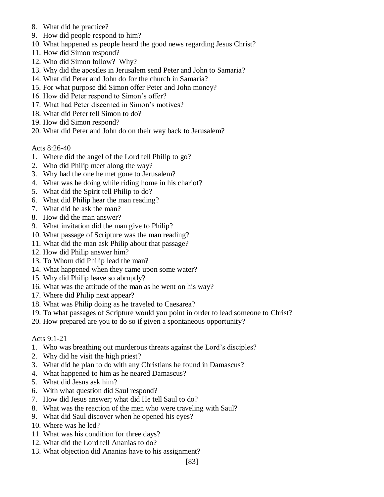- 8. What did he practice?
- 9. How did people respond to him?
- 10. What happened as people heard the good news regarding Jesus Christ?
- 11. How did Simon respond?
- 12. Who did Simon follow? Why?
- 13. Why did the apostles in Jerusalem send Peter and John to Samaria?
- 14. What did Peter and John do for the church in Samaria?
- 15. For what purpose did Simon offer Peter and John money?
- 16. How did Peter respond to Simon's offer?
- 17. What had Peter discerned in Simon's motives?
- 18. What did Peter tell Simon to do?
- 19. How did Simon respond?
- 20. What did Peter and John do on their way back to Jerusalem?

#### Acts 8:26-40

- 1. Where did the angel of the Lord tell Philip to go?
- 2. Who did Philip meet along the way?
- 3. Why had the one he met gone to Jerusalem?
- 4. What was he doing while riding home in his chariot?
- 5. What did the Spirit tell Philip to do?
- 6. What did Philip hear the man reading?
- 7. What did he ask the man?
- 8. How did the man answer?
- 9. What invitation did the man give to Philip?
- 10. What passage of Scripture was the man reading?
- 11. What did the man ask Philip about that passage?
- 12. How did Philip answer him?
- 13. To Whom did Philip lead the man?
- 14. What happened when they came upon some water?
- 15. Why did Philip leave so abruptly?
- 16. What was the attitude of the man as he went on his way?
- 17. Where did Philip next appear?
- 18. What was Philip doing as he traveled to Caesarea?
- 19. To what passages of Scripture would you point in order to lead someone to Christ?
- 20. How prepared are you to do so if given a spontaneous opportunity?

## Acts 9:1-21

- 1. Who was breathing out murderous threats against the Lord's disciples?
- 2. Why did he visit the high priest?
- 3. What did he plan to do with any Christians he found in Damascus?
- 4. What happened to him as he neared Damascus?
- 5. What did Jesus ask him?
- 6. With what question did Saul respond?
- 7. How did Jesus answer; what did He tell Saul to do?
- 8. What was the reaction of the men who were traveling with Saul?
- 9. What did Saul discover when he opened his eyes?
- 10. Where was he led?
- 11. What was his condition for three days?
- 12. What did the Lord tell Ananias to do?
- 13. What objection did Ananias have to his assignment?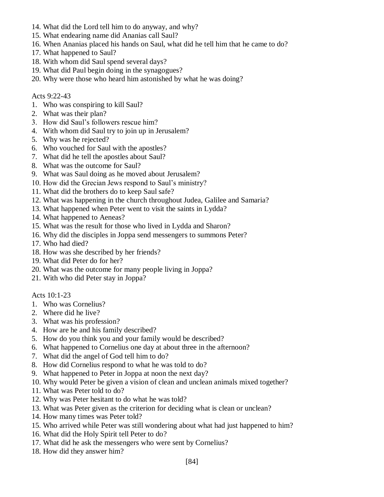- 14. What did the Lord tell him to do anyway, and why?
- 15. What endearing name did Ananias call Saul?
- 16. When Ananias placed his hands on Saul, what did he tell him that he came to do?
- 17. What happened to Saul?
- 18. With whom did Saul spend several days?
- 19. What did Paul begin doing in the synagogues?
- 20. Why were those who heard him astonished by what he was doing?

#### Acts 9:22-43

- 1. Who was conspiring to kill Saul?
- 2. What was their plan?
- 3. How did Saul's followers rescue him?
- 4. With whom did Saul try to join up in Jerusalem?
- 5. Why was he rejected?
- 6. Who vouched for Saul with the apostles?
- 7. What did he tell the apostles about Saul?
- 8. What was the outcome for Saul?
- 9. What was Saul doing as he moved about Jerusalem?
- 10. How did the Grecian Jews respond to Saul's ministry?
- 11. What did the brothers do to keep Saul safe?
- 12. What was happening in the church throughout Judea, Galilee and Samaria?
- 13. What happened when Peter went to visit the saints in Lydda?
- 14. What happened to Aeneas?
- 15. What was the result for those who lived in Lydda and Sharon?
- 16. Why did the disciples in Joppa send messengers to summons Peter?
- 17. Who had died?
- 18. How was she described by her friends?
- 19. What did Peter do for her?
- 20. What was the outcome for many people living in Joppa?
- 21. With who did Peter stay in Joppa?

#### Acts 10:1-23

- 1. Who was Cornelius?
- 2. Where did he live?
- 3. What was his profession?
- 4. How are he and his family described?
- 5. How do you think you and your family would be described?
- 6. What happened to Cornelius one day at about three in the afternoon?
- 7. What did the angel of God tell him to do?
- 8. How did Cornelius respond to what he was told to do?
- 9. What happened to Peter in Joppa at noon the next day?
- 10. Why would Peter be given a vision of clean and unclean animals mixed together?
- 11. What was Peter told to do?
- 12. Why was Peter hesitant to do what he was told?
- 13. What was Peter given as the criterion for deciding what is clean or unclean?
- 14. How many times was Peter told?
- 15. Who arrived while Peter was still wondering about what had just happened to him?
- 16. What did the Holy Spirit tell Peter to do?
- 17. What did he ask the messengers who were sent by Cornelius?
- 18. How did they answer him?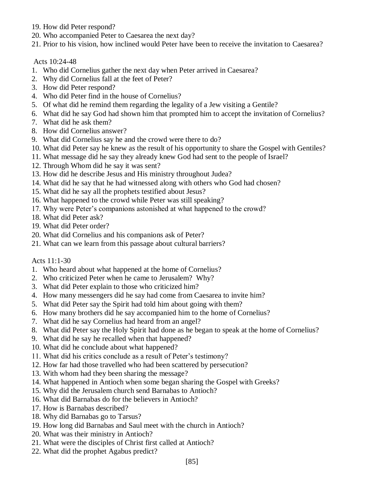- 19. How did Peter respond?
- 20. Who accompanied Peter to Caesarea the next day?
- 21. Prior to his vision, how inclined would Peter have been to receive the invitation to Caesarea?

## Acts 10:24-48

- 1. Who did Cornelius gather the next day when Peter arrived in Caesarea?
- 2. Why did Cornelius fall at the feet of Peter?
- 3. How did Peter respond?
- 4. Who did Peter find in the house of Cornelius?
- 5. Of what did he remind them regarding the legality of a Jew visiting a Gentile?
- 6. What did he say God had shown him that prompted him to accept the invitation of Cornelius?
- 7. What did he ask them?
- 8. How did Cornelius answer?
- 9. What did Cornelius say he and the crowd were there to do?
- 10. What did Peter say he knew as the result of his opportunity to share the Gospel with Gentiles?
- 11. What message did he say they already knew God had sent to the people of Israel?
- 12. Through Whom did he say it was sent?
- 13. How did he describe Jesus and His ministry throughout Judea?
- 14. What did he say that he had witnessed along with others who God had chosen?
- 15. What did he say all the prophets testified about Jesus?
- 16. What happened to the crowd while Peter was still speaking?
- 17. Why were Peter's companions astonished at what happened to the crowd?
- 18. What did Peter ask?
- 19. What did Peter order?
- 20. What did Cornelius and his companions ask of Peter?
- 21. What can we learn from this passage about cultural barriers?

## Acts 11:1-30

- 1. Who heard about what happened at the home of Cornelius?
- 2. Who criticized Peter when he came to Jerusalem? Why?
- 3. What did Peter explain to those who criticized him?
- 4. How many messengers did he say had come from Caesarea to invite him?
- 5. What did Peter say the Spirit had told him about going with them?
- 6. How many brothers did he say accompanied him to the home of Cornelius?
- 7. What did he say Cornelius had heard from an angel?
- 8. What did Peter say the Holy Spirit had done as he began to speak at the home of Cornelius?
- 9. What did he say he recalled when that happened?
- 10. What did he conclude about what happened?
- 11. What did his critics conclude as a result of Peter's testimony?
- 12. How far had those travelled who had been scattered by persecution?
- 13. With whom had they been sharing the message?
- 14. What happened in Antioch when some began sharing the Gospel with Greeks?
- 15. Why did the Jerusalem church send Barnabas to Antioch?
- 16. What did Barnabas do for the believers in Antioch?
- 17. How is Barnabas described?
- 18. Why did Barnabas go to Tarsus?
- 19. How long did Barnabas and Saul meet with the church in Antioch?
- 20. What was their ministry in Antioch?
- 21. What were the disciples of Christ first called at Antioch?
- 22. What did the prophet Agabus predict?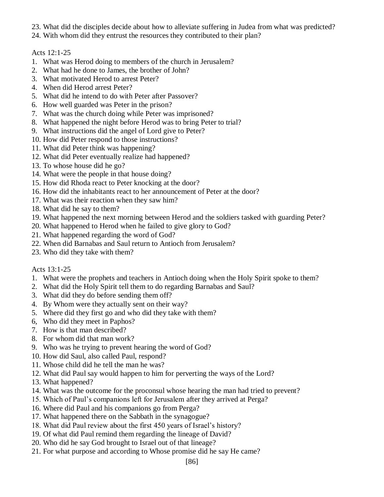- 23. What did the disciples decide about how to alleviate suffering in Judea from what was predicted?
- 24. With whom did they entrust the resources they contributed to their plan?

## Acts 12:1-25

- 1. What was Herod doing to members of the church in Jerusalem?
- 2. What had he done to James, the brother of John?
- 3. What motivated Herod to arrest Peter?
- 4. When did Herod arrest Peter?
- 5. What did he intend to do with Peter after Passover?
- 6. How well guarded was Peter in the prison?
- 7. What was the church doing while Peter was imprisoned?
- 8. What happened the night before Herod was to bring Peter to trial?
- 9. What instructions did the angel of Lord give to Peter?
- 10. How did Peter respond to those instructions?
- 11. What did Peter think was happening?
- 12. What did Peter eventually realize had happened?
- 13. To whose house did he go?
- 14. What were the people in that house doing?
- 15. How did Rhoda react to Peter knocking at the door?
- 16. How did the inhabitants react to her announcement of Peter at the door?
- 17. What was their reaction when they saw him?
- 18. What did he say to them?
- 19. What happened the next morning between Herod and the soldiers tasked with guarding Peter?
- 20. What happened to Herod when he failed to give glory to God?
- 21. What happened regarding the word of God?
- 22. When did Barnabas and Saul return to Antioch from Jerusalem?
- 23. Who did they take with them?

## Acts 13:1-25

- 1. What were the prophets and teachers in Antioch doing when the Holy Spirit spoke to them?
- 2. What did the Holy Spirit tell them to do regarding Barnabas and Saul?
- 3. What did they do before sending them off?
- 4. By Whom were they actually sent on their way?
- 5. Where did they first go and who did they take with them?
- 6, Who did they meet in Paphos?
- 7. How is that man described?
- 8. For whom did that man work?
- 9. Who was he trying to prevent hearing the word of God?
- 10. How did Saul, also called Paul, respond?
- 11. Whose child did he tell the man he was?
- 12. What did Paul say would happen to him for perverting the ways of the Lord?
- 13. What happened?
- 14. What was the outcome for the proconsul whose hearing the man had tried to prevent?
- 15. Which of Paul's companions left for Jerusalem after they arrived at Perga?
- 16. Where did Paul and his companions go from Perga?
- 17. What happened there on the Sabbath in the synagogue?
- 18. What did Paul review about the first 450 years of Israel's history?
- 19. Of what did Paul remind them regarding the lineage of David?
- 20. Who did he say God brought to Israel out of that lineage?
- 21. For what purpose and according to Whose promise did he say He came?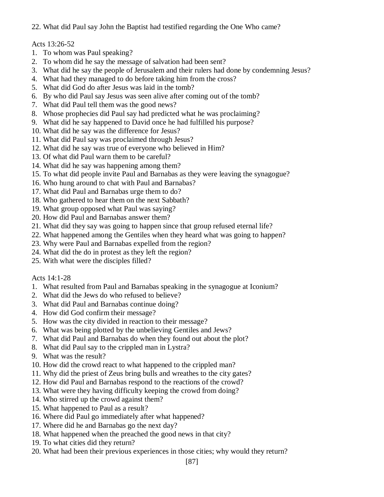22. What did Paul say John the Baptist had testified regarding the One Who came?

## Acts 13:26-52

- 1. To whom was Paul speaking?
- 2. To whom did he say the message of salvation had been sent?
- 3. What did he say the people of Jerusalem and their rulers had done by condemning Jesus?
- 4. What had they managed to do before taking him from the cross?
- 5. What did God do after Jesus was laid in the tomb?
- 6. By who did Paul say Jesus was seen alive after coming out of the tomb?
- 7. What did Paul tell them was the good news?
- 8. Whose prophecies did Paul say had predicted what he was proclaiming?
- 9. What did he say happened to David once he had fulfilled his purpose?
- 10. What did he say was the difference for Jesus?
- 11. What did Paul say was proclaimed through Jesus?
- 12. What did he say was true of everyone who believed in Him?
- 13. Of what did Paul warn them to be careful?
- 14. What did he say was happening among them?
- 15. To what did people invite Paul and Barnabas as they were leaving the synagogue?
- 16. Who hung around to chat with Paul and Barnabas?
- 17. What did Paul and Barnabas urge them to do?
- 18. Who gathered to hear them on the next Sabbath?
- 19. What group opposed what Paul was saying?
- 20. How did Paul and Barnabas answer them?
- 21. What did they say was going to happen since that group refused eternal life?
- 22. What happened among the Gentiles when they heard what was going to happen?
- 23. Why were Paul and Barnabas expelled from the region?
- 24. What did the do in protest as they left the region?
- 25. With what were the disciples filled?

# Acts 14:1-28

- 1. What resulted from Paul and Barnabas speaking in the synagogue at Iconium?
- 2. What did the Jews do who refused to believe?
- 3. What did Paul and Barnabas continue doing?
- 4. How did God confirm their message?
- 5. How was the city divided in reaction to their message?
- 6. What was being plotted by the unbelieving Gentiles and Jews?
- 7. What did Paul and Barnabas do when they found out about the plot?
- 8. What did Paul say to the crippled man in Lystra?
- 9. What was the result?
- 10. How did the crowd react to what happened to the crippled man?
- 11. Why did the priest of Zeus bring bulls and wreathes to the city gates?
- 12. How did Paul and Barnabas respond to the reactions of the crowd?
- 13. What were they having difficulty keeping the crowd from doing?
- 14. Who stirred up the crowd against them?
- 15. What happened to Paul as a result?
- 16. Where did Paul go immediately after what happened?
- 17. Where did he and Barnabas go the next day?
- 18. What happened when the preached the good news in that city?
- 19. To what cities did they return?
- 20. What had been their previous experiences in those cities; why would they return?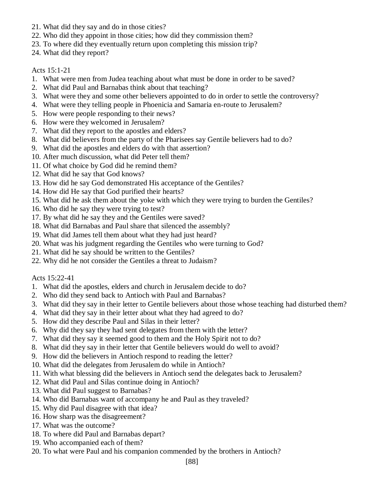- 21. What did they say and do in those cities?
- 22. Who did they appoint in those cities; how did they commission them?
- 23. To where did they eventually return upon completing this mission trip?
- 24. What did they report?

#### Acts 15:1-21

- 1. What were men from Judea teaching about what must be done in order to be saved?
- 2. What did Paul and Barnabas think about that teaching?
- 3. What were they and some other believers appointed to do in order to settle the controversy?
- 4. What were they telling people in Phoenicia and Samaria en-route to Jerusalem?
- 5. How were people responding to their news?
- 6. How were they welcomed in Jerusalem?
- 7. What did they report to the apostles and elders?
- 8. What did believers from the party of the Pharisees say Gentile believers had to do?
- 9. What did the apostles and elders do with that assertion?
- 10. After much discussion, what did Peter tell them?
- 11. Of what choice by God did he remind them?
- 12. What did he say that God knows?
- 13. How did he say God demonstrated His acceptance of the Gentiles?
- 14. How did He say that God purified their hearts?
- 15. What did he ask them about the yoke with which they were trying to burden the Gentiles?
- 16. Who did he say they were trying to test?
- 17. By what did he say they and the Gentiles were saved?
- 18. What did Barnabas and Paul share that silenced the assembly?
- 19. What did James tell them about what they had just heard?
- 20. What was his judgment regarding the Gentiles who were turning to God?
- 21. What did he say should be written to the Gentiles?
- 22. Why did he not consider the Gentiles a threat to Judaism?

## Acts 15:22-41

- 1. What did the apostles, elders and church in Jerusalem decide to do?
- 2. Who did they send back to Antioch with Paul and Barnabas?
- 3. What did they say in their letter to Gentile believers about those whose teaching had disturbed them?
- 4. What did they say in their letter about what they had agreed to do?
- 5. How did they describe Paul and Silas in their letter?
- 6. Why did they say they had sent delegates from them with the letter?
- 7. What did they say it seemed good to them and the Holy Spirit not to do?
- 8. What did they say in their letter that Gentile believers would do well to avoid?
- 9. How did the believers in Antioch respond to reading the letter?
- 10. What did the delegates from Jerusalem do while in Antioch?
- 11. With what blessing did the believers in Antioch send the delegates back to Jerusalem?
- 12. What did Paul and Silas continue doing in Antioch?
- 13. What did Paul suggest to Barnabas?
- 14. Who did Barnabas want of accompany he and Paul as they traveled?
- 15. Why did Paul disagree with that idea?
- 16. How sharp was the disagreement?
- 17. What was the outcome?
- 18. To where did Paul and Barnabas depart?
- 19. Who accompanied each of them?
- 20. To what were Paul and his companion commended by the brothers in Antioch?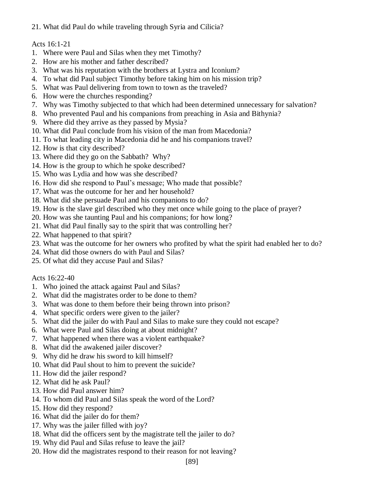21. What did Paul do while traveling through Syria and Cilicia?

## Acts 16:1-21

- 1. Where were Paul and Silas when they met Timothy?
- 2. How are his mother and father described?
- 3. What was his reputation with the brothers at Lystra and Iconium?
- 4. To what did Paul subject Timothy before taking him on his mission trip?
- 5. What was Paul delivering from town to town as the traveled?
- 6. How were the churches responding?
- 7. Why was Timothy subjected to that which had been determined unnecessary for salvation?
- 8. Who prevented Paul and his companions from preaching in Asia and Bithynia?
- 9. Where did they arrive as they passed by Mysia?
- 10. What did Paul conclude from his vision of the man from Macedonia?
- 11. To what leading city in Macedonia did he and his companions travel?
- 12. How is that city described?
- 13. Where did they go on the Sabbath? Why?
- 14. How is the group to which he spoke described?
- 15. Who was Lydia and how was she described?
- 16. How did she respond to Paul's message; Who made that possible?
- 17. What was the outcome for her and her household?
- 18. What did she persuade Paul and his companions to do?
- 19. How is the slave girl described who they met once while going to the place of prayer?
- 20. How was she taunting Paul and his companions; for how long?
- 21. What did Paul finally say to the spirit that was controlling her?
- 22. What happened to that spirit?
- 23. What was the outcome for her owners who profited by what the spirit had enabled her to do?
- 24. What did those owners do with Paul and Silas?
- 25. Of what did they accuse Paul and Silas?

## Acts 16:22-40

- 1. Who joined the attack against Paul and Silas?
- 2. What did the magistrates order to be done to them?
- 3. What was done to them before their being thrown into prison?
- 4. What specific orders were given to the jailer?
- 5. What did the jailer do with Paul and Silas to make sure they could not escape?
- 6. What were Paul and Silas doing at about midnight?
- 7. What happened when there was a violent earthquake?
- 8. What did the awakened jailer discover?
- 9. Why did he draw his sword to kill himself?
- 10. What did Paul shout to him to prevent the suicide?
- 11. How did the jailer respond?
- 12. What did he ask Paul?
- 13. How did Paul answer him?
- 14. To whom did Paul and Silas speak the word of the Lord?
- 15. How did they respond?
- 16. What did the jailer do for them?
- 17. Why was the jailer filled with joy?
- 18. What did the officers sent by the magistrate tell the jailer to do?
- 19. Why did Paul and Silas refuse to leave the jail?
- 20. How did the magistrates respond to their reason for not leaving?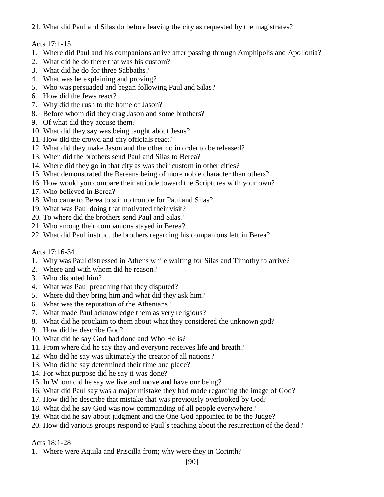21. What did Paul and Silas do before leaving the city as requested by the magistrates?

## Acts 17:1-15

- 1. Where did Paul and his companions arrive after passing through Amphipolis and Apollonia?
- 2. What did he do there that was his custom?
- 3. What did he do for three Sabbaths?
- 4. What was he explaining and proving?
- 5. Who was persuaded and began following Paul and Silas?
- 6. How did the Jews react?
- 7. Why did the rush to the home of Jason?
- 8. Before whom did they drag Jason and some brothers?
- 9. Of what did they accuse them?
- 10. What did they say was being taught about Jesus?
- 11. How did the crowd and city officials react?
- 12. What did they make Jason and the other do in order to be released?
- 13. When did the brothers send Paul and Silas to Berea?
- 14. Where did they go in that city as was their custom in other cities?
- 15. What demonstrated the Bereans being of more noble character than others?
- 16. How would you compare their attitude toward the Scriptures with your own?
- 17. Who believed in Berea?
- 18. Who came to Berea to stir up trouble for Paul and Silas?
- 19. What was Paul doing that motivated their visit?
- 20. To where did the brothers send Paul and Silas?
- 21. Who among their companions stayed in Berea?
- 22. What did Paul instruct the brothers regarding his companions left in Berea?

## Acts 17:16-34

- 1. Why was Paul distressed in Athens while waiting for Silas and Timothy to arrive?
- 2. Where and with whom did he reason?
- 3. Who disputed him?
- 4. What was Paul preaching that they disputed?
- 5. Where did they bring him and what did they ask him?
- 6. What was the reputation of the Athenians?
- 7. What made Paul acknowledge them as very religious?
- 8. What did he proclaim to them about what they considered the unknown god?
- 9. How did he describe God?
- 10. What did he say God had done and Who He is?
- 11. From where did he say they and everyone receives life and breath?
- 12. Who did he say was ultimately the creator of all nations?
- 13. Who did he say determined their time and place?
- 14. For what purpose did he say it was done?
- 15. In Whom did he say we live and move and have our being?
- 16. What did Paul say was a major mistake they had made regarding the image of God?
- 17. How did he describe that mistake that was previously overlooked by God?
- 18. What did he say God was now commanding of all people everywhere?
- 19. What did he say about judgment and the One God appointed to be the Judge?
- 20. How did various groups respond to Paul's teaching about the resurrection of the dead?

## Acts 18:1-28

1. Where were Aquila and Priscilla from; why were they in Corinth?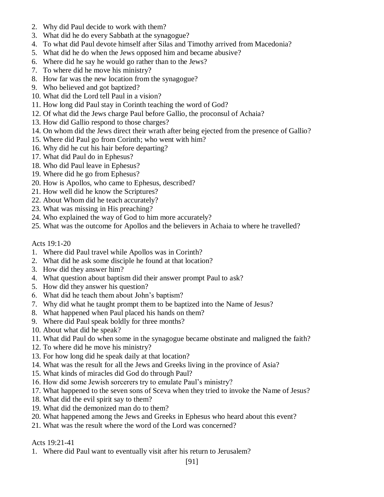- 2. Why did Paul decide to work with them?
- 3. What did he do every Sabbath at the synagogue?
- 4. To what did Paul devote himself after Silas and Timothy arrived from Macedonia?
- 5. What did he do when the Jews opposed him and became abusive?
- 6. Where did he say he would go rather than to the Jews?
- 7. To where did he move his ministry?
- 8. How far was the new location from the synagogue?
- 9. Who believed and got baptized?
- 10. What did the Lord tell Paul in a vision?
- 11. How long did Paul stay in Corinth teaching the word of God?
- 12. Of what did the Jews charge Paul before Gallio, the proconsul of Achaia?
- 13. How did Gallio respond to those charges?
- 14. On whom did the Jews direct their wrath after being ejected from the presence of Gallio?
- 15. Where did Paul go from Corinth; who went with him?
- 16. Why did he cut his hair before departing?
- 17. What did Paul do in Ephesus?
- 18. Who did Paul leave in Ephesus?
- 19. Where did he go from Ephesus?
- 20. How is Apollos, who came to Ephesus, described?
- 21. How well did he know the Scriptures?
- 22. About Whom did he teach accurately?
- 23. What was missing in His preaching?
- 24. Who explained the way of God to him more accurately?
- 25. What was the outcome for Apollos and the believers in Achaia to where he travelled?

#### Acts 19:1-20

- 1. Where did Paul travel while Apollos was in Corinth?
- 2. What did he ask some disciple he found at that location?
- 3. How did they answer him?
- 4. What question about baptism did their answer prompt Paul to ask?
- 5. How did they answer his question?
- 6. What did he teach them about John's baptism?
- 7. Why did what he taught prompt them to be baptized into the Name of Jesus?
- 8. What happened when Paul placed his hands on them?
- 9. Where did Paul speak boldly for three months?
- 10. About what did he speak?
- 11. What did Paul do when some in the synagogue became obstinate and maligned the faith?
- 12. To where did he move his ministry?
- 13. For how long did he speak daily at that location?
- 14. What was the result for all the Jews and Greeks living in the province of Asia?
- 15. What kinds of miracles did God do through Paul?
- 16. How did some Jewish sorcerers try to emulate Paul's ministry?
- 17. What happened to the seven sons of Sceva when they tried to invoke the Name of Jesus?
- 18. What did the evil spirit say to them?
- 19. What did the demonized man do to them?
- 20. What happened among the Jews and Greeks in Ephesus who heard about this event?
- 21. What was the result where the word of the Lord was concerned?

#### Acts 19:21-41

1. Where did Paul want to eventually visit after his return to Jerusalem?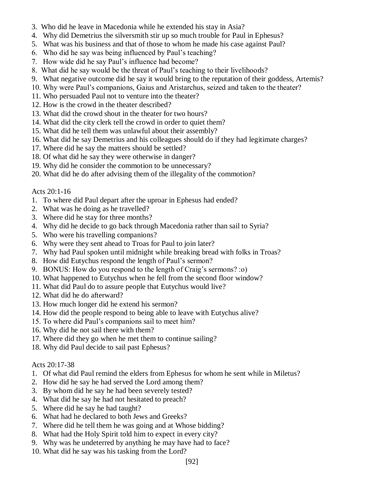- 3. Who did he leave in Macedonia while he extended his stay in Asia?
- 4. Why did Demetrius the silversmith stir up so much trouble for Paul in Ephesus?
- 5. What was his business and that of those to whom he made his case against Paul?
- 6. Who did he say was being influenced by Paul's teaching?
- 7. How wide did he say Paul's influence had become?
- 8. What did he say would be the threat of Paul's teaching to their livelihoods?
- 9. What negative outcome did he say it would bring to the reputation of their goddess, Artemis?
- 10. Why were Paul's companions, Gaius and Aristarchus, seized and taken to the theater?
- 11. Who persuaded Paul not to venture into the theater?
- 12. How is the crowd in the theater described?
- 13. What did the crowd shout in the theater for two hours?
- 14. What did the city clerk tell the crowd in order to quiet them?
- 15. What did he tell them was unlawful about their assembly?
- 16. What did he say Demetrius and his colleagues should do if they had legitimate charges?
- 17. Where did he say the matters should be settled?
- 18. Of what did he say they were otherwise in danger?
- 19. Why did he consider the commotion to be unnecessary?
- 20. What did he do after advising them of the illegality of the commotion?

#### Acts 20:1-16

- 1. To where did Paul depart after the uproar in Ephesus had ended?
- 2. What was he doing as he travelled?
- 3. Where did he stay for three months?
- 4. Why did he decide to go back through Macedonia rather than sail to Syria?
- 5. Who were his travelling companions?
- 6. Why were they sent ahead to Troas for Paul to join later?
- 7. Why had Paul spoken until midnight while breaking bread with folks in Troas?
- 8. How did Eutychus respond the length of Paul's sermon?
- 9. BONUS: How do you respond to the length of Craig's sermons? :o)
- 10. What happened to Eutychus when he fell from the second floor window?
- 11. What did Paul do to assure people that Eutychus would live?
- 12. What did he do afterward?
- 13. How much longer did he extend his sermon?
- 14. How did the people respond to being able to leave with Eutychus alive?
- 15. To where did Paul's companions sail to meet him?
- 16. Why did he not sail there with them?
- 17. Where did they go when he met them to continue sailing?
- 18. Why did Paul decide to sail past Ephesus?

## Acts 20:17-38

- 1. Of what did Paul remind the elders from Ephesus for whom he sent while in Miletus?
- 2. How did he say he had served the Lord among them?
- 3. By whom did he say he had been severely tested?
- 4. What did he say he had not hesitated to preach?
- 5. Where did he say he had taught?
- 6. What had he declared to both Jews and Greeks?
- 7. Where did he tell them he was going and at Whose bidding?
- 8. What had the Holy Spirit told him to expect in every city?
- 9. Why was he undeterred by anything he may have had to face?
- 10. What did he say was his tasking from the Lord?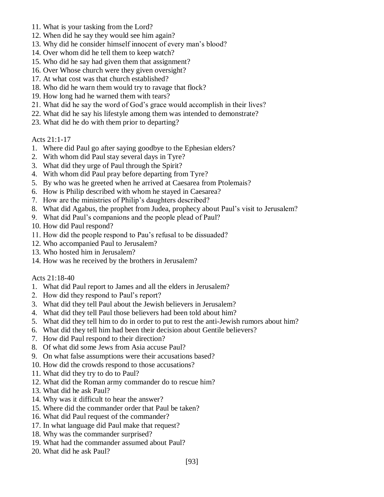- 11. What is your tasking from the Lord?
- 12. When did he say they would see him again?
- 13. Why did he consider himself innocent of every man's blood?
- 14. Over whom did he tell them to keep watch?
- 15. Who did he say had given them that assignment?
- 16. Over Whose church were they given oversight?
- 17. At what cost was that church established?
- 18. Who did he warn them would try to ravage that flock?
- 19. How long had he warned them with tears?
- 21. What did he say the word of God's grace would accomplish in their lives?
- 22. What did he say his lifestyle among them was intended to demonstrate?
- 23. What did he do with them prior to departing?

#### Acts 21:1-17

- 1. Where did Paul go after saying goodbye to the Ephesian elders?
- 2. With whom did Paul stay several days in Tyre?
- 3. What did they urge of Paul through the Spirit?
- 4. With whom did Paul pray before departing from Tyre?
- 5. By who was he greeted when he arrived at Caesarea from Ptolemais?
- 6. How is Philip described with whom he stayed in Caesarea?
- 7. How are the ministries of Philip's daughters described?
- 8. What did Agabus, the prophet from Judea, prophecy about Paul's visit to Jerusalem?
- 9. What did Paul's companions and the people plead of Paul?
- 10. How did Paul respond?
- 11. How did the people respond to Pau's refusal to be dissuaded?
- 12. Who accompanied Paul to Jerusalem?
- 13. Who hosted him in Jerusalem?
- 14. How was he received by the brothers in Jerusalem?

#### Acts 21:18-40

- 1. What did Paul report to James and all the elders in Jerusalem?
- 2. How did they respond to Paul's report?
- 3. What did they tell Paul about the Jewish believers in Jerusalem?
- 4. What did they tell Paul those believers had been told about him?
- 5. What did they tell him to do in order to put to rest the anti-Jewish rumors about him?
- 6. What did they tell him had been their decision about Gentile believers?
- 7. How did Paul respond to their direction?
- 8. Of what did some Jews from Asia accuse Paul?
- 9. On what false assumptions were their accusations based?
- 10. How did the crowds respond to those accusations?
- 11. What did they try to do to Paul?
- 12. What did the Roman army commander do to rescue him?
- 13. What did he ask Paul?
- 14. Why was it difficult to hear the answer?
- 15. Where did the commander order that Paul be taken?
- 16. What did Paul request of the commander?
- 17. In what language did Paul make that request?
- 18. Why was the commander surprised?
- 19. What had the commander assumed about Paul?
- 20. What did he ask Paul?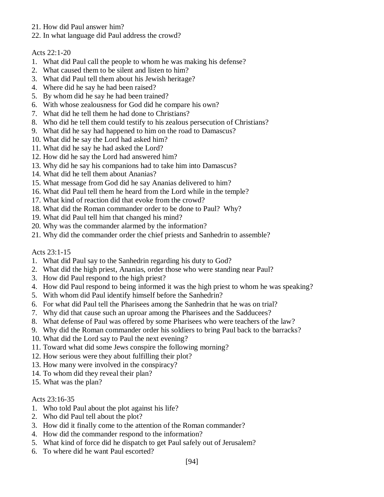- 21. How did Paul answer him?
- 22. In what language did Paul address the crowd?

## Acts 22:1-20

- 1. What did Paul call the people to whom he was making his defense?
- 2. What caused them to be silent and listen to him?
- 3. What did Paul tell them about his Jewish heritage?
- 4. Where did he say he had been raised?
- 5. By whom did he say he had been trained?
- 6. With whose zealousness for God did he compare his own?
- 7. What did he tell them he had done to Christians?
- 8. Who did he tell them could testify to his zealous persecution of Christians?
- 9. What did he say had happened to him on the road to Damascus?
- 10. What did he say the Lord had asked him?
- 11. What did he say he had asked the Lord?
- 12. How did he say the Lord had answered him?
- 13. Why did he say his companions had to take him into Damascus?
- 14. What did he tell them about Ananias?
- 15. What message from God did he say Ananias delivered to him?
- 16. What did Paul tell them he heard from the Lord while in the temple?
- 17. What kind of reaction did that evoke from the crowd?
- 18. What did the Roman commander order to be done to Paul? Why?
- 19. What did Paul tell him that changed his mind?
- 20. Why was the commander alarmed by the information?
- 21. Why did the commander order the chief priests and Sanhedrin to assemble?

#### Acts 23:1-15

- 1. What did Paul say to the Sanhedrin regarding his duty to God?
- 2. What did the high priest, Ananias, order those who were standing near Paul?
- 3. How did Paul respond to the high priest?
- 4. How did Paul respond to being informed it was the high priest to whom he was speaking?
- 5. With whom did Paul identify himself before the Sanhedrin?
- 6. For what did Paul tell the Pharisees among the Sanhedrin that he was on trial?
- 7. Why did that cause such an uproar among the Pharisees and the Sadducees?
- 8. What defense of Paul was offered by some Pharisees who were teachers of the law?
- 9. Why did the Roman commander order his soldiers to bring Paul back to the barracks?
- 10. What did the Lord say to Paul the next evening?
- 11. Toward what did some Jews conspire the following morning?
- 12. How serious were they about fulfilling their plot?
- 13. How many were involved in the conspiracy?
- 14. To whom did they reveal their plan?
- 15. What was the plan?

#### Acts 23:16-35

- 1. Who told Paul about the plot against his life?
- 2. Who did Paul tell about the plot?
- 3. How did it finally come to the attention of the Roman commander?
- 4. How did the commander respond to the information?
- 5. What kind of force did he dispatch to get Paul safely out of Jerusalem?
- 6. To where did he want Paul escorted?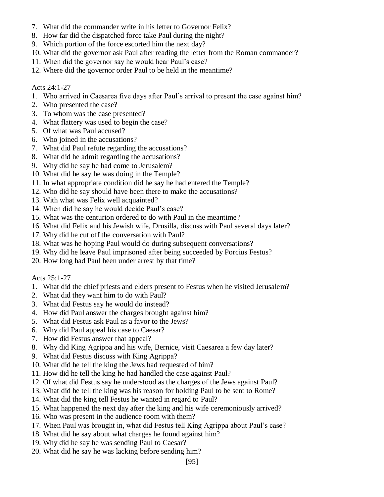- 7. What did the commander write in his letter to Governor Felix?
- 8. How far did the dispatched force take Paul during the night?
- 9. Which portion of the force escorted him the next day?
- 10. What did the governor ask Paul after reading the letter from the Roman commander?
- 11. When did the governor say he would hear Paul's case?
- 12. Where did the governor order Paul to be held in the meantime?

#### Acts 24:1-27

- 1. Who arrived in Caesarea five days after Paul's arrival to present the case against him?
- 2. Who presented the case?
- 3. To whom was the case presented?
- 4. What flattery was used to begin the case?
- 5. Of what was Paul accused?
- 6. Who joined in the accusations?
- 7. What did Paul refute regarding the accusations?
- 8. What did he admit regarding the accusations?
- 9. Why did he say he had come to Jerusalem?
- 10. What did he say he was doing in the Temple?
- 11. In what appropriate condition did he say he had entered the Temple?
- 12. Who did he say should have been there to make the accusations?
- 13. With what was Felix well acquainted?
- 14. When did he say he would decide Paul's case?
- 15. What was the centurion ordered to do with Paul in the meantime?
- 16. What did Felix and his Jewish wife, Drusilla, discuss with Paul several days later?
- 17. Why did he cut off the conversation with Paul?
- 18. What was he hoping Paul would do during subsequent conversations?
- 19. Why did he leave Paul imprisoned after being succeeded by Porcius Festus?
- 20. How long had Paul been under arrest by that time?

## Acts 25:1-27

- 1. What did the chief priests and elders present to Festus when he visited Jerusalem?
- 2. What did they want him to do with Paul?
- 3. What did Festus say he would do instead?
- 4. How did Paul answer the charges brought against him?
- 5. What did Festus ask Paul as a favor to the Jews?
- 6. Why did Paul appeal his case to Caesar?
- 7. How did Festus answer that appeal?
- 8. Why did King Agrippa and his wife, Bernice, visit Caesarea a few day later?
- 9. What did Festus discuss with King Agrippa?
- 10. What did he tell the king the Jews had requested of him?
- 11. How did he tell the king he had handled the case against Paul?
- 12. Of what did Festus say he understood as the charges of the Jews against Paul?
- 13. What did he tell the king was his reason for holding Paul to be sent to Rome?
- 14. What did the king tell Festus he wanted in regard to Paul?
- 15. What happened the next day after the king and his wife ceremoniously arrived?
- 16. Who was present in the audience room with them?
- 17. When Paul was brought in, what did Festus tell King Agrippa about Paul's case?
- 18. What did he say about what charges he found against him?
- 19. Why did he say he was sending Paul to Caesar?
- 20. What did he say he was lacking before sending him?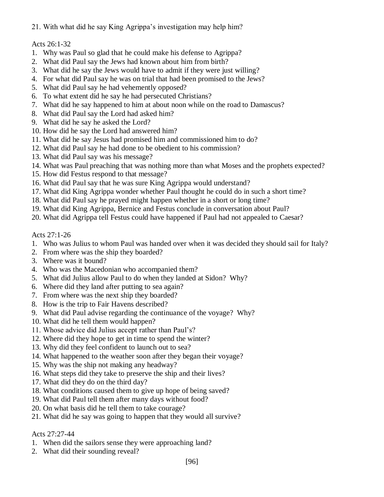21. With what did he say King Agrippa's investigation may help him?

## Acts 26:1-32

- 1. Why was Paul so glad that he could make his defense to Agrippa?
- 2. What did Paul say the Jews had known about him from birth?
- 3. What did he say the Jews would have to admit if they were just willing?
- 4. For what did Paul say he was on trial that had been promised to the Jews?
- 5. What did Paul say he had vehemently opposed?
- 6. To what extent did he say he had persecuted Christians?
- 7. What did he say happened to him at about noon while on the road to Damascus?
- 8. What did Paul say the Lord had asked him?
- 9. What did he say he asked the Lord?
- 10. How did he say the Lord had answered him?
- 11. What did he say Jesus had promised him and commissioned him to do?
- 12. What did Paul say he had done to be obedient to his commission?
- 13. What did Paul say was his message?
- 14. What was Paul preaching that was nothing more than what Moses and the prophets expected?
- 15. How did Festus respond to that message?
- 16. What did Paul say that he was sure King Agrippa would understand?
- 17. What did King Agrippa wonder whether Paul thought he could do in such a short time?
- 18. What did Paul say he prayed might happen whether in a short or long time?
- 19. What did King Agrippa, Bernice and Festus conclude in conversation about Paul?
- 20. What did Agrippa tell Festus could have happened if Paul had not appealed to Caesar?

# Acts 27:1-26

- 1. Who was Julius to whom Paul was handed over when it was decided they should sail for Italy?
- 2. From where was the ship they boarded?
- 3. Where was it bound?
- 4. Who was the Macedonian who accompanied them?
- 5. What did Julius allow Paul to do when they landed at Sidon? Why?
- 6. Where did they land after putting to sea again?
- 7. From where was the next ship they boarded?
- 8. How is the trip to Fair Havens described?
- 9. What did Paul advise regarding the continuance of the voyage? Why?
- 10. What did he tell them would happen?
- 11. Whose advice did Julius accept rather than Paul's?
- 12. Where did they hope to get in time to spend the winter?
- 13. Why did they feel confident to launch out to sea?
- 14. What happened to the weather soon after they began their voyage?
- 15. Why was the ship not making any headway?
- 16. What steps did they take to preserve the ship and their lives?
- 17. What did they do on the third day?
- 18. What conditions caused them to give up hope of being saved?
- 19. What did Paul tell them after many days without food?
- 20. On what basis did he tell them to take courage?
- 21. What did he say was going to happen that they would all survive?

# Acts 27:27-44

- 1. When did the sailors sense they were approaching land?
- 2. What did their sounding reveal?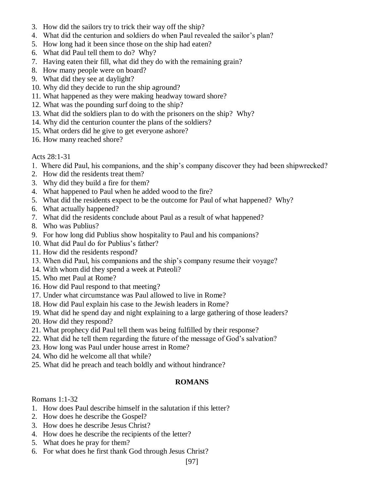- 3. How did the sailors try to trick their way off the ship?
- 4. What did the centurion and soldiers do when Paul revealed the sailor's plan?
- 5. How long had it been since those on the ship had eaten?
- 6. What did Paul tell them to do? Why?
- 7. Having eaten their fill, what did they do with the remaining grain?
- 8. How many people were on board?
- 9. What did they see at daylight?
- 10. Why did they decide to run the ship aground?
- 11. What happened as they were making headway toward shore?
- 12. What was the pounding surf doing to the ship?
- 13. What did the soldiers plan to do with the prisoners on the ship? Why?
- 14. Why did the centurion counter the plans of the soldiers?
- 15. What orders did he give to get everyone ashore?
- 16. How many reached shore?

## Acts 28:1-31

- 1. Where did Paul, his companions, and the ship's company discover they had been shipwrecked?
- 2. How did the residents treat them?
- 3. Why did they build a fire for them?
- 4. What happened to Paul when he added wood to the fire?
- 5. What did the residents expect to be the outcome for Paul of what happened? Why?
- 6. What actually happened?
- 7. What did the residents conclude about Paul as a result of what happened?
- 8. Who was Publius?
- 9. For how long did Publius show hospitality to Paul and his companions?
- 10. What did Paul do for Publius's father?
- 11. How did the residents respond?
- 13. When did Paul, his companions and the ship's company resume their voyage?
- 14. With whom did they spend a week at Puteoli?
- 15. Who met Paul at Rome?
- 16. How did Paul respond to that meeting?
- 17. Under what circumstance was Paul allowed to live in Rome?
- 18. How did Paul explain his case to the Jewish leaders in Rome?
- 19. What did he spend day and night explaining to a large gathering of those leaders?
- 20. How did they respond?
- 21. What prophecy did Paul tell them was being fulfilled by their response?
- 22. What did he tell them regarding the future of the message of God's salvation?
- 23. How long was Paul under house arrest in Rome?
- 24. Who did he welcome all that while?
- 25. What did he preach and teach boldly and without hindrance?

# **ROMANS**

## Romans 1:1-32

- 1. How does Paul describe himself in the salutation if this letter?
- 2. How does he describe the Gospel?
- 3. How does he describe Jesus Christ?
- 4. How does he describe the recipients of the letter?
- 5. What does he pray for them?
- 6. For what does he first thank God through Jesus Christ?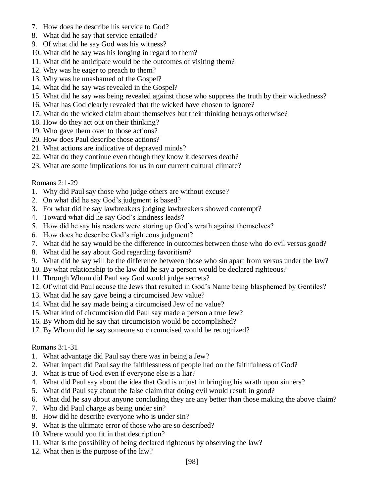- 7. How does he describe his service to God?
- 8. What did he say that service entailed?
- 9. Of what did he say God was his witness?
- 10. What did he say was his longing in regard to them?
- 11. What did he anticipate would be the outcomes of visiting them?
- 12. Why was he eager to preach to them?
- 13. Why was he unashamed of the Gospel?
- 14. What did he say was revealed in the Gospel?
- 15. What did he say was being revealed against those who suppress the truth by their wickedness?
- 16. What has God clearly revealed that the wicked have chosen to ignore?
- 17. What do the wicked claim about themselves but their thinking betrays otherwise?
- 18. How do they act out on their thinking?
- 19. Who gave them over to those actions?
- 20. How does Paul describe those actions?
- 21. What actions are indicative of depraved minds?
- 22. What do they continue even though they know it deserves death?
- 23. What are some implications for us in our current cultural climate?

## Romans 2:1-29

- 1. Why did Paul say those who judge others are without excuse?
- 2. On what did he say God's judgment is based?
- 3. For what did he say lawbreakers judging lawbreakers showed contempt?
- 4. Toward what did he say God's kindness leads?
- 5. How did he say his readers were storing up God's wrath against themselves?
- 6. How does he describe God's righteous judgment?
- 7. What did he say would be the difference in outcomes between those who do evil versus good?
- 8. What did he say about God regarding favoritism?
- 9. What did he say will be the difference between those who sin apart from versus under the law?
- 10. By what relationship to the law did he say a person would be declared righteous?
- 11. Through Whom did Paul say God would judge secrets?
- 12. Of what did Paul accuse the Jews that resulted in God's Name being blasphemed by Gentiles?
- 13. What did he say gave being a circumcised Jew value?
- 14. What did he say made being a circumcised Jew of no value?
- 15. What kind of circumcision did Paul say made a person a true Jew?
- 16. By Whom did he say that circumcision would be accomplished?
- 17. By Whom did he say someone so circumcised would be recognized?

## Romans 3:1-31

- 1. What advantage did Paul say there was in being a Jew?
- 2. What impact did Paul say the faithlessness of people had on the faithfulness of God?
- 3. What is true of God even if everyone else is a liar?
- 4. What did Paul say about the idea that God is unjust in bringing his wrath upon sinners?
- 5. What did Paul say about the false claim that doing evil would result in good?
- 6. What did he say about anyone concluding they are any better than those making the above claim?
- 7. Who did Paul charge as being under sin?
- 8. How did he describe everyone who is under sin?
- 9. What is the ultimate error of those who are so described?
- 10. Where would you fit in that description?
- 11. What is the possibility of being declared righteous by observing the law?
- 12. What then is the purpose of the law?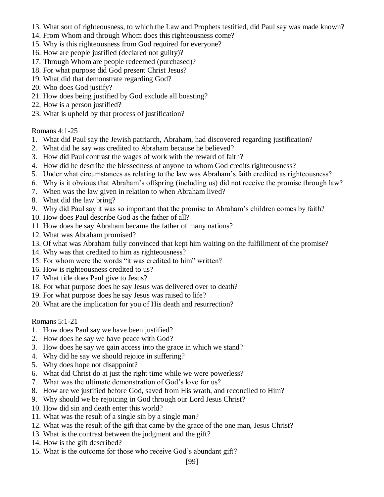- 13. What sort of righteousness, to which the Law and Prophets testified, did Paul say was made known?
- 14. From Whom and through Whom does this righteousness come?
- 15. Why is this righteousness from God required for everyone?
- 16. How are people justified (declared not guilty)?
- 17. Through Whom are people redeemed (purchased)?
- 18. For what purpose did God present Christ Jesus?
- 19. What did that demonstrate regarding God?
- 20. Who does God justify?
- 21. How does being justified by God exclude all boasting?
- 22. How is a person justified?
- 23. What is upheld by that process of justification?

#### Romans 4:1-25

- 1. What did Paul say the Jewish patriarch, Abraham, had discovered regarding justification?
- 2. What did he say was credited to Abraham because he believed?
- 3. How did Paul contrast the wages of work with the reward of faith?
- 4. How did he describe the blessedness of anyone to whom God credits righteousness?
- 5. Under what circumstances as relating to the law was Abraham's faith credited as righteousness?
- 6. Why is it obvious that Abraham's offspring (including us) did not receive the promise through law?
- 7. When was the law given in relation to when Abraham lived?
- 8. What did the law bring?
- 9. Why did Paul say it was so important that the promise to Abraham's children comes by faith?
- 10. How does Paul describe God as the father of all?
- 11. How does he say Abraham became the father of many nations?
- 12. What was Abraham promised?
- 13. Of what was Abraham fully convinced that kept him waiting on the fulfillment of the promise?
- 14. Why was that credited to him as righteousness?
- 15. For whom were the words "it was credited to him" written?
- 16. How is righteousness credited to us?
- 17. What title does Paul give to Jesus?
- 18. For what purpose does he say Jesus was delivered over to death?
- 19. For what purpose does he say Jesus was raised to life?
- 20. What are the implication for you of His death and resurrection?

## Romans 5:1-21

- 1. How does Paul say we have been justified?
- 2. How does he say we have peace with God?
- 3. How does he say we gain access into the grace in which we stand?
- 4. Why did he say we should rejoice in suffering?
- 5. Why does hope not disappoint?
- 6. What did Christ do at just the right time while we were powerless?
- 7. What was the ultimate demonstration of God's love for us?
- 8. How are we justified before God, saved from His wrath, and reconciled to Him?
- 9. Why should we be rejoicing in God through our Lord Jesus Christ?
- 10. How did sin and death enter this world?
- 11. What was the result of a single sin by a single man?
- 12. What was the result of the gift that came by the grace of the one man, Jesus Christ?
- 13. What is the contrast between the judgment and the gift?
- 14. How is the gift described?
- 15. What is the outcome for those who receive God's abundant gift?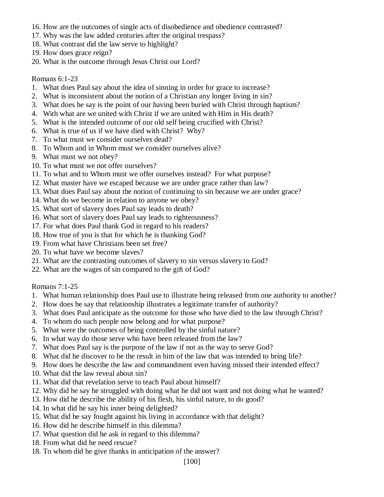- 16. How are the outcomes of single acts of disobedience and obedience contrasted?
- 17. Why was the law added centuries after the original trespass?
- 18. What contrast did the law serve to highlight?
- 19. How does grace reign?
- 20. What is the outcome through Jesus Christ our Lord?

#### Romans 6:1-23

- 1. What does Paul say about the idea of sinning in order for grace to increase?
- 2. What is inconsistent about the notion of a Christian any longer living in sin?
- 3. What does he say is the point of our having been buried with Christ through baptism?
- 4. With what are we united with Christ if we are united with Him in His death?
- 5. What is the intended outcome of our old self being crucified with Christ?
- 6. What is true of us if we have died with Christ? Why?
- 7. To what must we consider ourselves dead?
- 8. To Whom and in Whom must we consider ourselves alive?
- 9. What must we not obey?
- 10. To what must we not offer ourselves?
- 11. To what and to Whom must we offer ourselves instead? For what purpose?
- 12. What master have we escaped because we are under grace rather than law?
- 13. What does Paul say about the notion of continuing to sin because we are under grace?
- 14. What do we become in relation to anyone we obey?
- 15. What sort of slavery does Paul say leads to death?
- 16. What sort of slavery does Paul say leads to righteousness?
- 17. For what does Paul thank God in regard to his readers?
- 18. How true of you is that for which he is thanking God?
- 19. From what have Christians been set free?
- 20. To what have we become slaves?
- 21. What are the contrasting outcomes of slavery to sin versus slavery to God?
- 22. What are the wages of sin compared to the gift of God?

## Romans 7:1-25

- 1. What human relationship does Paul use to illustrate being released from one authority to another?
- 2. How does he say that relationship illustrates a legitimate transfer of authority?
- 3. What does Paul anticipate as the outcome for those who have died to the law through Christ?
- 4. To whom do such people now belong and for what purpose?
- 5. What were the outcomes of being controlled by the sinful nature?
- 6. In what way do those serve who have been released from the law?
- 7. What does Paul say is the purpose of the law if not as the way to serve God?
- 8. What did he discover to be the result in him of the law that was intended to bring life?
- 9. How does he describe the law and commandment even having missed their intended effect?
- 10. What did the law reveal about sin?
- 11. What did that revelation serve to teach Paul about himself?
- 12. Why did he say he struggled with doing what he did not want and not doing what he wanted?
- 13. How did he describe the ability of his flesh, his sinful nature, to do good?
- 14. In what did he say his inner being delighted?
- 15. What did he say fought against his living in accordance with that delight?
- 16. How did he describe himself in this dilemma?
- 17. What question did he ask in regard to this dilemma?
- 18. From what did he need rescue?
- 18. To whom did he give thanks in anticipation of the answer?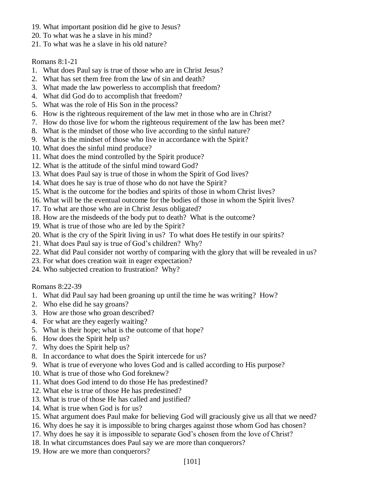- 19. What important position did he give to Jesus?
- 20. To what was he a slave in his mind?
- 21. To what was he a slave in his old nature?

## Romans 8:1-21

- 1. What does Paul say is true of those who are in Christ Jesus?
- 2. What has set them free from the law of sin and death?
- 3. What made the law powerless to accomplish that freedom?
- 4. What did God do to accomplish that freedom?
- 5. What was the role of His Son in the process?
- 6. How is the righteous requirement of the law met in those who are in Christ?
- 7. How do those live for whom the righteous requirement of the law has been met?
- 8. What is the mindset of those who live according to the sinful nature?
- 9. What is the mindset of those who live in accordance with the Spirit?
- 10. What does the sinful mind produce?
- 11. What does the mind controlled by the Spirit produce?
- 12. What is the attitude of the sinful mind toward God?
- 13. What does Paul say is true of those in whom the Spirit of God lives?
- 14. What does he say is true of those who do not have the Spirit?
- 15. What is the outcome for the bodies and spirits of those in whom Christ lives?
- 16. What will be the eventual outcome for the bodies of those in whom the Spirit lives?
- 17. To what are those who are in Christ Jesus obligated?
- 18. How are the misdeeds of the body put to death? What is the outcome?
- 19. What is true of those who are led by the Spirit?
- 20. What is the cry of the Spirit living in us? To what does He testify in our spirits?
- 21. What does Paul say is true of God's children? Why?
- 22. What did Paul consider not worthy of comparing with the glory that will be revealed in us?
- 23. For what does creation wait in eager expectation?
- 24. Who subjected creation to frustration? Why?

Romans 8:22-39

- 1. What did Paul say had been groaning up until the time he was writing? How?
- 2. Who else did he say groans?
- 3. How are those who groan described?
- 4. For what are they eagerly waiting?
- 5. What is their hope; what is the outcome of that hope?
- 6. How does the Spirit help us?
- 7. Why does the Spirit help us?
- 8. In accordance to what does the Spirit intercede for us?
- 9. What is true of everyone who loves God and is called according to His purpose?
- 10. What is true of those who God foreknew?
- 11. What does God intend to do those He has predestined?
- 12. What else is true of those He has predestined?
- 13. What is true of those He has called and justified?
- 14. What is true when God is for us?
- 15. What argument does Paul make for believing God will graciously give us all that we need?
- 16. Why does he say it is impossible to bring charges against those whom God has chosen?
- 17. Why does he say it is impossible to separate God's chosen from the love of Christ?
- 18. In what circumstances does Paul say we are more than conquerors?
- 19. How are we more than conquerors?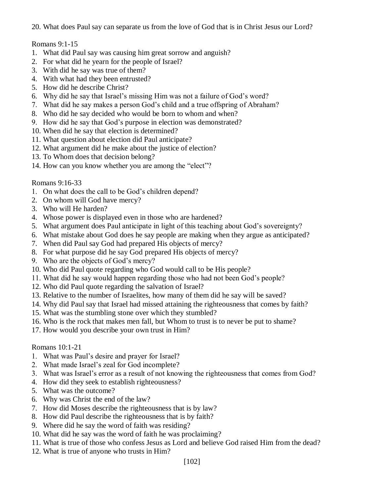20. What does Paul say can separate us from the love of God that is in Christ Jesus our Lord?

## Romans 9:1-15

- 1. What did Paul say was causing him great sorrow and anguish?
- 2. For what did he yearn for the people of Israel?
- 3. With did he say was true of them?
- 4. With what had they been entrusted?
- 5. How did he describe Christ?
- 6. Why did he say that Israel's missing Him was not a failure of God's word?
- 7. What did he say makes a person God's child and a true offspring of Abraham?
- 8. Who did he say decided who would be born to whom and when?
- 9. How did he say that God's purpose in election was demonstrated?
- 10. When did he say that election is determined?
- 11. What question about election did Paul anticipate?
- 12. What argument did he make about the justice of election?
- 13. To Whom does that decision belong?
- 14. How can you know whether you are among the "elect"?

# Romans 9:16-33

- 1. On what does the call to be God's children depend?
- 2. On whom will God have mercy?
- 3. Who will He harden?
- 4. Whose power is displayed even in those who are hardened?
- 5. What argument does Paul anticipate in light of this teaching about God's sovereignty?
- 6. What mistake about God does he say people are making when they argue as anticipated?
- 7. When did Paul say God had prepared His objects of mercy?
- 8. For what purpose did he say God prepared His objects of mercy?
- 9. Who are the objects of God's mercy?
- 10. Who did Paul quote regarding who God would call to be His people?
- 11. What did he say would happen regarding those who had not been God's people?
- 12. Who did Paul quote regarding the salvation of Israel?
- 13. Relative to the number of Israelites, how many of them did he say will be saved?
- 14. Why did Paul say that Israel had missed attaining the righteousness that comes by faith?
- 15. What was the stumbling stone over which they stumbled?
- 16. Who is the rock that makes men fall, but Whom to trust is to never be put to shame?
- 17. How would you describe your own trust in Him?

# Romans 10:1-21

- 1. What was Paul's desire and prayer for Israel?
- 2. What made Israel's zeal for God incomplete?
- 3. What was Israel's error as a result of not knowing the righteousness that comes from God?
- 4. How did they seek to establish righteousness?
- 5. What was the outcome?
- 6. Why was Christ the end of the law?
- 7. How did Moses describe the righteousness that is by law?
- 8. How did Paul describe the righteousness that is by faith?
- 9. Where did he say the word of faith was residing?
- 10. What did he say was the word of faith he was proclaiming?
- 11. What is true of those who confess Jesus as Lord and believe God raised Him from the dead?
- 12. What is true of anyone who trusts in Him?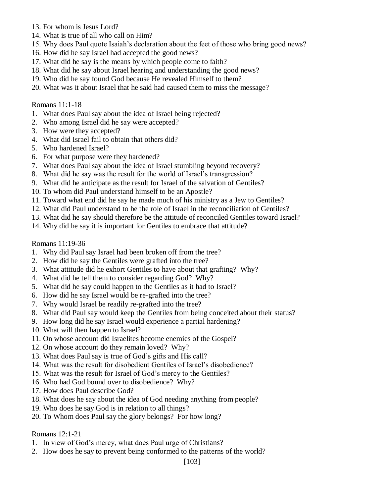- 13. For whom is Jesus Lord?
- 14. What is true of all who call on Him?
- 15. Why does Paul quote Isaiah's declaration about the feet of those who bring good news?
- 16. How did he say Israel had accepted the good news?
- 17. What did he say is the means by which people come to faith?
- 18. What did he say about Israel hearing and understanding the good news?
- 19. Who did he say found God because He revealed Himself to them?
- 20. What was it about Israel that he said had caused them to miss the message?

#### Romans 11:1-18

- 1. What does Paul say about the idea of Israel being rejected?
- 2. Who among Israel did he say were accepted?
- 3. How were they accepted?
- 4. What did Israel fail to obtain that others did?
- 5. Who hardened Israel?
- 6. For what purpose were they hardened?
- 7. What does Paul say about the idea of Israel stumbling beyond recovery?
- 8. What did he say was the result for the world of Israel's transgression?
- 9. What did he anticipate as the result for Israel of the salvation of Gentiles?
- 10. To whom did Paul understand himself to be an Apostle?
- 11. Toward what end did he say he made much of his ministry as a Jew to Gentiles?
- 12. What did Paul understand to be the role of Israel in the reconciliation of Gentiles?
- 13. What did he say should therefore be the attitude of reconciled Gentiles toward Israel?
- 14. Why did he say it is important for Gentiles to embrace that attitude?

#### Romans 11:19-36

- 1. Why did Paul say Israel had been broken off from the tree?
- 2. How did he say the Gentiles were grafted into the tree?
- 3. What attitude did he exhort Gentiles to have about that grafting? Why?
- 4. What did he tell them to consider regarding God? Why?
- 5. What did he say could happen to the Gentiles as it had to Israel?
- 6. How did he say Israel would be re-grafted into the tree?
- 7. Why would Israel be readily re-grafted into the tree?
- 8. What did Paul say would keep the Gentiles from being conceited about their status?
- 9. How long did he say Israel would experience a partial hardening?
- 10. What will then happen to Israel?
- 11. On whose account did Israelites become enemies of the Gospel?
- 12. On whose account do they remain loved? Why?
- 13. What does Paul say is true of God's gifts and His call?
- 14. What was the result for disobedient Gentiles of Israel's disobedience?
- 15. What was the result for Israel of God's mercy to the Gentiles?
- 16. Who had God bound over to disobedience? Why?
- 17. How does Paul describe God?
- 18. What does he say about the idea of God needing anything from people?
- 19. Who does he say God is in relation to all things?
- 20. To Whom does Paul say the glory belongs? For how long?

## Romans 12:1-21

- 1. In view of God's mercy, what does Paul urge of Christians?
- 2. How does he say to prevent being conformed to the patterns of the world?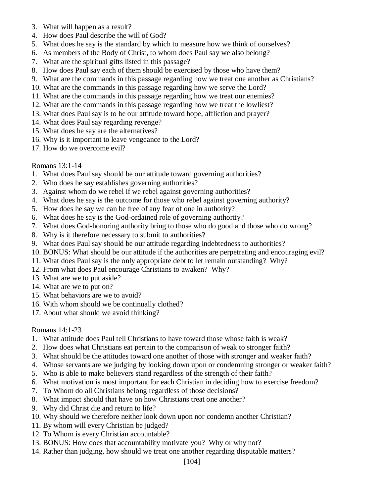- 3. What will happen as a result?
- 4. How does Paul describe the will of God?
- 5. What does he say is the standard by which to measure how we think of ourselves?
- 6. As members of the Body of Christ, to whom does Paul say we also belong?
- 7. What are the spiritual gifts listed in this passage?
- 8. How does Paul say each of them should be exercised by those who have them?
- 9. What are the commands in this passage regarding how we treat one another as Christians?
- 10. What are the commands in this passage regarding how we serve the Lord?
- 11. What are the commands in this passage regarding how we treat our enemies?
- 12. What are the commands in this passage regarding how we treat the lowliest?
- 13. What does Paul say is to be our attitude toward hope, affliction and prayer?
- 14. What does Paul say regarding revenge?
- 15. What does he say are the alternatives?
- 16. Why is it important to leave vengeance to the Lord?
- 17. How do we overcome evil?

## Romans 13:1-14

- 1. What does Paul say should be our attitude toward governing authorities?
- 2. Who does he say establishes governing authorities?
- 3. Against whom do we rebel if we rebel against governing authorities?
- 4. What does he say is the outcome for those who rebel against governing authority?
- 5. How does he say we can be free of any fear of one in authority?
- 6. What does he say is the God-ordained role of governing authority?
- 7. What does God-honoring authority bring to those who do good and those who do wrong?
- 8. Why is it therefore necessary to submit to authorities?
- 9. What does Paul say should be our attitude regarding indebtedness to authorities?
- 10. BONUS: What should be our attitude if the authorities are perpetrating and encouraging evil?
- 11. What does Paul say is the only appropriate debt to let remain outstanding? Why?
- 12. From what does Paul encourage Christians to awaken? Why?
- 13. What are we to put aside?
- 14. What are we to put on?
- 15. What behaviors are we to avoid?
- 16. With whom should we be continually clothed?
- 17. About what should we avoid thinking?

# Romans 14:1-23

- 1. What attitude does Paul tell Christians to have toward those whose faith is weak?
- 2. How does what Christians eat pertain to the comparison of weak to stronger faith?
- 3. What should be the attitudes toward one another of those with stronger and weaker faith?
- 4. Whose servants are we judging by looking down upon or condemning stronger or weaker faith?
- 5. Who is able to make believers stand regardless of the strength of their faith?
- 6. What motivation is most important for each Christian in deciding how to exercise freedom?
- 7. To Whom do all Christians belong regardless of those decisions?
- 8. What impact should that have on how Christians treat one another?
- 9. Why did Christ die and return to life?
- 10. Why should we therefore neither look down upon nor condemn another Christian?
- 11. By whom will every Christian be judged?
- 12. To Whom is every Christian accountable?
- 13. BONUS: How does that accountability motivate you? Why or why not?
- 14. Rather than judging, how should we treat one another regarding disputable matters?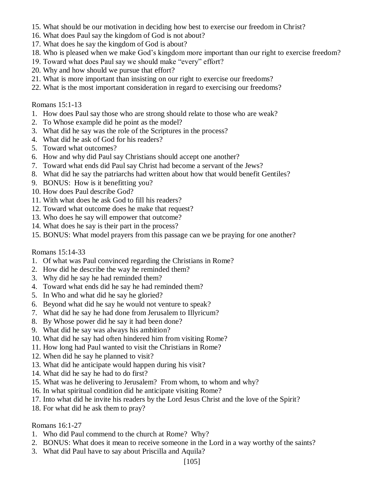- 15. What should be our motivation in deciding how best to exercise our freedom in Christ?
- 16. What does Paul say the kingdom of God is not about?
- 17. What does he say the kingdom of God is about?
- 18. Who is pleased when we make God's kingdom more important than our right to exercise freedom?
- 19. Toward what does Paul say we should make "every" effort?
- 20. Why and how should we pursue that effort?
- 21. What is more important than insisting on our right to exercise our freedoms?
- 22. What is the most important consideration in regard to exercising our freedoms?

#### Romans 15:1-13

- 1. How does Paul say those who are strong should relate to those who are weak?
- 2. To Whose example did he point as the model?
- 3. What did he say was the role of the Scriptures in the process?
- 4. What did he ask of God for his readers?
- 5. Toward what outcomes?
- 6. How and why did Paul say Christians should accept one another?
- 7. Toward what ends did Paul say Christ had become a servant of the Jews?
- 8. What did he say the patriarchs had written about how that would benefit Gentiles?
- 9. BONUS: How is it benefitting you?
- 10. How does Paul describe God?
- 11. With what does he ask God to fill his readers?
- 12. Toward what outcome does he make that request?
- 13. Who does he say will empower that outcome?
- 14. What does he say is their part in the process?
- 15. BONUS: What model prayers from this passage can we be praying for one another?

### Romans 15:14-33

- 1. Of what was Paul convinced regarding the Christians in Rome?
- 2. How did he describe the way he reminded them?
- 3. Why did he say he had reminded them?
- 4. Toward what ends did he say he had reminded them?
- 5. In Who and what did he say he gloried?
- 6. Beyond what did he say he would not venture to speak?
- 7. What did he say he had done from Jerusalem to Illyricum?
- 8. By Whose power did he say it had been done?
- 9. What did he say was always his ambition?
- 10. What did he say had often hindered him from visiting Rome?
- 11. How long had Paul wanted to visit the Christians in Rome?
- 12. When did he say he planned to visit?
- 13. What did he anticipate would happen during his visit?
- 14. What did he say he had to do first?
- 15. What was he delivering to Jerusalem? From whom, to whom and why?
- 16. In what spiritual condition did he anticipate visiting Rome?
- 17. Into what did he invite his readers by the Lord Jesus Christ and the love of the Spirit?
- 18. For what did he ask them to pray?

## Romans 16:1-27

- 1. Who did Paul commend to the church at Rome? Why?
- 2. BONUS: What does it mean to receive someone in the Lord in a way worthy of the saints?
- 3. What did Paul have to say about Priscilla and Aquila?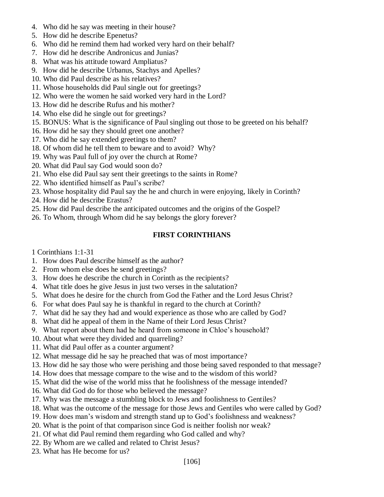- 4. Who did he say was meeting in their house?
- 5. How did he describe Epenetus?
- 6. Who did he remind them had worked very hard on their behalf?
- 7. How did he describe Andronicus and Junias?
- 8. What was his attitude toward Ampliatus?
- 9. How did he describe Urbanus, Stachys and Apelles?
- 10. Who did Paul describe as his relatives?
- 11. Whose households did Paul single out for greetings?
- 12. Who were the women he said worked very hard in the Lord?
- 13. How did he describe Rufus and his mother?
- 14. Who else did he single out for greetings?
- 15. BONUS: What is the significance of Paul singling out those to be greeted on his behalf?
- 16. How did he say they should greet one another?
- 17. Who did he say extended greetings to them?
- 18. Of whom did he tell them to beware and to avoid? Why?
- 19. Why was Paul full of joy over the church at Rome?
- 20. What did Paul say God would soon do?
- 21. Who else did Paul say sent their greetings to the saints in Rome?
- 22. Who identified himself as Paul's scribe?
- 23. Whose hospitality did Paul say the he and church in were enjoying, likely in Corinth?
- 24. How did he describe Erastus?
- 25. How did Paul describe the anticipated outcomes and the origins of the Gospel?
- 26. To Whom, through Whom did he say belongs the glory forever?

## **FIRST CORINTHIANS**

1 Corinthians 1:1-31

- 1. How does Paul describe himself as the author?
- 2. From whom else does he send greetings?
- 3. How does he describe the church in Corinth as the recipients?
- 4. What title does he give Jesus in just two verses in the salutation?
- 5. What does he desire for the church from God the Father and the Lord Jesus Christ?
- 6. For what does Paul say he is thankful in regard to the church at Corinth?
- 7. What did he say they had and would experience as those who are called by God?
- 8. What did he appeal of them in the Name of their Lord Jesus Christ?
- 9. What report about them had he heard from someone in Chloe's household?
- 10. About what were they divided and quarreling?
- 11. What did Paul offer as a counter argument?
- 12. What message did he say he preached that was of most importance?
- 13. How did he say those who were perishing and those being saved responded to that message?
- 14. How does that message compare to the wise and to the wisdom of this world?
- 15. What did the wise of the world miss that he foolishness of the message intended?
- 16. What did God do for those who believed the message?
- 17. Why was the message a stumbling block to Jews and foolishness to Gentiles?
- 18. What was the outcome of the message for those Jews and Gentiles who were called by God?
- 19. How does man's wisdom and strength stand up to God's foolishness and weakness?
- 20. What is the point of that comparison since God is neither foolish nor weak?
- 21. Of what did Paul remind them regarding who God called and why?
- 22. By Whom are we called and related to Christ Jesus?
- 23. What has He become for us?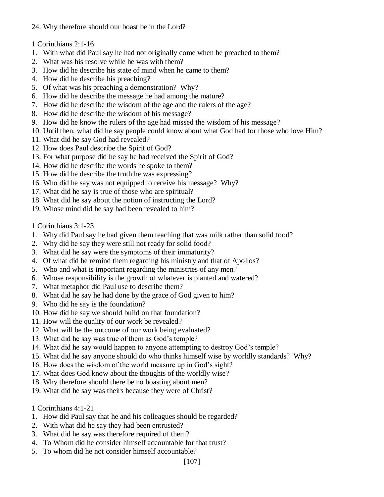## 24. Why therefore should our boast be in the Lord?

1 Corinthians 2:1-16

- 1. With what did Paul say he had not originally come when he preached to them?
- 2. What was his resolve while he was with them?
- 3. How did he describe his state of mind when he came to them?
- 4. How did he describe his preaching?
- 5. Of what was his preaching a demonstration? Why?
- 6. How did he describe the message he had among the mature?
- 7. How did he describe the wisdom of the age and the rulers of the age?
- 8. How did he describe the wisdom of his message?
- 9. How did he know the rulers of the age had missed the wisdom of his message?
- 10. Until then, what did he say people could know about what God had for those who love Him?
- 11. What did he say God had revealed?
- 12. How does Paul describe the Spirit of God?
- 13. For what purpose did he say he had received the Spirit of God?
- 14. How did he describe the words he spoke to them?
- 15. How did he describe the truth he was expressing?
- 16. Who did he say was not equipped to receive his message? Why?
- 17. What did he say is true of those who are spiritual?
- 18. What did he say about the notion of instructing the Lord?
- 19. Whose mind did he say had been revealed to him?

1 Corinthians 3:1-23

- 1. Why did Paul say he had given them teaching that was milk rather than solid food?
- 2. Why did he say they were still not ready for solid food?
- 3. What did he say were the symptoms of their immaturity?
- 4. Of what did he remind them regarding his ministry and that of Apollos?
- 5. Who and what is important regarding the ministries of any men?
- 6. Whose responsibility is the growth of whatever is planted and watered?
- 7. What metaphor did Paul use to describe them?
- 8. What did he say he had done by the grace of God given to him?
- 9. Who did he say is the foundation?
- 10. How did he say we should build on that foundation?
- 11. How will the quality of our work be revealed?
- 12. What will be the outcome of our work being evaluated?
- 13. What did he say was true of them as God's temple?
- 14. What did he say would happen to anyone attempting to destroy God's temple?
- 15. What did he say anyone should do who thinks himself wise by worldly standards? Why?
- 16. How does the wisdom of the world measure up in God's sight?
- 17. What does God know about the thoughts of the worldly wise?
- 18. Why therefore should there be no boasting about men?
- 19. What did he say was theirs because they were of Christ?

1 Corinthians 4:1-21

- 1. How did Paul say that he and his colleagues should be regarded?
- 2. With what did he say they had been entrusted?
- 3. What did he say was therefore required of them?
- 4. To Whom did he consider himself accountable for that trust?
- 5. To whom did he not consider himself accountable?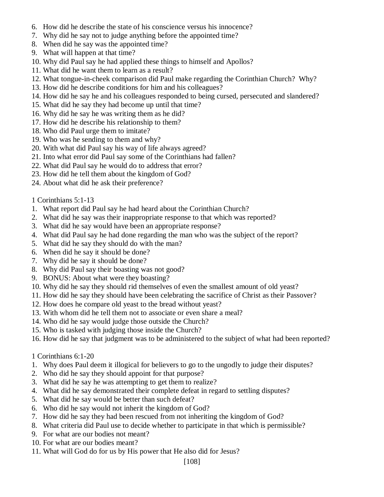- 6. How did he describe the state of his conscience versus his innocence?
- 7. Why did he say not to judge anything before the appointed time?
- 8. When did he say was the appointed time?
- 9. What will happen at that time?
- 10. Why did Paul say he had applied these things to himself and Apollos?
- 11. What did he want them to learn as a result?
- 12. What tongue-in-cheek comparison did Paul make regarding the Corinthian Church? Why?
- 13. How did he describe conditions for him and his colleagues?
- 14. How did he say he and his colleagues responded to being cursed, persecuted and slandered?
- 15. What did he say they had become up until that time?
- 16. Why did he say he was writing them as he did?
- 17. How did he describe his relationship to them?
- 18. Who did Paul urge them to imitate?
- 19. Who was he sending to them and why?
- 20. With what did Paul say his way of life always agreed?
- 21. Into what error did Paul say some of the Corinthians had fallen?
- 22. What did Paul say he would do to address that error?
- 23. How did he tell them about the kingdom of God?
- 24. About what did he ask their preference?

#### 1 Corinthians 5:1-13

- 1. What report did Paul say he had heard about the Corinthian Church?
- 2. What did he say was their inappropriate response to that which was reported?
- 3. What did he say would have been an appropriate response?
- 4. What did Paul say he had done regarding the man who was the subject of the report?
- 5. What did he say they should do with the man?
- 6. When did he say it should be done?
- 7. Why did he say it should be done?
- 8. Why did Paul say their boasting was not good?
- 9. BONUS: About what were they boasting?
- 10. Why did he say they should rid themselves of even the smallest amount of old yeast?
- 11. How did he say they should have been celebrating the sacrifice of Christ as their Passover?
- 12. How does he compare old yeast to the bread without yeast?
- 13. With whom did he tell them not to associate or even share a meal?
- 14. Who did he say would judge those outside the Church?
- 15. Who is tasked with judging those inside the Church?
- 16. How did he say that judgment was to be administered to the subject of what had been reported?

## 1 Corinthians 6:1-20

- 1. Why does Paul deem it illogical for believers to go to the ungodly to judge their disputes?
- 2. Who did he say they should appoint for that purpose?
- 3. What did he say he was attempting to get them to realize?
- 4. What did he say demonstrated their complete defeat in regard to settling disputes?
- 5. What did he say would be better than such defeat?
- 6. Who did he say would not inherit the kingdom of God?
- 7. How did he say they had been rescued from not inheriting the kingdom of God?
- 8. What criteria did Paul use to decide whether to participate in that which is permissible?
- 9. For what are our bodies not meant?
- 10. For what are our bodies meant?
- 11. What will God do for us by His power that He also did for Jesus?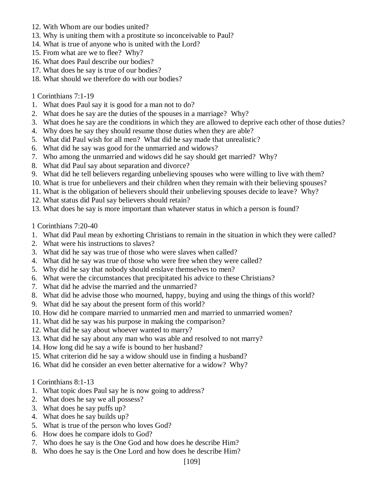- 12. With Whom are our bodies united?
- 13. Why is uniting them with a prostitute so inconceivable to Paul?
- 14. What is true of anyone who is united with the Lord?
- 15. From what are we to flee? Why?
- 16. What does Paul describe our bodies?
- 17. What does he say is true of our bodies?
- 18. What should we therefore do with our bodies?

#### 1 Corinthians 7:1-19

- 1. What does Paul say it is good for a man not to do?
- 2. What does he say are the duties of the spouses in a marriage? Why?
- 3. What does he say are the conditions in which they are allowed to deprive each other of those duties?
- 4. Why does he say they should resume those duties when they are able?
- 5. What did Paul wish for all men? What did he say made that unrealistic?
- 6. What did he say was good for the unmarried and widows?
- 7. Who among the unmarried and widows did he say should get married? Why?
- 8. What did Paul say about separation and divorce?
- 9. What did he tell believers regarding unbelieving spouses who were willing to live with them?
- 10. What is true for unbelievers and their children when they remain with their believing spouses?
- 11. What is the obligation of believers should their unbelieving spouses decide to leave? Why?
- 12. What status did Paul say believers should retain?
- 13. What does he say is more important than whatever status in which a person is found?

#### 1 Corinthians 7:20-40

- 1. What did Paul mean by exhorting Christians to remain in the situation in which they were called?
- 2. What were his instructions to slaves?
- 3. What did he say was true of those who were slaves when called?
- 4. What did he say was true of those who were free when they were called?
- 5. Why did he say that nobody should enslave themselves to men?
- 6. What were the circumstances that precipitated his advice to these Christians?
- 7. What did he advise the married and the unmarried?
- 8. What did he advise those who mourned, happy, buying and using the things of this world?
- 9. What did he say about the present form of this world?
- 10. How did he compare married to unmarried men and married to unmarried women?
- 11. What did he say was his purpose in making the comparison?
- 12. What did he say about whoever wanted to marry?
- 13. What did he say about any man who was able and resolved to not marry?
- 14. How long did he say a wife is bound to her husband?
- 15. What criterion did he say a widow should use in finding a husband?
- 16. What did he consider an even better alternative for a widow? Why?

#### 1 Corinthians 8:1-13

- 1. What topic does Paul say he is now going to address?
- 2. What does he say we all possess?
- 3. What does he say puffs up?
- 4. What does he say builds up?
- 5. What is true of the person who loves God?
- 6. How does he compare idols to God?
- 7. Who does he say is the One God and how does he describe Him?
- 8. Who does he say is the One Lord and how does he describe Him?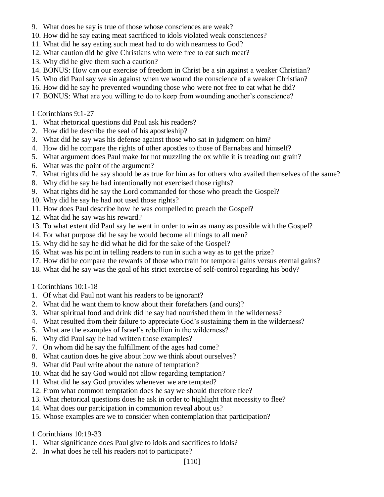- 9. What does he say is true of those whose consciences are weak?
- 10. How did he say eating meat sacrificed to idols violated weak consciences?
- 11. What did he say eating such meat had to do with nearness to God?
- 12. What caution did he give Christians who were free to eat such meat?
- 13. Why did he give them such a caution?
- 14. BONUS: How can our exercise of freedom in Christ be a sin against a weaker Christian?
- 15. Who did Paul say we sin against when we wound the conscience of a weaker Christian?
- 16. How did he say he prevented wounding those who were not free to eat what he did?
- 17. BONUS: What are you willing to do to keep from wounding another's conscience?

### 1 Corinthians 9:1-27

- 1. What rhetorical questions did Paul ask his readers?
- 2. How did he describe the seal of his apostleship?
- 3. What did he say was his defense against those who sat in judgment on him?
- 4. How did he compare the rights of other apostles to those of Barnabas and himself?
- 5. What argument does Paul make for not muzzling the ox while it is treading out grain?
- 6. What was the point of the argument?
- 7. What rights did he say should be as true for him as for others who availed themselves of the same?
- 8. Why did he say he had intentionally not exercised those rights?
- 9. What rights did he say the Lord commanded for those who preach the Gospel?
- 10. Why did he say he had not used those rights?
- 11. How does Paul describe how he was compelled to preach the Gospel?
- 12. What did he say was his reward?
- 13. To what extent did Paul say he went in order to win as many as possible with the Gospel?
- 14. For what purpose did he say he would become all things to all men?
- 15. Why did he say he did what he did for the sake of the Gospel?
- 16. What was his point in telling readers to run in such a way as to get the prize?
- 17. How did he compare the rewards of those who train for temporal gains versus eternal gains?
- 18. What did he say was the goal of his strict exercise of self-control regarding his body?

### 1 Corinthians 10:1-18

- 1. Of what did Paul not want his readers to be ignorant?
- 2. What did he want them to know about their forefathers (and ours)?
- 3. What spiritual food and drink did he say had nourished them in the wilderness?
- 4. What resulted from their failure to appreciate God's sustaining them in the wilderness?
- 5. What are the examples of Israel's rebellion in the wilderness?
- 6. Why did Paul say he had written those examples?
- 7. On whom did he say the fulfillment of the ages had come?
- 8. What caution does he give about how we think about ourselves?
- 9. What did Paul write about the nature of temptation?
- 10. What did he say God would not allow regarding temptation?
- 11. What did he say God provides whenever we are tempted?
- 12. From what common temptation does he say we should therefore flee?
- 13. What rhetorical questions does he ask in order to highlight that necessity to flee?
- 14. What does our participation in communion reveal about us?
- 15. Whose examples are we to consider when contemplation that participation?

### 1 Corinthians 10:19-33

- 1. What significance does Paul give to idols and sacrifices to idols?
- 2. In what does he tell his readers not to participate?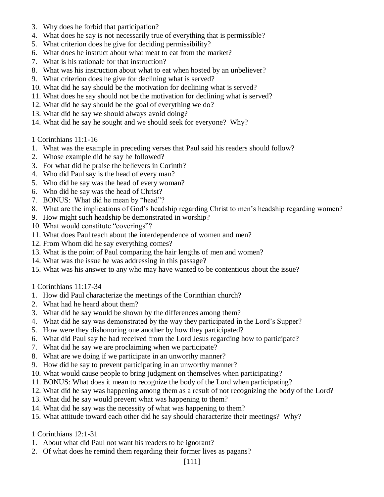- 3. Why does he forbid that participation?
- 4. What does he say is not necessarily true of everything that is permissible?
- 5. What criterion does he give for deciding permissibility?
- 6. What does he instruct about what meat to eat from the market?
- 7. What is his rationale for that instruction?
- 8. What was his instruction about what to eat when hosted by an unbeliever?
- 9. What criterion does he give for declining what is served?
- 10. What did he say should be the motivation for declining what is served?
- 11. What does he say should not be the motivation for declining what is served?
- 12. What did he say should be the goal of everything we do?
- 13. What did he say we should always avoid doing?
- 14. What did he say he sought and we should seek for everyone? Why?

#### 1 Corinthians 11:1-16

- 1. What was the example in preceding verses that Paul said his readers should follow?
- 2. Whose example did he say he followed?
- 3. For what did he praise the believers in Corinth?
- 4. Who did Paul say is the head of every man?
- 5. Who did he say was the head of every woman?
- 6. Who did he say was the head of Christ?
- 7. BONUS: What did he mean by "head"?
- 8. What are the implications of God's headship regarding Christ to men's headship regarding women?
- 9. How might such headship be demonstrated in worship?
- 10. What would constitute "coverings"?
- 11. What does Paul teach about the interdependence of women and men?
- 12. From Whom did he say everything comes?
- 13. What is the point of Paul comparing the hair lengths of men and women?
- 14. What was the issue he was addressing in this passage?
- 15. What was his answer to any who may have wanted to be contentious about the issue?

#### 1 Corinthians 11:17-34

- 1. How did Paul characterize the meetings of the Corinthian church?
- 2. What had he heard about them?
- 3. What did he say would be shown by the differences among them?
- 4. What did he say was demonstrated by the way they participated in the Lord's Supper?
- 5. How were they dishonoring one another by how they participated?
- 6. What did Paul say he had received from the Lord Jesus regarding how to participate?
- 7. What did he say we are proclaiming when we participate?
- 8. What are we doing if we participate in an unworthy manner?
- 9. How did he say to prevent participating in an unworthy manner?
- 10. What would cause people to bring judgment on themselves when participating?
- 11. BONUS: What does it mean to recognize the body of the Lord when participating?
- 12. What did he say was happening among them as a result of not recognizing the body of the Lord?
- 13. What did he say would prevent what was happening to them?
- 14. What did he say was the necessity of what was happening to them?
- 15. What attitude toward each other did he say should characterize their meetings? Why?

### 1 Corinthians 12:1-31

- 1. About what did Paul not want his readers to be ignorant?
- 2. Of what does he remind them regarding their former lives as pagans?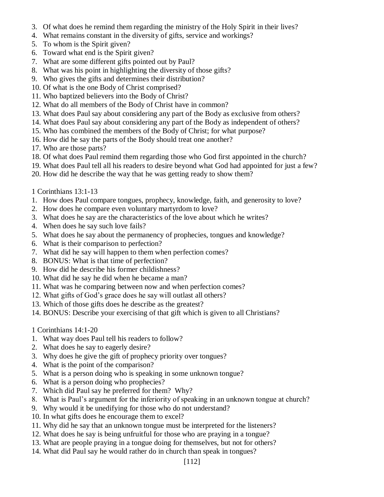- 3. Of what does he remind them regarding the ministry of the Holy Spirit in their lives?
- 4. What remains constant in the diversity of gifts, service and workings?
- 5. To whom is the Spirit given?
- 6. Toward what end is the Spirit given?
- 7. What are some different gifts pointed out by Paul?
- 8. What was his point in highlighting the diversity of those gifts?
- 9. Who gives the gifts and determines their distribution?
- 10. Of what is the one Body of Christ comprised?
- 11. Who baptized believers into the Body of Christ?
- 12. What do all members of the Body of Christ have in common?
- 13. What does Paul say about considering any part of the Body as exclusive from others?
- 14. What does Paul say about considering any part of the Body as independent of others?
- 15. Who has combined the members of the Body of Christ; for what purpose?
- 16. How did he say the parts of the Body should treat one another?
- 17. Who are those parts?
- 18. Of what does Paul remind them regarding those who God first appointed in the church?
- 19. What does Paul tell all his readers to desire beyond what God had appointed for just a few?
- 20. How did he describe the way that he was getting ready to show them?
- 1 Corinthians 13:1-13
- 1. How does Paul compare tongues, prophecy, knowledge, faith, and generosity to love?
- 2. How does he compare even voluntary martyrdom to love?
- 3. What does he say are the characteristics of the love about which he writes?
- 4. When does he say such love fails?
- 5. What does he say about the permanency of prophecies, tongues and knowledge?
- 6. What is their comparison to perfection?
- 7. What did he say will happen to them when perfection comes?
- 8. BONUS: What is that time of perfection?
- 9. How did he describe his former childishness?
- 10. What did he say he did when he became a man?
- 11. What was he comparing between now and when perfection comes?
- 12. What gifts of God's grace does he say will outlast all others?
- 13. Which of those gifts does he describe as the greatest?
- 14. BONUS: Describe your exercising of that gift which is given to all Christians?

1 Corinthians 14:1-20

- 1. What way does Paul tell his readers to follow?
- 2. What does he say to eagerly desire?
- 3. Why does he give the gift of prophecy priority over tongues?
- 4. What is the point of the comparison?
- 5. What is a person doing who is speaking in some unknown tongue?
- 6. What is a person doing who prophecies?
- 7. Which did Paul say he preferred for them? Why?
- 8. What is Paul's argument for the inferiority of speaking in an unknown tongue at church?
- 9. Why would it be unedifying for those who do not understand?
- 10. In what gifts does he encourage them to excel?
- 11. Why did he say that an unknown tongue must be interpreted for the listeners?
- 12. What does he say is being unfruitful for those who are praying in a tongue?
- 13. What are people praying in a tongue doing for themselves, but not for others?
- 14. What did Paul say he would rather do in church than speak in tongues?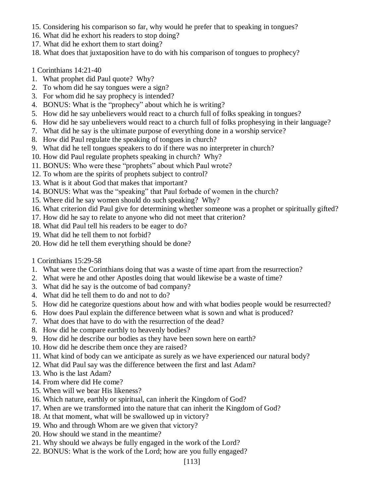- 15. Considering his comparison so far, why would he prefer that to speaking in tongues?
- 16. What did he exhort his readers to stop doing?
- 17. What did he exhort them to start doing?
- 18. What does that juxtaposition have to do with his comparison of tongues to prophecy?

### 1 Corinthians 14:21-40

- 1. What prophet did Paul quote? Why?
- 2. To whom did he say tongues were a sign?
- 3. For whom did he say prophecy is intended?
- 4. BONUS: What is the "prophecy" about which he is writing?
- 5. How did he say unbelievers would react to a church full of folks speaking in tongues?
- 6. How did he say unbelievers would react to a church full of folks prophesying in their language?
- 7. What did he say is the ultimate purpose of everything done in a worship service?
- 8. How did Paul regulate the speaking of tongues in church?
- 9. What did he tell tongues speakers to do if there was no interpreter in church?
- 10. How did Paul regulate prophets speaking in church? Why?
- 11. BONUS: Who were these "prophets" about which Paul wrote?
- 12. To whom are the spirits of prophets subject to control?
- 13. What is it about God that makes that important?
- 14. BONUS: What was the "speaking" that Paul forbade of women in the church?
- 15. Where did he say women should do such speaking? Why?
- 16. What criterion did Paul give for determining whether someone was a prophet or spiritually gifted?
- 17. How did he say to relate to anyone who did not meet that criterion?
- 18. What did Paul tell his readers to be eager to do?
- 19. What did he tell them to not forbid?
- 20. How did he tell them everything should be done?

### 1 Corinthians 15:29-58

- 1. What were the Corinthians doing that was a waste of time apart from the resurrection?
- 2. What were he and other Apostles doing that would likewise be a waste of time?
- 3. What did he say is the outcome of bad company?
- 4. What did he tell them to do and not to do?
- 5. How did he categorize questions about how and with what bodies people would be resurrected?
- 6. How does Paul explain the difference between what is sown and what is produced?
- 7. What does that have to do with the resurrection of the dead?
- 8. How did he compare earthly to heavenly bodies?
- 9. How did he describe our bodies as they have been sown here on earth?
- 10. How did he describe them once they are raised?
- 11. What kind of body can we anticipate as surely as we have experienced our natural body?
- 12. What did Paul say was the difference between the first and last Adam?
- 13. Who is the last Adam?
- 14. From where did He come?
- 15. When will we bear His likeness?
- 16. Which nature, earthly or spiritual, can inherit the Kingdom of God?
- 17. When are we transformed into the nature that can inherit the Kingdom of God?
- 18. At that moment, what will be swallowed up in victory?
- 19. Who and through Whom are we given that victory?
- 20. How should we stand in the meantime?
- 21. Why should we always be fully engaged in the work of the Lord?
- 22. BONUS: What is the work of the Lord; how are you fully engaged?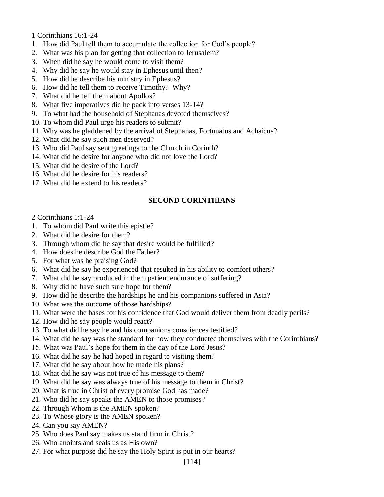1 Corinthians 16:1-24

- 1. How did Paul tell them to accumulate the collection for God's people?
- 2. What was his plan for getting that collection to Jerusalem?
- 3. When did he say he would come to visit them?
- 4. Why did he say he would stay in Ephesus until then?
- 5. How did he describe his ministry in Ephesus?
- 6. How did he tell them to receive Timothy? Why?
- 7. What did he tell them about Apollos?
- 8. What five imperatives did he pack into verses 13-14?
- 9. To what had the household of Stephanas devoted themselves?
- 10. To whom did Paul urge his readers to submit?
- 11. Why was he gladdened by the arrival of Stephanas, Fortunatus and Achaicus?
- 12. What did he say such men deserved?
- 13. Who did Paul say sent greetings to the Church in Corinth?
- 14. What did he desire for anyone who did not love the Lord?
- 15. What did he desire of the Lord?
- 16. What did he desire for his readers?
- 17. What did he extend to his readers?

## **SECOND CORINTHIANS**

- 2 Corinthians 1:1-24
- 1. To whom did Paul write this epistle?
- 2. What did he desire for them?
- 3. Through whom did he say that desire would be fulfilled?
- 4. How does he describe God the Father?
- 5. For what was he praising God?
- 6. What did he say he experienced that resulted in his ability to comfort others?
- 7. What did he say produced in them patient endurance of suffering?
- 8. Why did he have such sure hope for them?
- 9. How did he describe the hardships he and his companions suffered in Asia?
- 10. What was the outcome of those hardships?
- 11. What were the bases for his confidence that God would deliver them from deadly perils?
- 12. How did he say people would react?
- 13. To what did he say he and his companions consciences testified?
- 14. What did he say was the standard for how they conducted themselves with the Corinthians?
- 15. What was Paul's hope for them in the day of the Lord Jesus?
- 16. What did he say he had hoped in regard to visiting them?
- 17. What did he say about how he made his plans?
- 18. What did he say was not true of his message to them?
- 19. What did he say was always true of his message to them in Christ?
- 20. What is true in Christ of every promise God has made?
- 21. Who did he say speaks the AMEN to those promises?
- 22. Through Whom is the AMEN spoken?
- 23. To Whose glory is the AMEN spoken?
- 24. Can you say AMEN?
- 25. Who does Paul say makes us stand firm in Christ?
- 26. Who anoints and seals us as His own?
- 27. For what purpose did he say the Holy Spirit is put in our hearts?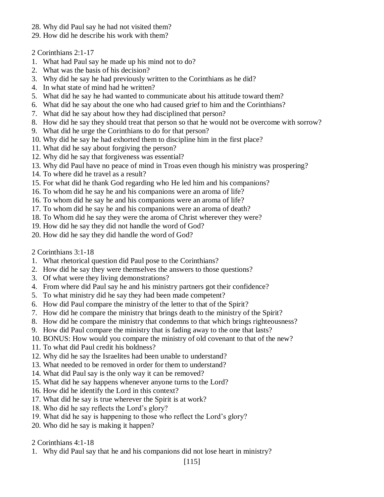- 28. Why did Paul say he had not visited them?
- 29. How did he describe his work with them?
- 2 Corinthians 2:1-17
- 1. What had Paul say he made up his mind not to do?
- 2. What was the basis of his decision?
- 3. Why did he say he had previously written to the Corinthians as he did?
- 4. In what state of mind had he written?
- 5. What did he say he had wanted to communicate about his attitude toward them?
- 6. What did he say about the one who had caused grief to him and the Corinthians?
- 7. What did he say about how they had disciplined that person?
- 8. How did he say they should treat that person so that he would not be overcome with sorrow?
- 9. What did he urge the Corinthians to do for that person?
- 10. Why did he say he had exhorted them to discipline him in the first place?
- 11. What did he say about forgiving the person?
- 12. Why did he say that forgiveness was essential?
- 13. Why did Paul have no peace of mind in Troas even though his ministry was prospering?
- 14. To where did he travel as a result?
- 15. For what did he thank God regarding who He led him and his companions?
- 16. To whom did he say he and his companions were an aroma of life?
- 16. To whom did he say he and his companions were an aroma of life?
- 17. To whom did he say he and his companions were an aroma of death?
- 18. To Whom did he say they were the aroma of Christ wherever they were?
- 19. How did he say they did not handle the word of God?
- 20. How did he say they did handle the word of God?

## 2 Corinthians 3:1-18

- 1. What rhetorical question did Paul pose to the Corinthians?
- 2. How did he say they were themselves the answers to those questions?
- 3. Of what were they living demonstrations?
- 4. From where did Paul say he and his ministry partners got their confidence?
- 5. To what ministry did he say they had been made competent?
- 6. How did Paul compare the ministry of the letter to that of the Spirit?
- 7. How did he compare the ministry that brings death to the ministry of the Spirit?
- 8. How did he compare the ministry that condemns to that which brings righteousness?
- 9. How did Paul compare the ministry that is fading away to the one that lasts?
- 10. BONUS: How would you compare the ministry of old covenant to that of the new?
- 11. To what did Paul credit his boldness?
- 12. Why did he say the Israelites had been unable to understand?
- 13. What needed to be removed in order for them to understand?
- 14. What did Paul say is the only way it can be removed?
- 15. What did he say happens whenever anyone turns to the Lord?
- 16. How did he identify the Lord in this context?
- 17. What did he say is true wherever the Spirit is at work?
- 18. Who did he say reflects the Lord's glory?
- 19. What did he say is happening to those who reflect the Lord's glory?
- 20. Who did he say is making it happen?

### 2 Corinthians 4:1-18

1. Why did Paul say that he and his companions did not lose heart in ministry?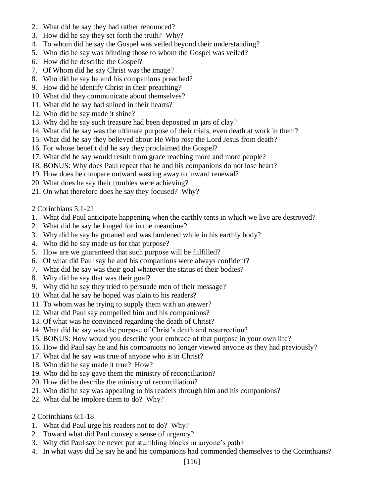- 2. What did he say they had rather renounced?
- 3. How did he say they set forth the truth? Why?
- 4. To whom did he say the Gospel was veiled beyond their understanding?
- 5. Who did he say was blinding those to whom the Gospel was veiled?
- 6. How did he describe the Gospel?
- 7. Of Whom did he say Christ was the image?
- 8. Who did he say he and his companions preached?
- 9. How did he identify Christ in their preaching?
- 10. What did they communicate about themselves?
- 11. What did he say had shined in their hearts?
- 12. Who did he say made it shine?
- 13. Why did he say such treasure had been deposited in jars of clay?
- 14. What did he say was the ultimate purpose of their trials, even death at work in them?
- 15. What did he say they believed about He Who rose the Lord Jesus from death?
- 16. For whose benefit did he say they proclaimed the Gospel?
- 17. What did he say would result from grace reaching more and more people?
- 18. BONUS: Why does Paul repeat that he and his companions do not lose heart?
- 19. How does he compare outward wasting away to inward renewal?
- 20. What does he say their troubles were achieving?
- 21. On what therefore does he say they focused? Why?

2 Corinthians 5:1-21

- 1. What did Paul anticipate happening when the earthly tents in which we live are destroyed?
- 2. What did he say he longed for in the meantime?
- 3. Why did he say he groaned and was burdened while in his earthly body?
- 4. Who did he say made us for that purpose?
- 5. How are we guaranteed that such purpose will be fulfilled?
- 6. Of what did Paul say he and his companions were always confident?
- 7. What did he say was their goal whatever the status of their bodies?
- 8. Why did he say that was their goal?
- 9. Why did he say they tried to persuade men of their message?
- 10. What did he say he hoped was plain to his readers?
- 11. To whom was he trying to supply them with an answer?
- 12. What did Paul say compelled him and his companions?
- 13. Of what was he convinced regarding the death of Christ?
- 14. What did he say was the purpose of Christ's death and resurrection?
- 15. BONUS: How would you describe your embrace of that purpose in your own life?
- 16. How did Paul say he and his companions no longer viewed anyone as they had previously?
- 17. What did he say was true of anyone who is in Christ?
- 18. Who did he say made it true? How?
- 19. Who did he say gave them the ministry of reconciliation?
- 20. How did he describe the ministry of reconciliation?
- 21. Who did he say was appealing to his readers through him and his companions?
- 22. What did he implore them to do? Why?
- 2 Corinthians 6:1-18
- 1. What did Paul urge his readers not to do? Why?
- 2. Toward what did Paul convey a sense of urgency?
- 3. Why did Paul say he never put stumbling blocks in anyone's path?
- 4. In what ways did he say he and his companions had commended themselves to the Corinthians?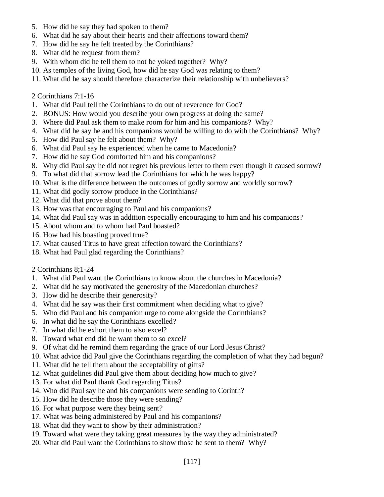- 5. How did he say they had spoken to them?
- 6. What did he say about their hearts and their affections toward them?
- 7. How did he say he felt treated by the Corinthians?
- 8. What did he request from them?
- 9. With whom did he tell them to not be yoked together? Why?
- 10. As temples of the living God, how did he say God was relating to them?
- 11. What did he say should therefore characterize their relationship with unbelievers?

#### 2 Corinthians 7:1-16

- 1. What did Paul tell the Corinthians to do out of reverence for God?
- 2. BONUS: How would you describe your own progress at doing the same?
- 3. Where did Paul ask them to make room for him and his companions? Why?
- 4. What did he say he and his companions would be willing to do with the Corinthians? Why?
- 5. How did Paul say he felt about them? Why?
- 6. What did Paul say he experienced when he came to Macedonia?
- 7. How did he say God comforted him and his companions?
- 8. Why did Paul say he did not regret his previous letter to them even though it caused sorrow?
- 9. To what did that sorrow lead the Corinthians for which he was happy?
- 10. What is the difference between the outcomes of godly sorrow and worldly sorrow?
- 11. What did godly sorrow produce in the Corinthians?
- 12. What did that prove about them?
- 13. How was that encouraging to Paul and his companions?
- 14. What did Paul say was in addition especially encouraging to him and his companions?
- 15. About whom and to whom had Paul boasted?
- 16. How had his boasting proved true?
- 17. What caused Titus to have great affection toward the Corinthians?
- 18. What had Paul glad regarding the Corinthians?

#### 2 Corinthians 8;1-24

- 1. What did Paul want the Corinthians to know about the churches in Macedonia?
- 2. What did he say motivated the generosity of the Macedonian churches?
- 3. How did he describe their generosity?
- 4. What did he say was their first commitment when deciding what to give?
- 5. Who did Paul and his companion urge to come alongside the Corinthians?
- 6. In what did he say the Corinthians excelled?
- 7. In what did he exhort them to also excel?
- 8. Toward what end did he want them to so excel?
- 9. Of what did he remind them regarding the grace of our Lord Jesus Christ?
- 10. What advice did Paul give the Corinthians regarding the completion of what they had begun?
- 11. What did he tell them about the acceptability of gifts?
- 12. What guidelines did Paul give them about deciding how much to give?
- 13. For what did Paul thank God regarding Titus?
- 14. Who did Paul say he and his companions were sending to Corinth?
- 15. How did he describe those they were sending?
- 16. For what purpose were they being sent?
- 17. What was being administered by Paul and his companions?
- 18. What did they want to show by their administration?
- 19. Toward what were they taking great measures by the way they administrated?
- 20. What did Paul want the Corinthians to show those he sent to them? Why?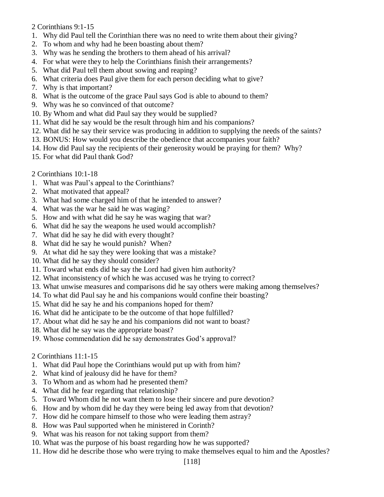### 2 Corinthians 9:1-15

- 1. Why did Paul tell the Corinthian there was no need to write them about their giving?
- 2. To whom and why had he been boasting about them?
- 3. Why was he sending the brothers to them ahead of his arrival?
- 4. For what were they to help the Corinthians finish their arrangements?
- 5. What did Paul tell them about sowing and reaping?
- 6. What criteria does Paul give them for each person deciding what to give?
- 7. Why is that important?
- 8. What is the outcome of the grace Paul says God is able to abound to them?
- 9. Why was he so convinced of that outcome?
- 10. By Whom and what did Paul say they would be supplied?
- 11. What did he say would be the result through him and his companions?
- 12. What did he say their service was producing in addition to supplying the needs of the saints?
- 13. BONUS: How would you describe the obedience that accompanies your faith?
- 14. How did Paul say the recipients of their generosity would be praying for them? Why?
- 15. For what did Paul thank God?
- 2 Corinthians 10:1-18
- 1. What was Paul's appeal to the Corinthians?
- 2. What motivated that appeal?
- 3. What had some charged him of that he intended to answer?
- 4. What was the war he said he was waging?
- 5. How and with what did he say he was waging that war?
- 6. What did he say the weapons he used would accomplish?
- 7. What did he say he did with every thought?
- 8. What did he say he would punish? When?
- 9. At what did he say they were looking that was a mistake?
- 10. What did he say they should consider?
- 11. Toward what ends did he say the Lord had given him authority?
- 12. What inconsistency of which he was accused was he trying to correct?
- 13. What unwise measures and comparisons did he say others were making among themselves?
- 14. To what did Paul say he and his companions would confine their boasting?
- 15. What did he say he and his companions hoped for them?
- 16. What did he anticipate to be the outcome of that hope fulfilled?
- 17. About what did he say he and his companions did not want to boast?
- 18. What did he say was the appropriate boast?
- 19. Whose commendation did he say demonstrates God's approval?

## 2 Corinthians 11:1-15

- 1. What did Paul hope the Corinthians would put up with from him?
- 2. What kind of jealousy did he have for them?
- 3. To Whom and as whom had he presented them?
- 4. What did he fear regarding that relationship?
- 5. Toward Whom did he not want them to lose their sincere and pure devotion?
- 6. How and by whom did he day they were being led away from that devotion?
- 7. How did he compare himself to those who were leading them astray?
- 8. How was Paul supported when he ministered in Corinth?
- 9. What was his reason for not taking support from them?
- 10. What was the purpose of his boast regarding how he was supported?
- 11. How did he describe those who were trying to make themselves equal to him and the Apostles?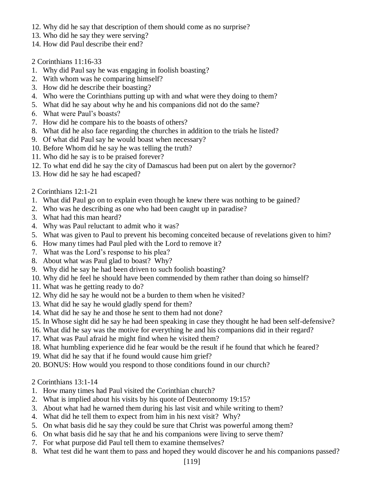- 12. Why did he say that description of them should come as no surprise?
- 13. Who did he say they were serving?
- 14. How did Paul describe their end?

## 2 Corinthians 11:16-33

- 1. Why did Paul say he was engaging in foolish boasting?
- 2. With whom was he comparing himself?
- 3. How did he describe their boasting?
- 4. Who were the Corinthians putting up with and what were they doing to them?
- 5. What did he say about why he and his companions did not do the same?
- 6. What were Paul's boasts?
- 7. How did he compare his to the boasts of others?
- 8. What did he also face regarding the churches in addition to the trials he listed?
- 9. Of what did Paul say he would boast when necessary?
- 10. Before Whom did he say he was telling the truth?
- 11. Who did he say is to be praised forever?
- 12. To what end did he say the city of Damascus had been put on alert by the governor?
- 13. How did he say he had escaped?

## 2 Corinthians 12:1-21

- 1. What did Paul go on to explain even though he knew there was nothing to be gained?
- 2. Who was he describing as one who had been caught up in paradise?
- 3. What had this man heard?
- 4. Why was Paul reluctant to admit who it was?
- 5. What was given to Paul to prevent his becoming conceited because of revelations given to him?
- 6. How many times had Paul pled with the Lord to remove it?
- 7. What was the Lord's response to his plea?
- 8. About what was Paul glad to boast? Why?
- 9. Why did he say he had been driven to such foolish boasting?
- 10. Why did he feel he should have been commended by them rather than doing so himself?
- 11. What was he getting ready to do?
- 12. Why did he say he would not be a burden to them when he visited?
- 13. What did he say he would gladly spend for them?
- 14. What did he say he and those he sent to them had not done?
- 15. In Whose sight did he say he had been speaking in case they thought he had been self-defensive?
- 16. What did he say was the motive for everything he and his companions did in their regard?
- 17. What was Paul afraid he might find when he visited them?
- 18. What humbling experience did he fear would be the result if he found that which he feared?
- 19. What did he say that if he found would cause him grief?
- 20. BONUS: How would you respond to those conditions found in our church?

## 2 Corinthians 13:1-14

- 1. How many times had Paul visited the Corinthian church?
- 2. What is implied about his visits by his quote of Deuteronomy 19:15?
- 3. About what had he warned them during his last visit and while writing to them?
- 4. What did he tell them to expect from him in his next visit? Why?
- 5. On what basis did he say they could be sure that Christ was powerful among them?
- 6. On what basis did he say that he and his companions were living to serve them?
- 7. For what purpose did Paul tell them to examine themselves?
- 8. What test did he want them to pass and hoped they would discover he and his companions passed?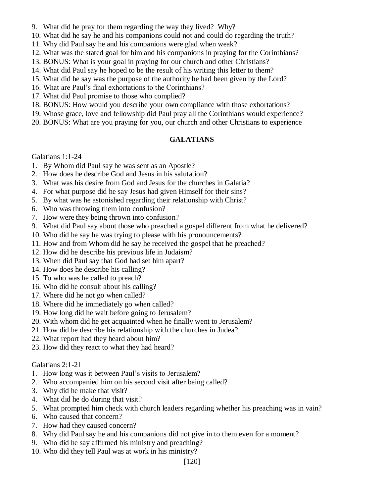- 9. What did he pray for them regarding the way they lived? Why?
- 10. What did he say he and his companions could not and could do regarding the truth?
- 11. Why did Paul say he and his companions were glad when weak?
- 12. What was the stated goal for him and his companions in praying for the Corinthians?
- 13. BONUS: What is your goal in praying for our church and other Christians?
- 14. What did Paul say he hoped to be the result of his writing this letter to them?
- 15. What did he say was the purpose of the authority he had been given by the Lord?
- 16. What are Paul's final exhortations to the Corinthians?
- 17. What did Paul promise to those who complied?
- 18. BONUS: How would you describe your own compliance with those exhortations?
- 19. Whose grace, love and fellowship did Paul pray all the Corinthians would experience?
- 20. BONUS: What are you praying for you, our church and other Christians to experience

### **GALATIANS**

Galatians 1:1-24

- 1. By Whom did Paul say he was sent as an Apostle?
- 2. How does he describe God and Jesus in his salutation?
- 3. What was his desire from God and Jesus for the churches in Galatia?
- 4. For what purpose did he say Jesus had given Himself for their sins?
- 5. By what was he astonished regarding their relationship with Christ?
- 6. Who was throwing them into confusion?
- 7. How were they being thrown into confusion?
- 9. What did Paul say about those who preached a gospel different from what he delivered?
- 10. Who did he say he was trying to please with his pronouncements?
- 11. How and from Whom did he say he received the gospel that he preached?
- 12. How did he describe his previous life in Judaism?
- 13. When did Paul say that God had set him apart?
- 14. How does he describe his calling?
- 15. To who was he called to preach?
- 16. Who did he consult about his calling?
- 17. Where did he not go when called?
- 18. Where did he immediately go when called?
- 19. How long did he wait before going to Jerusalem?
- 20. With whom did he get acquainted when he finally went to Jerusalem?
- 21. How did he describe his relationship with the churches in Judea?
- 22. What report had they heard about him?
- 23. How did they react to what they had heard?

#### Galatians 2:1-21

- 1. How long was it between Paul's visits to Jerusalem?
- 2. Who accompanied him on his second visit after being called?
- 3. Why did he make that visit?
- 4. What did he do during that visit?
- 5. What prompted him check with church leaders regarding whether his preaching was in vain?
- 6. Who caused that concern?
- 7. How had they caused concern?
- 8. Why did Paul say he and his companions did not give in to them even for a moment?
- 9. Who did he say affirmed his ministry and preaching?
- 10. Who did they tell Paul was at work in his ministry?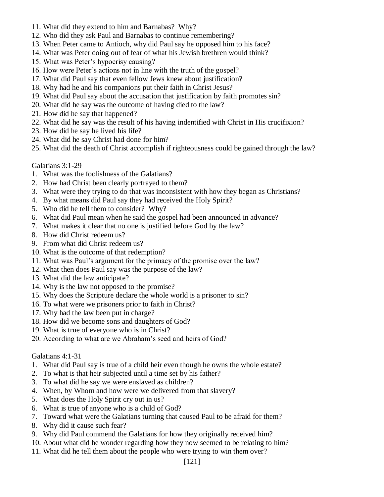- 11. What did they extend to him and Barnabas? Why?
- 12. Who did they ask Paul and Barnabas to continue remembering?
- 13. When Peter came to Antioch, why did Paul say he opposed him to his face?
- 14. What was Peter doing out of fear of what his Jewish brethren would think?
- 15. What was Peter's hypocrisy causing?
- 16. How were Peter's actions not in line with the truth of the gospel?
- 17. What did Paul say that even fellow Jews knew about justification?
- 18. Why had he and his companions put their faith in Christ Jesus?
- 19. What did Paul say about the accusation that justification by faith promotes sin?
- 20. What did he say was the outcome of having died to the law?
- 21. How did he say that happened?
- 22. What did he say was the result of his having indentified with Christ in His crucifixion?
- 23. How did he say he lived his life?
- 24. What did he say Christ had done for him?
- 25. What did the death of Christ accomplish if righteousness could be gained through the law?

## Galatians 3:1-29

- 1. What was the foolishness of the Galatians?
- 2. How had Christ been clearly portrayed to them?
- 3. What were they trying to do that was inconsistent with how they began as Christians?
- 4. By what means did Paul say they had received the Holy Spirit?
- 5. Who did he tell them to consider? Why?
- 6. What did Paul mean when he said the gospel had been announced in advance?
- 7. What makes it clear that no one is justified before God by the law?
- 8. How did Christ redeem us?
- 9. From what did Christ redeem us?
- 10. What is the outcome of that redemption?
- 11. What was Paul's argument for the primacy of the promise over the law?
- 12. What then does Paul say was the purpose of the law?
- 13. What did the law anticipate?
- 14. Why is the law not opposed to the promise?
- 15. Why does the Scripture declare the whole world is a prisoner to sin?
- 16. To what were we prisoners prior to faith in Christ?
- 17. Why had the law been put in charge?
- 18. How did we become sons and daughters of God?
- 19. What is true of everyone who is in Christ?
- 20. According to what are we Abraham's seed and heirs of God?

## Galatians 4:1-31

- 1. What did Paul say is true of a child heir even though he owns the whole estate?
- 2. To what is that heir subjected until a time set by his father?
- 3. To what did he say we were enslaved as children?
- 4. When, by Whom and how were we delivered from that slavery?
- 5. What does the Holy Spirit cry out in us?
- 6. What is true of anyone who is a child of God?
- 7. Toward what were the Galatians turning that caused Paul to be afraid for them?
- 8. Why did it cause such fear?
- 9. Why did Paul commend the Galatians for how they originally received him?
- 10. About what did he wonder regarding how they now seemed to be relating to him?
- 11. What did he tell them about the people who were trying to win them over?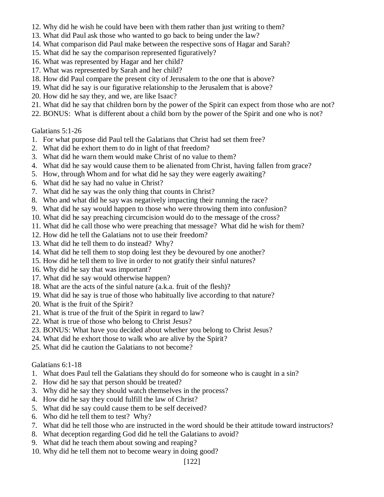- 12. Why did he wish he could have been with them rather than just writing to them?
- 13. What did Paul ask those who wanted to go back to being under the law?
- 14. What comparison did Paul make between the respective sons of Hagar and Sarah?
- 15. What did he say the comparison represented figuratively?
- 16. What was represented by Hagar and her child?
- 17. What was represented by Sarah and her child?
- 18. How did Paul compare the present city of Jerusalem to the one that is above?
- 19. What did he say is our figurative relationship to the Jerusalem that is above?
- 20. How did he say they, and we, are like Isaac?
- 21. What did he say that children born by the power of the Spirit can expect from those who are not?
- 22. BONUS: What is different about a child born by the power of the Spirit and one who is not?

#### Galatians 5:1-26

- 1. For what purpose did Paul tell the Galatians that Christ had set them free?
- 2. What did he exhort them to do in light of that freedom?
- 3. What did he warn them would make Christ of no value to them?
- 4. What did he say would cause them to be alienated from Christ, having fallen from grace?
- 5. How, through Whom and for what did he say they were eagerly awaiting?
- 6. What did he say had no value in Christ?
- 7. What did he say was the only thing that counts in Christ?
- 8. Who and what did he say was negatively impacting their running the race?
- 9. What did he say would happen to those who were throwing them into confusion?
- 10. What did he say preaching circumcision would do to the message of the cross?
- 11. What did he call those who were preaching that message? What did he wish for them?
- 12. How did he tell the Galatians not to use their freedom?
- 13. What did he tell them to do instead? Why?
- 14. What did he tell them to stop doing lest they be devoured by one another?
- 15. How did he tell them to live in order to not gratify their sinful natures?
- 16. Why did he say that was important?
- 17. What did he say would otherwise happen?
- 18. What are the acts of the sinful nature (a.k.a. fruit of the flesh)?
- 19. What did he say is true of those who habitually live according to that nature?
- 20. What is the fruit of the Spirit?
- 21. What is true of the fruit of the Spirit in regard to law?
- 22. What is true of those who belong to Christ Jesus?
- 23. BONUS: What have you decided about whether you belong to Christ Jesus?
- 24. What did he exhort those to walk who are alive by the Spirit?
- 25. What did he caution the Galatians to not become?

### Galatians 6:1-18

- 1. What does Paul tell the Galatians they should do for someone who is caught in a sin?
- 2. How did he say that person should be treated?
- 3. Why did he say they should watch themselves in the process?
- 4. How did he say they could fulfill the law of Christ?
- 5. What did he say could cause them to be self deceived?
- 6. Who did he tell them to test? Why?
- 7. What did he tell those who are instructed in the word should be their attitude toward instructors?
- 8. What deception regarding God did he tell the Galatians to avoid?
- 9. What did he teach them about sowing and reaping?
- 10. Why did he tell them not to become weary in doing good?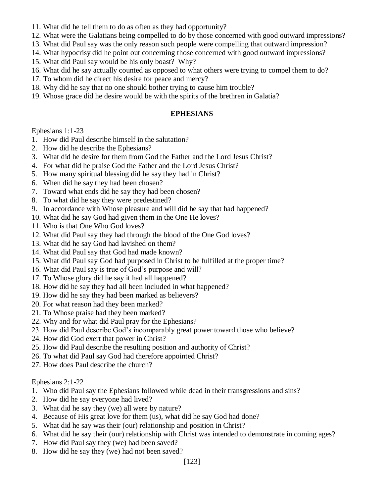- 11. What did he tell them to do as often as they had opportunity?
- 12. What were the Galatians being compelled to do by those concerned with good outward impressions?
- 13. What did Paul say was the only reason such people were compelling that outward impression?
- 14. What hypocrisy did he point out concerning those concerned with good outward impressions?
- 15. What did Paul say would be his only boast? Why?
- 16. What did he say actually counted as opposed to what others were trying to compel them to do?
- 17. To whom did he direct his desire for peace and mercy?
- 18. Why did he say that no one should bother trying to cause him trouble?
- 19. Whose grace did he desire would be with the spirits of the brethren in Galatia?

## **EPHESIANS**

## Ephesians 1:1-23

- 1. How did Paul describe himself in the salutation?
- 2. How did he describe the Ephesians?
- 3. What did he desire for them from God the Father and the Lord Jesus Christ?
- 4. For what did he praise God the Father and the Lord Jesus Christ?
- 5. How many spiritual blessing did he say they had in Christ?
- 6. When did he say they had been chosen?
- 7. Toward what ends did he say they had been chosen?
- 8. To what did he say they were predestined?
- 9. In accordance with Whose pleasure and will did he say that had happened?
- 10. What did he say God had given them in the One He loves?
- 11. Who is that One Who God loves?
- 12. What did Paul say they had through the blood of the One God loves?
- 13. What did he say God had lavished on them?
- 14. What did Paul say that God had made known?
- 15. What did Paul say God had purposed in Christ to be fulfilled at the proper time?
- 16. What did Paul say is true of God's purpose and will?
- 17. To Whose glory did he say it had all happened?
- 18. How did he say they had all been included in what happened?
- 19. How did he say they had been marked as believers?
- 20. For what reason had they been marked?
- 21. To Whose praise had they been marked?
- 22. Why and for what did Paul pray for the Ephesians?
- 23. How did Paul describe God's incomparably great power toward those who believe?
- 24. How did God exert that power in Christ?
- 25. How did Paul describe the resulting position and authority of Christ?
- 26. To what did Paul say God had therefore appointed Christ?
- 27. How does Paul describe the church?

## Ephesians 2:1-22

- 1. Who did Paul say the Ephesians followed while dead in their transgressions and sins?
- 2. How did he say everyone had lived?
- 3. What did he say they (we) all were by nature?
- 4. Because of His great love for them (us), what did he say God had done?
- 5. What did he say was their (our) relationship and position in Christ?
- 6. What did he say their (our) relationship with Christ was intended to demonstrate in coming ages?
- 7. How did Paul say they (we) had been saved?
- 8. How did he say they (we) had not been saved?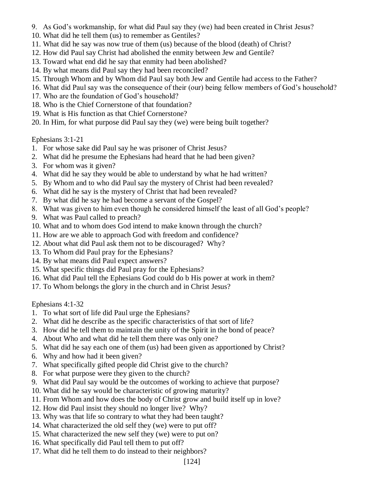- 9. As God's workmanship, for what did Paul say they (we) had been created in Christ Jesus?
- 10. What did he tell them (us) to remember as Gentiles?
- 11. What did he say was now true of them (us) because of the blood (death) of Christ?
- 12. How did Paul say Christ had abolished the enmity between Jew and Gentile?
- 13. Toward what end did he say that enmity had been abolished?
- 14. By what means did Paul say they had been reconciled?
- 15. Through Whom and by Whom did Paul say both Jew and Gentile had access to the Father?
- 16. What did Paul say was the consequence of their (our) being fellow members of God's household?
- 17. Who are the foundation of God's household?
- 18. Who is the Chief Cornerstone of that foundation?
- 19. What is His function as that Chief Cornerstone?
- 20. In Him, for what purpose did Paul say they (we) were being built together?

## Ephesians 3:1-21

- 1. For whose sake did Paul say he was prisoner of Christ Jesus?
- 2. What did he presume the Ephesians had heard that he had been given?
- 3. For whom was it given?
- 4. What did he say they would be able to understand by what he had written?
- 5. By Whom and to who did Paul say the mystery of Christ had been revealed?
- 6. What did he say is the mystery of Christ that had been revealed?
- 7. By what did he say he had become a servant of the Gospel?
- 8. What was given to him even though he considered himself the least of all God's people?
- 9. What was Paul called to preach?
- 10. What and to whom does God intend to make known through the church?
- 11. How are we able to approach God with freedom and confidence?
- 12. About what did Paul ask them not to be discouraged? Why?
- 13. To Whom did Paul pray for the Ephesians?
- 14. By what means did Paul expect answers?
- 15. What specific things did Paul pray for the Ephesians?
- 16. What did Paul tell the Ephesians God could do b His power at work in them?
- 17. To Whom belongs the glory in the church and in Christ Jesus?

Ephesians 4:1-32

- 1. To what sort of life did Paul urge the Ephesians?
- 2. What did he describe as the specific characteristics of that sort of life?
- 3. How did he tell them to maintain the unity of the Spirit in the bond of peace?
- 4. About Who and what did he tell them there was only one?
- 5. What did he say each one of them (us) had been given as apportioned by Christ?
- 6. Why and how had it been given?
- 7. What specifically gifted people did Christ give to the church?
- 8. For what purpose were they given to the church?
- 9. What did Paul say would be the outcomes of working to achieve that purpose?
- 10. What did he say would be characteristic of growing maturity?
- 11. From Whom and how does the body of Christ grow and build itself up in love?
- 12. How did Paul insist they should no longer live? Why?
- 13. Why was that life so contrary to what they had been taught?
- 14. What characterized the old self they (we) were to put off?
- 15. What characterized the new self they (we) were to put on?
- 16. What specifically did Paul tell them to put off?
- 17. What did he tell them to do instead to their neighbors?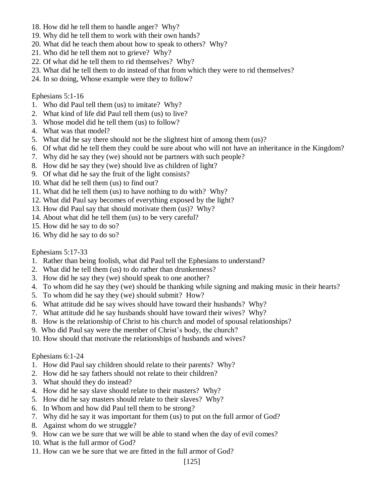- 18. How did he tell them to handle anger? Why?
- 19. Why did he tell them to work with their own hands?
- 20. What did he teach them about how to speak to others? Why?
- 21. Who did he tell them not to grieve? Why?
- 22. Of what did he tell them to rid themselves? Why?
- 23. What did he tell them to do instead of that from which they were to rid themselves?
- 24. In so doing, Whose example were they to follow?

Ephesians 5:1-16

- 1. Who did Paul tell them (us) to imitate? Why?
- 2. What kind of life did Paul tell them (us) to live?
- 3. Whose model did he tell them (us) to follow?
- 4. What was that model?
- 5. What did he say there should not be the slightest hint of among them (us)?
- 6. Of what did he tell them they could be sure about who will not have an inheritance in the Kingdom?
- 7. Why did he say they (we) should not be partners with such people?
- 8. How did he say they (we) should live as children of light?
- 9. Of what did he say the fruit of the light consists?
- 10. What did he tell them (us) to find out?
- 11. What did he tell them (us) to have nothing to do with? Why?
- 12. What did Paul say becomes of everything exposed by the light?
- 13. How did Paul say that should motivate them (us)? Why?
- 14. About what did he tell them (us) to be very careful?
- 15. How did he say to do so?
- 16. Why did he say to do so?

### Ephesians 5:17-33

- 1. Rather than being foolish, what did Paul tell the Ephesians to understand?
- 2. What did he tell them (us) to do rather than drunkenness?
- 3. How did he say they (we) should speak to one another?
- 4. To whom did he say they (we) should be thanking while signing and making music in their hearts?
- 5. To whom did he say they (we) should submit? How?
- 6. What attitude did he say wives should have toward their husbands? Why?
- 7. What attitude did he say husbands should have toward their wives? Why?
- 8. How is the relationship of Christ to his church and model of spousal relationships?
- 9. Who did Paul say were the member of Christ's body, the church?
- 10. How should that motivate the relationships of husbands and wives?

### Ephesians 6:1-24

- 1. How did Paul say children should relate to their parents? Why?
- 2. How did he say fathers should not relate to their children?
- 3. What should they do instead?
- 4. How did he say slave should relate to their masters? Why?
- 5. How did he say masters should relate to their slaves? Why?
- 6. In Whom and how did Paul tell them to be strong?
- 7. Why did he say it was important for them (us) to put on the full armor of God?
- 8. Against whom do we struggle?
- 9. How can we be sure that we will be able to stand when the day of evil comes?
- 10. What is the full armor of God?
- 11. How can we be sure that we are fitted in the full armor of God?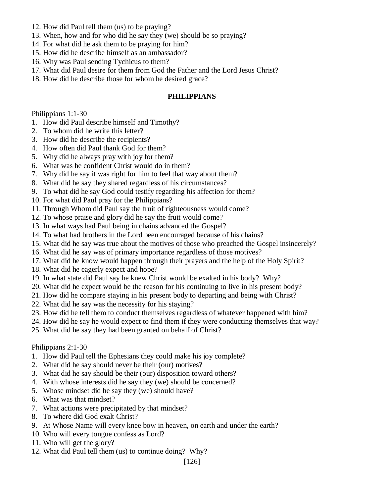- 12. How did Paul tell them (us) to be praying?
- 13. When, how and for who did he say they (we) should be so praying?
- 14. For what did he ask them to be praying for him?
- 15. How did he describe himself as an ambassador?
- 16. Why was Paul sending Tychicus to them?
- 17. What did Paul desire for them from God the Father and the Lord Jesus Christ?
- 18. How did he describe those for whom he desired grace?

### **PHILIPPIANS**

Philippians 1:1-30

- 1. How did Paul describe himself and Timothy?
- 2. To whom did he write this letter?
- 3. How did he describe the recipients?
- 4. How often did Paul thank God for them?
- 5. Why did he always pray with joy for them?
- 6. What was he confident Christ would do in them?
- 7. Why did he say it was right for him to feel that way about them?
- 8. What did he say they shared regardless of his circumstances?
- 9. To what did he say God could testify regarding his affection for them?
- 10. For what did Paul pray for the Philippians?
- 11. Through Whom did Paul say the fruit of righteousness would come?
- 12. To whose praise and glory did he say the fruit would come?
- 13. In what ways had Paul being in chains advanced the Gospel?
- 14. To what had brothers in the Lord been encouraged because of his chains?
- 15. What did he say was true about the motives of those who preached the Gospel insincerely?
- 16. What did he say was of primary importance regardless of those motives?
- 17. What did he know would happen through their prayers and the help of the Holy Spirit?
- 18. What did he eagerly expect and hope?
- 19. In what state did Paul say he knew Christ would be exalted in his body? Why?
- 20. What did he expect would be the reason for his continuing to live in his present body?
- 21. How did he compare staying in his present body to departing and being with Christ?
- 22. What did he say was the necessity for his staying?
- 23. How did he tell them to conduct themselves regardless of whatever happened with him?
- 24. How did he say he would expect to find them if they were conducting themselves that way?
- 25. What did he say they had been granted on behalf of Christ?

### Philippians 2:1-30

- 1. How did Paul tell the Ephesians they could make his joy complete?
- 2. What did he say should never be their (our) motives?
- 3. What did he say should be their (our) disposition toward others?
- 4. With whose interests did he say they (we) should be concerned?
- 5. Whose mindset did he say they (we) should have?
- 6. What was that mindset?
- 7. What actions were precipitated by that mindset?
- 8. To where did God exalt Christ?
- 9. At Whose Name will every knee bow in heaven, on earth and under the earth?
- 10. Who will every tongue confess as Lord?
- 11. Who will get the glory?
- 12. What did Paul tell them (us) to continue doing? Why?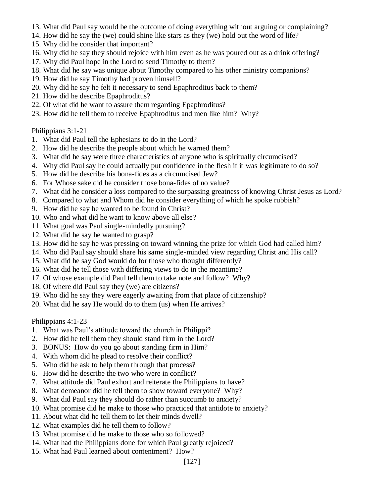- 13. What did Paul say would be the outcome of doing everything without arguing or complaining?
- 14. How did he say the (we) could shine like stars as they (we) hold out the word of life?
- 15. Why did he consider that important?
- 16. Why did he say they should rejoice with him even as he was poured out as a drink offering?
- 17. Why did Paul hope in the Lord to send Timothy to them?
- 18. What did he say was unique about Timothy compared to his other ministry companions?
- 19. How did he say Timothy had proven himself?
- 20. Why did he say he felt it necessary to send Epaphroditus back to them?
- 21. How did he describe Epaphroditus?
- 22. Of what did he want to assure them regarding Epaphroditus?
- 23. How did he tell them to receive Epaphroditus and men like him? Why?

### Philippians 3:1-21

- 1. What did Paul tell the Ephesians to do in the Lord?
- 2. How did he describe the people about which he warned them?
- 3. What did he say were three characteristics of anyone who is spiritually circumcised?
- 4. Why did Paul say he could actually put confidence in the flesh if it was legitimate to do so?
- 5. How did he describe his bona-fides as a circumcised Jew?
- 6. For Whose sake did he consider those bona-fides of no value?
- 7. What did he consider a loss compared to the surpassing greatness of knowing Christ Jesus as Lord?
- 8. Compared to what and Whom did he consider everything of which he spoke rubbish?
- 9. How did he say he wanted to be found in Christ?
- 10. Who and what did he want to know above all else?
- 11. What goal was Paul single-mindedly pursuing?
- 12. What did he say he wanted to grasp?
- 13. How did he say he was pressing on toward winning the prize for which God had called him?
- 14. Who did Paul say should share his same single-minded view regarding Christ and His call?
- 15. What did he say God would do for those who thought differently?
- 16. What did he tell those with differing views to do in the meantime?
- 17. Of whose example did Paul tell them to take note and follow? Why?
- 18. Of where did Paul say they (we) are citizens?
- 19. Who did he say they were eagerly awaiting from that place of citizenship?
- 20. What did he say He would do to them (us) when He arrives?

Philippians 4:1-23

- 1. What was Paul's attitude toward the church in Philippi?
- 2. How did he tell them they should stand firm in the Lord?
- 3. BONUS: How do you go about standing firm in Him?
- 4. With whom did he plead to resolve their conflict?
- 5. Who did he ask to help them through that process?
- 6. How did he describe the two who were in conflict?
- 7. What attitude did Paul exhort and reiterate the Philippians to have?
- 8. What demeanor did he tell them to show toward everyone? Why?
- 9. What did Paul say they should do rather than succumb to anxiety?
- 10. What promise did he make to those who practiced that antidote to anxiety?
- 11. About what did he tell them to let their minds dwell?
- 12. What examples did he tell them to follow?
- 13. What promise did he make to those who so followed?
- 14. What had the Philippians done for which Paul greatly rejoiced?
- 15. What had Paul learned about contentment? How?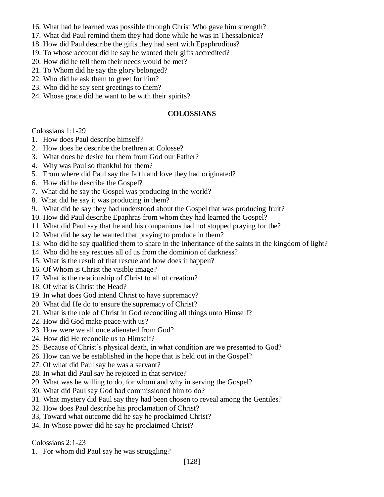- 16. What had he learned was possible through Christ Who gave him strength?
- 17. What did Paul remind them they had done while he was in Thessalonica?
- 18. How did Paul describe the gifts they had sent with Epaphroditus?
- 19. To whose account did he say he wanted their gifts accredited?
- 20. How did he tell them their needs would be met?
- 21. To Whom did he say the glory belonged?
- 22. Who did he ask them to greet for him?
- 23. Who did he say sent greetings to them?
- 24. Whose grace did he want to be with their spirits?

## **COLOSSIANS**

## Colossians 1:1-29

- 1. How does Paul describe himself?
- 2. How does he describe the brethren at Colosse?
- 3. What does he desire for them from God our Father?
- 4. Why was Paul so thankful for them?
- 5. From where did Paul say the faith and love they had originated?
- 6. How did he describe the Gospel?
- 7. What did he say the Gospel was producing in the world?
- 8. What did he say it was producing in them?
- 9. What did he say they had understood about the Gospel that was producing fruit?
- 10. How did Paul describe Epaphras from whom they had learned the Gospel?
- 11. What did Paul say that he and his companions had not stopped praying for the?
- 12. What did he say he wanted that praying to produce in them?
- 13. Who did he say qualified them to share in the inheritance of the saints in the kingdom of light?
- 14. Who did he say rescues all of us from the dominion of darkness?
- 15. What is the result of that rescue and how does it happen?
- 16. Of Whom is Christ the visible image?
- 17. What is the relationship of Christ to all of creation?
- 18. Of what is Christ the Head?
- 19. In what does God intend Christ to have supremacy?
- 20. What did He do to ensure the supremacy of Christ?
- 21. What is the role of Christ in God reconciling all things unto Himself?
- 22. How did God make peace with us?
- 23. How were we all once alienated from God?
- 24. How did He reconcile us to Himself?
- 25. Because of Christ's physical death, in what condition are we presented to God?
- 26. How can we be established in the hope that is held out in the Gospel?
- 27. Of what did Paul say he was a servant?
- 28. In what did Paul say he rejoiced in that service?
- 29. What was he willing to do, for whom and why in serving the Gospel?
- 30. What did Paul say God had commissioned him to do?
- 31. What mystery did Paul say they had been chosen to reveal among the Gentiles?
- 32. How does Paul describe his proclamation of Christ?
- 33, Toward what outcome did he say he proclaimed Christ?
- 34. In Whose power did he say he proclaimed Christ?

### Colossians 2:1-23

1. For whom did Paul say he was struggling?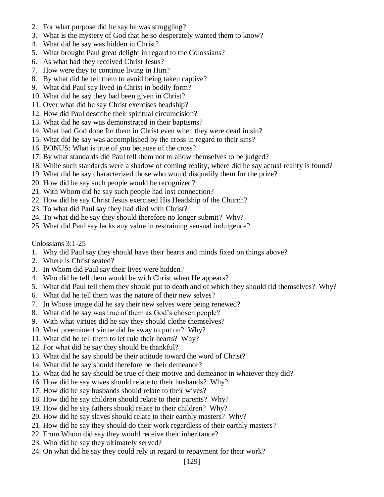- 2. For what purpose did he say he was struggling?
- 3. What is the mystery of God that he so desperately wanted them to know?
- 4. What did he say was hidden in Christ?
- 5. What brought Paul great delight in regard to the Colossians?
- 6. As what had they received Christ Jesus?
- 7. How were they to continue living in Him?
- 8. By what did he tell them to avoid being taken captive?
- 9. What did Paul say lived in Christ in bodily form?
- 10. What did he say they had been given in Christ?
- 11. Over what did he say Christ exercises headship?
- 12. How did Paul describe their spiritual circumcision?
- 13. What did he say was demonstrated in their baptisms?
- 14. What had God done for them in Christ even when they were dead in sin?
- 15. What did he say was accomplished by the cross in regard to their sins?
- 16. BONUS: What is true of you because of the cross?
- 17. By what standards did Paul tell them not to allow themselves to be judged?
- 18. While such standards were a shadow of coming reality, where did he say actual reality is found?
- 19. What did he say characterized those who would disqualify them for the prize?
- 20. How did he say such people would be recognized?
- 21. With Whom did he say such people had lost connection?
- 22. How did he say Christ Jesus exercised His Headship of the Church?
- 23. To what did Paul say they had died with Christ?
- 24. To what did he say they should therefore no longer submit? Why?
- 25. What did Paul say lacks any value in restraining sensual indulgence?

Colossians 3:1-25

- 1. Why did Paul say they should have their hearts and minds fixed on things above?
- 2. Where is Christ seated?
- 3. In Whom did Paul say their lives were hidden?
- 4. Who did he tell them would be with Christ when He appears?
- 5. What did Paul tell them they should put to death and of which they should rid themselves? Why?
- 6. What did he tell them was the nature of their new selves?
- 7. In Whose image did he say their new selves were being renewed?
- 8. What did he say was true of them as God's chosen people?
- 9. With what virtues did he say they should clothe themselves?
- 10. What preeminent virtue did he sway to put on? Why?
- 11. What did he tell them to let rule their hearts? Why?
- 12. For what did he say they should be thankful?
- 13. What did he say should be their attitude toward the word of Christ?
- 14. What did he say should therefore be their demeanor?
- 15. What did he say should be true of their motive and demeanor in whatever they did?
- 16. How did he say wives should relate to their husbands? Why?
- 17. How did he say husbands should relate to their wives?
- 18. How did he say children should relate to their parents? Why?
- 19. How did he say fathers should relate to their children? Why?
- 20. How did he say slaves should relate to their earthly masters? Why?
- 21. How did he say they should do their work regardless of their earthly masters?
- 22. From Whom did say they would receive their inheritance?
- 23. Who did he say they ultimately served?
- 24. On what did he say they could rely in regard to repayment for their work?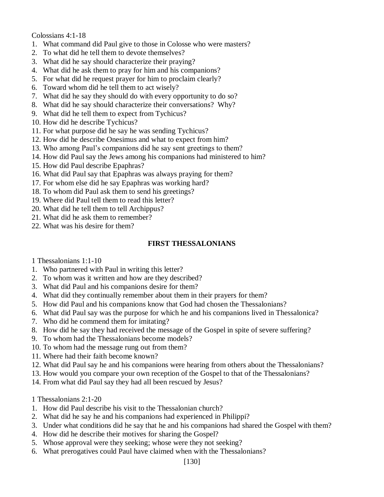Colossians 4:1-18

- 1. What command did Paul give to those in Colosse who were masters?
- 2. To what did he tell them to devote themselves?
- 3. What did he say should characterize their praying?
- 4. What did he ask them to pray for him and his companions?
- 5. For what did he request prayer for him to proclaim clearly?
- 6. Toward whom did he tell them to act wisely?
- 7. What did he say they should do with every opportunity to do so?
- 8. What did he say should characterize their conversations? Why?
- 9. What did he tell them to expect from Tychicus?
- 10. How did he describe Tychicus?
- 11. For what purpose did he say he was sending Tychicus?
- 12. How did he describe Onesimus and what to expect from him?
- 13. Who among Paul's companions did he say sent greetings to them?
- 14. How did Paul say the Jews among his companions had ministered to him?
- 15. How did Paul describe Epaphras?
- 16. What did Paul say that Epaphras was always praying for them?
- 17. For whom else did he say Epaphras was working hard?
- 18. To whom did Paul ask them to send his greetings?
- 19. Where did Paul tell them to read this letter?
- 20. What did he tell them to tell Archippus?
- 21. What did he ask them to remember?
- 22. What was his desire for them?

#### **FIRST THESSALONIANS**

1 Thessalonians 1:1-10

- 1. Who partnered with Paul in writing this letter?
- 2. To whom was it written and how are they described?
- 3. What did Paul and his companions desire for them?
- 4. What did they continually remember about them in their prayers for them?
- 5. How did Paul and his companions know that God had chosen the Thessalonians?
- 6. What did Paul say was the purpose for which he and his companions lived in Thessalonica?
- 7. Who did he commend them for imitating?
- 8. How did he say they had received the message of the Gospel in spite of severe suffering?
- 9. To whom had the Thessalonians become models?
- 10. To whom had the message rung out from them?
- 11. Where had their faith become known?
- 12. What did Paul say he and his companions were hearing from others about the Thessalonians?
- 13. How would you compare your own reception of the Gospel to that of the Thessalonians?
- 14. From what did Paul say they had all been rescued by Jesus?

1 Thessalonians 2:1-20

- 1. How did Paul describe his visit to the Thessalonian church?
- 2. What did he say he and his companions had experienced in Philippi?
- 3. Under what conditions did he say that he and his companions had shared the Gospel with them?
- 4. How did he describe their motives for sharing the Gospel?
- 5. Whose approval were they seeking; whose were they not seeking?
- 6. What prerogatives could Paul have claimed when with the Thessalonians?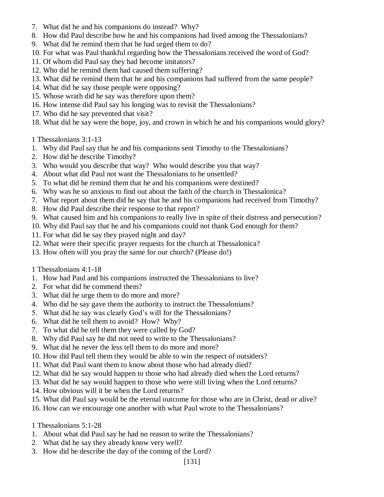- 7. What did he and his companions do instead? Why?
- 8. How did Paul describe how he and his companions had lived among the Thessalonians?
- 9. What did he remind them that he had urged them to do?
- 10. For what was Paul thankful regarding how the Thessalonians received the word of God?
- 11. Of whom did Paul say they had become imitators?
- 12. Who did he remind them had caused them suffering?
- 13. What did he remind them that he and his companions had suffered from the same people?
- 14. What did he say those people were opposing?
- 15. Whose wrath did he say was therefore upon them?
- 16. How intense did Paul say his longing was to revisit the Thessalonians?
- 17. Who did he say prevented that visit?
- 18. What did he say were the hope, joy, and crown in which he and his companions would glory?

1 Thessalonians 3:1-13

- 1. Why did Paul say that he and his companions sent Timothy to the Thessalonians?
- 2. How did he describe Timothy?
- 3. Who would you describe that way? Who would describe you that way?
- 4. About what did Paul not want the Thessalonians to be unsettled?
- 5. To what did he remind them that he and his companions were destined?
- 6. Why was he so anxious to find out about the faith of the church in Thessalonica?
- 7. What report about them did he say that he and his companions had received from Timothy?
- 8. How did Paul describe their response to that report?
- 9. What caused him and his companions to really live in spite of their distress and persecution?
- 10. Why did Paul say that he and his companions could not thank God enough for them?
- 11. For what did he say they prayed night and day?
- 12. What were their specific prayer requests for the church at Thessalonica?
- 13. How often will you pray the same for our church? (Please do!)

1 Thessalonians 4:1-18

- 1. How had Paul and his companions instructed the Thessalonians to live?
- 2. For what did he commend them?
- 3. What did he urge them to do more and more?
- 4. Who did he say gave them the authority to instruct the Thessalonians?
- 5. What did he say was clearly God's will for the Thessalonians?
- 6. What did he tell them to avoid? How? Why?
- 7. To what did he tell them they were called by God?
- 8. Why did Paul say he did not need to write to the Thessalonians?
- 9. What did he never the less tell them to do more and more?
- 10. How did Paul tell them they would be able to win the respect of outsiders?
- 11. What did Paul want them to know about those who had already died?
- 12. What did he say would happen to those who had already died when the Lord returns?
- 13. What did he say would happen to those who were still living when the Lord returns?
- 14. How obvious will it be when the Lord returns?
- 15. What did Paul say would be the eternal outcome for those who are in Christ, dead or alive?
- 16. How can we encourage one another with what Paul wrote to the Thessalonians?

1 Thessalonians 5:1-28

- 1. About what did Paul say he had no reason to write the Thessalonians?
- 2. What did he say they already know very well?
- 3. How did he describe the day of the coming of the Lord?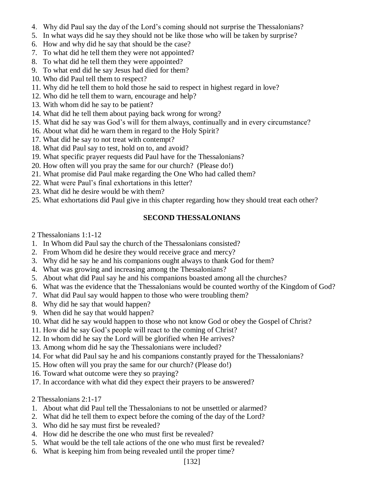- 4. Why did Paul say the day of the Lord's coming should not surprise the Thessalonians?
- 5. In what ways did he say they should not be like those who will be taken by surprise?
- 6. How and why did he say that should be the case?
- 7. To what did he tell them they were not appointed?
- 8. To what did he tell them they were appointed?
- 9. To what end did he say Jesus had died for them?
- 10. Who did Paul tell them to respect?
- 11. Why did he tell them to hold those he said to respect in highest regard in love?
- 12. Who did he tell them to warn, encourage and help?
- 13. With whom did he say to be patient?
- 14. What did he tell them about paying back wrong for wrong?
- 15. What did he say was God's will for them always, continually and in every circumstance?
- 16. About what did he warn them in regard to the Holy Spirit?
- 17. What did he say to not treat with contempt?
- 18. What did Paul say to test, hold on to, and avoid?
- 19. What specific prayer requests did Paul have for the Thessalonians?
- 20. How often will you pray the same for our church? (Please do!)
- 21. What promise did Paul make regarding the One Who had called them?
- 22. What were Paul's final exhortations in this letter?
- 23. What did he desire would be with them?
- 25. What exhortations did Paul give in this chapter regarding how they should treat each other?

#### **SECOND THESSALONIANS**

2 Thessalonians 1:1-12

- 1. In Whom did Paul say the church of the Thessalonians consisted?
- 2. From Whom did he desire they would receive grace and mercy?
- 3. Why did he say he and his companions ought always to thank God for them?
- 4. What was growing and increasing among the Thessalonians?
- 5. About what did Paul say he and his companions boasted among all the churches?
- 6. What was the evidence that the Thessalonians would be counted worthy of the Kingdom of God?
- 7. What did Paul say would happen to those who were troubling them?
- 8. Why did he say that would happen?
- 9. When did he say that would happen?
- 10. What did he say would happen to those who not know God or obey the Gospel of Christ?
- 11. How did he say God's people will react to the coming of Christ?
- 12. In whom did he say the Lord will be glorified when He arrives?
- 13. Among whom did he say the Thessalonians were included?
- 14. For what did Paul say he and his companions constantly prayed for the Thessalonians?
- 15. How often will you pray the same for our church? (Please do!)
- 16. Toward what outcome were they so praying?
- 17. In accordance with what did they expect their prayers to be answered?

#### 2 Thessalonians 2:1-17

- 1. About what did Paul tell the Thessalonians to not be unsettled or alarmed?
- 2. What did he tell them to expect before the coming of the day of the Lord?
- 3. Who did he say must first be revealed?
- 4. How did he describe the one who must first be revealed?
- 5. What would be the tell tale actions of the one who must first be revealed?
- 6. What is keeping him from being revealed until the proper time?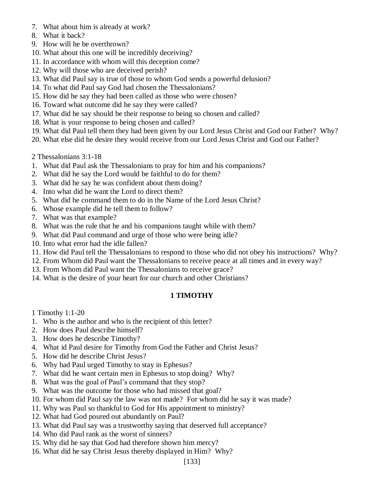- 7. What about him is already at work?
- 8. What it back?
- 9. How will he be overthrown?
- 10. What about this one will be incredibly deceiving?
- 11. In accordance with whom will this deception come?
- 12. Why will those who are deceived perish?
- 13. What did Paul say is true of those to whom God sends a powerful delusion?
- 14. To what did Paul say God had chosen the Thessalonians?
- 15. How did he say they had been called as those who were chosen?
- 16. Toward what outcome did he say they were called?
- 17. What did he say should be their response to being so chosen and called?
- 18. What is your response to being chosen and called?
- 19. What did Paul tell them they had been given by our Lord Jesus Christ and God our Father? Why?
- 20. What else did he desire they would receive from our Lord Jesus Christ and God our Father?

2 Thessalonians 3:1-18

- 1. What did Paul ask the Thessalonians to pray for him and his companions?
- 2. What did he say the Lord would be faithful to do for them?
- 3. What did he say he was confident about them doing?
- 4. Into what did he want the Lord to direct them?
- 5. What did he command them to do in the Name of the Lord Jesus Christ?
- 6. Whose example did he tell them to follow?
- 7. What was that example?
- 8. What was the rule that he and his companions taught while with them?
- 9. What did Paul command and urge of those who were being idle?
- 10. Into what error had the idle fallen?
- 11. How did Paul tell the Thessalonians to respond to those who did not obey his instructions? Why?
- 12. From Whom did Paul want the Thessalonians to receive peace at all times and in every way?
- 13. From Whom did Paul want the Thessalonians to receive grace?
- 14. What is the desire of your heart for our church and other Christians?

# **1 TIMOTHY**

1 Timothy 1:1-20

- 1. Who is the author and who is the recipient of this letter?
- 2. How does Paul describe himself?
- 3. How does he describe Timothy?
- 4. What id Paul desire for Timothy from God the Father and Christ Jesus?
- 5. How did he describe Christ Jesus?
- 6. Why had Paul urged Timothy to stay in Ephesus?
- 7. What did he want certain men in Ephesus to stop doing? Why?
- 8. What was the goal of Paul's command that they stop?
- 9. What was the outcome for those who had missed that goal?
- 10. For whom did Paul say the law was not made? For whom did he say it was made?
- 11. Why was Paul so thankful to God for His appointment to ministry?
- 12. What had God poured out abundantly on Paul?
- 13. What did Paul say was a trustworthy saying that deserved full acceptance?
- 14. Who did Paul rank as the worst of sinners?
- 15. Why did he say that God had therefore shown him mercy?
- 16. What did he say Christ Jesus thereby displayed in Him? Why?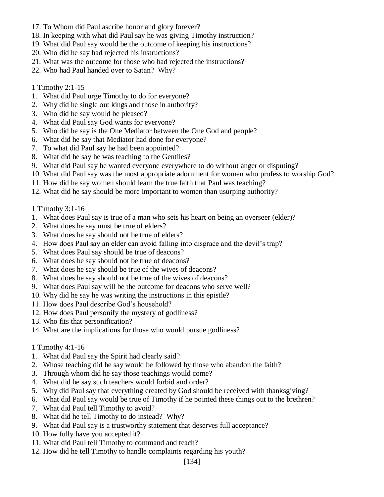- 17. To Whom did Paul ascribe honor and glory forever?
- 18. In keeping with what did Paul say he was giving Timothy instruction?
- 19. What did Paul say would be the outcome of keeping his instructions?
- 20. Who did he say had rejected his instructions?
- 21. What was the outcome for those who had rejected the instructions?
- 22. Who had Paul handed over to Satan? Why?

## 1 Timothy 2:1-15

- 1. What did Paul urge Timothy to do for everyone?
- 2. Why did he single out kings and those in authority?
- 3. Who did he say would be pleased?
- 4. What did Paul say God wants for everyone?
- 5. Who did he say is the One Mediator between the One God and people?
- 6. What did he say that Mediator had done for everyone?
- 7. To what did Paul say he had been appointed?
- 8. What did he say he was teaching to the Gentiles?
- 9. What did Paul say he wanted everyone everywhere to do without anger or disputing?
- 10. What did Paul say was the most appropriate adornment for women who profess to worship God?
- 11. How did he say women should learn the true faith that Paul was teaching?
- 12. What did he say should be more important to women than usurping authority?

## 1 Timothy 3:1-16

- 1. What does Paul say is true of a man who sets his heart on being an overseer (elder)?
- 2. What does he say must be true of elders?
- 3. What does he say should not be true of elders?
- 4. How does Paul say an elder can avoid falling into disgrace and the devil's trap?
- 5. What does Paul say should be true of deacons?
- 6. What does he say should not be true of deacons?
- 7. What does he say should be true of the wives of deacons?
- 8. What does he say should not be true of the wives of deacons?
- 9. What does Paul say will be the outcome for deacons who serve well?
- 10. Why did he say he was writing the instructions in this epistle?
- 11. How does Paul describe God's household?
- 12. How does Paul personify the mystery of godliness?
- 13. Who fits that personification?
- 14. What are the implications for those who would pursue godliness?

## 1 Timothy 4:1-16

- 1. What did Paul say the Spirit had clearly said?
- 2. Whose teaching did he say would be followed by those who abandon the faith?
- 3. Through whom did he say those teachings would come?
- 4. What did he say such teachers would forbid and order?
- 5. Why did Paul say that everything created by God should be received with thanksgiving?
- 6. What did Paul say would be true of Timothy if he pointed these things out to the brethren?
- 7. What did Paul tell Timothy to avoid?
- 8. What did he tell Timothy to do instead? Why?
- 9. What did Paul say is a trustworthy statement that deserves full acceptance?
- 10. How fully have you accepted it?
- 11. What did Paul tell Timothy to command and teach?
- 12. How did he tell Timothy to handle complaints regarding his youth?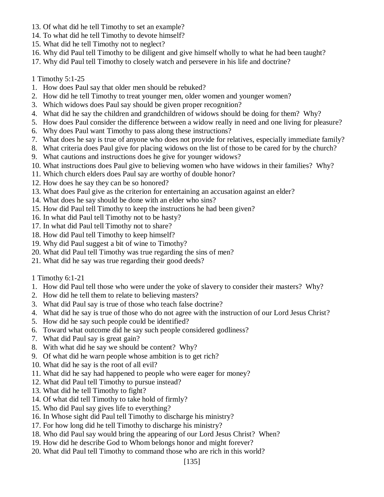- 13. Of what did he tell Timothy to set an example?
- 14. To what did he tell Timothy to devote himself?
- 15. What did he tell Timothy not to neglect?
- 16. Why did Paul tell Timothy to be diligent and give himself wholly to what he had been taught?
- 17. Why did Paul tell Timothy to closely watch and persevere in his life and doctrine?

### 1 Timothy 5:1-25

- 1. How does Paul say that older men should be rebuked?
- 2. How did he tell Timothy to treat younger men, older women and younger women?
- 3. Which widows does Paul say should be given proper recognition?
- 4. What did he say the children and grandchildren of widows should be doing for them? Why?
- 5. How does Paul consider the difference between a widow really in need and one living for pleasure?
- 6. Why does Paul want Timothy to pass along these instructions?
- 7. What does he say is true of anyone who does not provide for relatives, especially immediate family?
- 8. What criteria does Paul give for placing widows on the list of those to be cared for by the church?
- 9. What cautions and instructions does he give for younger widows?
- 10. What instructions does Paul give to believing women who have widows in their families? Why?
- 11. Which church elders does Paul say are worthy of double honor?
- 12. How does he say they can be so honored?
- 13. What does Paul give as the criterion for entertaining an accusation against an elder?
- 14. What does he say should be done with an elder who sins?
- 15. How did Paul tell Timothy to keep the instructions he had been given?
- 16. In what did Paul tell Timothy not to be hasty?
- 17. In what did Paul tell Timothy not to share?
- 18. How did Paul tell Timothy to keep himself?
- 19. Why did Paul suggest a bit of wine to Timothy?
- 20. What did Paul tell Timothy was true regarding the sins of men?
- 21. What did he say was true regarding their good deeds?

1 Timothy 6:1-21

- 1. How did Paul tell those who were under the yoke of slavery to consider their masters? Why?
- 2. How did he tell them to relate to believing masters?
- 3. What did Paul say is true of those who teach false doctrine?
- 4. What did he say is true of those who do not agree with the instruction of our Lord Jesus Christ?
- 5. How did he say such people could be identified?
- 6. Toward what outcome did he say such people considered godliness?
- 7. What did Paul say is great gain?
- 8. With what did he say we should be content? Why?
- 9. Of what did he warn people whose ambition is to get rich?
- 10. What did he say is the root of all evil?
- 11. What did he say had happened to people who were eager for money?
- 12. What did Paul tell Timothy to pursue instead?
- 13. What did he tell Timothy to fight?
- 14. Of what did tell Timothy to take hold of firmly?
- 15. Who did Paul say gives life to everything?
- 16. In Whose sight did Paul tell Timothy to discharge his ministry?
- 17. For how long did he tell Timothy to discharge his ministry?
- 18. Who did Paul say would bring the appearing of our Lord Jesus Christ? When?
- 19. How did he describe God to Whom belongs honor and might forever?
- 20. What did Paul tell Timothy to command those who are rich in this world?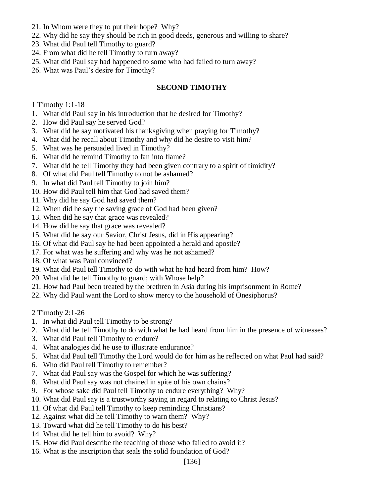- 21. In Whom were they to put their hope? Why?
- 22. Why did he say they should be rich in good deeds, generous and willing to share?
- 23. What did Paul tell Timothy to guard?
- 24. From what did he tell Timothy to turn away?
- 25. What did Paul say had happened to some who had failed to turn away?
- 26. What was Paul's desire for Timothy?

### **SECOND TIMOTHY**

#### 1 Timothy 1:1-18

- 1. What did Paul say in his introduction that he desired for Timothy?
- 2. How did Paul say he served God?
- 3. What did he say motivated his thanksgiving when praying for Timothy?
- 4. What did he recall about Timothy and why did he desire to visit him?
- 5. What was he persuaded lived in Timothy?
- 6. What did he remind Timothy to fan into flame?
- 7. What did he tell Timothy they had been given contrary to a spirit of timidity?
- 8. Of what did Paul tell Timothy to not be ashamed?
- 9. In what did Paul tell Timothy to join him?
- 10. How did Paul tell him that God had saved them?
- 11. Why did he say God had saved them?
- 12. When did he say the saving grace of God had been given?
- 13. When did he say that grace was revealed?
- 14. How did he say that grace was revealed?
- 15. What did he say our Savior, Christ Jesus, did in His appearing?
- 16. Of what did Paul say he had been appointed a herald and apostle?
- 17. For what was he suffering and why was he not ashamed?
- 18. Of what was Paul convinced?
- 19. What did Paul tell Timothy to do with what he had heard from him? How?
- 20. What did he tell Timothy to guard; with Whose help?
- 21. How had Paul been treated by the brethren in Asia during his imprisonment in Rome?
- 22. Why did Paul want the Lord to show mercy to the household of Onesiphorus?

2 Timothy 2:1-26

- 1. In what did Paul tell Timothy to be strong?
- 2. What did he tell Timothy to do with what he had heard from him in the presence of witnesses?
- 3. What did Paul tell Timothy to endure?
- 4. What analogies did he use to illustrate endurance?
- 5. What did Paul tell Timothy the Lord would do for him as he reflected on what Paul had said?
- 6. Who did Paul tell Timothy to remember?
- 7. What did Paul say was the Gospel for which he was suffering?
- 8. What did Paul say was not chained in spite of his own chains?
- 9. For whose sake did Paul tell Timothy to endure everything? Why?
- 10. What did Paul say is a trustworthy saying in regard to relating to Christ Jesus?
- 11. Of what did Paul tell Timothy to keep reminding Christians?
- 12. Against what did he tell Timothy to warn them? Why?
- 13. Toward what did he tell Timothy to do his best?
- 14. What did he tell him to avoid? Why?
- 15. How did Paul describe the teaching of those who failed to avoid it?
- 16. What is the inscription that seals the solid foundation of God?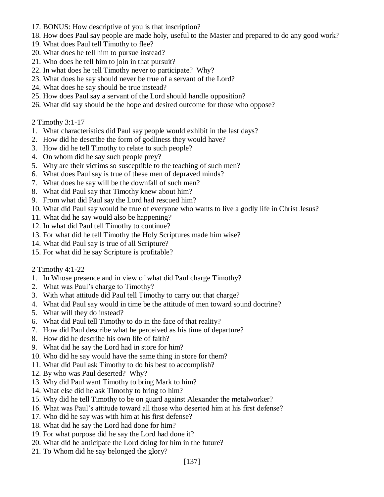- 17. BONUS: How descriptive of you is that inscription?
- 18. How does Paul say people are made holy, useful to the Master and prepared to do any good work?
- 19. What does Paul tell Timothy to flee?
- 20. What does he tell him to pursue instead?
- 21. Who does he tell him to join in that pursuit?
- 22. In what does he tell Timothy never to participate? Why?
- 23. What does he say should never be true of a servant of the Lord?
- 24. What does he say should be true instead?
- 25. How does Paul say a servant of the Lord should handle opposition?
- 26. What did say should be the hope and desired outcome for those who oppose?

## 2 Timothy 3:1-17

- 1. What characteristics did Paul say people would exhibit in the last days?
- 2. How did he describe the form of godliness they would have?
- 3. How did he tell Timothy to relate to such people?
- 4. On whom did he say such people prey?
- 5. Why are their victims so susceptible to the teaching of such men?
- 6. What does Paul say is true of these men of depraved minds?
- 7. What does he say will be the downfall of such men?
- 8. What did Paul say that Timothy knew about him?
- 9. From what did Paul say the Lord had rescued him?
- 10. What did Paul say would be true of everyone who wants to live a godly life in Christ Jesus?
- 11. What did he say would also be happening?
- 12. In what did Paul tell Timothy to continue?
- 13. For what did he tell Timothy the Holy Scriptures made him wise?
- 14. What did Paul say is true of all Scripture?
- 15. For what did he say Scripture is profitable?

## 2 Timothy 4:1-22

- 1. In Whose presence and in view of what did Paul charge Timothy?
- 2. What was Paul's charge to Timothy?
- 3. With what attitude did Paul tell Timothy to carry out that charge?
- 4. What did Paul say would in time be the attitude of men toward sound doctrine?
- 5. What will they do instead?
- 6. What did Paul tell Timothy to do in the face of that reality?
- 7. How did Paul describe what he perceived as his time of departure?
- 8. How did he describe his own life of faith?
- 9. What did he say the Lord had in store for him?
- 10. Who did he say would have the same thing in store for them?
- 11. What did Paul ask Timothy to do his best to accomplish?
- 12. By who was Paul deserted? Why?
- 13. Why did Paul want Timothy to bring Mark to him?
- 14. What else did he ask Timothy to bring to him?
- 15. Why did he tell Timothy to be on guard against Alexander the metalworker?
- 16. What was Paul's attitude toward all those who deserted him at his first defense?
- 17. Who did he say was with him at his first defense?
- 18. What did he say the Lord had done for him?
- 19. For what purpose did he say the Lord had done it?
- 20. What did he anticipate the Lord doing for him in the future?
- 21. To Whom did he say belonged the glory?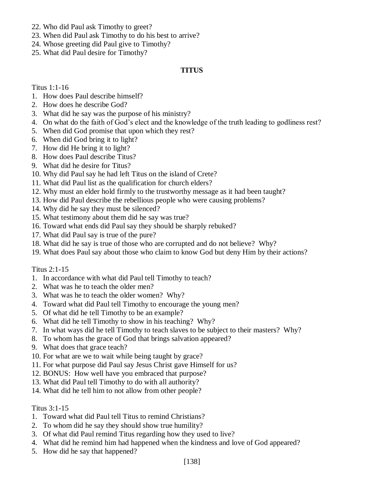- 22. Who did Paul ask Timothy to greet?
- 23. When did Paul ask Timothy to do his best to arrive?
- 24. Whose greeting did Paul give to Timothy?
- 25. What did Paul desire for Timothy?

#### **TITUS**

Titus 1:1-16

- 1. How does Paul describe himself?
- 2. How does he describe God?
- 3. What did he say was the purpose of his ministry?
- 4. On what do the faith of God's elect and the knowledge of the truth leading to godliness rest?
- 5. When did God promise that upon which they rest?
- 6. When did God bring it to light?
- 7. How did He bring it to light?
- 8. How does Paul describe Titus?
- 9. What did he desire for Titus?
- 10. Why did Paul say he had left Titus on the island of Crete?
- 11. What did Paul list as the qualification for church elders?
- 12. Why must an elder hold firmly to the trustworthy message as it had been taught?
- 13. How did Paul describe the rebellious people who were causing problems?
- 14. Why did he say they must be silenced?
- 15. What testimony about them did he say was true?
- 16. Toward what ends did Paul say they should be sharply rebuked?
- 17. What did Paul say is true of the pure?
- 18. What did he say is true of those who are corrupted and do not believe? Why?
- 19. What does Paul say about those who claim to know God but deny Him by their actions?

#### Titus 2:1-15

- 1. In accordance with what did Paul tell Timothy to teach?
- 2. What was he to teach the older men?
- 3. What was he to teach the older women? Why?
- 4. Toward what did Paul tell Timothy to encourage the young men?
- 5. Of what did he tell Timothy to be an example?
- 6. What did he tell Timothy to show in his teaching? Why?
- 7. In what ways did he tell Timothy to teach slaves to be subject to their masters? Why?
- 8. To whom has the grace of God that brings salvation appeared?
- 9. What does that grace teach?
- 10. For what are we to wait while being taught by grace?
- 11. For what purpose did Paul say Jesus Christ gave Himself for us?
- 12. BONUS: How well have you embraced that purpose?
- 13. What did Paul tell Timothy to do with all authority?
- 14. What did he tell him to not allow from other people?

#### Titus 3:1-15

- 1. Toward what did Paul tell Titus to remind Christians?
- 2. To whom did he say they should show true humility?
- 3. Of what did Paul remind Titus regarding how they used to live?
- 4. What did he remind him had happened when the kindness and love of God appeared?
- 5. How did he say that happened?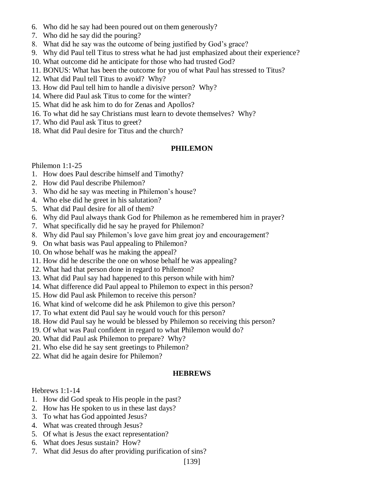- 6. Who did he say had been poured out on them generously?
- 7. Who did he say did the pouring?
- 8. What did he say was the outcome of being justified by God's grace?
- 9. Why did Paul tell Titus to stress what he had just emphasized about their experience?
- 10. What outcome did he anticipate for those who had trusted God?
- 11. BONUS: What has been the outcome for you of what Paul has stressed to Titus?
- 12. What did Paul tell Titus to avoid? Why?
- 13. How did Paul tell him to handle a divisive person? Why?
- 14. Where did Paul ask Titus to come for the winter?
- 15. What did he ask him to do for Zenas and Apollos?
- 16. To what did he say Christians must learn to devote themselves? Why?
- 17. Who did Paul ask Titus to greet?
- 18. What did Paul desire for Titus and the church?

### **PHILEMON**

Philemon 1:1-25

- 1. How does Paul describe himself and Timothy?
- 2. How did Paul describe Philemon?
- 3. Who did he say was meeting in Philemon's house?
- 4. Who else did he greet in his salutation?
- 5. What did Paul desire for all of them?
- 6. Why did Paul always thank God for Philemon as he remembered him in prayer?
- 7. What specifically did he say he prayed for Philemon?
- 8. Why did Paul say Philemon's love gave him great joy and encouragement?
- 9. On what basis was Paul appealing to Philemon?
- 10. On whose behalf was he making the appeal?
- 11. How did he describe the one on whose behalf he was appealing?
- 12. What had that person done in regard to Philemon?
- 13. What did Paul say had happened to this person while with him?
- 14. What difference did Paul appeal to Philemon to expect in this person?
- 15. How did Paul ask Philemon to receive this person?
- 16. What kind of welcome did he ask Philemon to give this person?
- 17. To what extent did Paul say he would vouch for this person?
- 18. How did Paul say he would be blessed by Philemon so receiving this person?
- 19. Of what was Paul confident in regard to what Philemon would do?
- 20. What did Paul ask Philemon to prepare? Why?
- 21. Who else did he say sent greetings to Philemon?
- 22. What did he again desire for Philemon?

#### **HEBREWS**

#### Hebrews 1:1-14

- 1. How did God speak to His people in the past?
- 2. How has He spoken to us in these last days?
- 3. To what has God appointed Jesus?
- 4. What was created through Jesus?
- 5. Of what is Jesus the exact representation?
- 6. What does Jesus sustain? How?
- 7. What did Jesus do after providing purification of sins?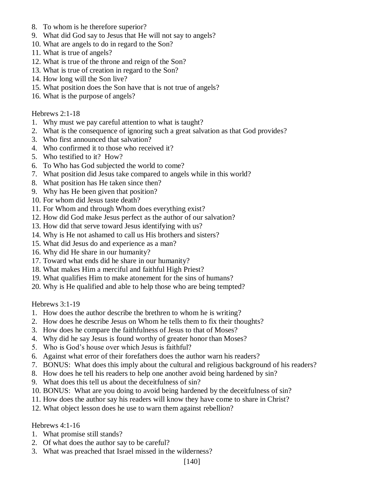- 8. To whom is he therefore superior?
- 9. What did God say to Jesus that He will not say to angels?
- 10. What are angels to do in regard to the Son?
- 11. What is true of angels?
- 12. What is true of the throne and reign of the Son?
- 13. What is true of creation in regard to the Son?
- 14. How long will the Son live?
- 15. What position does the Son have that is not true of angels?
- 16. What is the purpose of angels?

#### Hebrews 2:1-18

- 1. Why must we pay careful attention to what is taught?
- 2. What is the consequence of ignoring such a great salvation as that God provides?
- 3. Who first announced that salvation?
- 4. Who confirmed it to those who received it?
- 5. Who testified to it? How?
- 6. To Who has God subjected the world to come?
- 7. What position did Jesus take compared to angels while in this world?
- 8. What position has He taken since then?
- 9. Why has He been given that position?
- 10. For whom did Jesus taste death?
- 11. For Whom and through Whom does everything exist?
- 12. How did God make Jesus perfect as the author of our salvation?
- 13. How did that serve toward Jesus identifying with us?
- 14. Why is He not ashamed to call us His brothers and sisters?
- 15. What did Jesus do and experience as a man?
- 16. Why did He share in our humanity?
- 17. Toward what ends did he share in our humanity?
- 18. What makes Him a merciful and faithful High Priest?
- 19. What qualifies Him to make atonement for the sins of humans?
- 20. Why is He qualified and able to help those who are being tempted?

Hebrews 3:1-19

- 1. How does the author describe the brethren to whom he is writing?
- 2. How does he describe Jesus on Whom he tells them to fix their thoughts?
- 3. How does he compare the faithfulness of Jesus to that of Moses?
- 4. Why did he say Jesus is found worthy of greater honor than Moses?
- 5. Who is God's house over which Jesus is faithful?
- 6. Against what error of their forefathers does the author warn his readers?
- 7. BONUS: What does this imply about the cultural and religious background of his readers?
- 8. How does he tell his readers to help one another avoid being hardened by sin?
- 9. What does this tell us about the deceitfulness of sin?
- 10. BONUS: What are you doing to avoid being hardened by the deceitfulness of sin?
- 11. How does the author say his readers will know they have come to share in Christ?
- 12. What object lesson does he use to warn them against rebellion?

Hebrews 4:1-16

- 1. What promise still stands?
- 2. Of what does the author say to be careful?
- 3. What was preached that Israel missed in the wilderness?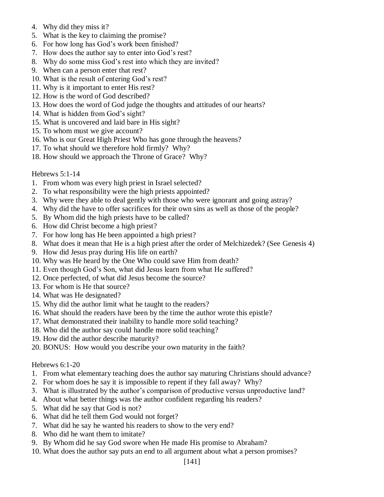- 4. Why did they miss it?
- 5. What is the key to claiming the promise?
- 6. For how long has God's work been finished?
- 7. How does the author say to enter into God's rest?
- 8. Why do some miss God's rest into which they are invited?
- 9. When can a person enter that rest?
- 10. What is the result of entering God's rest?
- 11. Why is it important to enter His rest?
- 12. How is the word of God described?
- 13. How does the word of God judge the thoughts and attitudes of our hearts?
- 14. What is hidden from God's sight?
- 15. What is uncovered and laid bare in His sight?
- 15. To whom must we give account?
- 16. Who is our Great High Priest Who has gone through the heavens?
- 17. To what should we therefore hold firmly? Why?
- 18. How should we approach the Throne of Grace? Why?

#### Hebrews 5:1-14

- 1. From whom was every high priest in Israel selected?
- 2. To what responsibility were the high priests appointed?
- 3. Why were they able to deal gently with those who were ignorant and going astray?
- 4. Why did the have to offer sacrifices for their own sins as well as those of the people?
- 5. By Whom did the high priests have to be called?
- 6. How did Christ become a high priest?
- 7. For how long has He been appointed a high priest?
- 8. What does it mean that He is a high priest after the order of Melchizedek? (See Genesis 4)
- 9. How did Jesus pray during His life on earth?
- 10. Why was He heard by the One Who could save Him from death?
- 11. Even though God's Son, what did Jesus learn from what He suffered?
- 12. Once perfected, of what did Jesus become the source?
- 13. For whom is He that source?
- 14. What was He designated?
- 15. Why did the author limit what he taught to the readers?
- 16. What should the readers have been by the time the author wrote this epistle?
- 17. What demonstrated their inability to handle more solid teaching?
- 18. Who did the author say could handle more solid teaching?
- 19. How did the author describe maturity?
- 20. BONUS: How would you describe your own maturity in the faith?

### Hebrews 6:1-20

- 1. From what elementary teaching does the author say maturing Christians should advance?
- 2. For whom does he say it is impossible to repent if they fall away? Why?
- 3. What is illustrated by the author's comparison of productive versus unproductive land?
- 4. About what better things was the author confident regarding his readers?
- 5. What did he say that God is not?
- 6. What did he tell them God would not forget?
- 7. What did he say he wanted his readers to show to the very end?
- 8. Who did he want them to imitate?
- 9. By Whom did he say God swore when He made His promise to Abraham?
- 10. What does the author say puts an end to all argument about what a person promises?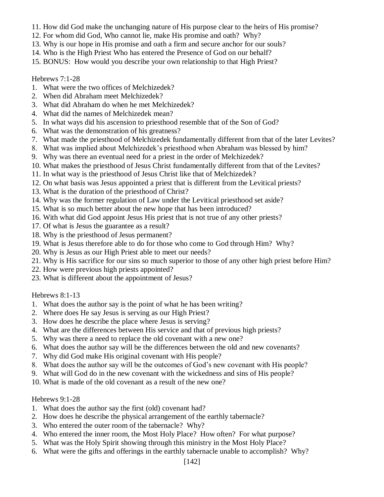- 11. How did God make the unchanging nature of His purpose clear to the heirs of His promise?
- 12. For whom did God, Who cannot lie, make His promise and oath? Why?
- 13. Why is our hope in His promise and oath a firm and secure anchor for our souls?
- 14. Who is the High Priest Who has entered the Presence of God on our behalf?
- 15. BONUS: How would you describe your own relationship to that High Priest?

#### Hebrews 7:1-28

- 1. What were the two offices of Melchizedek?
- 2. When did Abraham meet Melchizedek?
- 3. What did Abraham do when he met Melchizedek?
- 4. What did the names of Melchizedek mean?
- 5. In what ways did his ascension to priesthood resemble that of the Son of God?
- 6. What was the demonstration of his greatness?
- 7. What made the priesthood of Melchizedek fundamentally different from that of the later Levites?
- 8. What was implied about Melchizedek's priesthood when Abraham was blessed by him?
- 9. Why was there an eventual need for a priest in the order of Melchizedek?
- 10. What makes the priesthood of Jesus Christ fundamentally different from that of the Levites?
- 11. In what way is the priesthood of Jesus Christ like that of Melchizedek?
- 12. On what basis was Jesus appointed a priest that is different from the Levitical priests?
- 13. What is the duration of the priesthood of Christ?
- 14. Why was the former regulation of Law under the Levitical priesthood set aside?
- 15. What is so much better about the new hope that has been introduced?
- 16. With what did God appoint Jesus His priest that is not true of any other priests?
- 17. Of what is Jesus the guarantee as a result?
- 18. Why is the priesthood of Jesus permanent?
- 19. What is Jesus therefore able to do for those who come to God through Him? Why?
- 20. Why is Jesus as our High Priest able to meet our needs?
- 21. Why is His sacrifice for our sins so much superior to those of any other high priest before Him?
- 22. How were previous high priests appointed?
- 23. What is different about the appointment of Jesus?

### Hebrews 8:1-13

- 1. What does the author say is the point of what he has been writing?
- 2. Where does He say Jesus is serving as our High Priest?
- 3. How does he describe the place where Jesus is serving?
- 4. What are the differences between His service and that of previous high priests?
- 5. Why was there a need to replace the old covenant with a new one?
- 6. What does the author say will be the differences between the old and new covenants?
- 7. Why did God make His original covenant with His people?
- 8. What does the author say will be the outcomes of God's new covenant with His people?
- 9. What will God do in the new covenant with the wickedness and sins of His people?
- 10. What is made of the old covenant as a result of the new one?

### Hebrews 9:1-28

- 1. What does the author say the first (old) covenant had?
- 2. How does he describe the physical arrangement of the earthly tabernacle?
- 3. Who entered the outer room of the tabernacle? Why?
- 4. Who entered the inner room, the Most Holy Place? How often? For what purpose?
- 5. What was the Holy Spirit showing through this ministry in the Most Holy Place?
- 6. What were the gifts and offerings in the earthly tabernacle unable to accomplish? Why?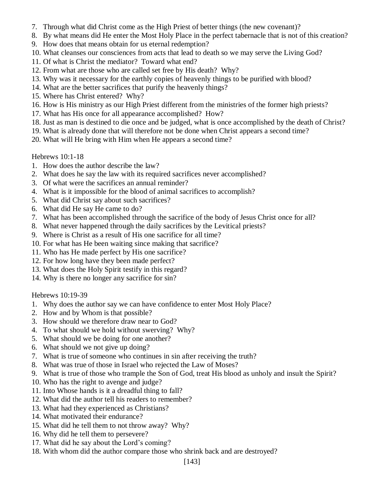- 7. Through what did Christ come as the High Priest of better things (the new covenant)?
- 8. By what means did He enter the Most Holy Place in the perfect tabernacle that is not of this creation?
- 9. How does that means obtain for us eternal redemption?
- 10. What cleanses our consciences from acts that lead to death so we may serve the Living God?
- 11. Of what is Christ the mediator? Toward what end?
- 12. From what are those who are called set free by His death? Why?
- 13. Why was it necessary for the earthly copies of heavenly things to be purified with blood?
- 14. What are the better sacrifices that purify the heavenly things?
- 15. Where has Christ entered? Why?
- 16. How is His ministry as our High Priest different from the ministries of the former high priests?
- 17. What has His once for all appearance accomplished? How?
- 18. Just as man is destined to die once and be judged, what is once accomplished by the death of Christ?
- 19. What is already done that will therefore not be done when Christ appears a second time?
- 20. What will He bring with Him when He appears a second time?

## Hebrews 10:1-18

- 1. How does the author describe the law?
- 2. What does he say the law with its required sacrifices never accomplished?
- 3. Of what were the sacrifices an annual reminder?
- 4. What is it impossible for the blood of animal sacrifices to accomplish?
- 5. What did Christ say about such sacrifices?
- 6. What did He say He came to do?
- 7. What has been accomplished through the sacrifice of the body of Jesus Christ once for all?
- 8. What never happened through the daily sacrifices by the Levitical priests?
- 9. Where is Christ as a result of His one sacrifice for all time?
- 10. For what has He been waiting since making that sacrifice?
- 11. Who has He made perfect by His one sacrifice?
- 12. For how long have they been made perfect?
- 13. What does the Holy Spirit testify in this regard?
- 14. Why is there no longer any sacrifice for sin?

## Hebrews 10:19-39

- 1. Why does the author say we can have confidence to enter Most Holy Place?
- 2. How and by Whom is that possible?
- 3. How should we therefore draw near to God?
- 4. To what should we hold without swerving? Why?
- 5. What should we be doing for one another?
- 6. What should we not give up doing?
- 7. What is true of someone who continues in sin after receiving the truth?
- 8. What was true of those in Israel who rejected the Law of Moses?
- 9. What is true of those who trample the Son of God, treat His blood as unholy and insult the Spirit?
- 10. Who has the right to avenge and judge?
- 11. Into Whose hands is it a dreadful thing to fall?
- 12. What did the author tell his readers to remember?
- 13. What had they experienced as Christians?
- 14. What motivated their endurance?
- 15. What did he tell them to not throw away? Why?
- 16. Why did he tell them to persevere?
- 17. What did he say about the Lord's coming?
- 18. With whom did the author compare those who shrink back and are destroyed?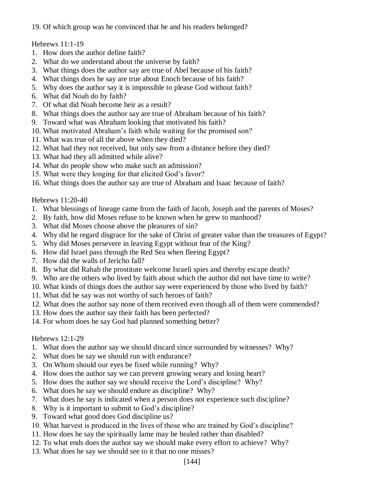19. Of which group was he convinced that he and his readers belonged?

## Hebrews 11:1-19

- 1. How does the author define faith?
- 2. What do we understand about the universe by faith?
- 3. What things does the author say are true of Abel because of his faith?
- 4. What things does he say are true about Enoch because of his faith?
- 5. Why does the author say it is impossible to please God without faith?
- 6. What did Noah do by faith?
- 7. Of what did Noah become heir as a result?
- 8. What things does the author say are true of Abraham because of his faith?
- 9. Toward what was Abraham looking that motivated his faith?
- 10. What motivated Abraham's faith while waiting for the promised son?
- 11. What was true of all the above when they died?
- 12. What had they not received, but only saw from a distance before they died?
- 13. What had they all admitted while alive?
- 14. What do people show who make such an admission?
- 15. What were they longing for that elicited God's favor?
- 16. What things does the author say are true of Abraham and Isaac because of faith?

# Hebrews 11:20-40

- 1. What blessings of lineage came from the faith of Jacob, Joseph and the parents of Moses?
- 2. By faith, how did Moses refuse to be known when he grew to manhood?
- 3. What did Moses choose above the pleasures of sin?
- 4. Why did he regard disgrace for the sake of Christ of greater value than the treasures of Egypt?
- 5. Why did Moses persevere in leaving Egypt without fear of the King?
- 6. How did Israel pass through the Red Sea when fleeing Egypt?
- 7. How did the walls of Jericho fall?
- 8. By what did Rahab the prostitute welcome Israeli spies and thereby escape death?
- 9. Who are the others who lived by faith about which the author did not have time to write?
- 10. What kinds of things does the author say were experienced by those who lived by faith?
- 11. What did he say was not worthy of such heroes of faith?
- 12. What does the author say none of them received even though all of them were commended?
- 13. How does the author say their faith has been perfected?
- 14. For whom does he say God had planned something better?

# Hebrews 12:1-29

- 1. What does the author say we should discard since surrounded by witnesses? Why?
- 2. What does he say we should run with endurance?
- 3. On Whom should our eyes be fixed while running? Why?
- 4. How does the author say we can prevent growing weary and losing heart?
- 5. How does the author say we should receive the Lord's discipline? Why?
- 6. What does he say we should endure as discipline? Why?
- 7. What does he say is indicated when a person does not experience such discipline?
- 8. Why is it important to submit to God's discipline?
- 9. Toward what good does God discipline us?
- 10. What harvest is produced in the lives of those who are trained by God's discipline?
- 11. How does he say the spiritually lame may be healed rather than disabled?
- 12. To what ends does the author say we should make every effort to achieve? Why?
- 13. What does he say we should see to it that no one misses?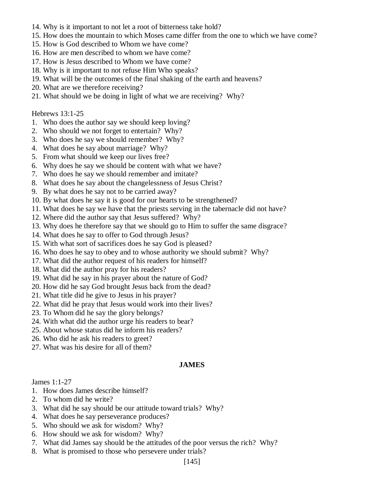- 14. Why is it important to not let a root of bitterness take hold?
- 15. How does the mountain to which Moses came differ from the one to which we have come?
- 15. How is God described to Whom we have come?
- 16. How are men described to whom we have come?
- 17. How is Jesus described to Whom we have come?
- 18. Why is it important to not refuse Him Who speaks?
- 19. What will be the outcomes of the final shaking of the earth and heavens?
- 20. What are we therefore receiving?
- 21. What should we be doing in light of what we are receiving? Why?

#### Hebrews 13:1-25

- 1. Who does the author say we should keep loving?
- 2. Who should we not forget to entertain? Why?
- 3. Who does he say we should remember? Why?
- 4. What does he say about marriage? Why?
- 5. From what should we keep our lives free?
- 6. Why does he say we should be content with what we have?
- 7. Who does he say we should remember and imitate?
- 8. What does he say about the changelessness of Jesus Christ?
- 9. By what does he say not to be carried away?
- 10. By what does he say it is good for our hearts to be strengthened?
- 11. What does he say we have that the priests serving in the tabernacle did not have?
- 12. Where did the author say that Jesus suffered? Why?
- 13. Why does he therefore say that we should go to Him to suffer the same disgrace?
- 14. What does he say to offer to God through Jesus?
- 15. With what sort of sacrifices does he say God is pleased?
- 16. Who does he say to obey and to whose authority we should submit? Why?
- 17. What did the author request of his readers for himself?
- 18. What did the author pray for his readers?
- 19. What did he say in his prayer about the nature of God?
- 20. How did he say God brought Jesus back from the dead?
- 21. What title did he give to Jesus in his prayer?
- 22. What did he pray that Jesus would work into their lives?
- 23. To Whom did he say the glory belongs?
- 24. With what did the author urge his readers to bear?
- 25. About whose status did he inform his readers?
- 26. Who did he ask his readers to greet?
- 27. What was his desire for all of them?

#### **JAMES**

James 1:1-27

- 1. How does James describe himself?
- 2. To whom did he write?
- 3. What did he say should be our attitude toward trials? Why?
- 4. What does he say perseverance produces?
- 5. Who should we ask for wisdom? Why?
- 6. How should we ask for wisdom? Why?
- 7. What did James say should be the attitudes of the poor versus the rich? Why?
- 8. What is promised to those who persevere under trials?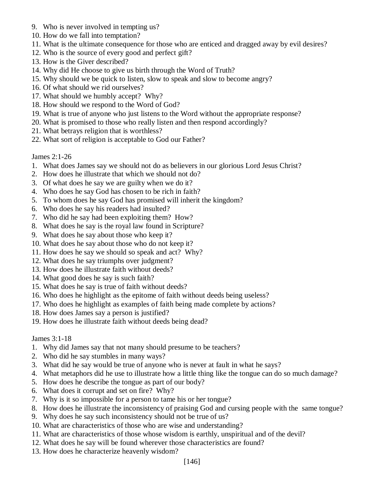- 9. Who is never involved in tempting us?
- 10. How do we fall into temptation?
- 11. What is the ultimate consequence for those who are enticed and dragged away by evil desires?
- 12. Who is the source of every good and perfect gift?
- 13. How is the Giver described?
- 14. Why did He choose to give us birth through the Word of Truth?
- 15. Why should we be quick to listen, slow to speak and slow to become angry?
- 16. Of what should we rid ourselves?
- 17. What should we humbly accept? Why?
- 18. How should we respond to the Word of God?
- 19. What is true of anyone who just listens to the Word without the appropriate response?
- 20. What is promised to those who really listen and then respond accordingly?
- 21. What betrays religion that is worthless?
- 22. What sort of religion is acceptable to God our Father?

# James 2:1-26

- 1. What does James say we should not do as believers in our glorious Lord Jesus Christ?
- 2. How does he illustrate that which we should not do?
- 3. Of what does he say we are guilty when we do it?
- 4. Who does he say God has chosen to be rich in faith?
- 5. To whom does he say God has promised will inherit the kingdom?
- 6. Who does he say his readers had insulted?
- 7. Who did he say had been exploiting them? How?
- 8. What does he say is the royal law found in Scripture?
- 9. What does he say about those who keep it?
- 10. What does he say about those who do not keep it?
- 11. How does he say we should so speak and act? Why?
- 12. What does he say triumphs over judgment?
- 13. How does he illustrate faith without deeds?
- 14. What good does he say is such faith?
- 15. What does he say is true of faith without deeds?
- 16. Who does he highlight as the epitome of faith without deeds being useless?
- 17. Who does he highlight as examples of faith being made complete by actions?
- 18. How does James say a person is justified?
- 19. How does he illustrate faith without deeds being dead?

# James 3:1-18

- 1. Why did James say that not many should presume to be teachers?
- 2. Who did he say stumbles in many ways?
- 3. What did he say would be true of anyone who is never at fault in what he says?
- 4. What metaphors did he use to illustrate how a little thing like the tongue can do so much damage?
- 5. How does he describe the tongue as part of our body?
- 6. What does it corrupt and set on fire? Why?
- 7. Why is it so impossible for a person to tame his or her tongue?
- 8. How does he illustrate the inconsistency of praising God and cursing people with the same tongue?
- 9. Why does he say such inconsistency should not be true of us?
- 10. What are characteristics of those who are wise and understanding?
- 11. What are characteristics of those whose wisdom is earthly, unspiritual and of the devil?
- 12. What does he say will be found wherever those characteristics are found?
- 13. How does he characterize heavenly wisdom?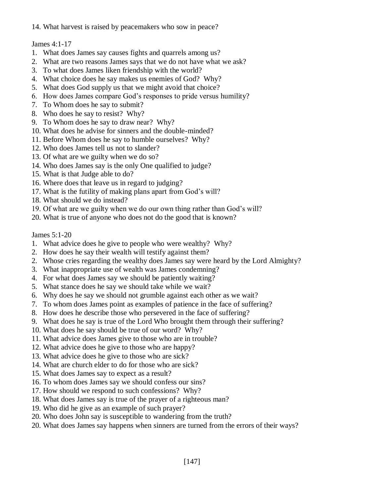14. What harvest is raised by peacemakers who sow in peace?

James 4:1-17

- 1. What does James say causes fights and quarrels among us?
- 2. What are two reasons James says that we do not have what we ask?
- 3. To what does James liken friendship with the world?
- 4. What choice does he say makes us enemies of God? Why?
- 5. What does God supply us that we might avoid that choice?
- 6. How does James compare God's responses to pride versus humility?
- 7. To Whom does he say to submit?
- 8. Who does he say to resist? Why?
- 9. To Whom does he say to draw near? Why?
- 10. What does he advise for sinners and the double-minded?
- 11. Before Whom does he say to humble ourselves? Why?
- 12. Who does James tell us not to slander?
- 13. Of what are we guilty when we do so?
- 14. Who does James say is the only One qualified to judge?
- 15. What is that Judge able to do?
- 16. Where does that leave us in regard to judging?
- 17. What is the futility of making plans apart from God's will?
- 18. What should we do instead?
- 19. Of what are we guilty when we do our own thing rather than God's will?
- 20. What is true of anyone who does not do the good that is known?

James 5:1-20

- 1. What advice does he give to people who were wealthy? Why?
- 2. How does he say their wealth will testify against them?
- 2. Whose cries regarding the wealthy does James say were heard by the Lord Almighty?
- 3. What inappropriate use of wealth was James condemning?
- 4. For what does James say we should be patiently waiting?
- 5. What stance does he say we should take while we wait?
- 6. Why does he say we should not grumble against each other as we wait?
- 7. To whom does James point as examples of patience in the face of suffering?
- 8. How does he describe those who persevered in the face of suffering?
- 9. What does he say is true of the Lord Who brought them through their suffering?
- 10. What does he say should be true of our word? Why?
- 11. What advice does James give to those who are in trouble?
- 12. What advice does he give to those who are happy?
- 13. What advice does he give to those who are sick?
- 14. What are church elder to do for those who are sick?
- 15. What does James say to expect as a result?
- 16. To whom does James say we should confess our sins?
- 17. How should we respond to such confessions? Why?
- 18. What does James say is true of the prayer of a righteous man?
- 19. Who did he give as an example of such prayer?
- 20. Who does John say is susceptible to wandering from the truth?
- 20. What does James say happens when sinners are turned from the errors of their ways?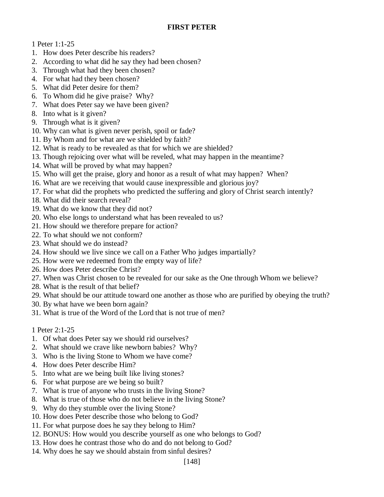### **FIRST PETER**

1 Peter 1:1-25

- 1. How does Peter describe his readers?
- 2. According to what did he say they had been chosen?
- 3. Through what had they been chosen?
- 4. For what had they been chosen?
- 5. What did Peter desire for them?
- 6. To Whom did he give praise? Why?
- 7. What does Peter say we have been given?
- 8. Into what is it given?
- 9. Through what is it given?
- 10. Why can what is given never perish, spoil or fade?
- 11. By Whom and for what are we shielded by faith?
- 12. What is ready to be revealed as that for which we are shielded?
- 13. Though rejoicing over what will be reveled, what may happen in the meantime?
- 14. What will be proved by what may happen?
- 15. Who will get the praise, glory and honor as a result of what may happen? When?
- 16. What are we receiving that would cause inexpressible and glorious joy?
- 17. For what did the prophets who predicted the suffering and glory of Christ search intently?
- 18. What did their search reveal?
- 19. What do we know that they did not?
- 20. Who else longs to understand what has been revealed to us?
- 21. How should we therefore prepare for action?
- 22. To what should we not conform?
- 23. What should we do instead?
- 24. How should we live since we call on a Father Who judges impartially?
- 25. How were we redeemed from the empty way of life?
- 26. How does Peter describe Christ?
- 27. When was Christ chosen to be revealed for our sake as the One through Whom we believe?
- 28. What is the result of that belief?
- 29. What should be our attitude toward one another as those who are purified by obeying the truth?
- 30. By what have we been born again?
- 31. What is true of the Word of the Lord that is not true of men?

1 Peter 2:1-25

- 1. Of what does Peter say we should rid ourselves?
- 2. What should we crave like newborn babies? Why?
- 3. Who is the living Stone to Whom we have come?
- 4. How does Peter describe Him?
- 5. Into what are we being built like living stones?
- 6. For what purpose are we being so built?
- 7. What is true of anyone who trusts in the living Stone?
- 8. What is true of those who do not believe in the living Stone?
- 9. Why do they stumble over the living Stone?
- 10. How does Peter describe those who belong to God?
- 11. For what purpose does he say they belong to Him?
- 12. BONUS: How would you describe yourself as one who belongs to God?
- 13. How does he contrast those who do and do not belong to God?
- 14. Why does he say we should abstain from sinful desires?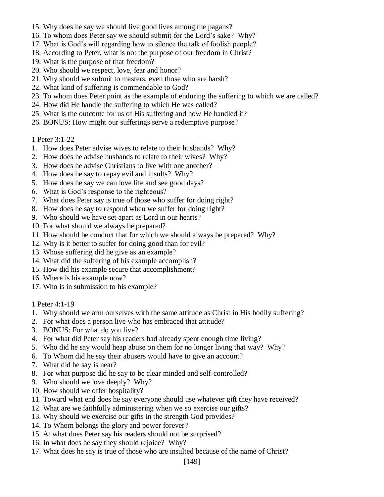- 15. Why does he say we should live good lives among the pagans?
- 16. To whom does Peter say we should submit for the Lord's sake? Why?
- 17. What is God's will regarding how to silence the talk of foolish people?
- 18. According to Peter, what is not the purpose of our freedom in Christ?
- 19. What is the purpose of that freedom?
- 20. Who should we respect, love, fear and honor?
- 21. Why should we submit to masters, even those who are harsh?
- 22. What kind of suffering is commendable to God?
- 23. To whom does Peter point as the example of enduring the suffering to which we are called?
- 24. How did He handle the suffering to which He was called?
- 25. What is the outcome for us of His suffering and how He handled it?
- 26. BONUS: How might our sufferings serve a redemptive purpose?

1 Peter 3:1-22

- 1. How does Peter advise wives to relate to their husbands? Why?
- 2. How does he advise husbands to relate to their wives? Why?
- 3. How does he advise Christians to live with one another?
- 4. How does he say to repay evil and insults? Why?
- 5. How does he say we can love life and see good days?
- 6. What is God's response to the righteous?
- 7. What does Peter say is true of those who suffer for doing right?
- 8. How does he say to respond when we suffer for doing right?
- 9. Who should we have set apart as Lord in our hearts?
- 10. For what should we always be prepared?
- 11. How should be conduct that for which we should always be prepared? Why?
- 12. Why is it better to suffer for doing good than for evil?
- 13. Whose suffering did he give as an example?
- 14. What did the suffering of his example accomplish?
- 15. How did his example secure that accomplishment?
- 16. Where is his example now?
- 17. Who is in submission to his example?

1 Peter 4:1-19

- 1. Why should we arm ourselves with the same attitude as Christ in His bodily suffering?
- 2. For what does a person live who has embraced that attitude?
- 3. BONUS: For what do you live?
- 4. For what did Peter say his readers had already spent enough time living?
- 5. Who did he say would heap abuse on them for no longer living that way? Why?
- 6. To Whom did he say their abusers would have to give an account?
- 7. What did he say is near?
- 8. For what purpose did he say to be clear minded and self-controlled?
- 9. Who should we love deeply? Why?
- 10. How should we offer hospitality?
- 11. Toward what end does he say everyone should use whatever gift they have received?
- 12. What are we faithfully administering when we so exercise our gifts?
- 13. Why should we exercise our gifts in the strength God provides?
- 14. To Whom belongs the glory and power forever?
- 15. At what does Peter say his readers should not be surprised?
- 16. In what does he say they should rejoice? Why?
- 17. What does he say is true of those who are insulted because of the name of Christ?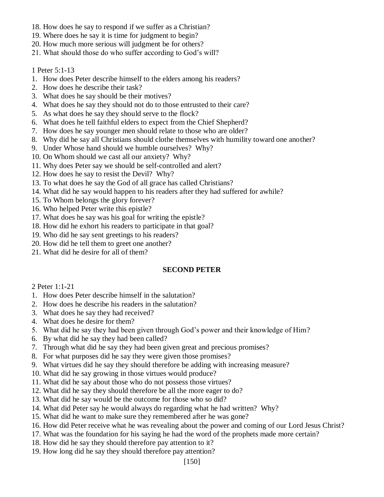- 18. How does he say to respond if we suffer as a Christian?
- 19. Where does he say it is time for judgment to begin?
- 20. How much more serious will judgment be for others?
- 21. What should those do who suffer according to God's will?

### 1 Peter 5:1-13

- 1. How does Peter describe himself to the elders among his readers?
- 2. How does he describe their task?
- 3. What does he say should be their motives?
- 4. What does he say they should not do to those entrusted to their care?
- 5. As what does he say they should serve to the flock?
- 6. What does he tell faithful elders to expect from the Chief Shepherd?
- 7. How does he say younger men should relate to those who are older?
- 8. Why did he say all Christians should clothe themselves with humility toward one another?
- 9. Under Whose hand should we humble ourselves? Why?
- 10. On Whom should we cast all our anxiety? Why?
- 11. Why does Peter say we should be self-controlled and alert?
- 12. How does he say to resist the Devil? Why?
- 13. To what does he say the God of all grace has called Christians?
- 14. What did he say would happen to his readers after they had suffered for awhile?
- 15. To Whom belongs the glory forever?
- 16. Who helped Peter write this epistle?
- 17. What does he say was his goal for writing the epistle?
- 18. How did he exhort his readers to participate in that goal?
- 19. Who did he say sent greetings to his readers?
- 20. How did he tell them to greet one another?
- 21. What did he desire for all of them?

### **SECOND PETER**

# 2 Peter 1:1-21

- 1. How does Peter describe himself in the salutation?
- 2. How does he describe his readers in the salutation?
- 3. What does he say they had received?
- 4. What does he desire for them?
- 5. What did he say they had been given through God's power and their knowledge of Him?
- 6. By what did he say they had been called?
- 7. Through what did he say they had been given great and precious promises?
- 8. For what purposes did he say they were given those promises?
- 9. What virtues did he say they should therefore be adding with increasing measure?
- 10. What did he say growing in those virtues would produce?
- 11. What did he say about those who do not possess those virtues?
- 12. What did he say they should therefore be all the more eager to do?
- 13. What did he say would be the outcome for those who so did?
- 14. What did Peter say he would always do regarding what he had written? Why?
- 15. What did he want to make sure they remembered after he was gone?
- 16. How did Peter receive what he was revealing about the power and coming of our Lord Jesus Christ?
- 17. What was the foundation for his saying he had the word of the prophets made more certain?
- 18. How did he say they should therefore pay attention to it?
- 19. How long did he say they should therefore pay attention?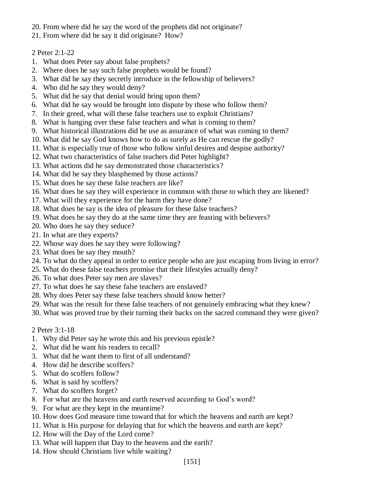- 20. From where did he say the word of the prophets did not originate?
- 21. From where did he say it did originate? How?

# 2 Peter 2:1-22

- 1. What does Peter say about false prophets?
- 2. Where does he say such false prophets would be found?
- 3. What did he say they secretly introduce in the fellowship of believers?
- 4. Who did he say they would deny?
- 5. What did he say that denial would bring upon them?
- 6. What did he say would be brought into dispute by those who follow them?
- 7. In their greed, what will these false teachers use to exploit Christians?
- 8. What is hanging over these false teachers and what is coming to them?
- 9. What historical illustrations did he use as assurance of what was coming to them?
- 10. What did he say God knows how to do as surely as He can rescue the godly?
- 11. What is especially true of those who follow sinful desires and despise authority?
- 12. What two characteristics of false teachers did Peter highlight?
- 13. What actions did he say demonstrated those characteristics?
- 14. What did he say they blasphemed by those actions?
- 15. What does he say these false teachers are like?
- 16. What does he say they will experience in common with those to which they are likened?
- 17. What will they experience for the harm they have done?
- 18. What does he say is the idea of pleasure for these false teachers?
- 19. What does he say they do at the same time they are feasting with believers?
- 20. Who does he say they seduce?
- 21. In what are they experts?
- 22. Whose way does he say they were following?
- 23. What does he say they mouth?
- 24. To what do they appeal in order to entice people who are just escaping from living in error?
- 25. What do these false teachers promise that their lifestyles actually deny?
- 26. To what does Peter say men are slaves?
- 27. To what does he say these false teachers are enslaved?
- 28. Why does Peter say these false teachers should know better?
- 29. What was the result for these false teachers of not genuinely embracing what they knew?
- 30. What was proved true by their turning their backs on the sacred command they were given?

# 2 Peter 3:1-18

- 1. Why did Peter say he wrote this and his previous epistle?
- 2. What did he want his readers to recall?
- 3. What did he want them to first of all understand?
- 4. How did he describe scoffers?
- 5. What do scoffers follow?
- 6. What is said by scoffers?
- 7. What do scoffers forget?
- 8. For what are the heavens and earth reserved according to God's word?
- 9. For what are they kept in the meantime?
- 10. How does God measure time toward that for which the heavens and earth are kept?
- 11. What is His purpose for delaying that for which the heavens and earth are kept?
- 12. How will the Day of the Lord come?
- 13. What will happen that Day to the heavens and the earth?
- 14. How should Christians live while waiting?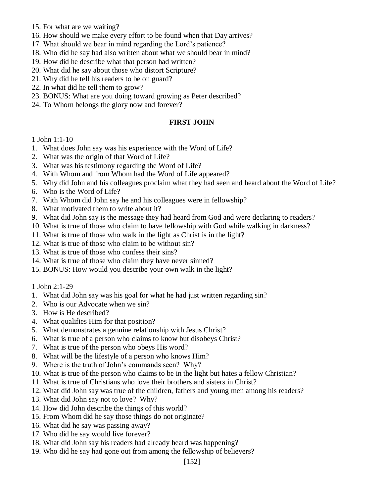- 15. For what are we waiting?
- 16. How should we make every effort to be found when that Day arrives?
- 17. What should we bear in mind regarding the Lord's patience?
- 18. Who did he say had also written about what we should bear in mind?
- 19. How did he describe what that person had written?
- 20. What did he say about those who distort Scripture?
- 21. Why did he tell his readers to be on guard?
- 22. In what did he tell them to grow?
- 23. BONUS: What are you doing toward growing as Peter described?
- 24. To Whom belongs the glory now and forever?

#### **FIRST JOHN**

#### 1 John 1:1-10

- 1. What does John say was his experience with the Word of Life?
- 2. What was the origin of that Word of Life?
- 3. What was his testimony regarding the Word of Life?
- 4. With Whom and from Whom had the Word of Life appeared?
- 5. Why did John and his colleagues proclaim what they had seen and heard about the Word of Life?
- 6. Who is the Word of Life?
- 7. With Whom did John say he and his colleagues were in fellowship?
- 8. What motivated them to write about it?
- 9. What did John say is the message they had heard from God and were declaring to readers?
- 10. What is true of those who claim to have fellowship with God while walking in darkness?
- 11. What is true of those who walk in the light as Christ is in the light?
- 12. What is true of those who claim to be without sin?
- 13. What is true of those who confess their sins?
- 14. What is true of those who claim they have never sinned?
- 15. BONUS: How would you describe your own walk in the light?

#### 1 John 2:1-29

- 1. What did John say was his goal for what he had just written regarding sin?
- 2. Who is our Advocate when we sin?
- 3. How is He described?
- 4. What qualifies Him for that position?
- 5. What demonstrates a genuine relationship with Jesus Christ?
- 6. What is true of a person who claims to know but disobeys Christ?
- 7. What is true of the person who obeys His word?
- 8. What will be the lifestyle of a person who knows Him?
- 9. Where is the truth of John's commands seen? Why?
- 10. What is true of the person who claims to be in the light but hates a fellow Christian?
- 11. What is true of Christians who love their brothers and sisters in Christ?
- 12. What did John say was true of the children, fathers and young men among his readers?
- 13. What did John say not to love? Why?
- 14. How did John describe the things of this world?
- 15. From Whom did he say those things do not originate?
- 16. What did he say was passing away?
- 17. Who did he say would live forever?
- 18. What did John say his readers had already heard was happening?
- 19. Who did he say had gone out from among the fellowship of believers?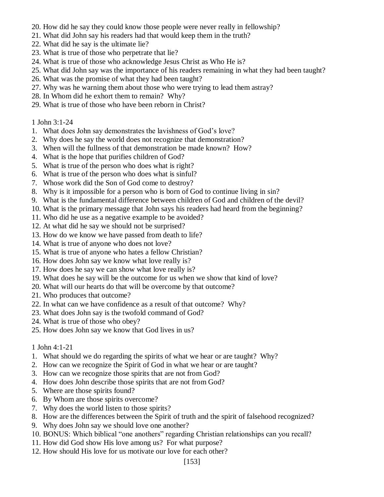- 20. How did he say they could know those people were never really in fellowship?
- 21. What did John say his readers had that would keep them in the truth?
- 22. What did he say is the ultimate lie?
- 23. What is true of those who perpetrate that lie?
- 24. What is true of those who acknowledge Jesus Christ as Who He is?
- 25. What did John say was the importance of his readers remaining in what they had been taught?
- 26. What was the promise of what they had been taught?
- 27. Why was he warning them about those who were trying to lead them astray?
- 28. In Whom did he exhort them to remain? Why?
- 29. What is true of those who have been reborn in Christ?

### 1 John 3:1-24

- 1. What does John say demonstrates the lavishness of God's love?
- 2. Why does he say the world does not recognize that demonstration?
- 3. When will the fullness of that demonstration be made known? How?
- 4. What is the hope that purifies children of God?
- 5. What is true of the person who does what is right?
- 6. What is true of the person who does what is sinful?
- 7. Whose work did the Son of God come to destroy?
- 8. Why is it impossible for a person who is born of God to continue living in sin?
- 9. What is the fundamental difference between children of God and children of the devil?
- 10. What is the primary message that John says his readers had heard from the beginning?
- 11. Who did he use as a negative example to be avoided?
- 12. At what did he say we should not be surprised?
- 13. How do we know we have passed from death to life?
- 14. What is true of anyone who does not love?
- 15. What is true of anyone who hates a fellow Christian?
- 16. How does John say we know what love really is?
- 17. How does he say we can show what love really is?
- 19. What does he say will be the outcome for us when we show that kind of love?
- 20. What will our hearts do that will be overcome by that outcome?
- 21. Who produces that outcome?
- 22. In what can we have confidence as a result of that outcome? Why?
- 23. What does John say is the twofold command of God?
- 24. What is true of those who obey?
- 25. How does John say we know that God lives in us?

### 1 John 4:1-21

- 1. What should we do regarding the spirits of what we hear or are taught? Why?
- 2. How can we recognize the Spirit of God in what we hear or are taught?
- 3. How can we recognize those spirits that are not from God?
- 4. How does John describe those spirits that are not from God?
- 5. Where are those spirits found?
- 6. By Whom are those spirits overcome?
- 7. Why does the world listen to those spirits?
- 8. How are the differences between the Spirit of truth and the spirit of falsehood recognized?
- 9. Why does John say we should love one another?
- 10. BONUS: Which biblical "one anothers" regarding Christian relationships can you recall?
- 11. How did God show His love among us? For what purpose?
- 12. How should His love for us motivate our love for each other?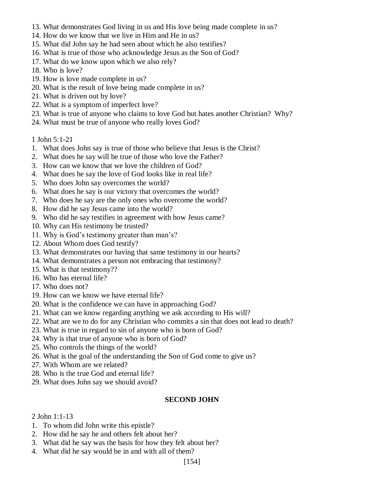- 13. What demonstrates God living in us and His love being made complete in us?
- 14. How do we know that we live in Him and He in us?
- 15. What did John say he had seen about which he also testifies?
- 16. What is true of those who acknowledge Jesus as the Son of God?
- 17. What do we know upon which we also rely?
- 18. Who is love?
- 19. How is love made complete in us?
- 20. What is the result of love being made complete in us?
- 21. What is driven out by love?
- 22. What is a symptom of imperfect love?
- 23. What is true of anyone who claims to love God but hates another Christian? Why?
- 24. What must be true of anyone who really loves God?

1 John 5:1-21

- 1. What does John say is true of those who believe that Jesus is the Christ?
- 2. What does he say will be true of those who love the Father?
- 3. How can we know that we love the children of God?
- 4. What does he say the love of God looks like in real life?
- 5. Who does John say overcomes the world?
- 6. What does he say is our victory that overcomes the world?
- 7. Who does he say are the only ones who overcome the world?
- 8. How did he say Jesus came into the world?
- 9. Who did he say testifies in agreement with how Jesus came?
- 10. Why can His testimony be trusted?
- 11. Why is God's testimony greater than man's?
- 12. About Whom does God testify?
- 13. What demonstrates our having that same testimony in our hearts?
- 14. What demonstrates a person not embracing that testimony?
- 15. What is that testimony??
- 16. Who has eternal life?
- 17. Who does not?
- 19. How can we know we have eternal life?
- 20. What is the confidence we can have in approaching God?
- 21. What can we know regarding anything we ask according to His will?
- 22. What are we to do for any Christian who commits a sin that does not lead to death?
- 23. What is true in regard to sin of anyone who is born of God?
- 24. Why is that true of anyone who is born of God?
- 25. Who controls the things of the world?
- 26. What is the goal of the understanding the Son of God come to give us?
- 27. With Whom are we related?
- 28. Who is the true God and eternal life?
- 29. What does John say we should avoid?

# **SECOND JOHN**

2 John 1:1-13

- 1. To whom did John write this epistle?
- 2. How did he say he and others felt about her?
- 3. What did he say was the basis for how they felt about her?
- 4. What did he say would be in and with all of them?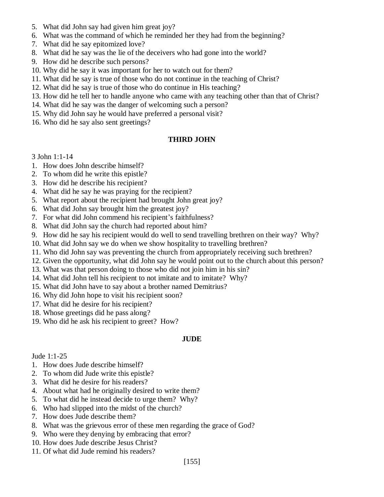- 5. What did John say had given him great joy?
- 6. What was the command of which he reminded her they had from the beginning?
- 7. What did he say epitomized love?
- 8. What did he say was the lie of the deceivers who had gone into the world?
- 9. How did he describe such persons?
- 10. Why did he say it was important for her to watch out for them?
- 11. What did he say is true of those who do not continue in the teaching of Christ?
- 12. What did he say is true of those who do continue in His teaching?
- 13. How did he tell her to handle anyone who came with any teaching other than that of Christ?
- 14. What did he say was the danger of welcoming such a person?
- 15. Why did John say he would have preferred a personal visit?
- 16. Who did he say also sent greetings?

# **THIRD JOHN**

# 3 John 1:1-14

- 1. How does John describe himself?
- 2. To whom did he write this epistle?
- 3. How did he describe his recipient?
- 4. What did he say he was praying for the recipient?
- 5. What report about the recipient had brought John great joy?
- 6. What did John say brought him the greatest joy?
- 7. For what did John commend his recipient's faithfulness?
- 8. What did John say the church had reported about him?
- 9. How did he say his recipient would do well to send travelling brethren on their way? Why?
- 10. What did John say we do when we show hospitality to travelling brethren?
- 11. Who did John say was preventing the church from appropriately receiving such brethren?
- 12. Given the opportunity, what did John say he would point out to the church about this person?
- 13. What was that person doing to those who did not join him in his sin?
- 14. What did John tell his recipient to not imitate and to imitate? Why?
- 15. What did John have to say about a brother named Demitrius?
- 16. Why did John hope to visit his recipient soon?
- 17. What did he desire for his recipient?
- 18. Whose greetings did he pass along?
- 19. Who did he ask his recipient to greet? How?

# **JUDE**

# Jude 1:1-25

- 1. How does Jude describe himself?
- 2. To whom did Jude write this epistle?
- 3. What did he desire for his readers?
- 4. About what had he originally desired to write them?
- 5. To what did he instead decide to urge them? Why?
- 6. Who had slipped into the midst of the church?
- 7. How does Jude describe them?
- 8. What was the grievous error of these men regarding the grace of God?
- 9. Who were they denying by embracing that error?
- 10. How does Jude describe Jesus Christ?
- 11. Of what did Jude remind his readers?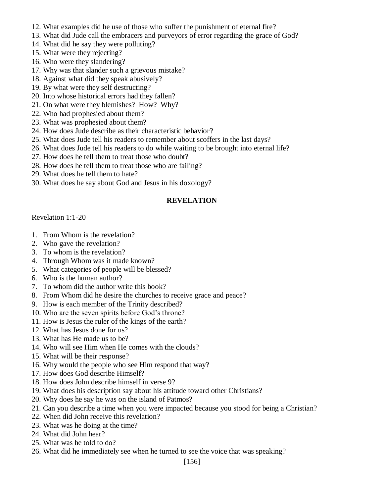- 12. What examples did he use of those who suffer the punishment of eternal fire?
- 13. What did Jude call the embracers and purveyors of error regarding the grace of God?
- 14. What did he say they were polluting?
- 15. What were they rejecting?
- 16. Who were they slandering?
- 17. Why was that slander such a grievous mistake?
- 18. Against what did they speak abusively?
- 19. By what were they self destructing?
- 20. Into whose historical errors had they fallen?
- 21. On what were they blemishes? How? Why?
- 22. Who had prophesied about them?
- 23. What was prophesied about them?
- 24. How does Jude describe as their characteristic behavior?
- 25. What does Jude tell his readers to remember about scoffers in the last days?
- 26. What does Jude tell his readers to do while waiting to be brought into eternal life?
- 27. How does he tell them to treat those who doubt?
- 28. How does he tell them to treat those who are failing?
- 29. What does he tell them to hate?
- 30. What does he say about God and Jesus in his doxology?

# **REVELATION**

Revelation 1:1-20

- 1. From Whom is the revelation?
- 2. Who gave the revelation?
- 3. To whom is the revelation?
- 4. Through Whom was it made known?
- 5. What categories of people will be blessed?
- 6. Who is the human author?
- 7. To whom did the author write this book?
- 8. From Whom did he desire the churches to receive grace and peace?
- 9. How is each member of the Trinity described?
- 10. Who are the seven spirits before God's throne?
- 11. How is Jesus the ruler of the kings of the earth?
- 12. What has Jesus done for us?
- 13. What has He made us to be?
- 14. Who will see Him when He comes with the clouds?
- 15. What will be their response?
- 16. Why would the people who see Him respond that way?
- 17. How does God describe Himself?
- 18. How does John describe himself in verse 9?
- 19. What does his description say about his attitude toward other Christians?
- 20. Why does he say he was on the island of Patmos?
- 21. Can you describe a time when you were impacted because you stood for being a Christian?
- 22. When did John receive this revelation?
- 23. What was he doing at the time?
- 24. What did John hear?
- 25. What was he told to do?
- 26. What did he immediately see when he turned to see the voice that was speaking?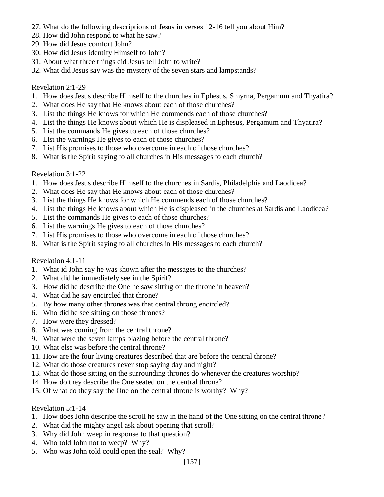- 27. What do the following descriptions of Jesus in verses 12-16 tell you about Him?
- 28. How did John respond to what he saw?
- 29. How did Jesus comfort John?
- 30. How did Jesus identify Himself to John?
- 31. About what three things did Jesus tell John to write?
- 32. What did Jesus say was the mystery of the seven stars and lampstands?

### Revelation 2:1-29

- 1. How does Jesus describe Himself to the churches in Ephesus, Smyrna, Pergamum and Thyatira?
- 2. What does He say that He knows about each of those churches?
- 3. List the things He knows for which He commends each of those churches?
- 4. List the things He knows about which He is displeased in Ephesus, Pergamum and Thyatira?
- 5. List the commands He gives to each of those churches?
- 6. List the warnings He gives to each of those churches?
- 7. List His promises to those who overcome in each of those churches?
- 8. What is the Spirit saying to all churches in His messages to each church?

### Revelation 3:1-22

- 1. How does Jesus describe Himself to the churches in Sardis, Philadelphia and Laodicea?
- 2. What does He say that He knows about each of those churches?
- 3. List the things He knows for which He commends each of those churches?
- 4. List the things He knows about which He is displeased in the churches at Sardis and Laodicea?
- 5. List the commands He gives to each of those churches?
- 6. List the warnings He gives to each of those churches?
- 7. List His promises to those who overcome in each of those churches?
- 8. What is the Spirit saying to all churches in His messages to each church?

### Revelation 4:1-11

- 1. What id John say he was shown after the messages to the churches?
- 2. What did he immediately see in the Spirit?
- 3. How did he describe the One he saw sitting on the throne in heaven?
- 4. What did he say encircled that throne?
- 5. By how many other thrones was that central throng encircled?
- 6. Who did he see sitting on those thrones?
- 7. How were they dressed?
- 8. What was coming from the central throne?
- 9. What were the seven lamps blazing before the central throne?
- 10. What else was before the central throne?
- 11. How are the four living creatures described that are before the central throne?
- 12. What do those creatures never stop saying day and night?
- 13. What do those sitting on the surrounding thrones do whenever the creatures worship?
- 14. How do they describe the One seated on the central throne?
- 15. Of what do they say the One on the central throne is worthy? Why?

#### Revelation 5:1-14

- 1. How does John describe the scroll he saw in the hand of the One sitting on the central throne?
- 2. What did the mighty angel ask about opening that scroll?
- 3. Why did John weep in response to that question?
- 4. Who told John not to weep? Why?
- 5. Who was John told could open the seal? Why?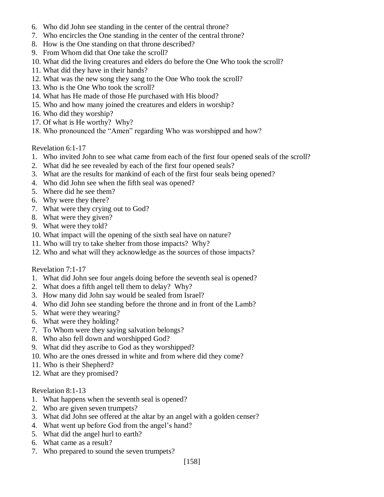- 6. Who did John see standing in the center of the central throne?
- 7. Who encircles the One standing in the center of the central throne?
- 8. How is the One standing on that throne described?
- 9. From Whom did that One take the scroll?
- 10. What did the living creatures and elders do before the One Who took the scroll?
- 11. What did they have in their hands?
- 12. What was the new song they sang to the One Who took the scroll?
- 13. Who is the One Who took the scroll?
- 14. What has He made of those He purchased with His blood?
- 15. Who and how many joined the creatures and elders in worship?
- 16. Who did they worship?
- 17. Of what is He worthy? Why?
- 18. Who pronounced the "Amen" regarding Who was worshipped and how?

Revelation 6:1-17

- 1. Who invited John to see what came from each of the first four opened seals of the scroll?
- 2. What did he see revealed by each of the first four opened seals?
- 3. What are the results for mankind of each of the first four seals being opened?
- 4. Who did John see when the fifth seal was opened?
- 5. Where did he see them?
- 6. Why were they there?
- 7. What were they crying out to God?
- 8. What were they given?
- 9. What were they told?
- 10. What impact will the opening of the sixth seal have on nature?
- 11. Who will try to take shelter from those impacts? Why?
- 12. Who and what will they acknowledge as the sources of those impacts?

Revelation 7:1-17

- 1. What did John see four angels doing before the seventh seal is opened?
- 2. What does a fifth angel tell them to delay? Why?
- 3. How many did John say would be sealed from Israel?
- 4. Who did John see standing before the throne and in front of the Lamb?
- 5. What were they wearing?
- 6. What were they holding?
- 7. To Whom were they saying salvation belongs?
- 8. Who also fell down and worshipped God?
- 9. What did they ascribe to God as they worshipped?
- 10. Who are the ones dressed in white and from where did they come?
- 11. Who is their Shepherd?
- 12. What are they promised?

#### Revelation 8:1-13

- 1. What happens when the seventh seal is opened?
- 2. Who are given seven trumpets?
- 3. What did John see offered at the altar by an angel with a golden censer?
- 4. What went up before God from the angel's hand?
- 5. What did the angel hurl to earth?
- 6. What came as a result?
- 7. Who prepared to sound the seven trumpets?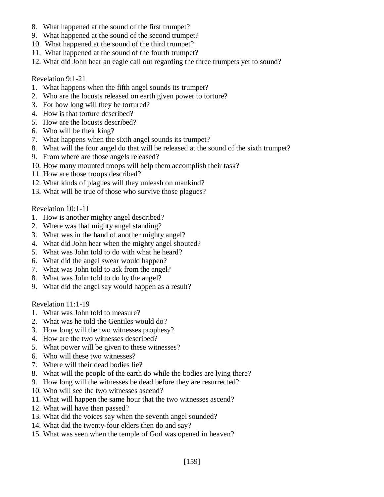- 8. What happened at the sound of the first trumpet?
- 9. What happened at the sound of the second trumpet?
- 10. What happened at the sound of the third trumpet?
- 11. What happened at the sound of the fourth trumpet?
- 12. What did John hear an eagle call out regarding the three trumpets yet to sound?

#### Revelation 9:1-21

- 1. What happens when the fifth angel sounds its trumpet?
- 2. Who are the locusts released on earth given power to torture?
- 3. For how long will they be tortured?
- 4. How is that torture described?
- 5. How are the locusts described?
- 6. Who will be their king?
- 7. What happens when the sixth angel sounds its trumpet?
- 8. What will the four angel do that will be released at the sound of the sixth trumpet?
- 9. From where are those angels released?
- 10. How many mounted troops will help them accomplish their task?
- 11. How are those troops described?
- 12. What kinds of plagues will they unleash on mankind?
- 13. What will be true of those who survive those plagues?

Revelation 10:1-11

- 1. How is another mighty angel described?
- 2. Where was that mighty angel standing?
- 3. What was in the hand of another mighty angel?
- 4. What did John hear when the mighty angel shouted?
- 5. What was John told to do with what he heard?
- 6. What did the angel swear would happen?
- 7. What was John told to ask from the angel?
- 8. What was John told to do by the angel?
- 9. What did the angel say would happen as a result?

Revelation 11:1-19

- 1. What was John told to measure?
- 2. What was he told the Gentiles would do?
- 3. How long will the two witnesses prophesy?
- 4. How are the two witnesses described?
- 5. What power will be given to these witnesses?
- 6. Who will these two witnesses?
- 7. Where will their dead bodies lie?
- 8. What will the people of the earth do while the bodies are lying there?
- 9. How long will the witnesses be dead before they are resurrected?
- 10. Who will see the two witnesses ascend?
- 11. What will happen the same hour that the two witnesses ascend?
- 12. What will have then passed?
- 13. What did the voices say when the seventh angel sounded?
- 14. What did the twenty-four elders then do and say?
- 15. What was seen when the temple of God was opened in heaven?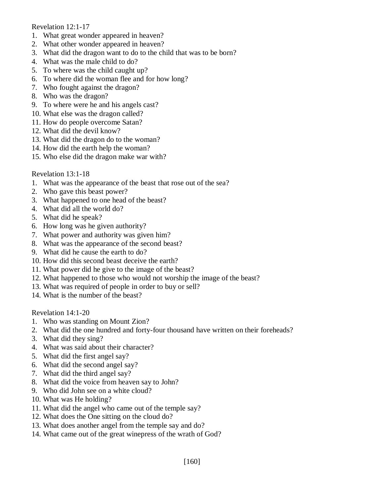#### Revelation 12:1-17

- 1. What great wonder appeared in heaven?
- 2. What other wonder appeared in heaven?
- 3. What did the dragon want to do to the child that was to be born?
- 4. What was the male child to do?
- 5. To where was the child caught up?
- 6. To where did the woman flee and for how long?
- 7. Who fought against the dragon?
- 8. Who was the dragon?
- 9. To where were he and his angels cast?
- 10. What else was the dragon called?
- 11. How do people overcome Satan?
- 12. What did the devil know?
- 13. What did the dragon do to the woman?
- 14. How did the earth help the woman?
- 15. Who else did the dragon make war with?

### Revelation 13:1-18

- 1. What was the appearance of the beast that rose out of the sea?
- 2. Who gave this beast power?
- 3. What happened to one head of the beast?
- 4. What did all the world do?
- 5. What did he speak?
- 6. How long was he given authority?
- 7. What power and authority was given him?
- 8. What was the appearance of the second beast?
- 9. What did he cause the earth to do?
- 10. How did this second beast deceive the earth?
- 11. What power did he give to the image of the beast?
- 12. What happened to those who would not worship the image of the beast?
- 13. What was required of people in order to buy or sell?
- 14. What is the number of the beast?

Revelation 14:1-20

- 1. Who was standing on Mount Zion?
- 2. What did the one hundred and forty-four thousand have written on their foreheads?
- 3. What did they sing?
- 4. What was said about their character?
- 5. What did the first angel say?
- 6. What did the second angel say?
- 7. What did the third angel say?
- 8. What did the voice from heaven say to John?
- 9. Who did John see on a white cloud?
- 10. What was He holding?
- 11. What did the angel who came out of the temple say?
- 12. What does the One sitting on the cloud do?
- 13. What does another angel from the temple say and do?
- 14. What came out of the great winepress of the wrath of God?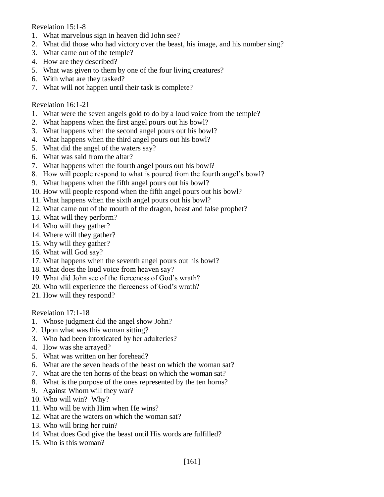Revelation 15:1-8

- 1. What marvelous sign in heaven did John see?
- 2. What did those who had victory over the beast, his image, and his number sing?
- 3. What came out of the temple?
- 4. How are they described?
- 5. What was given to them by one of the four living creatures?
- 6. With what are they tasked?
- 7. What will not happen until their task is complete?

#### Revelation 16:1-21

- 1. What were the seven angels gold to do by a loud voice from the temple?
- 2. What happens when the first angel pours out his bowl?
- 3. What happens when the second angel pours out his bowl?
- 4. What happens when the third angel pours out his bowl?
- 5. What did the angel of the waters say?
- 6. What was said from the altar?
- 7. What happens when the fourth angel pours out his bowl?
- 8. How will people respond to what is poured from the fourth angel's bowl?
- 9. What happens when the fifth angel pours out his bowl?
- 10. How will people respond when the fifth angel pours out his bowl?
- 11. What happens when the sixth angel pours out his bowl?
- 12. What came out of the mouth of the dragon, beast and false prophet?
- 13. What will they perform?
- 14. Who will they gather?
- 14. Where will they gather?
- 15. Why will they gather?
- 16. What will God say?
- 17. What happens when the seventh angel pours out his bowl?
- 18. What does the loud voice from heaven say?
- 19. What did John see of the fierceness of God's wrath?
- 20. Who will experience the fierceness of God's wrath?
- 21. How will they respond?

Revelation 17:1-18

- 1. Whose judgment did the angel show John?
- 2. Upon what was this woman sitting?
- 3. Who had been intoxicated by her adulteries?
- 4. How was she arrayed?
- 5. What was written on her forehead?
- 6. What are the seven heads of the beast on which the woman sat?
- 7. What are the ten horns of the beast on which the woman sat?
- 8. What is the purpose of the ones represented by the ten horns?
- 9. Against Whom will they war?
- 10. Who will win? Why?
- 11. Who will be with Him when He wins?
- 12. What are the waters on which the woman sat?
- 13. Who will bring her ruin?
- 14. What does God give the beast until His words are fulfilled?
- 15. Who is this woman?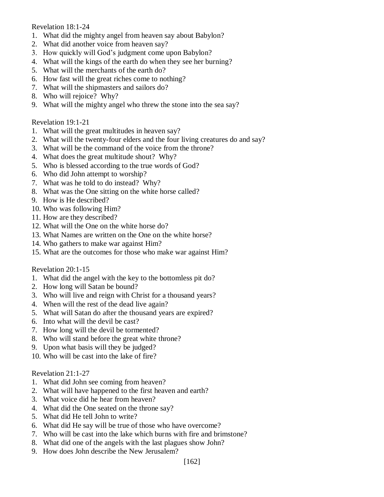Revelation 18:1-24

- 1. What did the mighty angel from heaven say about Babylon?
- 2. What did another voice from heaven say?
- 3. How quickly will God's judgment come upon Babylon?
- 4. What will the kings of the earth do when they see her burning?
- 5. What will the merchants of the earth do?
- 6. How fast will the great riches come to nothing?
- 7. What will the shipmasters and sailors do?
- 8. Who will rejoice? Why?
- 9. What will the mighty angel who threw the stone into the sea say?

# Revelation 19:1-21

- 1. What will the great multitudes in heaven say?
- 2. What will the twenty-four elders and the four living creatures do and say?
- 3. What will be the command of the voice from the throne?
- 4. What does the great multitude shout? Why?
- 5. Who is blessed according to the true words of God?
- 6. Who did John attempt to worship?
- 7. What was he told to do instead? Why?
- 8. What was the One sitting on the white horse called?
- 9. How is He described?
- 10. Who was following Him?
- 11. How are they described?
- 12. What will the One on the white horse do?
- 13. What Names are written on the One on the white horse?
- 14. Who gathers to make war against Him?
- 15. What are the outcomes for those who make war against Him?

# Revelation 20:1-15

- 1. What did the angel with the key to the bottomless pit do?
- 2. How long will Satan be bound?
- 3. Who will live and reign with Christ for a thousand years?
- 4. When will the rest of the dead live again?
- 5. What will Satan do after the thousand years are expired?
- 6. Into what will the devil be cast?
- 7. How long will the devil be tormented?
- 8. Who will stand before the great white throne?
- 9. Upon what basis will they be judged?
- 10. Who will be cast into the lake of fire?

### Revelation 21:1-27

- 1. What did John see coming from heaven?
- 2. What will have happened to the first heaven and earth?
- 3. What voice did he hear from heaven?
- 4. What did the One seated on the throne say?
- 5. What did He tell John to write?
- 6. What did He say will be true of those who have overcome?
- 7. Who will be cast into the lake which burns with fire and brimstone?
- 8. What did one of the angels with the last plagues show John?
- 9. How does John describe the New Jerusalem?